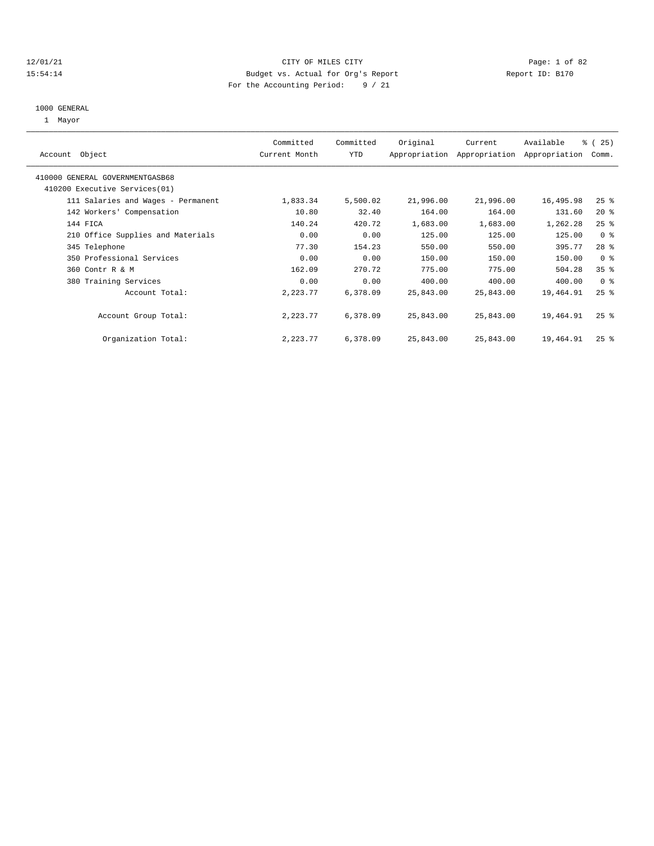#### 12/01/21 CITY OF MILES CITY Page: 1 of 82 15:54:14 Budget vs. Actual for Org's Report Report ID: B170 For the Accounting Period: 9 / 21

# 1000 GENERAL

| Account Object                     | Committed<br>Current Month | Committed<br>YTD | Original  | Current   | Available<br>Appropriation Appropriation Appropriation | % (25)<br>Comm.    |
|------------------------------------|----------------------------|------------------|-----------|-----------|--------------------------------------------------------|--------------------|
|                                    |                            |                  |           |           |                                                        |                    |
| 410000 GENERAL GOVERNMENTGASB68    |                            |                  |           |           |                                                        |                    |
| 410200 Executive Services (01)     |                            |                  |           |           |                                                        |                    |
| 111 Salaries and Wages - Permanent | 1,833.34                   | 5,500.02         | 21,996.00 | 21,996.00 | 16,495.98                                              | $25$ %             |
| 142 Workers' Compensation          | 10.80                      | 32.40            | 164.00    | 164.00    | 131.60                                                 | $20*$              |
| 144 FICA                           | 140.24                     | 420.72           | 1,683.00  | 1,683.00  | 1,262.28                                               | 25%                |
| 210 Office Supplies and Materials  | 0.00                       | 0.00             | 125.00    | 125.00    | 125.00                                                 | 0 <sup>8</sup>     |
| 345 Telephone                      | 77.30                      | 154.23           | 550.00    | 550.00    | 395.77                                                 | $28$ %             |
| 350 Professional Services          | 0.00                       | 0.00             | 150.00    | 150.00    | 150.00                                                 | 0 <sup>8</sup>     |
| 360 Contr R & M                    | 162.09                     | 270.72           | 775.00    | 775.00    | 504.28                                                 | 35%                |
| 380 Training Services              | 0.00                       | 0.00             | 400.00    | 400.00    | 400.00                                                 | 0 <sup>8</sup>     |
| Account Total:                     | 2,223.77                   | 6,378.09         | 25,843.00 | 25,843.00 | 19,464.91                                              | $25$ $\frac{6}{5}$ |
| Account Group Total:               | 2,223.77                   | 6,378.09         | 25,843.00 | 25,843.00 | 19,464.91                                              | $25$ $\frac{6}{5}$ |
| Organization Total:                | 2,223.77                   | 6,378.09         | 25,843.00 | 25,843.00 | 19,464.91                                              | $25$ $\frac{6}{5}$ |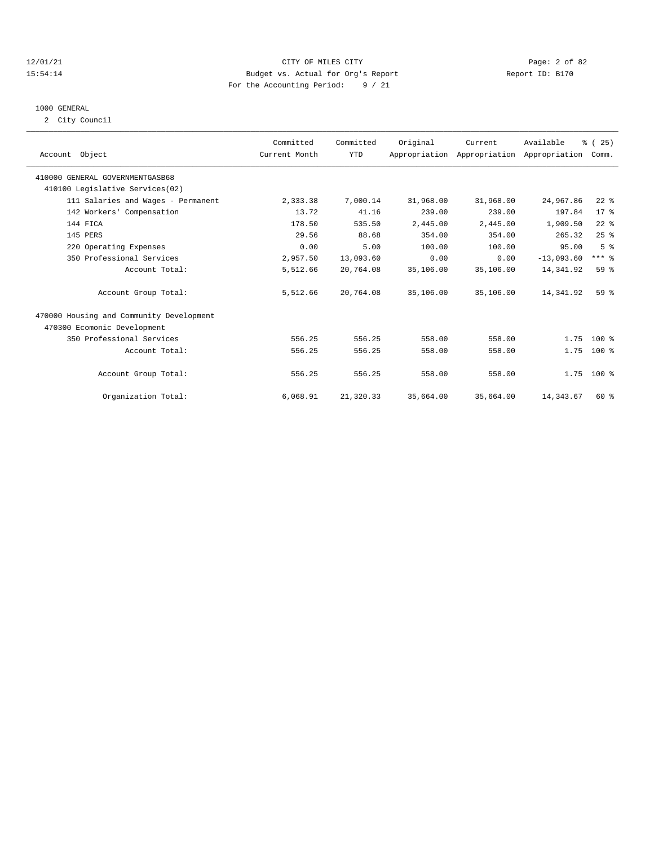#### 12/01/21 CITY OF MILES CITY Page: 2 of 82 15:54:14 Budget vs. Actual for Org's Report Report ID: B170 For the Accounting Period: 9 / 21

# 1000 GENERAL

2 City Council

| Account Object                           | Committed<br>Current Month | Committed<br><b>YTD</b> | Original  | Current<br>Appropriation Appropriation Appropriation | Available    | % (25)<br>Comm. |  |
|------------------------------------------|----------------------------|-------------------------|-----------|------------------------------------------------------|--------------|-----------------|--|
| 410000 GENERAL GOVERNMENTGASB68          |                            |                         |           |                                                      |              |                 |  |
| 410100 Legislative Services(02)          |                            |                         |           |                                                      |              |                 |  |
| 111 Salaries and Wages - Permanent       | 2,333.38                   | 7,000.14                | 31,968.00 | 31,968.00                                            | 24,967.86    | $22$ $%$        |  |
| 142 Workers' Compensation                | 13.72                      | 41.16                   | 239.00    | 239.00                                               | 197.84       | $17*$           |  |
| 144 FICA                                 | 178.50                     | 535.50                  | 2,445.00  | 2,445.00                                             | 1,909.50     | $22$ $%$        |  |
| 145 PERS                                 | 29.56                      | 88.68                   | 354.00    | 354.00                                               | 265.32       | 25%             |  |
| 220 Operating Expenses                   | 0.00                       | 5.00                    | 100.00    | 100.00                                               | 95.00        | 5 <sup>8</sup>  |  |
| 350 Professional Services                | 2,957.50                   | 13,093.60               | 0.00      | 0.00                                                 | $-13,093.60$ | $***$ $%$       |  |
| Account Total:                           | 5,512.66                   | 20,764.08               | 35,106.00 | 35,106.00                                            | 14,341.92    | 59 %            |  |
| Account Group Total:                     | 5,512.66                   | 20,764.08               | 35,106.00 | 35,106.00                                            | 14,341.92    | 59 <sup>8</sup> |  |
| 470000 Housing and Community Development |                            |                         |           |                                                      |              |                 |  |
| 470300 Ecomonic Development              |                            |                         |           |                                                      |              |                 |  |
| 350 Professional Services                | 556.25                     | 556.25                  | 558.00    | 558.00                                               | 1.75         | $100*$          |  |
| Account Total:                           | 556.25                     | 556.25                  | 558.00    | 558.00                                               | 1.75         | $100*$          |  |
| Account Group Total:                     | 556.25                     | 556.25                  | 558.00    | 558.00                                               |              | $1.75$ 100 %    |  |
| Organization Total:                      | 6,068.91                   | 21,320.33               | 35,664.00 | 35,664.00                                            | 14, 343.67   | 60 %            |  |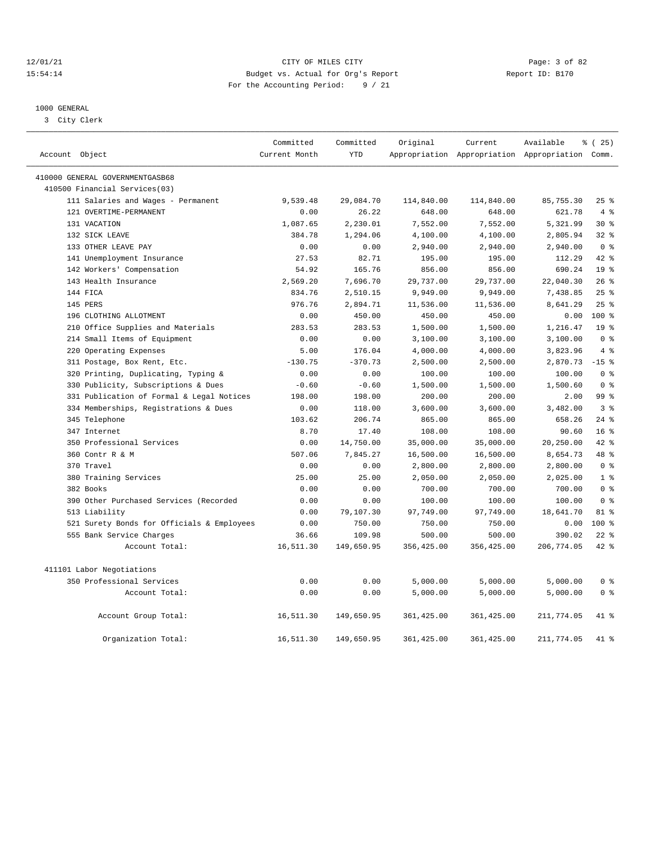#### 12/01/21 Page: 3 of 82<br>15:54:14 Budget vs. Actual for Org's Report Page: 15:54:14 15:54:14 Budget vs. Actual for Org's Report For the Accounting Period: 9 / 21

————————————————————————————————————————————————————————————————————————————————————————————————————————————————————————————————————

## 1000 GENERAL

3 City Clerk

|                                            | Committed     | Committed  | Original    | Current     | Available                                       | $*(25)$         |
|--------------------------------------------|---------------|------------|-------------|-------------|-------------------------------------------------|-----------------|
| Account Object                             | Current Month | <b>YTD</b> |             |             | Appropriation Appropriation Appropriation Comm. |                 |
| 410000 GENERAL GOVERNMENTGASB68            |               |            |             |             |                                                 |                 |
| 410500 Financial Services(03)              |               |            |             |             |                                                 |                 |
| 111 Salaries and Wages - Permanent         | 9,539.48      | 29,084.70  | 114,840.00  | 114,840.00  | 85,755.30                                       | 25%             |
| 121 OVERTIME-PERMANENT                     | 0.00          | 26.22      | 648.00      | 648.00      | 621.78                                          | 4%              |
| 131 VACATION                               | 1,087.65      | 2,230.01   | 7,552.00    | 7,552.00    | 5,321.99                                        | $30*$           |
| 132 SICK LEAVE                             | 384.78        | 1,294.06   | 4,100.00    | 4,100.00    | 2,805.94                                        | 32%             |
| 133 OTHER LEAVE PAY                        | 0.00          | 0.00       | 2,940.00    | 2,940.00    | 2,940.00                                        | 0 <sup>8</sup>  |
| 141 Unemployment Insurance                 | 27.53         | 82.71      | 195.00      | 195.00      | 112.29                                          | 42 %            |
| 142 Workers' Compensation                  | 54.92         | 165.76     | 856.00      | 856.00      | 690.24                                          | 19 <sup>°</sup> |
| 143 Health Insurance                       | 2,569.20      | 7,696.70   | 29,737.00   | 29,737.00   | 22,040.30                                       | 26%             |
| 144 FICA                                   | 834.76        | 2,510.15   | 9,949.00    | 9,949.00    | 7,438.85                                        | $25$ %          |
| 145 PERS                                   | 976.76        | 2,894.71   | 11,536.00   | 11,536.00   | 8,641.29                                        | 25%             |
| 196 CLOTHING ALLOTMENT                     | 0.00          | 450.00     | 450.00      | 450.00      | 0.00                                            | 100 %           |
| 210 Office Supplies and Materials          | 283.53        | 283.53     | 1,500.00    | 1,500.00    | 1,216.47                                        | 19 <sup>°</sup> |
| 214 Small Items of Equipment               | 0.00          | 0.00       | 3,100.00    | 3,100.00    | 3,100.00                                        | 0 <sup>8</sup>  |
| 220 Operating Expenses                     | 5.00          | 176.04     | 4,000.00    | 4,000.00    | 3,823.96                                        | 4%              |
| 311 Postage, Box Rent, Etc.                | $-130.75$     | $-370.73$  | 2,500.00    | 2,500.00    | 2,870.73                                        | $-15$ %         |
| 320 Printing, Duplicating, Typing &        | 0.00          | 0.00       | 100.00      | 100.00      | 100.00                                          | 0 <sup>8</sup>  |
| 330 Publicity, Subscriptions & Dues        | $-0.60$       | $-0.60$    | 1,500.00    | 1,500.00    | 1,500.60                                        | 0 <sup>8</sup>  |
| 331 Publication of Formal & Legal Notices  | 198.00        | 198.00     | 200.00      | 200.00      | 2.00                                            | 99%             |
| 334 Memberships, Registrations & Dues      | 0.00          | 118.00     | 3,600.00    | 3,600.00    | 3,482.00                                        | 38              |
| 345 Telephone                              | 103.62        | 206.74     | 865.00      | 865.00      | 658.26                                          | $24$ %          |
| 347 Internet                               | 8.70          | 17.40      | 108.00      | 108.00      | 90.60                                           | 16 <sup>8</sup> |
| 350 Professional Services                  | 0.00          | 14,750.00  | 35,000.00   | 35,000.00   | 20,250.00                                       | $42*$           |
| 360 Contr R & M                            | 507.06        | 7,845.27   | 16,500.00   | 16,500.00   | 8,654.73                                        | 48 %            |
| 370 Travel                                 | 0.00          | 0.00       | 2,800.00    | 2,800.00    | 2,800.00                                        | 0 <sup>8</sup>  |
| 380 Training Services                      | 25.00         | 25.00      | 2,050.00    | 2,050.00    | 2,025.00                                        | 1 <sup>8</sup>  |
| 382 Books                                  | 0.00          | 0.00       | 700.00      | 700.00      | 700.00                                          | 0 <sup>8</sup>  |
| 390 Other Purchased Services (Recorded     | 0.00          | 0.00       | 100.00      | 100.00      | 100.00                                          | 0 <sup>8</sup>  |
| 513 Liability                              | 0.00          | 79,107.30  | 97,749.00   | 97,749.00   | 18,641.70                                       | 81 %            |
| 521 Surety Bonds for Officials & Employees | 0.00          | 750.00     | 750.00      | 750.00      | 0.00                                            | $100*$          |
| 555 Bank Service Charges                   | 36.66         | 109.98     | 500.00      | 500.00      | 390.02                                          | $22$ %          |
| Account Total:                             | 16,511.30     | 149,650.95 | 356,425.00  | 356,425.00  | 206,774.05                                      | $42$ $%$        |
| 411101 Labor Negotiations                  |               |            |             |             |                                                 |                 |
| 350 Professional Services                  | 0.00          | 0.00       | 5,000.00    | 5,000.00    | 5,000.00                                        | 0 <sup>8</sup>  |
| Account Total:                             | 0.00          | 0.00       | 5,000.00    | 5,000.00    | 5,000.00                                        | 0 <sup>8</sup>  |
| Account Group Total:                       | 16,511.30     | 149,650.95 | 361,425.00  | 361,425.00  | 211,774.05                                      | 41 %            |
| Organization Total:                        | 16,511.30     | 149,650.95 | 361, 425.00 | 361, 425.00 | 211,774.05                                      | $41*$           |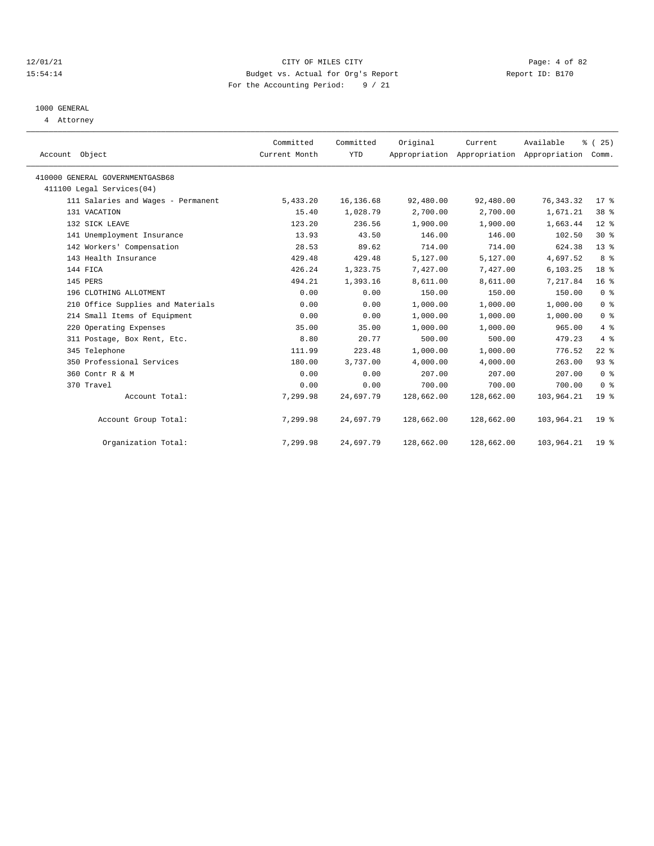#### 12/01/21 CITY OF MILES CITY Page: 4 of 82 15:54:14 Budget vs. Actual for Org's Report Report ID: B170 For the Accounting Period: 9 / 21

# 1000 GENERAL

4 Attorney

| Account Object                     | Committed<br>Current Month | Committed<br>YTD | Original   | Current    | Available<br>Appropriation Appropriation Appropriation | % (25)<br>Comm. |  |
|------------------------------------|----------------------------|------------------|------------|------------|--------------------------------------------------------|-----------------|--|
| 410000 GENERAL GOVERNMENTGASB68    |                            |                  |            |            |                                                        |                 |  |
| 411100 Legal Services(04)          |                            |                  |            |            |                                                        |                 |  |
| 111 Salaries and Wages - Permanent | 5,433.20                   | 16,136.68        | 92,480.00  | 92,480.00  | 76, 343.32                                             | $17*$           |  |
| 131 VACATION                       | 15.40                      | 1,028.79         | 2,700.00   | 2,700.00   | 1,671.21                                               | 38 <sup>8</sup> |  |
| 132 SICK LEAVE                     | 123.20                     | 236.56           | 1,900.00   | 1,900.00   | 1,663.44                                               | $12*$           |  |
| 141 Unemployment Insurance         | 13.93                      | 43.50            | 146.00     | 146.00     | 102.50                                                 | $30*$           |  |
| 142 Workers' Compensation          | 28.53                      | 89.62            | 714.00     | 714.00     | 624.38                                                 | $13*$           |  |
| 143 Health Insurance               | 429.48                     | 429.48           | 5,127.00   | 5,127.00   | 4,697.52                                               | 8 %             |  |
| 144 FICA                           | 426.24                     | 1,323.75         | 7,427.00   | 7,427.00   | 6, 103.25                                              | 18 %            |  |
| 145 PERS                           | 494.21                     | 1,393.16         | 8,611.00   | 8,611.00   | 7,217.84                                               | 16 <sup>°</sup> |  |
| 196 CLOTHING ALLOTMENT             | 0.00                       | 0.00             | 150.00     | 150.00     | 150.00                                                 | 0 <sup>8</sup>  |  |
| 210 Office Supplies and Materials  | 0.00                       | 0.00             | 1,000.00   | 1,000.00   | 1,000.00                                               | 0 <sup>8</sup>  |  |
| 214 Small Items of Equipment       | 0.00                       | 0.00             | 1,000.00   | 1,000.00   | 1,000.00                                               | 0 <sup>8</sup>  |  |
| 220 Operating Expenses             | 35.00                      | 35.00            | 1,000.00   | 1,000.00   | 965.00                                                 | 4%              |  |
| 311 Postage, Box Rent, Etc.        | 8.80                       | 20.77            | 500.00     | 500.00     | 479.23                                                 | 4%              |  |
| 345 Telephone                      | 111.99                     | 223.48           | 1,000.00   | 1,000.00   | 776.52                                                 | $22$ %          |  |
| 350 Professional Services          | 180.00                     | 3,737.00         | 4,000.00   | 4,000.00   | 263.00                                                 | 93%             |  |
| 360 Contr R & M                    | 0.00                       | 0.00             | 207.00     | 207.00     | 207.00                                                 | 0 <sup>8</sup>  |  |
| 370 Travel                         | 0.00                       | 0.00             | 700.00     | 700.00     | 700.00                                                 | 0 <sup>8</sup>  |  |
| Account Total:                     | 7,299.98                   | 24,697.79        | 128,662.00 | 128,662.00 | 103,964.21                                             | 19 <sup>8</sup> |  |
| Account Group Total:               | 7,299.98                   | 24,697.79        | 128,662.00 | 128,662.00 | 103,964.21                                             | 19 <sup>°</sup> |  |
| Organization Total:                | 7,299.98                   | 24,697.79        | 128,662.00 | 128,662.00 | 103,964.21                                             | 19 <sup>°</sup> |  |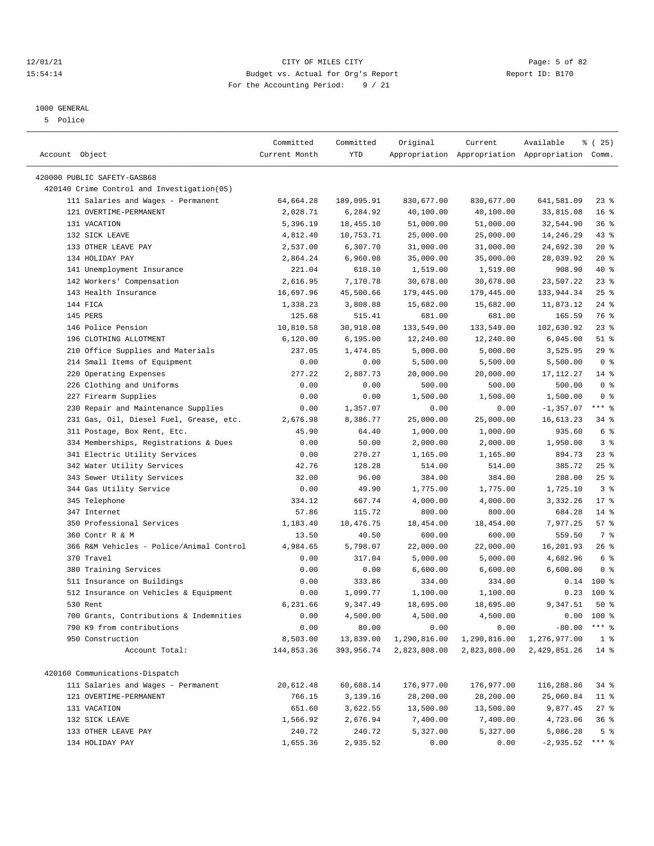### 12/01/21 Page: 5 of 82<br>15:54:14 Budget vs. Actual for Org's Report Page: 5 of 82<br>15:54:14 Budget vs. Actual for Org's Report Physics Report ID: B170 15:54:14 Budget vs. Actual for Org's Report For the Accounting Period: 9 / 21

## 1000 GENERAL

5 Police

| 420000 PUBLIC SAFETY-GASB68<br>420140 Crime Control and Investigation(05)<br>111 Salaries and Wages - Permanent<br>830,677.00<br>64,664.28<br>189,095.91<br>830,677.00<br>641,581.09<br>23 %<br>121 OVERTIME-PERMANENT<br>2,028.71<br>6,284.92<br>40,100.00<br>40,100.00<br>33,815.08<br>16 <sup>8</sup><br>131 VACATION<br>5,396.19<br>18,455.10<br>51,000.00<br>51,000.00<br>32,544.90<br>36%<br>132 SICK LEAVE<br>4,812.40<br>10,753.71<br>25,000.00<br>25,000.00<br>14,246.29<br>$43$ %<br>133 OTHER LEAVE PAY<br>2,537.00<br>6,307.70<br>24,692.30<br>$20*$<br>31,000.00<br>31,000.00<br>134 HOLIDAY PAY<br>28,039.92<br>$20*$<br>2,864.24<br>6,960.08<br>35,000.00<br>35,000.00<br>40 %<br>141 Unemployment Insurance<br>221.04<br>610.10<br>908.90<br>1,519.00<br>1,519.00<br>23%<br>142 Workers' Compensation<br>2,616.95<br>7,170.78<br>30,678.00<br>30,678.00<br>23,507.22<br>143 Health Insurance<br>16,697.96<br>45,500.66<br>179,445.00<br>133,944.34<br>$25$ %<br>179,445.00<br>144 FICA<br>$24$ %<br>1,338.23<br>3,808.88<br>15,682.00<br>15,682.00<br>11,873.12<br>76 %<br>145 PERS<br>125.68<br>515.41<br>681.00<br>681.00<br>165.59<br>23%<br>146 Police Pension<br>10,810.58<br>30,918.08<br>133,549.00<br>133,549.00<br>102,630.92<br>$51$ %<br>196 CLOTHING ALLOTMENT<br>6,120.00<br>6, 195.00<br>12,240.00<br>12,240.00<br>6,045.00<br>29%<br>210 Office Supplies and Materials<br>237.05<br>1,474.05<br>5,000.00<br>5,000.00<br>3,525.95<br>0 <sup>8</sup><br>214 Small Items of Equipment<br>0.00<br>0.00<br>5,500.00<br>5,500.00<br>5,500.00<br>220 Operating Expenses<br>277.22<br>$14$ %<br>2,887.73<br>20,000.00<br>20,000.00<br>17,112.27<br>226 Clothing and Uniforms<br>0 <sup>8</sup><br>0.00<br>500.00<br>500.00<br>500.00<br>0.00<br>0 <sup>8</sup><br>227 Firearm Supplies<br>0.00<br>0.00<br>1,500.00<br>1,500.00<br>1,500.00<br>$***$ $%$<br>230 Repair and Maintenance Supplies<br>1,357.07<br>0.00<br>$-1, 357.07$<br>0.00<br>0.00<br>231 Gas, Oil, Diesel Fuel, Grease, etc.<br>8,386.77<br>25,000.00<br>25,000.00<br>$34$ $%$<br>2,676.98<br>16,613.23<br>935.60<br>6 %<br>311 Postage, Box Rent, Etc.<br>45.90<br>64.40<br>1,000.00<br>1,000.00<br>3 <sup>°</sup><br>334 Memberships, Registrations & Dues<br>0.00<br>50.00<br>2,000.00<br>2,000.00<br>1,950.00<br>23%<br>341 Electric Utility Services<br>0.00<br>270.27<br>1,165.00<br>894.73<br>1,165.00<br>42.76<br>128.28<br>25%<br>342 Water Utility Services<br>514.00<br>514.00<br>385.72<br>343 Sewer Utility Services<br>32.00<br>96.00<br>384.00<br>288.00<br>$25$ %<br>384.00<br>344 Gas Utility Service<br>0.00<br>1,725.10<br>3%<br>49.90<br>1,775.00<br>1,775.00<br>345 Telephone<br>334.12<br>667.74<br>4,000.00<br>4,000.00<br>3,332.26<br>$17*$<br>347 Internet<br>57.86<br>115.72<br>800.00<br>800.00<br>684.28<br>$14*$<br>350 Professional Services<br>1,183.40<br>10,476.75<br>18,454.00<br>18,454.00<br>7,977.25<br>57%<br>600.00<br>600.00<br>559.50<br>7 %<br>360 Contr R & M<br>13.50<br>40.50<br>366 R&M Vehicles - Police/Animal Control<br>4,984.65<br>5,798.07<br>22,000.00<br>$26$ %<br>22,000.00<br>16,201.93<br>6 <sup>8</sup><br>370 Travel<br>317.04<br>5,000.00<br>5,000.00<br>4,682.96<br>0.00<br>380 Training Services<br>0.00<br>0.00<br>6,600.00<br>6,600.00<br>6,600.00<br>0 <sup>8</sup><br>100 %<br>511 Insurance on Buildings<br>0.00<br>333.86<br>334.00<br>334.00<br>0.14<br>100 %<br>512 Insurance on Vehicles & Equipment<br>1,099.77<br>1,100.00<br>0.23<br>0.00<br>1,100.00<br>9,347.51<br>530 Rent<br>6,231.66<br>18,695.00<br>$50*$<br>9,347.49<br>18,695.00<br>700 Grants, Contributions & Indemnities<br>0.00<br>4,500.00<br>4,500.00<br>4,500.00<br>0.00<br>100 %<br>$***$ $-$<br>790 K9 from contributions<br>0.00<br>80.00<br>0.00<br>0.00<br>$-80.00$<br>950 Construction<br>8,503.00<br>13,839.00<br>1,290,816.00<br>1,290,816.00<br>1,276,977.00<br>1 <sup>8</sup><br>Account Total:<br>144,853.36<br>393,956.74<br>2,823,808.00<br>2,823,808.00<br>2,429,851.26<br>$14*$<br>420160 Communications-Dispatch<br>111 Salaries and Wages - Permanent<br>20,612.48<br>60,688.14<br>176,977.00<br>116,288.86<br>176,977.00<br>34 %<br>121 OVERTIME-PERMANENT<br>766.15<br>3,139.16<br>25,060.84<br>28,200.00<br>28,200.00<br>11 %<br>131 VACATION<br>651.60<br>9,877.45<br>3,622.55<br>13,500.00<br>13,500.00<br>$27$ %<br>132 SICK LEAVE<br>1,566.92<br>2,676.94<br>7,400.00<br>7,400.00<br>4,723.06<br>36%<br>133 OTHER LEAVE PAY<br>240.72<br>240.72<br>5,327.00<br>5,327.00<br>5,086.28<br>5 <sup>8</sup><br>$***$ $%$<br>134 HOLIDAY PAY<br>1,655.36<br>2,935.52<br>0.00<br>0.00<br>$-2,935.52$ | Account Object | Committed<br>Current Month | Committed<br>YTD | Original | Current | Available<br>Appropriation Appropriation Appropriation Comm. | <sub>है</sub> (25) |
|-------------------------------------------------------------------------------------------------------------------------------------------------------------------------------------------------------------------------------------------------------------------------------------------------------------------------------------------------------------------------------------------------------------------------------------------------------------------------------------------------------------------------------------------------------------------------------------------------------------------------------------------------------------------------------------------------------------------------------------------------------------------------------------------------------------------------------------------------------------------------------------------------------------------------------------------------------------------------------------------------------------------------------------------------------------------------------------------------------------------------------------------------------------------------------------------------------------------------------------------------------------------------------------------------------------------------------------------------------------------------------------------------------------------------------------------------------------------------------------------------------------------------------------------------------------------------------------------------------------------------------------------------------------------------------------------------------------------------------------------------------------------------------------------------------------------------------------------------------------------------------------------------------------------------------------------------------------------------------------------------------------------------------------------------------------------------------------------------------------------------------------------------------------------------------------------------------------------------------------------------------------------------------------------------------------------------------------------------------------------------------------------------------------------------------------------------------------------------------------------------------------------------------------------------------------------------------------------------------------------------------------------------------------------------------------------------------------------------------------------------------------------------------------------------------------------------------------------------------------------------------------------------------------------------------------------------------------------------------------------------------------------------------------------------------------------------------------------------------------------------------------------------------------------------------------------------------------------------------------------------------------------------------------------------------------------------------------------------------------------------------------------------------------------------------------------------------------------------------------------------------------------------------------------------------------------------------------------------------------------------------------------------------------------------------------------------------------------------------------------------------------------------------------------------------------------------------------------------------------------------------------------------------------------------------------------------------------------------------------------------------------------------------------------------------------------------------------------------------------------------------------------------------------------------------------------------------------------------------------------------------------------------------------------------------------------------------------------------------------------------------------------------------------------------------------------------------------------------------------------------------------------------------------------------------------------------------------------------------------------------------------------------------|----------------|----------------------------|------------------|----------|---------|--------------------------------------------------------------|--------------------|
|                                                                                                                                                                                                                                                                                                                                                                                                                                                                                                                                                                                                                                                                                                                                                                                                                                                                                                                                                                                                                                                                                                                                                                                                                                                                                                                                                                                                                                                                                                                                                                                                                                                                                                                                                                                                                                                                                                                                                                                                                                                                                                                                                                                                                                                                                                                                                                                                                                                                                                                                                                                                                                                                                                                                                                                                                                                                                                                                                                                                                                                                                                                                                                                                                                                                                                                                                                                                                                                                                                                                                                                                                                                                                                                                                                                                                                                                                                                                                                                                                                                                                                                                                                                                                                                                                                                                                                                                                                                                                                                                                                                                                                                       |                |                            |                  |          |         |                                                              |                    |
|                                                                                                                                                                                                                                                                                                                                                                                                                                                                                                                                                                                                                                                                                                                                                                                                                                                                                                                                                                                                                                                                                                                                                                                                                                                                                                                                                                                                                                                                                                                                                                                                                                                                                                                                                                                                                                                                                                                                                                                                                                                                                                                                                                                                                                                                                                                                                                                                                                                                                                                                                                                                                                                                                                                                                                                                                                                                                                                                                                                                                                                                                                                                                                                                                                                                                                                                                                                                                                                                                                                                                                                                                                                                                                                                                                                                                                                                                                                                                                                                                                                                                                                                                                                                                                                                                                                                                                                                                                                                                                                                                                                                                                                       |                |                            |                  |          |         |                                                              |                    |
|                                                                                                                                                                                                                                                                                                                                                                                                                                                                                                                                                                                                                                                                                                                                                                                                                                                                                                                                                                                                                                                                                                                                                                                                                                                                                                                                                                                                                                                                                                                                                                                                                                                                                                                                                                                                                                                                                                                                                                                                                                                                                                                                                                                                                                                                                                                                                                                                                                                                                                                                                                                                                                                                                                                                                                                                                                                                                                                                                                                                                                                                                                                                                                                                                                                                                                                                                                                                                                                                                                                                                                                                                                                                                                                                                                                                                                                                                                                                                                                                                                                                                                                                                                                                                                                                                                                                                                                                                                                                                                                                                                                                                                                       |                |                            |                  |          |         |                                                              |                    |
|                                                                                                                                                                                                                                                                                                                                                                                                                                                                                                                                                                                                                                                                                                                                                                                                                                                                                                                                                                                                                                                                                                                                                                                                                                                                                                                                                                                                                                                                                                                                                                                                                                                                                                                                                                                                                                                                                                                                                                                                                                                                                                                                                                                                                                                                                                                                                                                                                                                                                                                                                                                                                                                                                                                                                                                                                                                                                                                                                                                                                                                                                                                                                                                                                                                                                                                                                                                                                                                                                                                                                                                                                                                                                                                                                                                                                                                                                                                                                                                                                                                                                                                                                                                                                                                                                                                                                                                                                                                                                                                                                                                                                                                       |                |                            |                  |          |         |                                                              |                    |
|                                                                                                                                                                                                                                                                                                                                                                                                                                                                                                                                                                                                                                                                                                                                                                                                                                                                                                                                                                                                                                                                                                                                                                                                                                                                                                                                                                                                                                                                                                                                                                                                                                                                                                                                                                                                                                                                                                                                                                                                                                                                                                                                                                                                                                                                                                                                                                                                                                                                                                                                                                                                                                                                                                                                                                                                                                                                                                                                                                                                                                                                                                                                                                                                                                                                                                                                                                                                                                                                                                                                                                                                                                                                                                                                                                                                                                                                                                                                                                                                                                                                                                                                                                                                                                                                                                                                                                                                                                                                                                                                                                                                                                                       |                |                            |                  |          |         |                                                              |                    |
|                                                                                                                                                                                                                                                                                                                                                                                                                                                                                                                                                                                                                                                                                                                                                                                                                                                                                                                                                                                                                                                                                                                                                                                                                                                                                                                                                                                                                                                                                                                                                                                                                                                                                                                                                                                                                                                                                                                                                                                                                                                                                                                                                                                                                                                                                                                                                                                                                                                                                                                                                                                                                                                                                                                                                                                                                                                                                                                                                                                                                                                                                                                                                                                                                                                                                                                                                                                                                                                                                                                                                                                                                                                                                                                                                                                                                                                                                                                                                                                                                                                                                                                                                                                                                                                                                                                                                                                                                                                                                                                                                                                                                                                       |                |                            |                  |          |         |                                                              |                    |
|                                                                                                                                                                                                                                                                                                                                                                                                                                                                                                                                                                                                                                                                                                                                                                                                                                                                                                                                                                                                                                                                                                                                                                                                                                                                                                                                                                                                                                                                                                                                                                                                                                                                                                                                                                                                                                                                                                                                                                                                                                                                                                                                                                                                                                                                                                                                                                                                                                                                                                                                                                                                                                                                                                                                                                                                                                                                                                                                                                                                                                                                                                                                                                                                                                                                                                                                                                                                                                                                                                                                                                                                                                                                                                                                                                                                                                                                                                                                                                                                                                                                                                                                                                                                                                                                                                                                                                                                                                                                                                                                                                                                                                                       |                |                            |                  |          |         |                                                              |                    |
|                                                                                                                                                                                                                                                                                                                                                                                                                                                                                                                                                                                                                                                                                                                                                                                                                                                                                                                                                                                                                                                                                                                                                                                                                                                                                                                                                                                                                                                                                                                                                                                                                                                                                                                                                                                                                                                                                                                                                                                                                                                                                                                                                                                                                                                                                                                                                                                                                                                                                                                                                                                                                                                                                                                                                                                                                                                                                                                                                                                                                                                                                                                                                                                                                                                                                                                                                                                                                                                                                                                                                                                                                                                                                                                                                                                                                                                                                                                                                                                                                                                                                                                                                                                                                                                                                                                                                                                                                                                                                                                                                                                                                                                       |                |                            |                  |          |         |                                                              |                    |
|                                                                                                                                                                                                                                                                                                                                                                                                                                                                                                                                                                                                                                                                                                                                                                                                                                                                                                                                                                                                                                                                                                                                                                                                                                                                                                                                                                                                                                                                                                                                                                                                                                                                                                                                                                                                                                                                                                                                                                                                                                                                                                                                                                                                                                                                                                                                                                                                                                                                                                                                                                                                                                                                                                                                                                                                                                                                                                                                                                                                                                                                                                                                                                                                                                                                                                                                                                                                                                                                                                                                                                                                                                                                                                                                                                                                                                                                                                                                                                                                                                                                                                                                                                                                                                                                                                                                                                                                                                                                                                                                                                                                                                                       |                |                            |                  |          |         |                                                              |                    |
|                                                                                                                                                                                                                                                                                                                                                                                                                                                                                                                                                                                                                                                                                                                                                                                                                                                                                                                                                                                                                                                                                                                                                                                                                                                                                                                                                                                                                                                                                                                                                                                                                                                                                                                                                                                                                                                                                                                                                                                                                                                                                                                                                                                                                                                                                                                                                                                                                                                                                                                                                                                                                                                                                                                                                                                                                                                                                                                                                                                                                                                                                                                                                                                                                                                                                                                                                                                                                                                                                                                                                                                                                                                                                                                                                                                                                                                                                                                                                                                                                                                                                                                                                                                                                                                                                                                                                                                                                                                                                                                                                                                                                                                       |                |                            |                  |          |         |                                                              |                    |
|                                                                                                                                                                                                                                                                                                                                                                                                                                                                                                                                                                                                                                                                                                                                                                                                                                                                                                                                                                                                                                                                                                                                                                                                                                                                                                                                                                                                                                                                                                                                                                                                                                                                                                                                                                                                                                                                                                                                                                                                                                                                                                                                                                                                                                                                                                                                                                                                                                                                                                                                                                                                                                                                                                                                                                                                                                                                                                                                                                                                                                                                                                                                                                                                                                                                                                                                                                                                                                                                                                                                                                                                                                                                                                                                                                                                                                                                                                                                                                                                                                                                                                                                                                                                                                                                                                                                                                                                                                                                                                                                                                                                                                                       |                |                            |                  |          |         |                                                              |                    |
|                                                                                                                                                                                                                                                                                                                                                                                                                                                                                                                                                                                                                                                                                                                                                                                                                                                                                                                                                                                                                                                                                                                                                                                                                                                                                                                                                                                                                                                                                                                                                                                                                                                                                                                                                                                                                                                                                                                                                                                                                                                                                                                                                                                                                                                                                                                                                                                                                                                                                                                                                                                                                                                                                                                                                                                                                                                                                                                                                                                                                                                                                                                                                                                                                                                                                                                                                                                                                                                                                                                                                                                                                                                                                                                                                                                                                                                                                                                                                                                                                                                                                                                                                                                                                                                                                                                                                                                                                                                                                                                                                                                                                                                       |                |                            |                  |          |         |                                                              |                    |
|                                                                                                                                                                                                                                                                                                                                                                                                                                                                                                                                                                                                                                                                                                                                                                                                                                                                                                                                                                                                                                                                                                                                                                                                                                                                                                                                                                                                                                                                                                                                                                                                                                                                                                                                                                                                                                                                                                                                                                                                                                                                                                                                                                                                                                                                                                                                                                                                                                                                                                                                                                                                                                                                                                                                                                                                                                                                                                                                                                                                                                                                                                                                                                                                                                                                                                                                                                                                                                                                                                                                                                                                                                                                                                                                                                                                                                                                                                                                                                                                                                                                                                                                                                                                                                                                                                                                                                                                                                                                                                                                                                                                                                                       |                |                            |                  |          |         |                                                              |                    |
|                                                                                                                                                                                                                                                                                                                                                                                                                                                                                                                                                                                                                                                                                                                                                                                                                                                                                                                                                                                                                                                                                                                                                                                                                                                                                                                                                                                                                                                                                                                                                                                                                                                                                                                                                                                                                                                                                                                                                                                                                                                                                                                                                                                                                                                                                                                                                                                                                                                                                                                                                                                                                                                                                                                                                                                                                                                                                                                                                                                                                                                                                                                                                                                                                                                                                                                                                                                                                                                                                                                                                                                                                                                                                                                                                                                                                                                                                                                                                                                                                                                                                                                                                                                                                                                                                                                                                                                                                                                                                                                                                                                                                                                       |                |                            |                  |          |         |                                                              |                    |
|                                                                                                                                                                                                                                                                                                                                                                                                                                                                                                                                                                                                                                                                                                                                                                                                                                                                                                                                                                                                                                                                                                                                                                                                                                                                                                                                                                                                                                                                                                                                                                                                                                                                                                                                                                                                                                                                                                                                                                                                                                                                                                                                                                                                                                                                                                                                                                                                                                                                                                                                                                                                                                                                                                                                                                                                                                                                                                                                                                                                                                                                                                                                                                                                                                                                                                                                                                                                                                                                                                                                                                                                                                                                                                                                                                                                                                                                                                                                                                                                                                                                                                                                                                                                                                                                                                                                                                                                                                                                                                                                                                                                                                                       |                |                            |                  |          |         |                                                              |                    |
|                                                                                                                                                                                                                                                                                                                                                                                                                                                                                                                                                                                                                                                                                                                                                                                                                                                                                                                                                                                                                                                                                                                                                                                                                                                                                                                                                                                                                                                                                                                                                                                                                                                                                                                                                                                                                                                                                                                                                                                                                                                                                                                                                                                                                                                                                                                                                                                                                                                                                                                                                                                                                                                                                                                                                                                                                                                                                                                                                                                                                                                                                                                                                                                                                                                                                                                                                                                                                                                                                                                                                                                                                                                                                                                                                                                                                                                                                                                                                                                                                                                                                                                                                                                                                                                                                                                                                                                                                                                                                                                                                                                                                                                       |                |                            |                  |          |         |                                                              |                    |
|                                                                                                                                                                                                                                                                                                                                                                                                                                                                                                                                                                                                                                                                                                                                                                                                                                                                                                                                                                                                                                                                                                                                                                                                                                                                                                                                                                                                                                                                                                                                                                                                                                                                                                                                                                                                                                                                                                                                                                                                                                                                                                                                                                                                                                                                                                                                                                                                                                                                                                                                                                                                                                                                                                                                                                                                                                                                                                                                                                                                                                                                                                                                                                                                                                                                                                                                                                                                                                                                                                                                                                                                                                                                                                                                                                                                                                                                                                                                                                                                                                                                                                                                                                                                                                                                                                                                                                                                                                                                                                                                                                                                                                                       |                |                            |                  |          |         |                                                              |                    |
|                                                                                                                                                                                                                                                                                                                                                                                                                                                                                                                                                                                                                                                                                                                                                                                                                                                                                                                                                                                                                                                                                                                                                                                                                                                                                                                                                                                                                                                                                                                                                                                                                                                                                                                                                                                                                                                                                                                                                                                                                                                                                                                                                                                                                                                                                                                                                                                                                                                                                                                                                                                                                                                                                                                                                                                                                                                                                                                                                                                                                                                                                                                                                                                                                                                                                                                                                                                                                                                                                                                                                                                                                                                                                                                                                                                                                                                                                                                                                                                                                                                                                                                                                                                                                                                                                                                                                                                                                                                                                                                                                                                                                                                       |                |                            |                  |          |         |                                                              |                    |
|                                                                                                                                                                                                                                                                                                                                                                                                                                                                                                                                                                                                                                                                                                                                                                                                                                                                                                                                                                                                                                                                                                                                                                                                                                                                                                                                                                                                                                                                                                                                                                                                                                                                                                                                                                                                                                                                                                                                                                                                                                                                                                                                                                                                                                                                                                                                                                                                                                                                                                                                                                                                                                                                                                                                                                                                                                                                                                                                                                                                                                                                                                                                                                                                                                                                                                                                                                                                                                                                                                                                                                                                                                                                                                                                                                                                                                                                                                                                                                                                                                                                                                                                                                                                                                                                                                                                                                                                                                                                                                                                                                                                                                                       |                |                            |                  |          |         |                                                              |                    |
|                                                                                                                                                                                                                                                                                                                                                                                                                                                                                                                                                                                                                                                                                                                                                                                                                                                                                                                                                                                                                                                                                                                                                                                                                                                                                                                                                                                                                                                                                                                                                                                                                                                                                                                                                                                                                                                                                                                                                                                                                                                                                                                                                                                                                                                                                                                                                                                                                                                                                                                                                                                                                                                                                                                                                                                                                                                                                                                                                                                                                                                                                                                                                                                                                                                                                                                                                                                                                                                                                                                                                                                                                                                                                                                                                                                                                                                                                                                                                                                                                                                                                                                                                                                                                                                                                                                                                                                                                                                                                                                                                                                                                                                       |                |                            |                  |          |         |                                                              |                    |
|                                                                                                                                                                                                                                                                                                                                                                                                                                                                                                                                                                                                                                                                                                                                                                                                                                                                                                                                                                                                                                                                                                                                                                                                                                                                                                                                                                                                                                                                                                                                                                                                                                                                                                                                                                                                                                                                                                                                                                                                                                                                                                                                                                                                                                                                                                                                                                                                                                                                                                                                                                                                                                                                                                                                                                                                                                                                                                                                                                                                                                                                                                                                                                                                                                                                                                                                                                                                                                                                                                                                                                                                                                                                                                                                                                                                                                                                                                                                                                                                                                                                                                                                                                                                                                                                                                                                                                                                                                                                                                                                                                                                                                                       |                |                            |                  |          |         |                                                              |                    |
|                                                                                                                                                                                                                                                                                                                                                                                                                                                                                                                                                                                                                                                                                                                                                                                                                                                                                                                                                                                                                                                                                                                                                                                                                                                                                                                                                                                                                                                                                                                                                                                                                                                                                                                                                                                                                                                                                                                                                                                                                                                                                                                                                                                                                                                                                                                                                                                                                                                                                                                                                                                                                                                                                                                                                                                                                                                                                                                                                                                                                                                                                                                                                                                                                                                                                                                                                                                                                                                                                                                                                                                                                                                                                                                                                                                                                                                                                                                                                                                                                                                                                                                                                                                                                                                                                                                                                                                                                                                                                                                                                                                                                                                       |                |                            |                  |          |         |                                                              |                    |
|                                                                                                                                                                                                                                                                                                                                                                                                                                                                                                                                                                                                                                                                                                                                                                                                                                                                                                                                                                                                                                                                                                                                                                                                                                                                                                                                                                                                                                                                                                                                                                                                                                                                                                                                                                                                                                                                                                                                                                                                                                                                                                                                                                                                                                                                                                                                                                                                                                                                                                                                                                                                                                                                                                                                                                                                                                                                                                                                                                                                                                                                                                                                                                                                                                                                                                                                                                                                                                                                                                                                                                                                                                                                                                                                                                                                                                                                                                                                                                                                                                                                                                                                                                                                                                                                                                                                                                                                                                                                                                                                                                                                                                                       |                |                            |                  |          |         |                                                              |                    |
|                                                                                                                                                                                                                                                                                                                                                                                                                                                                                                                                                                                                                                                                                                                                                                                                                                                                                                                                                                                                                                                                                                                                                                                                                                                                                                                                                                                                                                                                                                                                                                                                                                                                                                                                                                                                                                                                                                                                                                                                                                                                                                                                                                                                                                                                                                                                                                                                                                                                                                                                                                                                                                                                                                                                                                                                                                                                                                                                                                                                                                                                                                                                                                                                                                                                                                                                                                                                                                                                                                                                                                                                                                                                                                                                                                                                                                                                                                                                                                                                                                                                                                                                                                                                                                                                                                                                                                                                                                                                                                                                                                                                                                                       |                |                            |                  |          |         |                                                              |                    |
|                                                                                                                                                                                                                                                                                                                                                                                                                                                                                                                                                                                                                                                                                                                                                                                                                                                                                                                                                                                                                                                                                                                                                                                                                                                                                                                                                                                                                                                                                                                                                                                                                                                                                                                                                                                                                                                                                                                                                                                                                                                                                                                                                                                                                                                                                                                                                                                                                                                                                                                                                                                                                                                                                                                                                                                                                                                                                                                                                                                                                                                                                                                                                                                                                                                                                                                                                                                                                                                                                                                                                                                                                                                                                                                                                                                                                                                                                                                                                                                                                                                                                                                                                                                                                                                                                                                                                                                                                                                                                                                                                                                                                                                       |                |                            |                  |          |         |                                                              |                    |
|                                                                                                                                                                                                                                                                                                                                                                                                                                                                                                                                                                                                                                                                                                                                                                                                                                                                                                                                                                                                                                                                                                                                                                                                                                                                                                                                                                                                                                                                                                                                                                                                                                                                                                                                                                                                                                                                                                                                                                                                                                                                                                                                                                                                                                                                                                                                                                                                                                                                                                                                                                                                                                                                                                                                                                                                                                                                                                                                                                                                                                                                                                                                                                                                                                                                                                                                                                                                                                                                                                                                                                                                                                                                                                                                                                                                                                                                                                                                                                                                                                                                                                                                                                                                                                                                                                                                                                                                                                                                                                                                                                                                                                                       |                |                            |                  |          |         |                                                              |                    |
|                                                                                                                                                                                                                                                                                                                                                                                                                                                                                                                                                                                                                                                                                                                                                                                                                                                                                                                                                                                                                                                                                                                                                                                                                                                                                                                                                                                                                                                                                                                                                                                                                                                                                                                                                                                                                                                                                                                                                                                                                                                                                                                                                                                                                                                                                                                                                                                                                                                                                                                                                                                                                                                                                                                                                                                                                                                                                                                                                                                                                                                                                                                                                                                                                                                                                                                                                                                                                                                                                                                                                                                                                                                                                                                                                                                                                                                                                                                                                                                                                                                                                                                                                                                                                                                                                                                                                                                                                                                                                                                                                                                                                                                       |                |                            |                  |          |         |                                                              |                    |
|                                                                                                                                                                                                                                                                                                                                                                                                                                                                                                                                                                                                                                                                                                                                                                                                                                                                                                                                                                                                                                                                                                                                                                                                                                                                                                                                                                                                                                                                                                                                                                                                                                                                                                                                                                                                                                                                                                                                                                                                                                                                                                                                                                                                                                                                                                                                                                                                                                                                                                                                                                                                                                                                                                                                                                                                                                                                                                                                                                                                                                                                                                                                                                                                                                                                                                                                                                                                                                                                                                                                                                                                                                                                                                                                                                                                                                                                                                                                                                                                                                                                                                                                                                                                                                                                                                                                                                                                                                                                                                                                                                                                                                                       |                |                            |                  |          |         |                                                              |                    |
|                                                                                                                                                                                                                                                                                                                                                                                                                                                                                                                                                                                                                                                                                                                                                                                                                                                                                                                                                                                                                                                                                                                                                                                                                                                                                                                                                                                                                                                                                                                                                                                                                                                                                                                                                                                                                                                                                                                                                                                                                                                                                                                                                                                                                                                                                                                                                                                                                                                                                                                                                                                                                                                                                                                                                                                                                                                                                                                                                                                                                                                                                                                                                                                                                                                                                                                                                                                                                                                                                                                                                                                                                                                                                                                                                                                                                                                                                                                                                                                                                                                                                                                                                                                                                                                                                                                                                                                                                                                                                                                                                                                                                                                       |                |                            |                  |          |         |                                                              |                    |
|                                                                                                                                                                                                                                                                                                                                                                                                                                                                                                                                                                                                                                                                                                                                                                                                                                                                                                                                                                                                                                                                                                                                                                                                                                                                                                                                                                                                                                                                                                                                                                                                                                                                                                                                                                                                                                                                                                                                                                                                                                                                                                                                                                                                                                                                                                                                                                                                                                                                                                                                                                                                                                                                                                                                                                                                                                                                                                                                                                                                                                                                                                                                                                                                                                                                                                                                                                                                                                                                                                                                                                                                                                                                                                                                                                                                                                                                                                                                                                                                                                                                                                                                                                                                                                                                                                                                                                                                                                                                                                                                                                                                                                                       |                |                            |                  |          |         |                                                              |                    |
|                                                                                                                                                                                                                                                                                                                                                                                                                                                                                                                                                                                                                                                                                                                                                                                                                                                                                                                                                                                                                                                                                                                                                                                                                                                                                                                                                                                                                                                                                                                                                                                                                                                                                                                                                                                                                                                                                                                                                                                                                                                                                                                                                                                                                                                                                                                                                                                                                                                                                                                                                                                                                                                                                                                                                                                                                                                                                                                                                                                                                                                                                                                                                                                                                                                                                                                                                                                                                                                                                                                                                                                                                                                                                                                                                                                                                                                                                                                                                                                                                                                                                                                                                                                                                                                                                                                                                                                                                                                                                                                                                                                                                                                       |                |                            |                  |          |         |                                                              |                    |
|                                                                                                                                                                                                                                                                                                                                                                                                                                                                                                                                                                                                                                                                                                                                                                                                                                                                                                                                                                                                                                                                                                                                                                                                                                                                                                                                                                                                                                                                                                                                                                                                                                                                                                                                                                                                                                                                                                                                                                                                                                                                                                                                                                                                                                                                                                                                                                                                                                                                                                                                                                                                                                                                                                                                                                                                                                                                                                                                                                                                                                                                                                                                                                                                                                                                                                                                                                                                                                                                                                                                                                                                                                                                                                                                                                                                                                                                                                                                                                                                                                                                                                                                                                                                                                                                                                                                                                                                                                                                                                                                                                                                                                                       |                |                            |                  |          |         |                                                              |                    |
|                                                                                                                                                                                                                                                                                                                                                                                                                                                                                                                                                                                                                                                                                                                                                                                                                                                                                                                                                                                                                                                                                                                                                                                                                                                                                                                                                                                                                                                                                                                                                                                                                                                                                                                                                                                                                                                                                                                                                                                                                                                                                                                                                                                                                                                                                                                                                                                                                                                                                                                                                                                                                                                                                                                                                                                                                                                                                                                                                                                                                                                                                                                                                                                                                                                                                                                                                                                                                                                                                                                                                                                                                                                                                                                                                                                                                                                                                                                                                                                                                                                                                                                                                                                                                                                                                                                                                                                                                                                                                                                                                                                                                                                       |                |                            |                  |          |         |                                                              |                    |
|                                                                                                                                                                                                                                                                                                                                                                                                                                                                                                                                                                                                                                                                                                                                                                                                                                                                                                                                                                                                                                                                                                                                                                                                                                                                                                                                                                                                                                                                                                                                                                                                                                                                                                                                                                                                                                                                                                                                                                                                                                                                                                                                                                                                                                                                                                                                                                                                                                                                                                                                                                                                                                                                                                                                                                                                                                                                                                                                                                                                                                                                                                                                                                                                                                                                                                                                                                                                                                                                                                                                                                                                                                                                                                                                                                                                                                                                                                                                                                                                                                                                                                                                                                                                                                                                                                                                                                                                                                                                                                                                                                                                                                                       |                |                            |                  |          |         |                                                              |                    |
|                                                                                                                                                                                                                                                                                                                                                                                                                                                                                                                                                                                                                                                                                                                                                                                                                                                                                                                                                                                                                                                                                                                                                                                                                                                                                                                                                                                                                                                                                                                                                                                                                                                                                                                                                                                                                                                                                                                                                                                                                                                                                                                                                                                                                                                                                                                                                                                                                                                                                                                                                                                                                                                                                                                                                                                                                                                                                                                                                                                                                                                                                                                                                                                                                                                                                                                                                                                                                                                                                                                                                                                                                                                                                                                                                                                                                                                                                                                                                                                                                                                                                                                                                                                                                                                                                                                                                                                                                                                                                                                                                                                                                                                       |                |                            |                  |          |         |                                                              |                    |
|                                                                                                                                                                                                                                                                                                                                                                                                                                                                                                                                                                                                                                                                                                                                                                                                                                                                                                                                                                                                                                                                                                                                                                                                                                                                                                                                                                                                                                                                                                                                                                                                                                                                                                                                                                                                                                                                                                                                                                                                                                                                                                                                                                                                                                                                                                                                                                                                                                                                                                                                                                                                                                                                                                                                                                                                                                                                                                                                                                                                                                                                                                                                                                                                                                                                                                                                                                                                                                                                                                                                                                                                                                                                                                                                                                                                                                                                                                                                                                                                                                                                                                                                                                                                                                                                                                                                                                                                                                                                                                                                                                                                                                                       |                |                            |                  |          |         |                                                              |                    |
|                                                                                                                                                                                                                                                                                                                                                                                                                                                                                                                                                                                                                                                                                                                                                                                                                                                                                                                                                                                                                                                                                                                                                                                                                                                                                                                                                                                                                                                                                                                                                                                                                                                                                                                                                                                                                                                                                                                                                                                                                                                                                                                                                                                                                                                                                                                                                                                                                                                                                                                                                                                                                                                                                                                                                                                                                                                                                                                                                                                                                                                                                                                                                                                                                                                                                                                                                                                                                                                                                                                                                                                                                                                                                                                                                                                                                                                                                                                                                                                                                                                                                                                                                                                                                                                                                                                                                                                                                                                                                                                                                                                                                                                       |                |                            |                  |          |         |                                                              |                    |
|                                                                                                                                                                                                                                                                                                                                                                                                                                                                                                                                                                                                                                                                                                                                                                                                                                                                                                                                                                                                                                                                                                                                                                                                                                                                                                                                                                                                                                                                                                                                                                                                                                                                                                                                                                                                                                                                                                                                                                                                                                                                                                                                                                                                                                                                                                                                                                                                                                                                                                                                                                                                                                                                                                                                                                                                                                                                                                                                                                                                                                                                                                                                                                                                                                                                                                                                                                                                                                                                                                                                                                                                                                                                                                                                                                                                                                                                                                                                                                                                                                                                                                                                                                                                                                                                                                                                                                                                                                                                                                                                                                                                                                                       |                |                            |                  |          |         |                                                              |                    |
|                                                                                                                                                                                                                                                                                                                                                                                                                                                                                                                                                                                                                                                                                                                                                                                                                                                                                                                                                                                                                                                                                                                                                                                                                                                                                                                                                                                                                                                                                                                                                                                                                                                                                                                                                                                                                                                                                                                                                                                                                                                                                                                                                                                                                                                                                                                                                                                                                                                                                                                                                                                                                                                                                                                                                                                                                                                                                                                                                                                                                                                                                                                                                                                                                                                                                                                                                                                                                                                                                                                                                                                                                                                                                                                                                                                                                                                                                                                                                                                                                                                                                                                                                                                                                                                                                                                                                                                                                                                                                                                                                                                                                                                       |                |                            |                  |          |         |                                                              |                    |
|                                                                                                                                                                                                                                                                                                                                                                                                                                                                                                                                                                                                                                                                                                                                                                                                                                                                                                                                                                                                                                                                                                                                                                                                                                                                                                                                                                                                                                                                                                                                                                                                                                                                                                                                                                                                                                                                                                                                                                                                                                                                                                                                                                                                                                                                                                                                                                                                                                                                                                                                                                                                                                                                                                                                                                                                                                                                                                                                                                                                                                                                                                                                                                                                                                                                                                                                                                                                                                                                                                                                                                                                                                                                                                                                                                                                                                                                                                                                                                                                                                                                                                                                                                                                                                                                                                                                                                                                                                                                                                                                                                                                                                                       |                |                            |                  |          |         |                                                              |                    |
|                                                                                                                                                                                                                                                                                                                                                                                                                                                                                                                                                                                                                                                                                                                                                                                                                                                                                                                                                                                                                                                                                                                                                                                                                                                                                                                                                                                                                                                                                                                                                                                                                                                                                                                                                                                                                                                                                                                                                                                                                                                                                                                                                                                                                                                                                                                                                                                                                                                                                                                                                                                                                                                                                                                                                                                                                                                                                                                                                                                                                                                                                                                                                                                                                                                                                                                                                                                                                                                                                                                                                                                                                                                                                                                                                                                                                                                                                                                                                                                                                                                                                                                                                                                                                                                                                                                                                                                                                                                                                                                                                                                                                                                       |                |                            |                  |          |         |                                                              |                    |
|                                                                                                                                                                                                                                                                                                                                                                                                                                                                                                                                                                                                                                                                                                                                                                                                                                                                                                                                                                                                                                                                                                                                                                                                                                                                                                                                                                                                                                                                                                                                                                                                                                                                                                                                                                                                                                                                                                                                                                                                                                                                                                                                                                                                                                                                                                                                                                                                                                                                                                                                                                                                                                                                                                                                                                                                                                                                                                                                                                                                                                                                                                                                                                                                                                                                                                                                                                                                                                                                                                                                                                                                                                                                                                                                                                                                                                                                                                                                                                                                                                                                                                                                                                                                                                                                                                                                                                                                                                                                                                                                                                                                                                                       |                |                            |                  |          |         |                                                              |                    |
|                                                                                                                                                                                                                                                                                                                                                                                                                                                                                                                                                                                                                                                                                                                                                                                                                                                                                                                                                                                                                                                                                                                                                                                                                                                                                                                                                                                                                                                                                                                                                                                                                                                                                                                                                                                                                                                                                                                                                                                                                                                                                                                                                                                                                                                                                                                                                                                                                                                                                                                                                                                                                                                                                                                                                                                                                                                                                                                                                                                                                                                                                                                                                                                                                                                                                                                                                                                                                                                                                                                                                                                                                                                                                                                                                                                                                                                                                                                                                                                                                                                                                                                                                                                                                                                                                                                                                                                                                                                                                                                                                                                                                                                       |                |                            |                  |          |         |                                                              |                    |
|                                                                                                                                                                                                                                                                                                                                                                                                                                                                                                                                                                                                                                                                                                                                                                                                                                                                                                                                                                                                                                                                                                                                                                                                                                                                                                                                                                                                                                                                                                                                                                                                                                                                                                                                                                                                                                                                                                                                                                                                                                                                                                                                                                                                                                                                                                                                                                                                                                                                                                                                                                                                                                                                                                                                                                                                                                                                                                                                                                                                                                                                                                                                                                                                                                                                                                                                                                                                                                                                                                                                                                                                                                                                                                                                                                                                                                                                                                                                                                                                                                                                                                                                                                                                                                                                                                                                                                                                                                                                                                                                                                                                                                                       |                |                            |                  |          |         |                                                              |                    |
|                                                                                                                                                                                                                                                                                                                                                                                                                                                                                                                                                                                                                                                                                                                                                                                                                                                                                                                                                                                                                                                                                                                                                                                                                                                                                                                                                                                                                                                                                                                                                                                                                                                                                                                                                                                                                                                                                                                                                                                                                                                                                                                                                                                                                                                                                                                                                                                                                                                                                                                                                                                                                                                                                                                                                                                                                                                                                                                                                                                                                                                                                                                                                                                                                                                                                                                                                                                                                                                                                                                                                                                                                                                                                                                                                                                                                                                                                                                                                                                                                                                                                                                                                                                                                                                                                                                                                                                                                                                                                                                                                                                                                                                       |                |                            |                  |          |         |                                                              |                    |
|                                                                                                                                                                                                                                                                                                                                                                                                                                                                                                                                                                                                                                                                                                                                                                                                                                                                                                                                                                                                                                                                                                                                                                                                                                                                                                                                                                                                                                                                                                                                                                                                                                                                                                                                                                                                                                                                                                                                                                                                                                                                                                                                                                                                                                                                                                                                                                                                                                                                                                                                                                                                                                                                                                                                                                                                                                                                                                                                                                                                                                                                                                                                                                                                                                                                                                                                                                                                                                                                                                                                                                                                                                                                                                                                                                                                                                                                                                                                                                                                                                                                                                                                                                                                                                                                                                                                                                                                                                                                                                                                                                                                                                                       |                |                            |                  |          |         |                                                              |                    |
|                                                                                                                                                                                                                                                                                                                                                                                                                                                                                                                                                                                                                                                                                                                                                                                                                                                                                                                                                                                                                                                                                                                                                                                                                                                                                                                                                                                                                                                                                                                                                                                                                                                                                                                                                                                                                                                                                                                                                                                                                                                                                                                                                                                                                                                                                                                                                                                                                                                                                                                                                                                                                                                                                                                                                                                                                                                                                                                                                                                                                                                                                                                                                                                                                                                                                                                                                                                                                                                                                                                                                                                                                                                                                                                                                                                                                                                                                                                                                                                                                                                                                                                                                                                                                                                                                                                                                                                                                                                                                                                                                                                                                                                       |                |                            |                  |          |         |                                                              |                    |
|                                                                                                                                                                                                                                                                                                                                                                                                                                                                                                                                                                                                                                                                                                                                                                                                                                                                                                                                                                                                                                                                                                                                                                                                                                                                                                                                                                                                                                                                                                                                                                                                                                                                                                                                                                                                                                                                                                                                                                                                                                                                                                                                                                                                                                                                                                                                                                                                                                                                                                                                                                                                                                                                                                                                                                                                                                                                                                                                                                                                                                                                                                                                                                                                                                                                                                                                                                                                                                                                                                                                                                                                                                                                                                                                                                                                                                                                                                                                                                                                                                                                                                                                                                                                                                                                                                                                                                                                                                                                                                                                                                                                                                                       |                |                            |                  |          |         |                                                              |                    |
|                                                                                                                                                                                                                                                                                                                                                                                                                                                                                                                                                                                                                                                                                                                                                                                                                                                                                                                                                                                                                                                                                                                                                                                                                                                                                                                                                                                                                                                                                                                                                                                                                                                                                                                                                                                                                                                                                                                                                                                                                                                                                                                                                                                                                                                                                                                                                                                                                                                                                                                                                                                                                                                                                                                                                                                                                                                                                                                                                                                                                                                                                                                                                                                                                                                                                                                                                                                                                                                                                                                                                                                                                                                                                                                                                                                                                                                                                                                                                                                                                                                                                                                                                                                                                                                                                                                                                                                                                                                                                                                                                                                                                                                       |                |                            |                  |          |         |                                                              |                    |
|                                                                                                                                                                                                                                                                                                                                                                                                                                                                                                                                                                                                                                                                                                                                                                                                                                                                                                                                                                                                                                                                                                                                                                                                                                                                                                                                                                                                                                                                                                                                                                                                                                                                                                                                                                                                                                                                                                                                                                                                                                                                                                                                                                                                                                                                                                                                                                                                                                                                                                                                                                                                                                                                                                                                                                                                                                                                                                                                                                                                                                                                                                                                                                                                                                                                                                                                                                                                                                                                                                                                                                                                                                                                                                                                                                                                                                                                                                                                                                                                                                                                                                                                                                                                                                                                                                                                                                                                                                                                                                                                                                                                                                                       |                |                            |                  |          |         |                                                              |                    |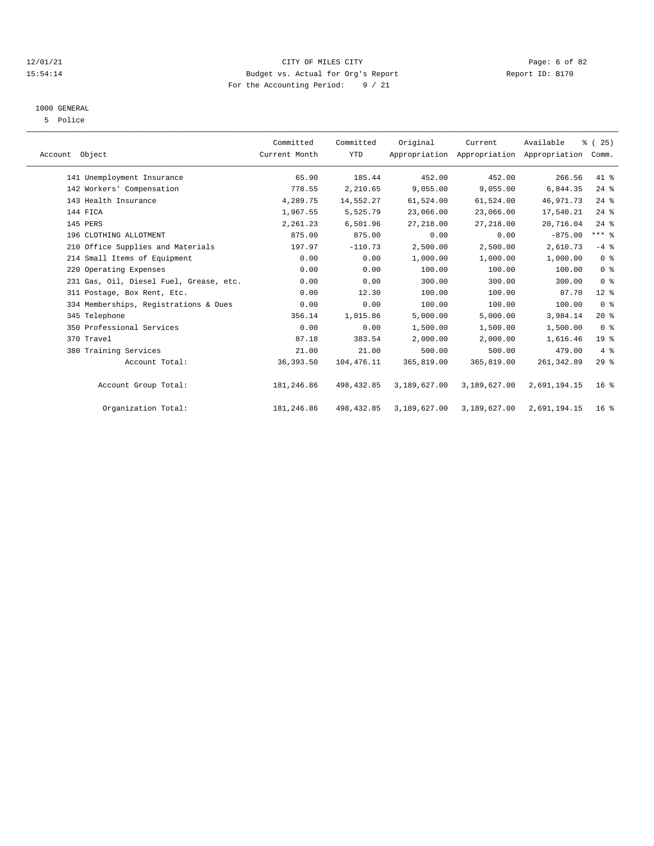#### 12/01/21 Page: 6 of 82<br>15:54:14 Budget vs. Actual for Org's Report Page: 6 of 82<br>15:54:14 Budget vs. Actual for Org's Report Physics Report ID: B170 15:54:14 Budget vs. Actual for Org's Report For the Accounting Period: 9 / 21

#### 1000 GENERAL

5 Police

| Account Object                          | Committed<br>Current Month | Committed<br><b>YTD</b> | Original     | Current<br>Appropriation Appropriation Appropriation Comm. | Available    | % (25)          |  |
|-----------------------------------------|----------------------------|-------------------------|--------------|------------------------------------------------------------|--------------|-----------------|--|
| 141 Unemployment Insurance              | 65.90                      | 185.44                  | 452.00       | 452.00                                                     | 266.56       | 41 %            |  |
| 142 Workers' Compensation               | 778.55                     | 2,210.65                | 9,055.00     | 9,055.00                                                   | 6,844.35     | 24%             |  |
| 143 Health Insurance                    | 4,289.75                   | 14,552.27               | 61,524.00    | 61,524.00                                                  | 46,971.73    | $24$ %          |  |
| 144 FICA                                | 1,967.55                   | 5,525.79                | 23,066.00    | 23,066.00                                                  | 17,540.21    | 24%             |  |
| 145 PERS                                | 2,261.23                   | 6,501.96                | 27, 218.00   | 27, 218.00                                                 | 20,716.04    | $24$ $%$        |  |
| 196 CLOTHING ALLOTMENT                  | 875.00                     | 875.00                  | 0.00         | 0.00                                                       | $-875.00$    | $***$ $_{8}$    |  |
| 210 Office Supplies and Materials       | 197.97                     | $-110.73$               | 2,500.00     | 2,500.00                                                   | 2,610.73     | $-4$ %          |  |
| 214 Small Items of Equipment            | 0.00                       | 0.00                    | 1,000.00     | 1,000.00                                                   | 1,000.00     | 0 <sup>8</sup>  |  |
| 220 Operating Expenses                  | 0.00                       | 0.00                    | 100.00       | 100.00                                                     | 100.00       | 0 <sup>8</sup>  |  |
| 231 Gas, Oil, Diesel Fuel, Grease, etc. | 0.00                       | 0.00                    | 300.00       | 300.00                                                     | 300.00       | 0 <sup>8</sup>  |  |
| 311 Postage, Box Rent, Etc.             | 0.00                       | 12.30                   | 100.00       | 100.00                                                     | 87.70        | $12*$           |  |
| 334 Memberships, Registrations & Dues   | 0.00                       | 0.00                    | 100.00       | 100.00                                                     | 100.00       | 0 <sup>8</sup>  |  |
| 345 Telephone                           | 356.14                     | 1,015.86                | 5,000.00     | 5,000.00                                                   | 3,984.14     | 20%             |  |
| 350 Professional Services               | 0.00                       | 0.00                    | 1,500.00     | 1,500.00                                                   | 1,500.00     | 0 <sup>8</sup>  |  |
| 370 Travel                              | 87.18                      | 383.54                  | 2,000.00     | 2,000.00                                                   | 1,616.46     | 19 <sup>°</sup> |  |
| 380 Training Services                   | 21.00                      | 21.00                   | 500.00       | 500.00                                                     | 479.00       | 4%              |  |
| Account Total:                          | 36, 393.50                 | 104,476.11              | 365,819.00   | 365,819.00                                                 | 261, 342.89  | 29%             |  |
| Account Group Total:                    | 181,246.86                 | 498, 432.85             | 3,189,627.00 | 3,189,627.00                                               | 2,691,194.15 | $16*$           |  |
| Organization Total:                     | 181,246.86                 | 498, 432.85             | 3,189,627.00 | 3,189,627.00                                               | 2,691,194.15 | 16 <sup>8</sup> |  |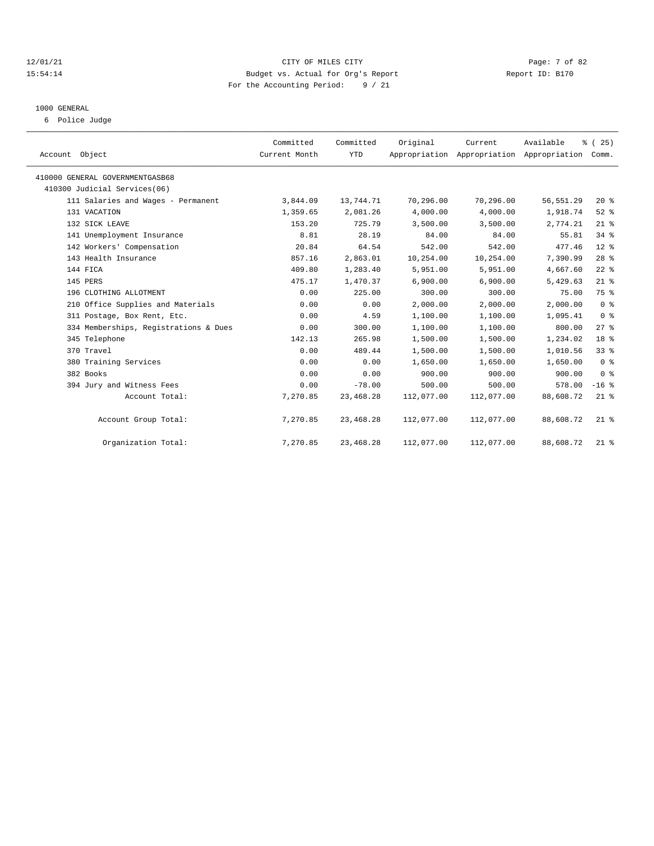#### 12/01/21 CITY OF MILES CITY Page: 7 of 82 15:54:14 Budget vs. Actual for Org's Report Report ID: B170 For the Accounting Period: 9 / 21

# 1000 GENERAL

6 Police Judge

| Account Object                        | Committed<br>Current Month | Committed<br><b>YTD</b> | Original   | Current    | Available<br>Appropriation Appropriation Appropriation | % (25)<br>Comm. |
|---------------------------------------|----------------------------|-------------------------|------------|------------|--------------------------------------------------------|-----------------|
| 410000 GENERAL GOVERNMENTGASB68       |                            |                         |            |            |                                                        |                 |
| 410300 Judicial Services(06)          |                            |                         |            |            |                                                        |                 |
| 111 Salaries and Wages - Permanent    | 3,844.09                   | 13,744.71               | 70,296.00  | 70,296.00  | 56, 551.29                                             | $20*$           |
| 131 VACATION                          | 1,359.65                   | 2,081.26                | 4,000.00   | 4,000.00   | 1,918.74                                               | $52$ $%$        |
| 132 SICK LEAVE                        | 153.20                     | 725.79                  | 3,500.00   | 3,500.00   | 2,774.21                                               | $21$ %          |
| 141 Unemployment Insurance            | 8.81                       | 28.19                   | 84.00      | 84.00      | 55.81                                                  | 34%             |
| 142 Workers' Compensation             | 20.84                      | 64.54                   | 542.00     | 542.00     | 477.46                                                 | $12*$           |
| 143 Health Insurance                  | 857.16                     | 2,863.01                | 10,254.00  | 10,254.00  | 7,390.99                                               | $28$ %          |
| 144 FICA                              | 409.80                     | 1,283.40                | 5,951.00   | 5,951.00   | 4,667.60                                               | $22$ %          |
| 145 PERS                              | 475.17                     | 1,470.37                | 6,900.00   | 6.900.00   | 5,429.63                                               | $21$ %          |
| 196 CLOTHING ALLOTMENT                | 0.00                       | 225.00                  | 300.00     | 300.00     | 75.00                                                  | 75 %            |
| 210 Office Supplies and Materials     | 0.00                       | 0.00                    | 2,000.00   | 2,000.00   | 2,000.00                                               | 0 <sup>8</sup>  |
| 311 Postage, Box Rent, Etc.           | 0.00                       | 4.59                    | 1,100.00   | 1,100.00   | 1,095.41                                               | 0 <sup>8</sup>  |
| 334 Memberships, Registrations & Dues | 0.00                       | 300.00                  | 1,100.00   | 1,100.00   | 800.00                                                 | 27%             |
| 345 Telephone                         | 142.13                     | 265.98                  | 1,500.00   | 1,500.00   | 1,234.02                                               | 18 <sup>8</sup> |
| 370 Travel                            | 0.00                       | 489.44                  | 1,500.00   | 1,500.00   | 1,010.56                                               | 33 <sup>8</sup> |
| 380 Training Services                 | 0.00                       | 0.00                    | 1,650.00   | 1,650.00   | 1,650.00                                               | 0 <sup>8</sup>  |
| 382 Books                             | 0.00                       | 0.00                    | 900.00     | 900.00     | 900.00                                                 | 0 <sup>8</sup>  |
| 394 Jury and Witness Fees             | 0.00                       | $-78.00$                | 500.00     | 500.00     | 578.00                                                 | $-16$ %         |
| Account Total:                        | 7,270.85                   | 23, 468. 28             | 112,077.00 | 112,077.00 | 88,608.72                                              | $21$ %          |
| Account Group Total:                  | 7,270.85                   | 23, 468. 28             | 112,077.00 | 112,077.00 | 88,608.72                                              | $21$ %          |
| Organization Total:                   | 7,270.85                   | 23, 468. 28             | 112,077.00 | 112,077.00 | 88,608.72                                              | $21$ %          |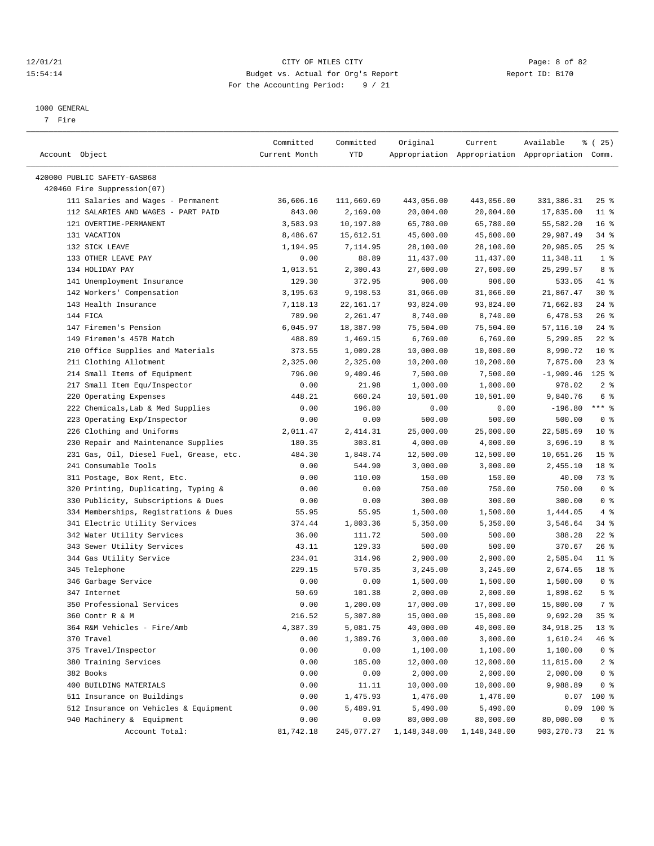#### 12/01/21 Page: 8 of 82<br>15:54:14 Budget vs. Actual for Org's Report Page: 8 of 82<br>15:54:14 Budget vs. Actual for Org's Report Physics Report ID: B170 15:54:14 Budget vs. Actual for Org's Report For the Accounting Period: 9 / 21

————————————————————————————————————————————————————————————————————————————————————————————————————————————————————————————————————

#### 1000 GENERAL

7 Fire

|                                                            | Committed     | Committed  | Original            | Current                | Available                                       | <sub>है</sub> (25) |
|------------------------------------------------------------|---------------|------------|---------------------|------------------------|-------------------------------------------------|--------------------|
| Account Object                                             | Current Month | YTD        |                     |                        | Appropriation Appropriation Appropriation Comm. |                    |
|                                                            |               |            |                     |                        |                                                 |                    |
| 420000 PUBLIC SAFETY-GASB68<br>420460 Fire Suppression(07) |               |            |                     |                        |                                                 |                    |
| 111 Salaries and Wages - Permanent                         | 36,606.16     |            |                     | 443,056.00             |                                                 | $25$ %             |
| 112 SALARIES AND WAGES - PART PAID                         | 843.00        | 111,669.69 | 443,056.00          |                        | 331,386.31                                      | $11$ %             |
| 121 OVERTIME-PERMANENT                                     |               | 2,169.00   | 20,004.00           | 20,004.00<br>65,780.00 | 17,835.00                                       | 16 <sup>°</sup>    |
| 131 VACATION                                               | 3,583.93      | 10,197.80  | 65,780.00           |                        | 55,582.20                                       | 34%                |
| 132 SICK LEAVE                                             | 8,486.67      | 15,612.51  | 45,600.00           | 45,600.00              | 29,987.49<br>20,985.05                          | $25$ %             |
| 133 OTHER LEAVE PAY                                        | 1,194.95      | 7,114.95   | 28,100.00           | 28,100.00              | 11,348.11                                       | 1 <sup>8</sup>     |
| 134 HOLIDAY PAY                                            | 0.00          | 88.89      | 11,437.00           | 11,437.00              |                                                 | 8 %                |
| 141 Unemployment Insurance                                 | 1,013.51      | 2,300.43   | 27,600.00<br>906.00 | 27,600.00              | 25, 299.57                                      | 41 %               |
|                                                            | 129.30        | 372.95     |                     | 906.00                 | 533.05                                          |                    |
| 142 Workers' Compensation                                  | 3,195.63      | 9,198.53   | 31,066.00           | 31,066.00              | 21,867.47                                       | $30*$<br>$24$ %    |
| 143 Health Insurance                                       | 7,118.13      | 22,161.17  | 93,824.00           | 93,824.00              | 71,662.83                                       |                    |
| 144 FICA                                                   | 789.90        | 2,261.47   | 8,740.00            | 8,740.00               | 6,478.53                                        | 26%                |
| 147 Firemen's Pension                                      | 6,045.97      | 18,387.90  | 75,504.00           | 75,504.00              | 57,116.10                                       | $24$ %             |
| 149 Firemen's 457B Match                                   | 488.89        | 1,469.15   | 6,769.00            | 6,769.00               | 5,299.85                                        | $22$ %             |
| 210 Office Supplies and Materials                          | 373.55        | 1,009.28   | 10,000.00           | 10,000.00              | 8,990.72                                        | $10*$              |
| 211 Clothing Allotment                                     | 2,325.00      | 2,325.00   | 10,200.00           | 10,200.00              | 7,875.00                                        | $23$ $%$           |
| 214 Small Items of Equipment                               | 796.00        | 9,409.46   | 7,500.00            | 7,500.00               | $-1,909.46$                                     | $125$ %            |
| 217 Small Item Equ/Inspector                               | 0.00          | 21.98      | 1,000.00            | 1,000.00               | 978.02                                          | 2 <sup>8</sup>     |
| 220 Operating Expenses                                     | 448.21        | 660.24     | 10,501.00           | 10,501.00              | 9,840.76                                        | 6 %                |
| 222 Chemicals, Lab & Med Supplies                          | 0.00          | 196.80     | 0.00                | 0.00                   | $-196.80$                                       | $***$ $_{8}$       |
| 223 Operating Exp/Inspector                                | 0.00          | 0.00       | 500.00              | 500.00                 | 500.00                                          | 0 <sup>8</sup>     |
| 226 Clothing and Uniforms                                  | 2,011.47      | 2,414.31   | 25,000.00           | 25,000.00              | 22,585.69                                       | $10*$              |
| 230 Repair and Maintenance Supplies                        | 180.35        | 303.81     | 4,000.00            | 4,000.00               | 3,696.19                                        | 8 %                |
| 231 Gas, Oil, Diesel Fuel, Grease, etc.                    | 484.30        | 1,848.74   | 12,500.00           | 12,500.00              | 10,651.26                                       | 15 <sup>°</sup>    |
| 241 Consumable Tools                                       | 0.00          | 544.90     | 3,000.00            | 3,000.00               | 2,455.10                                        | 18 %               |
| 311 Postage, Box Rent, Etc.                                | 0.00          | 110.00     | 150.00              | 150.00                 | 40.00                                           | 73 %               |
| 320 Printing, Duplicating, Typing &                        | 0.00          | 0.00       | 750.00              | 750.00                 | 750.00                                          | 0 <sup>8</sup>     |
| 330 Publicity, Subscriptions & Dues                        | 0.00          | 0.00       | 300.00              | 300.00                 | 300.00                                          | 0 <sup>8</sup>     |
| 334 Memberships, Registrations & Dues                      | 55.95         | 55.95      | 1,500.00            | 1,500.00               | 1,444.05                                        | 4%                 |
| 341 Electric Utility Services                              | 374.44        | 1,803.36   | 5,350.00            | 5,350.00               | 3,546.64                                        | 34 %               |
| 342 Water Utility Services                                 | 36.00         | 111.72     | 500.00              | 500.00                 | 388.28                                          | $22$ %             |
| 343 Sewer Utility Services                                 | 43.11         | 129.33     | 500.00              | 500.00                 | 370.67                                          | 26%                |
| 344 Gas Utility Service                                    | 234.01        | 314.96     | 2,900.00            | 2,900.00               | 2,585.04                                        | $11$ %             |
| 345 Telephone                                              | 229.15        | 570.35     | 3,245.00            | 3,245.00               | 2,674.65                                        | 18 %               |
| 346 Garbage Service                                        | 0.00          | 0.00       | 1,500.00            | 1,500.00               | 1,500.00                                        | 0 <sup>8</sup>     |
| 347 Internet                                               | 50.69         | 101.38     | 2,000.00            | 2,000.00               | 1,898.62                                        | 5 <sup>8</sup>     |
| 350 Professional Services                                  | 0.00          | 1,200.00   | 17,000.00           | 17,000.00              | 15,800.00                                       | 7 %                |
| 360 Contr R & M                                            | 216.52        | 5,307.80   | 15,000.00           | 15,000.00              | 9,692.20                                        | 35%                |
| 364 R&M Vehicles - Fire/Amb                                | 4,387.39      | 5,081.75   | 40,000.00           | 40,000.00              | 34,918.25                                       | $13*$              |
| 370 Travel                                                 | 0.00          | 1,389.76   | 3,000.00            | 3,000.00               | 1,610.24                                        | 46 %               |
| 375 Travel/Inspector                                       | 0.00          | 0.00       | 1,100.00            | 1,100.00               | 1,100.00                                        | 0 <sup>8</sup>     |
| 380 Training Services                                      | 0.00          | 185.00     | 12,000.00           | 12,000.00              | 11,815.00                                       | 2 <sub>8</sub>     |
| 382 Books                                                  | 0.00          | 0.00       | 2,000.00            | 2,000.00               | 2,000.00                                        | 0 <sup>8</sup>     |
| 400 BUILDING MATERIALS                                     | 0.00          | 11.11      | 10,000.00           | 10,000.00              | 9,988.89                                        | 0 <sup>8</sup>     |
| 511 Insurance on Buildings                                 | 0.00          | 1,475.93   | 1,476.00            | 1,476.00               | 0.07                                            | 100 %              |
| 512 Insurance on Vehicles & Equipment                      | 0.00          | 5,489.91   | 5,490.00            | 5,490.00               | 0.09                                            | 100 %              |
| 940 Machinery & Equipment                                  | 0.00          | 0.00       | 80,000.00           | 80,000.00              | 80,000.00                                       | 0 <sup>8</sup>     |
| Account Total:                                             | 81,742.18     | 245,077.27 | 1,148,348.00        | 1,148,348.00           | 903, 270.73                                     | 21 %               |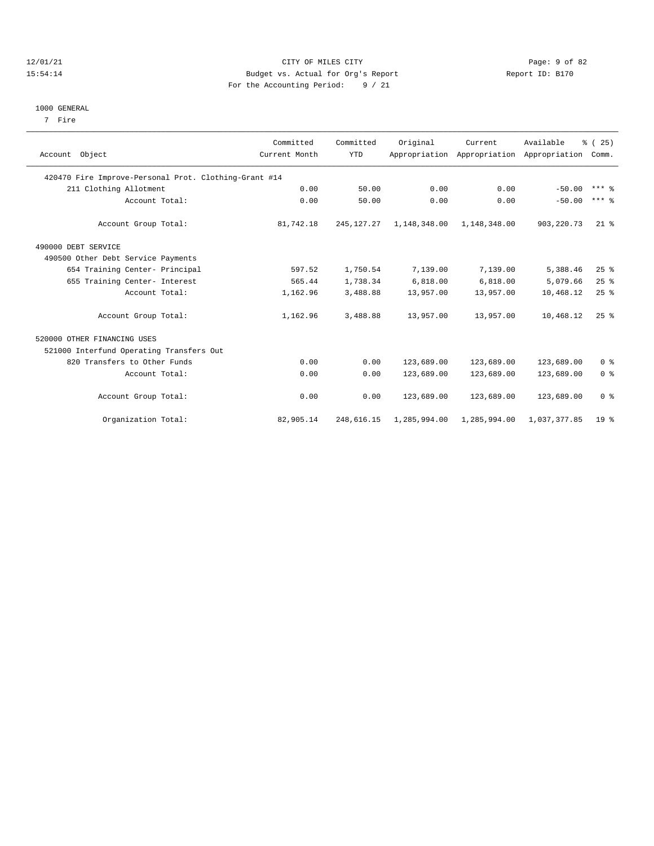#### 12/01/21 Page: 9 of 82<br>15:54:14 Budget vs. Actual for Org's Report Page: 9 of 82<br>15:54:14 Budget vs. Actual for Org's Report Physics Report ID: B170 15:54:14 Budget vs. Actual for Org's Report For the Accounting Period: 9 / 21

#### 1000 GENERAL

7 Fire

| Account Object                                        | Committed<br>Current Month | Committed<br><b>YTD</b> | Original     | Current<br>Appropriation Appropriation Appropriation Comm. | Available    | % (25)              |
|-------------------------------------------------------|----------------------------|-------------------------|--------------|------------------------------------------------------------|--------------|---------------------|
| 420470 Fire Improve-Personal Prot. Clothing-Grant #14 |                            |                         |              |                                                            |              |                     |
| 211 Clothing Allotment                                | 0.00                       | 50.00                   | 0.00         | 0.00                                                       | $-50.00$     | $***$ $%$           |
| Account Total:                                        | 0.00                       | 50.00                   | 0.00         | 0.00                                                       | $-50.00$     | $***$ $\frac{6}{5}$ |
| Account Group Total:                                  | 81,742.18                  | 245, 127. 27            | 1,148,348.00 | 1,148,348.00                                               | 903, 220, 73 | $21$ %              |
| 490000 DEBT SERVICE                                   |                            |                         |              |                                                            |              |                     |
| 490500 Other Debt Service Payments                    |                            |                         |              |                                                            |              |                     |
| 654 Training Center- Principal                        | 597.52                     | 1,750.54                | 7,139.00     | 7,139.00                                                   | 5,388.46     | $25$ $%$            |
| 655 Training Center- Interest                         | 565.44                     | 1,738.34                | 6,818.00     | 6,818.00                                                   | 5,079.66     | 25%                 |
| Account Total:                                        | 1,162.96                   | 3,488.88                | 13,957.00    | 13,957.00                                                  | 10,468.12    | 25%                 |
| Account Group Total:                                  | 1,162.96                   | 3,488.88                | 13,957.00    | 13,957.00                                                  | 10,468.12    | 25%                 |
| 520000 OTHER FINANCING USES                           |                            |                         |              |                                                            |              |                     |
| 521000 Interfund Operating Transfers Out              |                            |                         |              |                                                            |              |                     |
| 820 Transfers to Other Funds                          | 0.00                       | 0.00                    | 123,689.00   | 123,689.00                                                 | 123,689.00   | 0 <sup>8</sup>      |
| Account Total:                                        | 0.00                       | 0.00                    | 123,689.00   | 123,689.00                                                 | 123,689.00   | 0 <sup>8</sup>      |
| Account Group Total:                                  | 0.00                       | 0.00                    | 123,689.00   | 123,689.00                                                 | 123,689.00   | 0 <sup>8</sup>      |
| Organization Total:                                   | 82,905.14                  | 248,616.15              | 1,285,994.00 | 1,285,994.00                                               | 1,037,377.85 | 19 <sup>8</sup>     |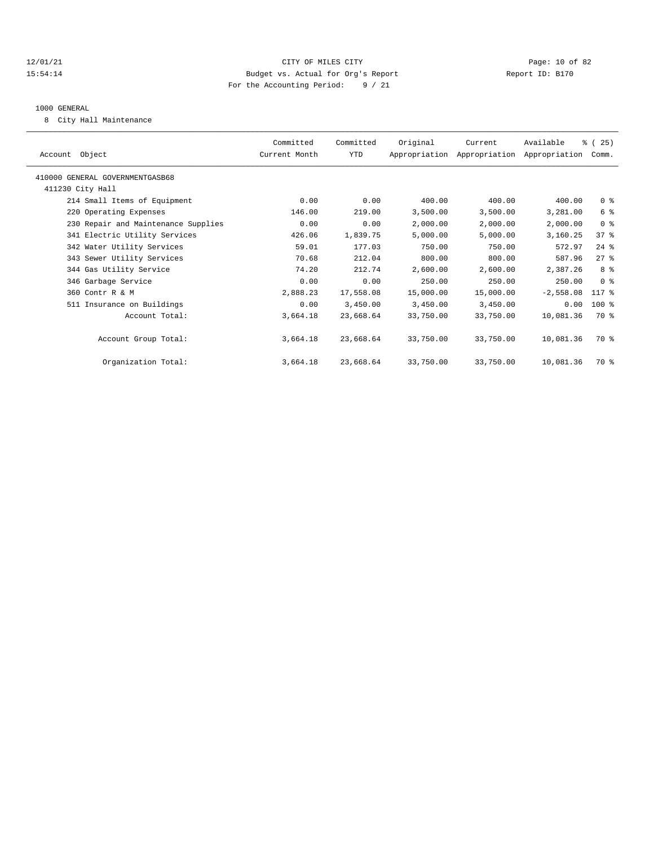#### 12/01/21 Page: 10 of 82 15:54:14 Budget vs. Actual for Org's Report Report ID: B170 For the Accounting Period: 9 / 21

#### 1000 GENERAL

8 City Hall Maintenance

| Account Object                      | Committed<br>Current Month | Committed<br>YTD | Original  | Current<br>Appropriation Appropriation Appropriation | Available   | % (25)<br>Comm. |
|-------------------------------------|----------------------------|------------------|-----------|------------------------------------------------------|-------------|-----------------|
| 410000 GENERAL GOVERNMENTGASB68     |                            |                  |           |                                                      |             |                 |
| 411230 City Hall                    |                            |                  |           |                                                      |             |                 |
| 214 Small Items of Equipment        | 0.00                       | 0.00             | 400.00    | 400.00                                               | 400.00      | 0 <sup>8</sup>  |
| 220 Operating Expenses              | 146.00                     | 219.00           | 3,500.00  | 3,500.00                                             | 3,281.00    | 6 %             |
| 230 Repair and Maintenance Supplies | 0.00                       | 0.00             | 2,000.00  | 2,000.00                                             | 2,000.00    | 0 <sup>8</sup>  |
| 341 Electric Utility Services       | 426.06                     | 1,839.75         | 5,000.00  | 5,000.00                                             | 3,160.25    | 37%             |
| 342 Water Utility Services          | 59.01                      | 177.03           | 750.00    | 750.00                                               | 572.97      | $24$ %          |
| 343 Sewer Utility Services          | 70.68                      | 212.04           | 800.00    | 800.00                                               | 587.96      | $27$ $%$        |
| 344 Gas Utility Service             | 74.20                      | 212.74           | 2,600.00  | 2,600.00                                             | 2,387.26    | 8 %             |
| 346 Garbage Service                 | 0.00                       | 0.00             | 250.00    | 250.00                                               | 250.00      | 0 <sup>8</sup>  |
| 360 Contr R & M                     | 2,888.23                   | 17,558.08        | 15,000.00 | 15,000.00                                            | $-2,558.08$ | $117*$          |
| 511 Insurance on Buildings          | 0.00                       | 3,450.00         | 3,450.00  | 3,450.00                                             | 0.00        | $100$ %         |
| Account Total:                      | 3,664.18                   | 23,668.64        | 33,750.00 | 33,750.00                                            | 10,081.36   | 70 %            |
| Account Group Total:                | 3,664.18                   | 23,668.64        | 33,750.00 | 33,750.00                                            | 10,081.36   | 70 %            |
| Organization Total:                 | 3,664.18                   | 23,668.64        | 33,750.00 | 33,750.00                                            | 10,081.36   | 70 %            |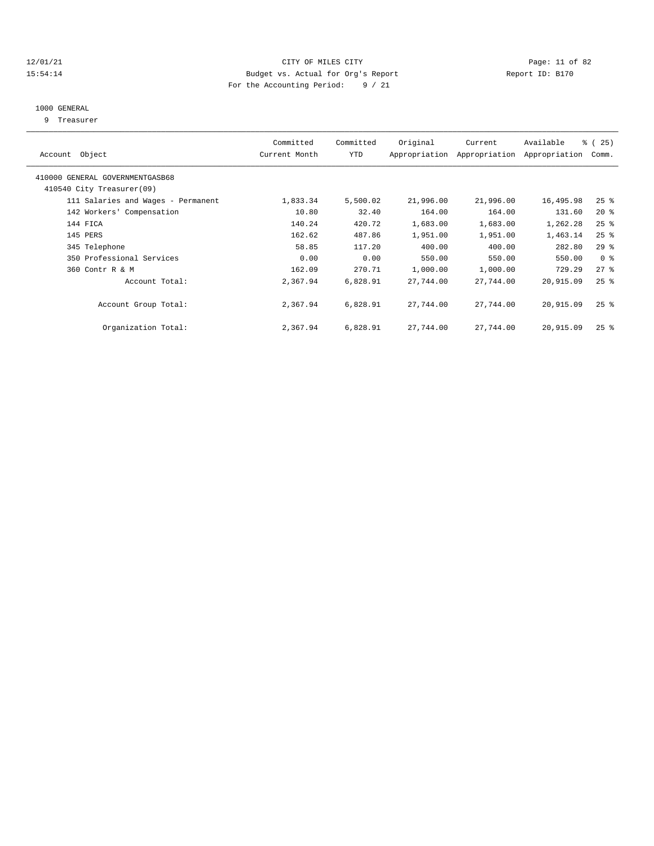#### 12/01/21 Page: 11 of 82 15:54:14 Budget vs. Actual for Org's Report Report ID: B170 For the Accounting Period: 9 / 21

## 1000 GENERAL

9 Treasurer

| Account Object                                               | Committed<br>Current Month | Committed<br><b>YTD</b> | Original  | Current<br>Appropriation Appropriation | Available<br>Appropriation | % (25)<br>Comm.    |
|--------------------------------------------------------------|----------------------------|-------------------------|-----------|----------------------------------------|----------------------------|--------------------|
| 410000 GENERAL GOVERNMENTGASB68<br>410540 City Treasurer(09) |                            |                         |           |                                        |                            |                    |
| 111 Salaries and Wages - Permanent                           | 1,833.34                   | 5,500.02                | 21,996.00 | 21,996.00                              | 16,495.98                  | $25$ %             |
| 142 Workers' Compensation                                    | 10.80                      | 32.40                   | 164.00    | 164.00                                 | 131.60                     | $20*$              |
| 144 FICA                                                     | 140.24                     | 420.72                  | 1,683.00  | 1,683.00                               | 1,262.28                   | 25%                |
| 145 PERS                                                     | 162.62                     | 487.86                  | 1,951.00  | 1,951.00                               | 1,463.14                   | $25$ %             |
| 345 Telephone                                                | 58.85                      | 117.20                  | 400.00    | 400.00                                 | 282.80                     | 29%                |
| 350 Professional Services                                    | 0.00                       | 0.00                    | 550.00    | 550.00                                 | 550.00                     | 0 <sup>8</sup>     |
| 360 Contr R & M                                              | 162.09                     | 270.71                  | 1,000.00  | 1,000.00                               | 729.29                     | 27%                |
| Account Total:                                               | 2,367.94                   | 6,828.91                | 27,744.00 | 27,744.00                              | 20,915.09                  | $25$ $%$           |
| Account Group Total:                                         | 2,367.94                   | 6,828.91                | 27,744.00 | 27,744.00                              | 20,915.09                  | $25$ $\frac{6}{5}$ |
| Organization Total:                                          | 2,367.94                   | 6,828.91                | 27,744.00 | 27,744.00                              | 20,915.09                  | $25$ $\frac{6}{5}$ |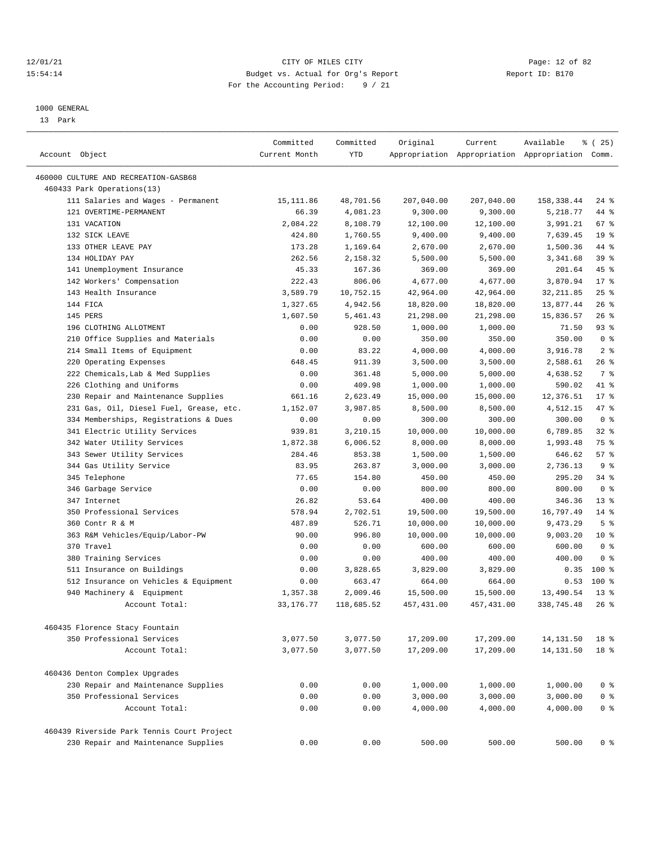### 12/01/21 Page: 12 of 82<br>15:54:14 Pudget vs. Actual for Org's Report Report Report ID: B170 15:54:14 Budget vs. Actual for Org's Report For the Accounting Period: 9 / 21

————————————————————————————————————————————————————————————————————————————————————————————————————————————————————————————————————

### 1000 GENERAL

13 Park

| Account Object                                                      | Committed<br>Current Month | Committed<br><b>YTD</b> | Original    | Current             | Available<br>Appropriation Appropriation Appropriation Comm. | 8 (25)          |
|---------------------------------------------------------------------|----------------------------|-------------------------|-------------|---------------------|--------------------------------------------------------------|-----------------|
| 460000 CULTURE AND RECREATION-GASB68                                |                            |                         |             |                     |                                                              |                 |
| 460433 Park Operations(13)                                          |                            |                         |             |                     |                                                              |                 |
| 111 Salaries and Wages - Permanent                                  | 15, 111.86                 | 48,701.56               | 207,040.00  | 207,040.00          | 158,338.44                                                   | $24$ %          |
| 121 OVERTIME-PERMANENT                                              | 66.39                      | 4,081.23                | 9,300.00    | 9,300.00            | 5,218.77                                                     | 44 %            |
| 131 VACATION                                                        | 2,084.22                   | 8,108.79                | 12,100.00   | 12,100.00           | 3,991.21                                                     | 67 %            |
| 132 SICK LEAVE                                                      | 424.80                     | 1,760.55                | 9,400.00    | 9,400.00            | 7,639.45                                                     | 19 %            |
| 133 OTHER LEAVE PAY                                                 | 173.28                     | 1,169.64                | 2,670.00    | 2,670.00            | 1,500.36                                                     | 44 %            |
| 134 HOLIDAY PAY                                                     | 262.56                     | 2,158.32                | 5,500.00    | 5,500.00            | 3,341.68                                                     | 39 %            |
| 141 Unemployment Insurance                                          | 45.33                      | 167.36                  | 369.00      | 369.00              | 201.64                                                       | 45 %            |
| 142 Workers' Compensation                                           | 222.43                     | 806.06                  | 4,677.00    | 4,677.00            | 3,870.94                                                     | $17*$           |
| 143 Health Insurance                                                | 3,589.79                   | 10,752.15               | 42,964.00   | 42,964.00           | 32, 211.85                                                   | 25%             |
| 144 FICA                                                            | 1,327.65                   | 4,942.56                | 18,820.00   | 18,820.00           | 13,877.44                                                    | $26$ %          |
| 145 PERS                                                            | 1,607.50                   | 5,461.43                | 21,298.00   | 21,298.00           | 15,836.57                                                    | $26$ %          |
| 196 CLOTHING ALLOTMENT                                              | 0.00                       | 928.50                  | 1,000.00    | 1,000.00            | 71.50                                                        | 93%             |
| 210 Office Supplies and Materials                                   | 0.00                       | 0.00                    | 350.00      | 350.00              | 350.00                                                       | 0 <sup>8</sup>  |
| 214 Small Items of Equipment                                        | 0.00                       | 83.22                   | 4,000.00    | 4,000.00            | 3,916.78                                                     | 2 <sup>8</sup>  |
| 220 Operating Expenses                                              | 648.45                     | 911.39                  | 3,500.00    | 3,500.00            | 2,588.61                                                     | $26$ %          |
| 222 Chemicals, Lab & Med Supplies                                   | 0.00                       | 361.48                  | 5,000.00    | 5,000.00            | 4,638.52                                                     | 7 %             |
| 226 Clothing and Uniforms                                           | 0.00                       | 409.98                  | 1,000.00    | 1,000.00            | 590.02                                                       | 41 %            |
| 230 Repair and Maintenance Supplies                                 | 661.16                     | 2,623.49                | 15,000.00   | 15,000.00           | 12,376.51                                                    | 17.8            |
| 231 Gas, Oil, Diesel Fuel, Grease, etc.                             | 1,152.07                   | 3,987.85                | 8,500.00    | 8,500.00            | 4,512.15                                                     | 47 %            |
| 334 Memberships, Registrations & Dues                               | 0.00                       | 0.00                    | 300.00      | 300.00              | 300.00                                                       | 0 <sup>8</sup>  |
| 341 Electric Utility Services                                       | 939.81                     | 3,210.15                | 10,000.00   | 10,000.00           | 6,789.85                                                     | $32$ %          |
| 342 Water Utility Services                                          | 1,872.38                   | 6,006.52                | 8,000.00    | 8,000.00            | 1,993.48                                                     | 75 %            |
| 343 Sewer Utility Services                                          | 284.46                     | 853.38                  | 1,500.00    | 1,500.00            | 646.62                                                       | 57%             |
| 344 Gas Utility Service                                             | 83.95                      | 263.87                  | 3,000.00    | 3,000.00            | 2,736.13                                                     | 9 <sup>8</sup>  |
| 345 Telephone                                                       | 77.65                      | 154.80                  | 450.00      | 450.00              | 295.20                                                       | 34%             |
| 346 Garbage Service                                                 | 0.00                       | 0.00                    | 800.00      | 800.00              | 800.00                                                       | 0 <sup>8</sup>  |
| 347 Internet                                                        | 26.82                      | 53.64                   | 400.00      | 400.00              | 346.36                                                       | $13*$           |
| 350 Professional Services                                           | 578.94                     | 2,702.51                | 19,500.00   | 19,500.00           | 16,797.49                                                    | $14$ %          |
| 360 Contr R & M                                                     | 487.89                     | 526.71                  | 10,000.00   | 10,000.00           | 9,473.29                                                     | 5 <sup>8</sup>  |
| 363 R&M Vehicles/Equip/Labor-PW                                     | 90.00                      | 996.80                  | 10,000.00   | 10,000.00           | 9,003.20                                                     | $10*$           |
| 370 Travel                                                          | 0.00                       | 0.00                    | 600.00      | 600.00              | 600.00                                                       | 0 <sup>8</sup>  |
| 380 Training Services                                               | 0.00                       | 0.00                    | 400.00      | 400.00              | 400.00                                                       | 0 <sup>8</sup>  |
|                                                                     | 0.00                       | 3,828.65                | 3,829.00    | 3,829.00            | 0.35                                                         | 100 %           |
| 511 Insurance on Buildings<br>512 Insurance on Vehicles & Equipment |                            | 663.47                  | 664.00      |                     | 0.53                                                         | 100 %           |
| 940 Machinery & Equipment                                           | 0.00                       | 2,009.46                | 15,500.00   | 664.00<br>15,500.00 | 13,490.54                                                    | $13*$           |
|                                                                     | 1,357.38                   | 118,685.52              |             |                     | 338,745.48                                                   |                 |
| Account Total:                                                      | 33, 176. 77                |                         | 457, 431.00 | 457,431.00          |                                                              | $26$ %          |
| 460435 Florence Stacy Fountain                                      |                            |                         |             |                     |                                                              |                 |
| 350 Professional Services                                           | 3,077.50                   | 3,077.50                | 17,209.00   | 17,209.00           | 14, 131.50                                                   | 18 <sup>8</sup> |
| Account Total:                                                      | 3,077.50                   | 3,077.50                | 17,209.00   | 17,209.00           | 14, 131.50                                                   | 18 <sup>8</sup> |
| 460436 Denton Complex Upgrades                                      |                            |                         |             |                     |                                                              |                 |
| 230 Repair and Maintenance Supplies                                 | 0.00                       | 0.00                    | 1,000.00    | 1,000.00            | 1,000.00                                                     | 0 <sup>8</sup>  |
| 350 Professional Services                                           | 0.00                       | 0.00                    | 3,000.00    | 3,000.00            | 3,000.00                                                     | 0 <sup>8</sup>  |
| Account Total:                                                      | 0.00                       | 0.00                    | 4,000.00    | 4,000.00            | 4,000.00                                                     | 0 <sup>8</sup>  |
| 460439 Riverside Park Tennis Court Project                          |                            |                         |             |                     |                                                              |                 |
| 230 Repair and Maintenance Supplies                                 | 0.00                       | 0.00                    | 500.00      | 500.00              | 500.00                                                       | 0 <sup>8</sup>  |
|                                                                     |                            |                         |             |                     |                                                              |                 |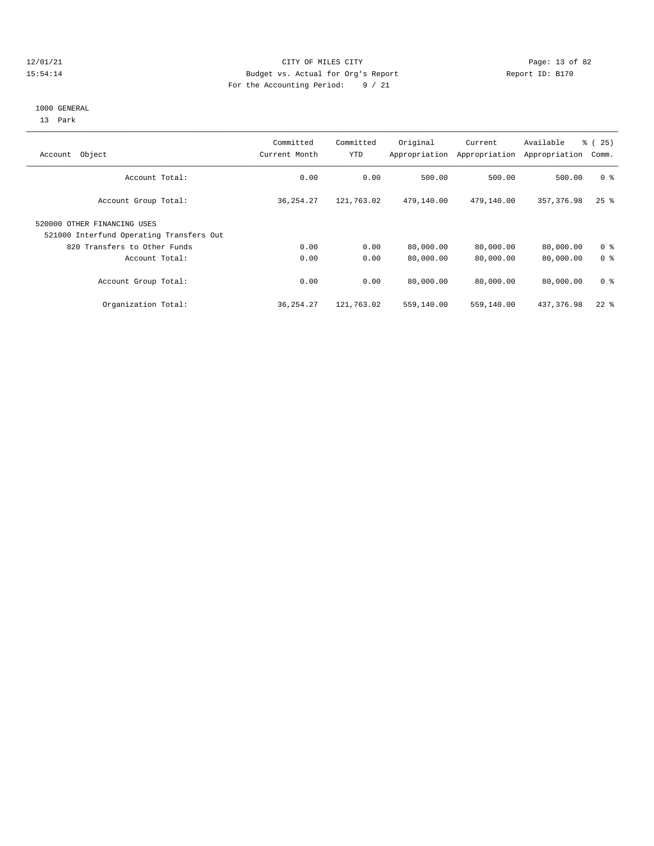#### 12/01/21 CITY OF MILES CITY CHES CITY CONTRACT DEALER PAGE: 13 of 82<br>15:54:14 Budget vs. Actual for Org's Report Aleger (19170) Report ID: B170 15:54:14 Budget vs. Actual for Org's Report For the Accounting Period: 9 / 21

# 1000 GENERAL

13 Park

| Object<br>Account                                                       | Committed<br>Current Month | Committed<br>YTD | Original<br>Appropriation | Current<br>Appropriation | Available<br>Appropriation | $\approx$ (<br>25)<br>Comm. |
|-------------------------------------------------------------------------|----------------------------|------------------|---------------------------|--------------------------|----------------------------|-----------------------------|
| Account Total:                                                          | 0.00                       | 0.00             | 500.00                    | 500.00                   | 500.00                     | 0 <sup>8</sup>              |
| Account Group Total:                                                    | 36, 254. 27                | 121,763.02       | 479,140.00                | 479,140.00               | 357, 376.98                | $25$ $\frac{6}{5}$          |
| 520000 OTHER FINANCING USES<br>521000 Interfund Operating Transfers Out |                            |                  |                           |                          |                            |                             |
| 820 Transfers to Other Funds                                            | 0.00                       | 0.00             | 80,000.00                 | 80,000.00                | 80,000.00                  | 0 <sup>8</sup>              |
| Account Total:                                                          | 0.00                       | 0.00             | 80,000.00                 | 80,000.00                | 80,000.00                  | 0 <sup>8</sup>              |
| Account Group Total:                                                    | 0.00                       | 0.00             | 80,000.00                 | 80,000.00                | 80,000.00                  | 0 <sup>8</sup>              |
| Organization Total:                                                     | 36, 254. 27                | 121,763.02       | 559,140.00                | 559,140.00               | 437,376.98                 | $22$ $%$                    |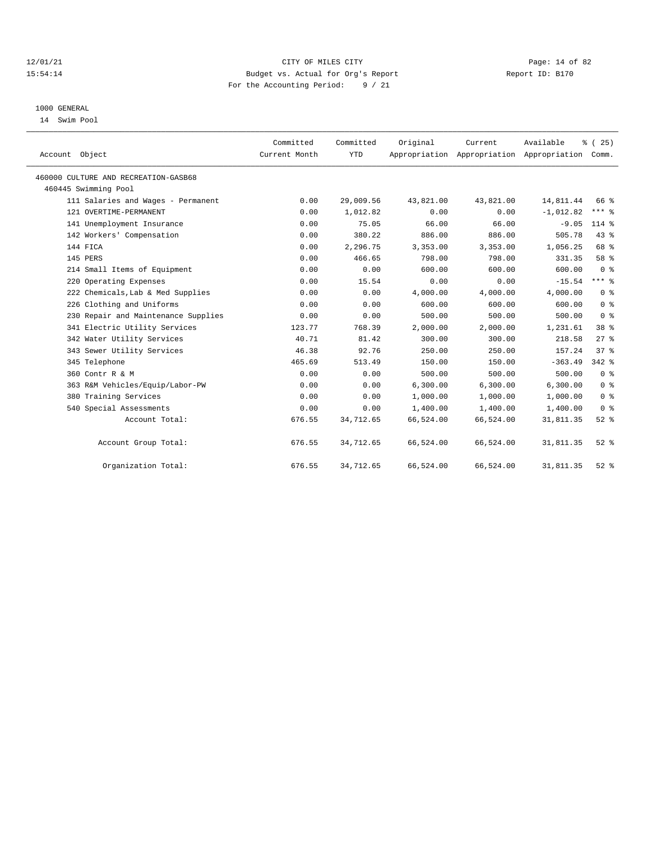#### 12/01/21 Page: 14 of 82 15:54:14 Budget vs. Actual for Org's Report Report ID: B170 For the Accounting Period: 9 / 21

### 1000 GENERAL

14 Swim Pool

| Account Object                       | Committed<br>Current Month | Committed<br><b>YTD</b> | Original  | Current   | Available<br>Appropriation Appropriation Appropriation | % (25)<br>Comm.         |  |
|--------------------------------------|----------------------------|-------------------------|-----------|-----------|--------------------------------------------------------|-------------------------|--|
|                                      |                            |                         |           |           |                                                        |                         |  |
| 460000 CULTURE AND RECREATION-GASB68 |                            |                         |           |           |                                                        |                         |  |
| 460445 Swimming Pool                 |                            |                         |           |           |                                                        |                         |  |
| 111 Salaries and Wages - Permanent   | 0.00                       | 29,009.56               | 43,821.00 | 43,821.00 | 14,811.44                                              | 66 %                    |  |
| 121 OVERTIME-PERMANENT               | 0.00                       | 1,012.82                | 0.00      | 0.00      | $-1,012.82$                                            | $***$ 8                 |  |
| 141 Unemployment Insurance           | 0.00                       | 75.05                   | 66.00     | 66.00     | $-9.05$                                                | $114*$                  |  |
| 142 Workers' Compensation            | 0.00                       | 380.22                  | 886.00    | 886.00    | 505.78                                                 | 43.8                    |  |
| 144 FICA                             | 0.00                       | 2,296.75                | 3,353.00  | 3,353.00  | 1,056.25                                               | 68 %                    |  |
| 145 PERS                             | 0.00                       | 466.65                  | 798.00    | 798.00    | 331.35                                                 | 58 %                    |  |
| 214 Small Items of Equipment         | 0.00                       | 0.00                    | 600.00    | 600.00    | 600.00                                                 | $0 \text{ }$ $\text{ }$ |  |
| 220 Operating Expenses               | 0.00                       | 15.54                   | 0.00      | 0.00      | $-15.54$                                               | $***$ 8                 |  |
| 222 Chemicals, Lab & Med Supplies    | 0.00                       | 0.00                    | 4,000.00  | 4,000.00  | 4,000.00                                               | $0 \text{ }$ $\text{ }$ |  |
| 226 Clothing and Uniforms            | 0.00                       | 0.00                    | 600.00    | 600.00    | 600.00                                                 | 0 <sup>8</sup>          |  |
| 230 Repair and Maintenance Supplies  | 0.00                       | 0.00                    | 500.00    | 500.00    | 500.00                                                 | 0 <sup>8</sup>          |  |
| 341 Electric Utility Services        | 123.77                     | 768.39                  | 2,000.00  | 2,000.00  | 1,231.61                                               | 38 %                    |  |
| 342 Water Utility Services           | 40.71                      | 81.42                   | 300.00    | 300.00    | 218.58                                                 | $27$ $%$                |  |
| 343 Sewer Utility Services           | 46.38                      | 92.76                   | 250.00    | 250.00    | 157.24                                                 | 37 <sup>8</sup>         |  |
| 345 Telephone                        | 465.69                     | 513.49                  | 150.00    | 150.00    | $-363.49$                                              | $342$ $%$               |  |
| 360 Contr R & M                      | 0.00                       | 0.00                    | 500.00    | 500.00    | 500.00                                                 | 0 <sup>8</sup>          |  |
| 363 R&M Vehicles/Equip/Labor-PW      | 0.00                       | 0.00                    | 6,300.00  | 6,300.00  | 6,300.00                                               | 0 <sup>8</sup>          |  |
| 380 Training Services                | 0.00                       | 0.00                    | 1,000.00  | 1,000.00  | 1,000.00                                               | 0 <sup>8</sup>          |  |
| 540 Special Assessments              | 0.00                       | 0.00                    | 1,400.00  | 1,400.00  | 1,400.00                                               | 0 <sup>8</sup>          |  |
| Account Total:                       | 676.55                     | 34,712.65               | 66,524.00 | 66,524.00 | 31,811.35                                              | $52$ $%$                |  |
| Account Group Total:                 | 676.55                     | 34,712.65               | 66,524.00 | 66,524.00 | 31,811.35                                              | $52$ $%$                |  |
| Organization Total:                  | 676.55                     | 34,712.65               | 66,524.00 | 66,524.00 | 31,811.35                                              | $52$ $%$                |  |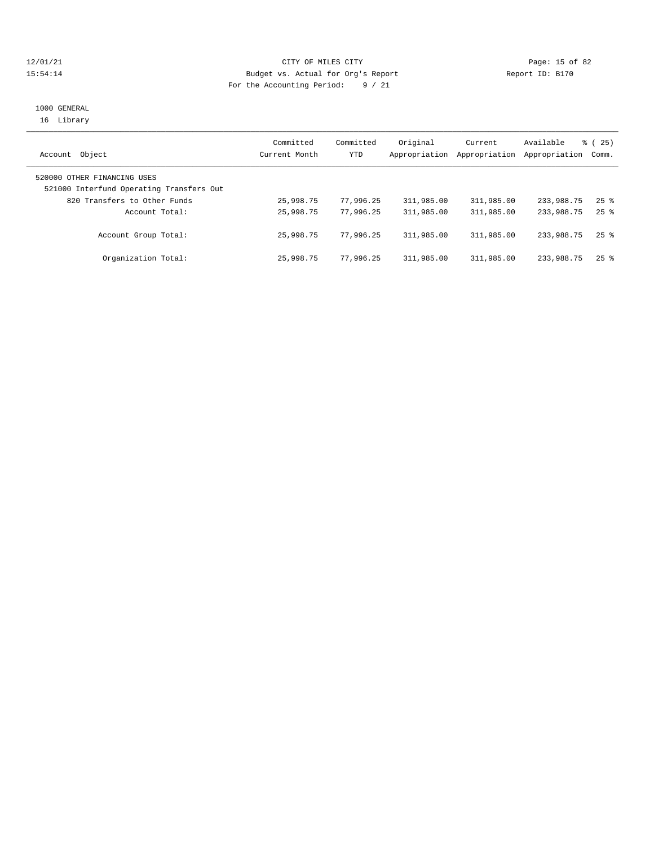#### 12/01/21 **CITY OF MILES CITY CITY CITY Page: 15 of 82** 15:54:14 Budget vs. Actual for Org's Report Report ID: B170 For the Accounting Period: 9 / 21

## 1000 GENERAL 16 Library

|                                          | Committed     | Committed | Original      | Current       | Available     | $\frac{6}{6}$ ( 25 ) |
|------------------------------------------|---------------|-----------|---------------|---------------|---------------|----------------------|
| Object<br>Account                        | Current Month | YTD       | Appropriation | Appropriation | Appropriation | Comm.                |
| 520000 OTHER FINANCING USES              |               |           |               |               |               |                      |
| 521000 Interfund Operating Transfers Out |               |           |               |               |               |                      |
| 820 Transfers to Other Funds             | 25,998.75     | 77,996.25 | 311,985.00    | 311,985.00    | 233,988.75    | $25$ $\frac{6}{5}$   |
| Account Total:                           | 25,998.75     | 77.996.25 | 311,985.00    | 311,985.00    | 233,988.75    | $25$ $\frac{6}{5}$   |
| Account Group Total:                     | 25,998.75     | 77,996.25 | 311,985.00    | 311,985.00    | 233,988.75    | $25$ %               |
| Organization Total:                      | 25,998.75     | 77,996.25 | 311,985.00    | 311,985.00    | 233,988.75    | $25$ $%$             |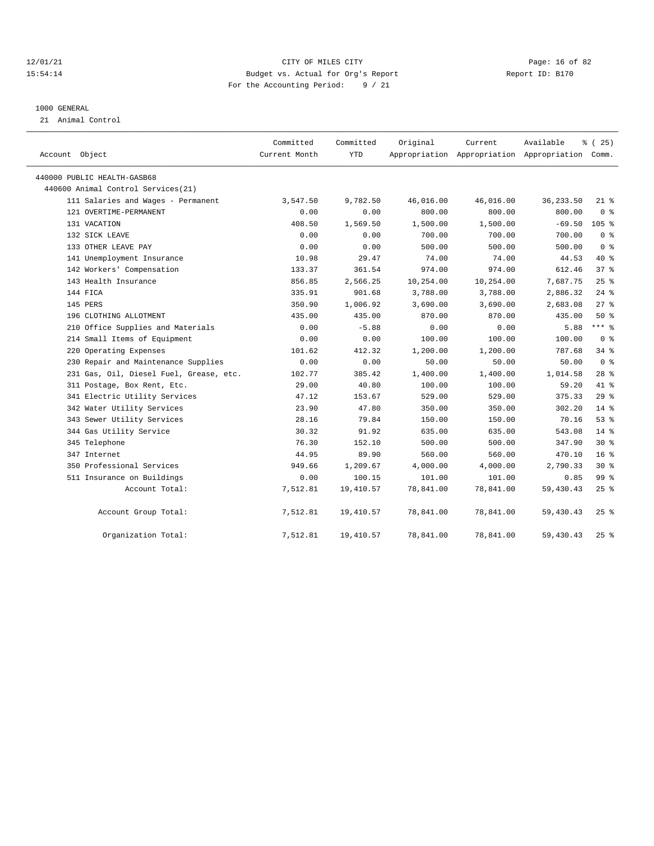#### 12/01/21 Page: 16 of 82 15:54:14 Budget vs. Actual for Org's Report Report ID: B170 For the Accounting Period: 9 / 21

#### 1000 GENERAL

21 Animal Control

| Account Object                          | Committed<br>Current Month | Committed<br>YTD | Original  | Current<br>Appropriation Appropriation Appropriation Comm. | Available  | % (25)          |
|-----------------------------------------|----------------------------|------------------|-----------|------------------------------------------------------------|------------|-----------------|
| 440000 PUBLIC HEALTH-GASB68             |                            |                  |           |                                                            |            |                 |
| 440600 Animal Control Services (21)     |                            |                  |           |                                                            |            |                 |
| 111 Salaries and Wages - Permanent      | 3,547.50                   | 9,782.50         | 46,016.00 | 46,016.00                                                  | 36, 233.50 | $21*$           |
| 121 OVERTIME-PERMANENT                  | 0.00                       | 0.00             | 800.00    | 800.00                                                     | 800.00     | 0 <sup>8</sup>  |
| 131 VACATION                            | 408.50                     | 1,569.50         | 1,500.00  | 1,500.00                                                   | $-69.50$   | $105$ %         |
| 132 SICK LEAVE                          | 0.00                       | 0.00             | 700.00    | 700.00                                                     | 700.00     | 0 <sup>8</sup>  |
| 133 OTHER LEAVE PAY                     | 0.00                       | 0.00             | 500.00    | 500.00                                                     | 500.00     | 0 <sup>8</sup>  |
| 141 Unemployment Insurance              | 10.98                      | 29.47            | 74.00     | 74.00                                                      | 44.53      | 40 %            |
| 142 Workers' Compensation               | 133.37                     | 361.54           | 974.00    | 974.00                                                     | 612.46     | 378             |
| 143 Health Insurance                    | 856.85                     | 2,566.25         | 10,254.00 | 10,254.00                                                  | 7,687.75   | 25%             |
| 144 FICA                                | 335.91                     | 901.68           | 3,788.00  | 3,788.00                                                   | 2,886.32   | $24$ %          |
| 145 PERS                                | 350.90                     | 1,006.92         | 3,690.00  | 3,690.00                                                   | 2,683.08   | $27$ %          |
| 196 CLOTHING ALLOTMENT                  | 435.00                     | 435.00           | 870.00    | 870.00                                                     | 435.00     | 50%             |
| 210 Office Supplies and Materials       | 0.00                       | $-5.88$          | 0.00      | 0.00                                                       | 5.88       | $***$ 8         |
| 214 Small Items of Equipment            | 0.00                       | 0.00             | 100.00    | 100.00                                                     | 100.00     | 0 <sup>8</sup>  |
| 220 Operating Expenses                  | 101.62                     | 412.32           | 1,200.00  | 1,200.00                                                   | 787.68     | 34.8            |
| 230 Repair and Maintenance Supplies     | 0.00                       | 0.00             | 50.00     | 50.00                                                      | 50.00      | 0 <sup>8</sup>  |
| 231 Gas, Oil, Diesel Fuel, Grease, etc. | 102.77                     | 385.42           | 1,400.00  | 1,400.00                                                   | 1,014.58   | $28$ %          |
| 311 Postage, Box Rent, Etc.             | 29.00                      | 40.80            | 100.00    | 100.00                                                     | 59.20      | 41.8            |
| 341 Electric Utility Services           | 47.12                      | 153.67           | 529.00    | 529.00                                                     | 375.33     | $29*$           |
| 342 Water Utility Services              | 23.90                      | 47.80            | 350.00    | 350.00                                                     | 302.20     | $14*$           |
| 343 Sewer Utility Services              | 28.16                      | 79.84            | 150.00    | 150.00                                                     | 70.16      | 53%             |
| 344 Gas Utility Service                 | 30.32                      | 91.92            | 635.00    | 635.00                                                     | 543.08     | $14*$           |
| 345 Telephone                           | 76.30                      | 152.10           | 500.00    | 500.00                                                     | 347.90     | $30*$           |
| 347 Internet                            | 44.95                      | 89.90            | 560.00    | 560.00                                                     | 470.10     | 16 <sup>8</sup> |
| 350 Professional Services               | 949.66                     | 1,209.67         | 4,000.00  | 4,000.00                                                   | 2,790.33   | $30*$           |
| 511 Insurance on Buildings              | 0.00                       | 100.15           | 101.00    | 101.00                                                     | 0.85       | 99 <sub>8</sub> |
| Account Total:                          | 7,512.81                   | 19,410.57        | 78,841.00 | 78,841.00                                                  | 59,430.43  | 25%             |
| Account Group Total:                    | 7,512.81                   | 19,410.57        | 78,841.00 | 78,841.00                                                  | 59,430.43  | $25$ $%$        |
| Organization Total:                     | 7,512.81                   | 19,410.57        | 78,841.00 | 78,841.00                                                  | 59,430.43  | $25$ %          |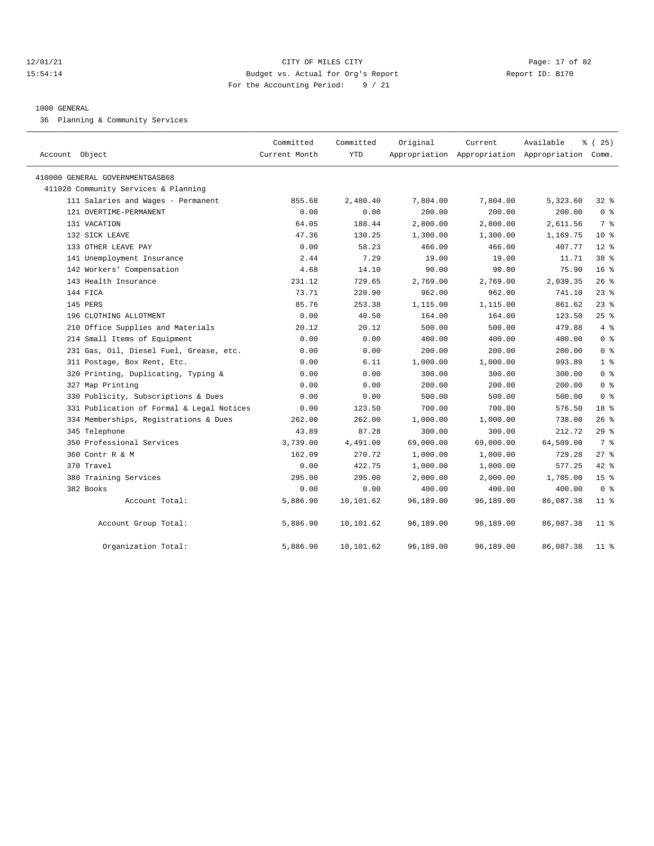#### 12/01/21 Page: 17 of 82 15:54:14 Budget vs. Actual for Org's Report Report ID: B170 For the Accounting Period: 9 / 21

#### 1000 GENERAL

36 Planning & Community Services

| Account Object                            | Committed<br>Current Month | Committed<br><b>YTD</b> | Original  | Current   | Available<br>Appropriation Appropriation Appropriation Comm. | $*(25)$         |
|-------------------------------------------|----------------------------|-------------------------|-----------|-----------|--------------------------------------------------------------|-----------------|
| 410000 GENERAL GOVERNMENTGASB68           |                            |                         |           |           |                                                              |                 |
| 411020 Community Services & Planning      |                            |                         |           |           |                                                              |                 |
| 111 Salaries and Wages - Permanent        | 855.68                     | 2,480.40                | 7,804.00  | 7,804.00  | 5,323.60                                                     | 32%             |
| 121 OVERTIME-PERMANENT                    | 0.00                       | 0.00                    | 200.00    | 200.00    | 200.00                                                       | 0 <sup>8</sup>  |
| 131 VACATION                              | 64.05                      | 188.44                  | 2,800.00  | 2,800.00  | 2,611.56                                                     | 7 %             |
| 132 SICK LEAVE                            | 47.36                      | 130.25                  | 1,300.00  | 1,300.00  | 1,169.75                                                     | 10 <sup>8</sup> |
| 133 OTHER LEAVE PAY                       | 0.00                       | 58.23                   | 466.00    | 466.00    | 407.77                                                       | $12*$           |
| 141 Unemployment Insurance                | 2.44                       | 7.29                    | 19.00     | 19.00     | 11.71                                                        | $38*$           |
| 142 Workers' Compensation                 | 4.68                       | 14.10                   | 90.00     | 90.00     | 75.90                                                        | 16 <sup>8</sup> |
| 143 Health Insurance                      | 231.12                     | 729.65                  | 2,769.00  | 2,769.00  | 2,039.35                                                     | $26$ %          |
| 144 FICA                                  | 73.71                      | 220.90                  | 962.00    | 962.00    | 741.10                                                       | $23$ $%$        |
| 145 PERS                                  | 85.76                      | 253.38                  | 1,115.00  | 1,115.00  | 861.62                                                       | $23$ $%$        |
| 196 CLOTHING ALLOTMENT                    | 0.00                       | 40.50                   | 164.00    | 164.00    | 123.50                                                       | 25%             |
| 210 Office Supplies and Materials         | 20.12                      | 20.12                   | 500.00    | 500.00    | 479.88                                                       | 4%              |
| 214 Small Items of Equipment              | 0.00                       | 0.00                    | 400.00    | 400.00    | 400.00                                                       | 0 <sup>8</sup>  |
| 231 Gas, Oil, Diesel Fuel, Grease, etc.   | 0.00                       | 0.00                    | 200.00    | 200.00    | 200.00                                                       | 0 <sup>8</sup>  |
| 311 Postage, Box Rent, Etc.               | 0.00                       | 6.11                    | 1,000.00  | 1,000.00  | 993.89                                                       | 1 <sup>8</sup>  |
| 320 Printing, Duplicating, Typing &       | 0.00                       | 0.00                    | 300.00    | 300.00    | 300.00                                                       | 0 <sup>8</sup>  |
| 327 Map Printing                          | 0.00                       | 0.00                    | 200.00    | 200.00    | 200.00                                                       | 0 <sup>8</sup>  |
| 330 Publicity, Subscriptions & Dues       | 0.00                       | 0.00                    | 500.00    | 500.00    | 500.00                                                       | 0 <sup>8</sup>  |
| 331 Publication of Formal & Legal Notices | 0.00                       | 123.50                  | 700.00    | 700.00    | 576.50                                                       | 18 <sup>8</sup> |
| 334 Memberships, Registrations & Dues     | 262.00                     | 262.00                  | 1,000.00  | 1,000.00  | 738.00                                                       | 26%             |
| 345 Telephone                             | 43.89                      | 87.28                   | 300.00    | 300.00    | 212.72                                                       | 298             |
| 350 Professional Services                 | 3,739.00                   | 4,491.00                | 69,000.00 | 69,000.00 | 64,509.00                                                    | 7 %             |
| 360 Contr R & M                           | 162.09                     | 270.72                  | 1,000.00  | 1,000.00  | 729.28                                                       | 27%             |
| 370 Travel                                | 0.00                       | 422.75                  | 1,000.00  | 1,000.00  | 577.25                                                       | $42$ %          |
| 380 Training Services                     | 295.00                     | 295.00                  | 2,000.00  | 2,000.00  | 1,705.00                                                     | 15 <sup>°</sup> |
| 382 Books                                 | 0.00                       | 0.00                    | 400.00    | 400.00    | 400.00                                                       | 0 <sup>8</sup>  |
| Account Total:                            | 5,886.90                   | 10,101.62               | 96,189.00 | 96,189.00 | 86,087.38                                                    | $11$ %          |
| Account Group Total:                      | 5,886.90                   | 10,101.62               | 96,189.00 | 96,189.00 | 86,087.38                                                    | $11$ %          |
| Organization Total:                       | 5,886.90                   | 10,101.62               | 96,189.00 | 96,189.00 | 86,087.38                                                    | $11$ %          |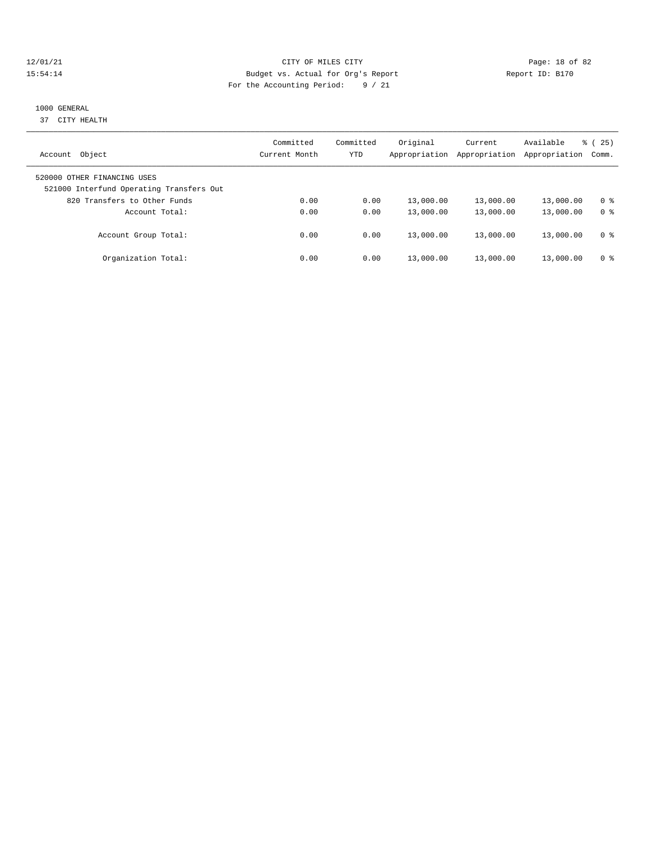#### 12/01/21 Page: 18 of 82<br>
12/01/21 Page: 18 of 82<br>
Budget vs. Actual for Org's Report Physics (Page: 18 of 82<br>
Report ID: B170 15:54:14 Budget vs. Actual for Org's Report For the Accounting Period: 9 / 21

# 1000 GENERAL

37 CITY HEALTH

| Object<br>Account                                                       | Committed<br>Current Month | Committed<br>YTD | Original<br>Appropriation | Current<br>Appropriation | Available<br>Appropriation | 25)<br>ී (<br>Comm. |
|-------------------------------------------------------------------------|----------------------------|------------------|---------------------------|--------------------------|----------------------------|---------------------|
|                                                                         |                            |                  |                           |                          |                            |                     |
| 520000 OTHER FINANCING USES<br>521000 Interfund Operating Transfers Out |                            |                  |                           |                          |                            |                     |
| 820 Transfers to Other Funds                                            | 0.00                       | 0.00             | 13,000.00                 | 13,000.00                | 13,000.00                  | 0 <sup>8</sup>      |
| Account Total:                                                          | 0.00                       | 0.00             | 13,000.00                 | 13,000.00                | 13,000.00                  | 0 <sup>8</sup>      |
| Account Group Total:                                                    | 0.00                       | 0.00             | 13,000.00                 | 13,000.00                | 13,000.00                  | 0 <sup>8</sup>      |
| Organization Total:                                                     | 0.00                       | 0.00             | 13,000.00                 | 13,000.00                | 13,000.00                  | 0 %                 |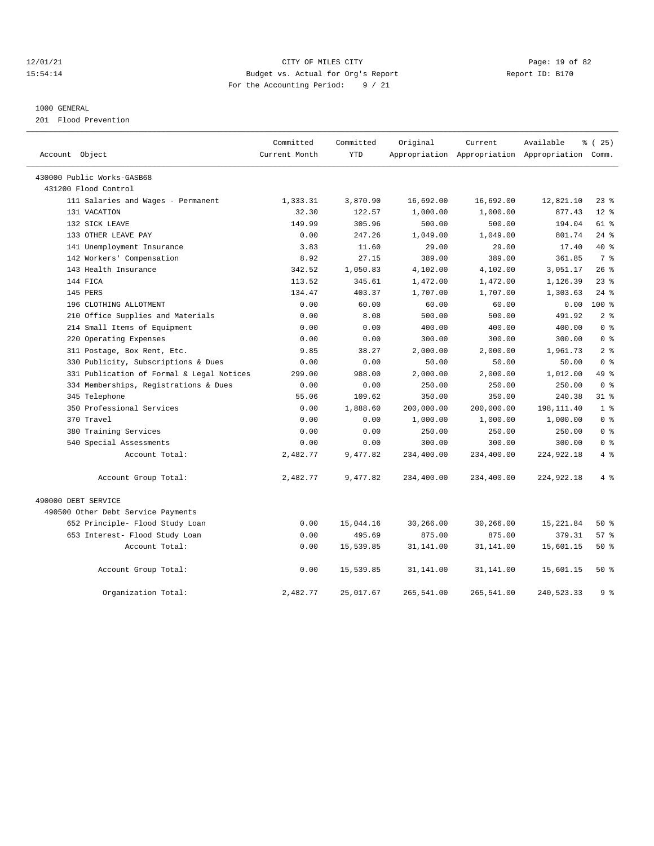#### 12/01/21 Page: 19 of 82 15:54:14 Budget vs. Actual for Org's Report Report ID: B170 For the Accounting Period: 9 / 21

#### 1000 GENERAL

201 Flood Prevention

| Account Object                            | Committed<br>Current Month | Committed<br><b>YTD</b> | Original   | Current    | Available<br>Appropriation Appropriation Appropriation Comm. | $*(25)$        |
|-------------------------------------------|----------------------------|-------------------------|------------|------------|--------------------------------------------------------------|----------------|
| 430000 Public Works-GASB68                |                            |                         |            |            |                                                              |                |
| 431200 Flood Control                      |                            |                         |            |            |                                                              |                |
| 111 Salaries and Wages - Permanent        | 1,333.31                   | 3,870.90                | 16,692.00  | 16,692.00  | 12,821.10                                                    | 23%            |
| 131 VACATION                              | 32.30                      | 122.57                  | 1,000.00   | 1,000.00   | 877.43                                                       | $12*$          |
| 132 SICK LEAVE                            | 149.99                     | 305.96                  | 500.00     | 500.00     | 194.04                                                       | 61 %           |
| 133 OTHER LEAVE PAY                       | 0.00                       | 247.26                  | 1,049.00   | 1,049.00   | 801.74                                                       | $24$ %         |
| 141 Unemployment Insurance                | 3.83                       | 11.60                   | 29.00      | 29.00      | 17.40                                                        | $40*$          |
| 142 Workers' Compensation                 | 8.92                       | 27.15                   | 389.00     | 389.00     | 361.85                                                       | 7 %            |
| 143 Health Insurance                      | 342.52                     | 1,050.83                | 4,102.00   | 4,102.00   | 3,051.17                                                     | 26%            |
| 144 FICA                                  | 113.52                     | 345.61                  | 1,472.00   | 1,472.00   | 1,126.39                                                     | $23$ $%$       |
| 145 PERS                                  | 134.47                     | 403.37                  | 1,707.00   | 1,707.00   | 1,303.63                                                     | $24$ %         |
| 196 CLOTHING ALLOTMENT                    | 0.00                       | 60.00                   | 60.00      | 60.00      | 0.00                                                         | 100 %          |
| 210 Office Supplies and Materials         | 0.00                       | 8.08                    | 500.00     | 500.00     | 491.92                                                       | 2 <sup>8</sup> |
| 214 Small Items of Equipment              | 0.00                       | 0.00                    | 400.00     | 400.00     | 400.00                                                       | 0 <sup>8</sup> |
| 220 Operating Expenses                    | 0.00                       | 0.00                    | 300.00     | 300.00     | 300.00                                                       | 0 <sup>8</sup> |
| 311 Postage, Box Rent, Etc.               | 9.85                       | 38.27                   | 2,000.00   | 2,000.00   | 1,961.73                                                     | 2 <sup>8</sup> |
| 330 Publicity, Subscriptions & Dues       | 0.00                       | 0.00                    | 50.00      | 50.00      | 50.00                                                        | 0 <sup>8</sup> |
| 331 Publication of Formal & Legal Notices | 299.00                     | 988.00                  | 2,000.00   | 2,000.00   | 1,012.00                                                     | 49 %           |
| 334 Memberships, Registrations & Dues     | 0.00                       | 0.00                    | 250.00     | 250.00     | 250.00                                                       | 0 <sup>8</sup> |
| 345 Telephone                             | 55.06                      | 109.62                  | 350.00     | 350.00     | 240.38                                                       | 31.8           |
| 350 Professional Services                 | 0.00                       | 1,888.60                | 200,000.00 | 200,000.00 | 198,111.40                                                   | 1 <sup>8</sup> |
| 370 Travel                                | 0.00                       | 0.00                    | 1,000.00   | 1,000.00   | 1,000.00                                                     | 0 <sup>8</sup> |
| 380 Training Services                     | 0.00                       | 0.00                    | 250.00     | 250.00     | 250.00                                                       | 0 <sup>8</sup> |
| 540 Special Assessments                   | 0.00                       | 0.00                    | 300.00     | 300.00     | 300.00                                                       | 0 <sup>8</sup> |
| Account Total:                            | 2,482.77                   | 9,477.82                | 234,400.00 | 234,400.00 | 224, 922. 18                                                 | 4%             |
| Account Group Total:                      | 2,482.77                   | 9,477.82                | 234,400.00 | 234,400.00 | 224,922.18                                                   | 4%             |
| 490000 DEBT SERVICE                       |                            |                         |            |            |                                                              |                |
| 490500 Other Debt Service Payments        |                            |                         |            |            |                                                              |                |
| 652 Principle- Flood Study Loan           | 0.00                       | 15,044.16               | 30,266.00  | 30,266.00  | 15,221.84                                                    | 50%            |
| 653 Interest- Flood Study Loan            | 0.00                       | 495.69                  | 875.00     | 875.00     | 379.31                                                       | 57%            |
| Account Total:                            | 0.00                       | 15,539.85               | 31,141.00  | 31,141.00  | 15,601.15                                                    | $50*$          |
| Account Group Total:                      | 0.00                       | 15,539.85               | 31,141.00  | 31,141.00  | 15,601.15                                                    | $50*$          |
| Organization Total:                       | 2,482.77                   | 25,017.67               | 265,541.00 | 265,541.00 | 240,523.33                                                   | 9%             |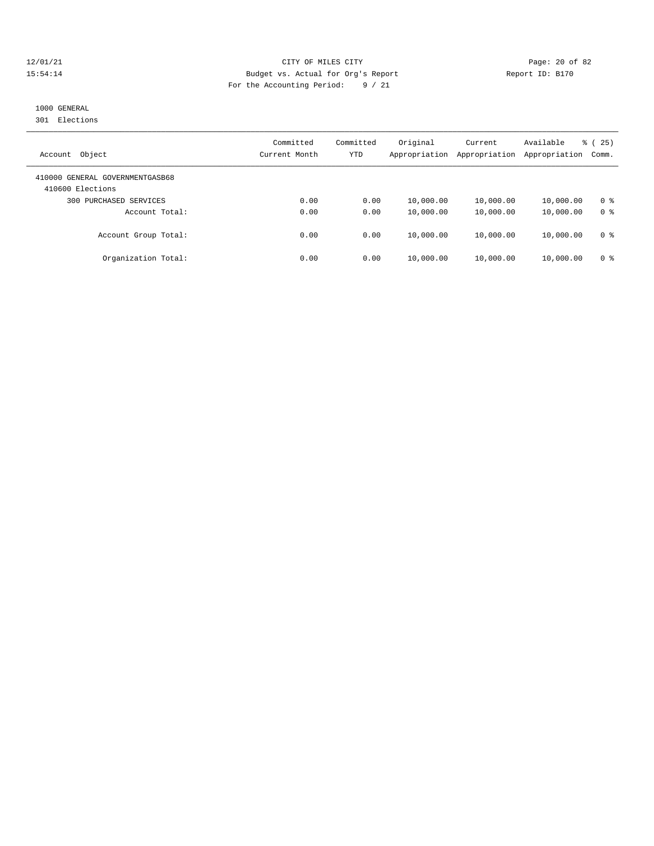#### 12/01/21 Page: 20 of 82 15:54:14 Budget vs. Actual for Org's Report Report ID: B170 For the Accounting Period: 9 / 21

# 1000 GENERAL

301 Elections

| Object<br>Account                                   | Committed<br>Current Month | Committed<br>YTD | Original<br>Appropriation | Current<br>Appropriation | Available<br>Appropriation | 25)<br>ී (<br>Comm. |
|-----------------------------------------------------|----------------------------|------------------|---------------------------|--------------------------|----------------------------|---------------------|
| 410000 GENERAL GOVERNMENTGASB68<br>410600 Elections |                            |                  |                           |                          |                            |                     |
| PURCHASED SERVICES<br>300                           | 0.00                       | 0.00             | 10,000.00                 | 10,000.00                | 10,000.00                  | 0 <sup>8</sup>      |
| Account Total:                                      | 0.00                       | 0.00             | 10,000.00                 | 10,000.00                | 10,000.00                  | 0 <sup>8</sup>      |
| Account Group Total:                                | 0.00                       | 0.00             | 10,000.00                 | 10,000.00                | 10,000.00                  | 0 <sup>8</sup>      |
| Organization Total:                                 | 0.00                       | 0.00             | 10,000.00                 | 10,000.00                | 10,000.00                  | 0 <sup>8</sup>      |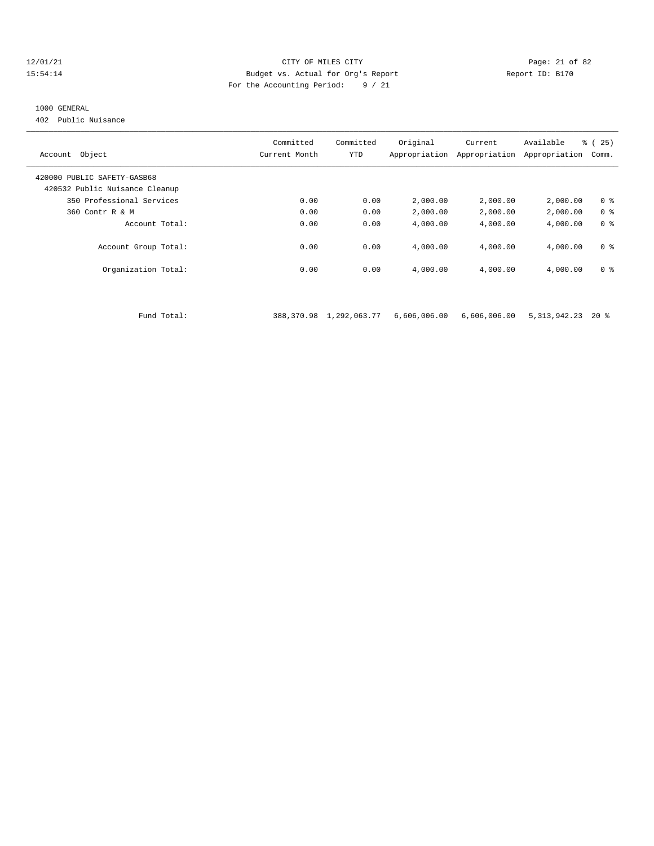#### 12/01/21 Page: 21 of 82 15:54:14 Budget vs. Actual for Org's Report Report ID: B170 For the Accounting Period: 9 / 21

#### 1000 GENERAL

402 Public Nuisance

| Account Object                 | Committed<br>Current Month | Committed<br>YTD | Original<br>Appropriation | Current<br>Appropriation | Available<br>Appropriation | % (25)<br>Comm. |
|--------------------------------|----------------------------|------------------|---------------------------|--------------------------|----------------------------|-----------------|
| 420000 PUBLIC SAFETY-GASB68    |                            |                  |                           |                          |                            |                 |
| 420532 Public Nuisance Cleanup |                            |                  |                           |                          |                            |                 |
| 350 Professional Services      | 0.00                       | 0.00             | 2,000.00                  | 2,000.00                 | 2,000.00                   | 0 <sup>8</sup>  |
| 360 Contr R & M                | 0.00                       | 0.00             | 2,000.00                  | 2,000.00                 | 2,000.00                   | 0 <sup>8</sup>  |
| Account Total:                 | 0.00                       | 0.00             | 4,000.00                  | 4,000.00                 | 4,000.00                   | 0 <sup>8</sup>  |
| Account Group Total:           | 0.00                       | 0.00             | 4,000.00                  | 4,000.00                 | 4,000.00                   | 0 <sup>8</sup>  |
| Organization Total:            | 0.00                       | 0.00             | 4,000.00                  | 4,000.00                 | 4,000.00                   | 0 <sup>8</sup>  |
|                                |                            |                  |                           |                          |                            |                 |
| Fund Total:                    | 388,370.98                 | 1,292,063.77     | 6,606,006.00              | 6,606,006.00             | 5, 313, 942. 23            | $20*$           |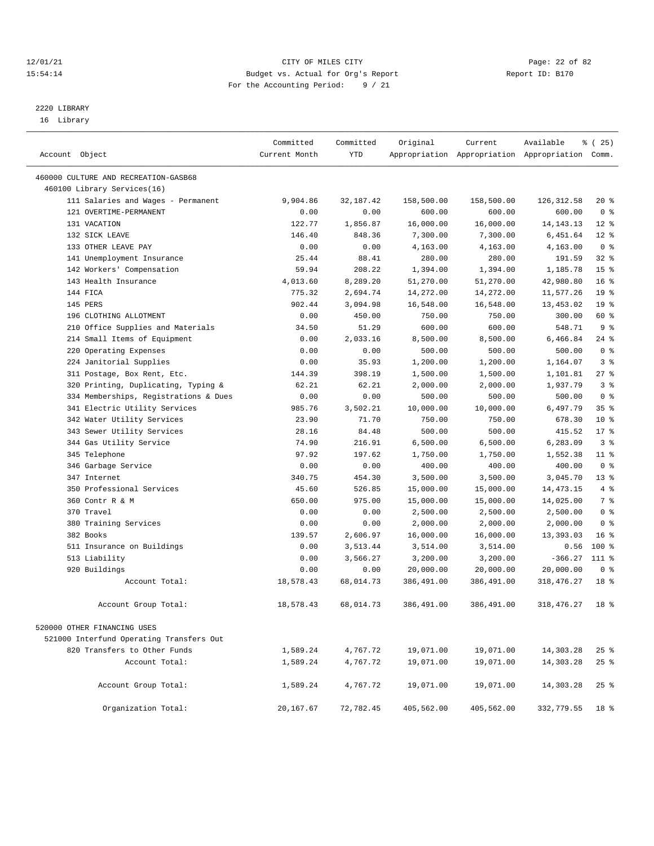#### 12/01/21 Page: 22 of 82<br>15:54:14 Page: 22 of 82<br>15:54:14 Budget vs. Actual for Org's Report Page: 22 of 82 15:54:14 Budget vs. Actual for Org's Report For the Accounting Period: 9 / 21

————————————————————————————————————————————————————————————————————————————————————————————————————————————————————————————————————

# 2220 LIBRARY

16 Library

|                                          | Committed     | Committed   | Original   | Current    | Available                                       | % (25)          |
|------------------------------------------|---------------|-------------|------------|------------|-------------------------------------------------|-----------------|
| Account Object                           | Current Month | <b>YTD</b>  |            |            | Appropriation Appropriation Appropriation Comm. |                 |
| 460000 CULTURE AND RECREATION-GASB68     |               |             |            |            |                                                 |                 |
| 460100 Library Services(16)              |               |             |            |            |                                                 |                 |
| 111 Salaries and Wages - Permanent       | 9,904.86      | 32, 187. 42 | 158,500.00 | 158,500.00 | 126, 312.58                                     | $20*$           |
| 121 OVERTIME-PERMANENT                   | 0.00          | 0.00        | 600.00     | 600.00     | 600.00                                          | 0 <sup>8</sup>  |
| 131 VACATION                             | 122.77        | 1,856.87    | 16,000.00  | 16,000.00  | 14, 143. 13                                     | $12*$           |
| 132 SICK LEAVE                           | 146.40        | 848.36      | 7,300.00   | 7,300.00   | 6,451.64                                        | $12*$           |
| 133 OTHER LEAVE PAY                      | 0.00          | 0.00        | 4,163.00   | 4,163.00   | 4,163.00                                        | 0 <sup>8</sup>  |
| 141 Unemployment Insurance               | 25.44         | 88.41       | 280.00     | 280.00     | 191.59                                          | 32%             |
| 142 Workers' Compensation                | 59.94         | 208.22      | 1,394.00   | 1,394.00   | 1,185.78                                        | 15 <sup>°</sup> |
| 143 Health Insurance                     | 4,013.60      | 8,289.20    | 51,270.00  | 51,270.00  | 42,980.80                                       | 16 <sup>8</sup> |
| 144 FICA                                 | 775.32        | 2,694.74    | 14,272.00  | 14,272.00  | 11,577.26                                       | 19 <sup>°</sup> |
| 145 PERS                                 | 902.44        | 3,094.98    | 16,548.00  | 16,548.00  | 13,453.02                                       | 19 <sup>°</sup> |
| 196 CLOTHING ALLOTMENT                   | 0.00          | 450.00      | 750.00     | 750.00     | 300.00                                          | 60 %            |
| 210 Office Supplies and Materials        | 34.50         | 51.29       | 600.00     | 600.00     | 548.71                                          | 9%              |
| 214 Small Items of Equipment             | 0.00          | 2,033.16    | 8,500.00   | 8,500.00   | 6,466.84                                        | $24$ %          |
| 220 Operating Expenses                   | 0.00          | 0.00        | 500.00     | 500.00     | 500.00                                          | 0 <sup>8</sup>  |
| 224 Janitorial Supplies                  | 0.00          | 35.93       | 1,200.00   | 1,200.00   | 1,164.07                                        | 3 <sup>8</sup>  |
| 311 Postage, Box Rent, Etc.              | 144.39        | 398.19      | 1,500.00   | 1,500.00   | 1,101.81                                        | $27$ %          |
| 320 Printing, Duplicating, Typing &      | 62.21         | 62.21       | 2,000.00   | 2,000.00   | 1,937.79                                        | 3 <sup>8</sup>  |
| 334 Memberships, Registrations & Dues    | 0.00          | 0.00        | 500.00     | 500.00     | 500.00                                          | 0 <sup>8</sup>  |
| 341 Electric Utility Services            | 985.76        | 3,502.21    | 10,000.00  | 10,000.00  | 6,497.79                                        | 35%             |
| 342 Water Utility Services               | 23.90         | 71.70       | 750.00     | 750.00     | 678.30                                          | $10*$           |
| 343 Sewer Utility Services               | 28.16         | 84.48       | 500.00     | 500.00     | 415.52                                          | $17*$           |
| 344 Gas Utility Service                  | 74.90         | 216.91      | 6,500.00   | 6,500.00   | 6,283.09                                        | 3 <sup>8</sup>  |
| 345 Telephone                            | 97.92         | 197.62      | 1,750.00   | 1,750.00   | 1,552.38                                        | $11$ %          |
| 346 Garbage Service                      | 0.00          | 0.00        | 400.00     | 400.00     | 400.00                                          | 0 <sup>8</sup>  |
| 347 Internet                             | 340.75        | 454.30      | 3,500.00   | 3,500.00   | 3,045.70                                        | $13*$           |
| 350 Professional Services                | 45.60         | 526.85      | 15,000.00  | 15,000.00  | 14, 473. 15                                     | 4%              |
| 360 Contr R & M                          | 650.00        | 975.00      | 15,000.00  | 15,000.00  | 14,025.00                                       | 7 %             |
| 370 Travel                               | 0.00          | 0.00        | 2,500.00   | 2,500.00   | 2,500.00                                        | 0 <sup>8</sup>  |
| 380 Training Services                    | 0.00          | 0.00        | 2,000.00   | 2,000.00   | 2,000.00                                        | 0 <sup>8</sup>  |
| 382 Books                                | 139.57        | 2,606.97    | 16,000.00  | 16,000.00  | 13,393.03                                       | 16 <sup>8</sup> |
| 511 Insurance on Buildings               | 0.00          | 3,513.44    | 3,514.00   | 3,514.00   | 0.56                                            | $100$ %         |
| 513 Liability                            | 0.00          | 3,566.27    | 3,200.00   | 3,200.00   | $-366.27$                                       | 111 %           |
| 920 Buildings                            | 0.00          | 0.00        | 20,000.00  | 20,000.00  | 20,000.00                                       | 0 <sup>8</sup>  |
| Account Total:                           | 18,578.43     | 68,014.73   | 386,491.00 | 386,491.00 | 318, 476. 27                                    | 18 %            |
| Account Group Total:                     | 18,578.43     | 68,014.73   | 386,491.00 | 386,491.00 | 318, 476. 27                                    | 18 <sup>8</sup> |
| 520000 OTHER FINANCING USES              |               |             |            |            |                                                 |                 |
| 521000 Interfund Operating Transfers Out |               |             |            |            |                                                 |                 |
| 820 Transfers to Other Funds             | 1,589.24      | 4,767.72    | 19,071.00  | 19,071.00  | 14,303.28                                       | 25%             |
| Account Total:                           | 1,589.24      | 4,767.72    | 19,071.00  | 19,071.00  | 14,303.28                                       | 25%             |
| Account Group Total:                     | 1,589.24      | 4,767.72    | 19,071.00  | 19,071.00  | 14,303.28                                       | 25%             |
| Organization Total:                      | 20,167.67     | 72,782.45   | 405,562.00 | 405,562.00 | 332,779.55                                      | 18 %            |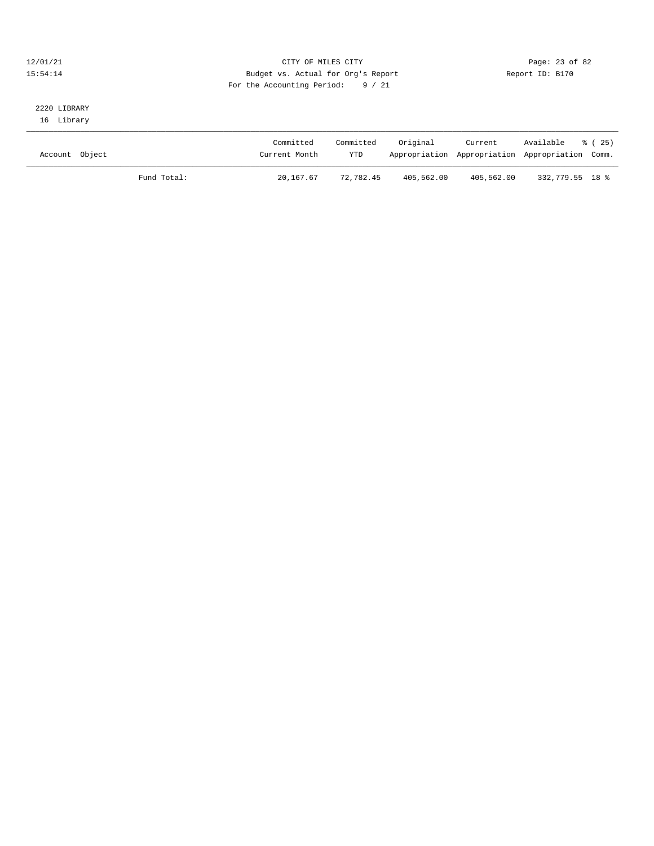#### 12/01/21 Page: 23 of 82<br>
12/01/21 Page: 23 of 82<br>
Budget vs. Actual for Org's Report Physics (Report ID: B170 15:54:14 Budget vs. Actual for Org's Report For the Accounting Period: 9 / 21

### 2220 LIBRARY 16 Library

| Account Object |             | Committed<br>Current Month | Committed<br><b>YTD</b> | Original   | Current    | Available<br>Appropriation Appropriation Appropriation Comm. | 8 (25) |
|----------------|-------------|----------------------------|-------------------------|------------|------------|--------------------------------------------------------------|--------|
|                | Fund Total: | 20,167.67                  | 72,782.45               | 405,562.00 | 405,562.00 | 332,779.55 18 %                                              |        |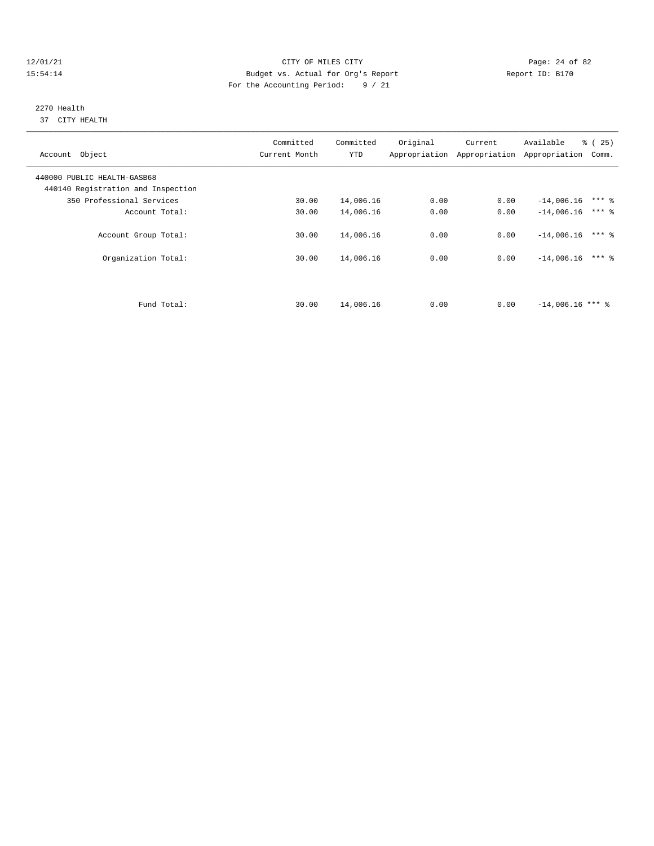#### 12/01/21 Page: 24 of 82 15:54:14 Budget vs. Actual for Org's Report Report ID: B170 For the Accounting Period: 9 / 21

#### 2270 Health 37 CITY HEALTH

| Account Object                                                    | Committed<br>Current Month | Committed<br><b>YTD</b> | Original | Current<br>Appropriation Appropriation | Available<br>$\approx$ (<br>25)<br>Appropriation<br>Comm. |
|-------------------------------------------------------------------|----------------------------|-------------------------|----------|----------------------------------------|-----------------------------------------------------------|
| 440000 PUBLIC HEALTH-GASB68<br>440140 Registration and Inspection |                            |                         |          |                                        |                                                           |
| 350 Professional Services                                         | 30.00                      | 14,006.16               | 0.00     | 0.00                                   | $***$ $%$<br>$-14,006.16$                                 |
| Account Total:                                                    | 30.00                      | 14,006.16               | 0.00     | 0.00                                   | $***$ 2<br>$-14,006.16$                                   |
| Account Group Total:                                              | 30.00                      | 14,006.16               | 0.00     | 0.00                                   | $***$ 2<br>$-14,006,16$                                   |
| Organization Total:                                               | 30.00                      | 14,006.16               | 0.00     | 0.00                                   | $***$ 2<br>$-14,006.16$                                   |
|                                                                   |                            |                         |          |                                        |                                                           |
| Fund Total:                                                       | 30.00                      | 14,006.16               | 0.00     | 0.00                                   | $-14.006.16$ *** &                                        |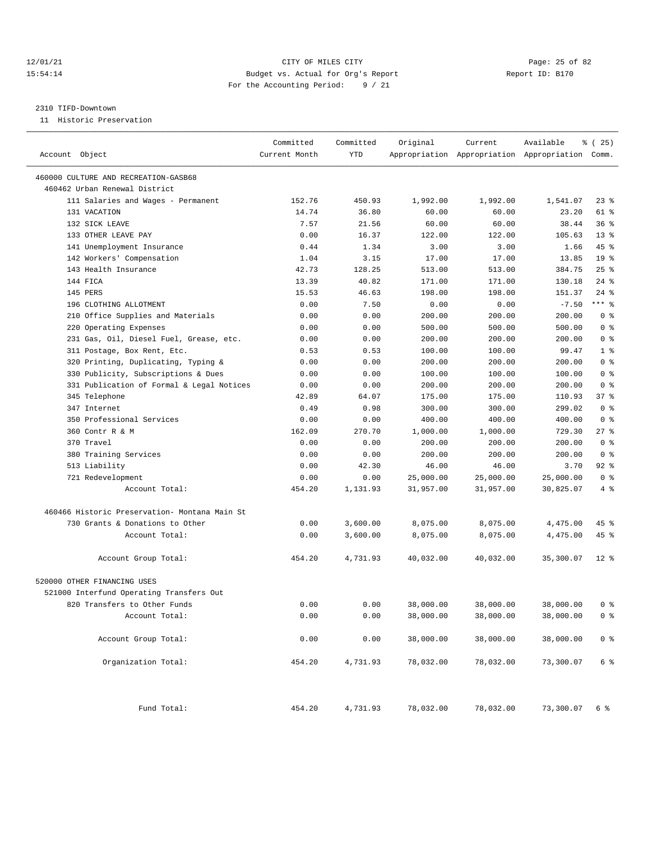#### 12/01/21 Page: 25 of 82 15:54:14 Budget vs. Actual for Org's Report Report ID: B170 For the Accounting Period: 9 / 21

#### 2310 TIFD-Downtown

11 Historic Preservation

| Account Object                                | Committed<br>Current Month | Committed<br>YTD | Original  | Current   | Available<br>Appropriation Appropriation Appropriation Comm. | <sub>ර</sub> ි (25) |
|-----------------------------------------------|----------------------------|------------------|-----------|-----------|--------------------------------------------------------------|---------------------|
| 460000 CULTURE AND RECREATION-GASB68          |                            |                  |           |           |                                                              |                     |
| 460462 Urban Renewal District                 |                            |                  |           |           |                                                              |                     |
| 111 Salaries and Wages - Permanent            | 152.76                     | 450.93           | 1,992.00  | 1,992.00  | 1,541.07                                                     | 238                 |
| 131 VACATION                                  | 14.74                      | 36.80            | 60.00     | 60.00     | 23.20                                                        | 61 %                |
| 132 SICK LEAVE                                | 7.57                       | 21.56            | 60.00     | 60.00     | 38.44                                                        | 36%                 |
| 133 OTHER LEAVE PAY                           | 0.00                       | 16.37            | 122.00    | 122.00    | 105.63                                                       | $13*$               |
| 141 Unemployment Insurance                    | 0.44                       | 1.34             | 3.00      | 3.00      | 1.66                                                         | 45 %                |
| 142 Workers' Compensation                     | 1.04                       | 3.15             | 17.00     | 17.00     | 13.85                                                        | 19 <sup>°</sup>     |
| 143 Health Insurance                          | 42.73                      | 128.25           | 513.00    | 513.00    | 384.75                                                       | $25$ %              |
| 144 FICA                                      | 13.39                      | 40.82            | 171.00    | 171.00    | 130.18                                                       | $24$ %              |
| 145 PERS                                      | 15.53                      | 46.63            | 198.00    | 198.00    | 151.37                                                       | $24$ %              |
| 196 CLOTHING ALLOTMENT                        | 0.00                       | 7.50             | 0.00      | 0.00      | $-7.50$                                                      | $***$ 8             |
| 210 Office Supplies and Materials             | 0.00                       | 0.00             | 200.00    | 200.00    | 200.00                                                       | 0 <sup>8</sup>      |
| 220 Operating Expenses                        | 0.00                       | 0.00             | 500.00    | 500.00    | 500.00                                                       | 0 <sup>8</sup>      |
| 231 Gas, Oil, Diesel Fuel, Grease, etc.       | 0.00                       | 0.00             | 200.00    | 200.00    | 200.00                                                       | 0 <sup>8</sup>      |
| 311 Postage, Box Rent, Etc.                   | 0.53                       | 0.53             | 100.00    | 100.00    | 99.47                                                        | 1 <sup>8</sup>      |
| 320 Printing, Duplicating, Typing &           | 0.00                       | 0.00             | 200.00    | 200.00    | 200.00                                                       | 0 <sup>8</sup>      |
| 330 Publicity, Subscriptions & Dues           | 0.00                       | 0.00             | 100.00    | 100.00    | 100.00                                                       | 0 <sup>8</sup>      |
| 331 Publication of Formal & Legal Notices     | 0.00                       | 0.00             | 200.00    | 200.00    | 200.00                                                       | 0 <sup>8</sup>      |
| 345 Telephone                                 | 42.89                      | 64.07            | 175.00    | 175.00    | 110.93                                                       | 37%                 |
| 347 Internet                                  | 0.49                       | 0.98             | 300.00    | 300.00    | 299.02                                                       | 0 <sup>8</sup>      |
| 350 Professional Services                     | 0.00                       | 0.00             | 400.00    | 400.00    | 400.00                                                       | 0 <sup>8</sup>      |
| 360 Contr R & M                               | 162.09                     | 270.70           | 1,000.00  | 1,000.00  | 729.30                                                       | $27$ %              |
| 370 Travel                                    | 0.00                       | 0.00             | 200.00    | 200.00    | 200.00                                                       | 0 <sup>8</sup>      |
| 380 Training Services                         |                            | 0.00             | 200.00    | 200.00    | 200.00                                                       | 0 <sup>8</sup>      |
|                                               | 0.00<br>0.00               | 42.30            | 46.00     | 46.00     | 3.70                                                         | 92%                 |
| 513 Liability                                 | 0.00                       | 0.00             |           |           | 25,000.00                                                    | 0 <sup>8</sup>      |
| 721 Redevelopment<br>Account Total:           |                            |                  | 25,000.00 | 25,000.00 |                                                              | 4%                  |
|                                               | 454.20                     | 1,131.93         | 31,957.00 | 31,957.00 | 30,825.07                                                    |                     |
| 460466 Historic Preservation- Montana Main St |                            |                  |           |           |                                                              |                     |
| 730 Grants & Donations to Other               | 0.00                       | 3,600.00         | 8,075.00  | 8,075.00  | 4,475.00                                                     | 45 %                |
| Account Total:                                | 0.00                       | 3,600.00         | 8,075.00  | 8,075.00  | 4,475.00                                                     | $45$ %              |
| Account Group Total:                          | 454.20                     | 4,731.93         | 40,032.00 | 40,032.00 | 35,300.07                                                    | $12$ %              |
| 520000 OTHER FINANCING USES                   |                            |                  |           |           |                                                              |                     |
| 521000 Interfund Operating Transfers Out      |                            |                  |           |           |                                                              |                     |
| 820 Transfers to Other Funds                  | 0.00                       | 0.00             | 38,000.00 | 38,000.00 | 38,000.00                                                    | 0 %                 |
| Account Total:                                | 0.00                       | 0.00             | 38,000.00 | 38,000.00 | 38,000.00                                                    | 0 <sup>8</sup>      |
|                                               |                            |                  |           |           |                                                              |                     |
| Account Group Total:                          | 0.00                       | 0.00             | 38,000.00 | 38,000.00 | 38,000.00                                                    | 0 <sup>8</sup>      |
| Organization Total:                           | 454.20                     | 4,731.93         | 78,032.00 | 78,032.00 | 73,300.07                                                    | 6 %                 |
| Fund Total:                                   | 454.20                     | 4,731.93         | 78,032.00 | 78,032.00 | 73,300.07                                                    | 6 %                 |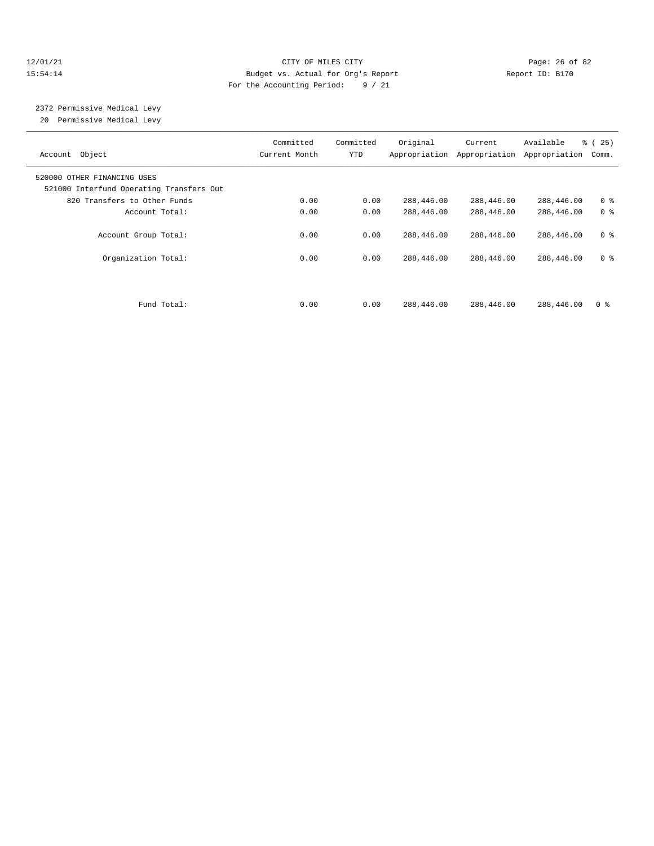#### 12/01/21 Page: 26 of 82 15:54:14 Budget vs. Actual for Org's Report Report ID: B170 For the Accounting Period: 9 / 21

# 2372 Permissive Medical Levy

20 Permissive Medical Levy

| Account Object                                                          | Committed<br>Current Month | Committed<br>YTD | Original   | Current<br>Appropriation Appropriation | Available<br>Appropriation | $\approx$ (<br>25)<br>Comm. |
|-------------------------------------------------------------------------|----------------------------|------------------|------------|----------------------------------------|----------------------------|-----------------------------|
| 520000 OTHER FINANCING USES<br>521000 Interfund Operating Transfers Out |                            |                  |            |                                        |                            |                             |
| 820 Transfers to Other Funds                                            | 0.00                       | 0.00             | 288,446.00 | 288,446.00                             | 288,446.00                 | 0 <sup>8</sup>              |
| Account Total:                                                          | 0.00                       | 0.00             | 288,446.00 | 288,446.00                             | 288,446.00                 | 0 <sup>8</sup>              |
| Account Group Total:                                                    | 0.00                       | 0.00             | 288,446.00 | 288,446.00                             | 288,446.00                 | 0 <sup>8</sup>              |
| Organization Total:                                                     | 0.00                       | 0.00             | 288,446.00 | 288,446.00                             | 288,446.00                 | 0 <sup>8</sup>              |
| Fund Total:                                                             | 0.00                       | 0.00             | 288,446.00 | 288,446.00                             | 288,446.00                 | 0 <sup>8</sup>              |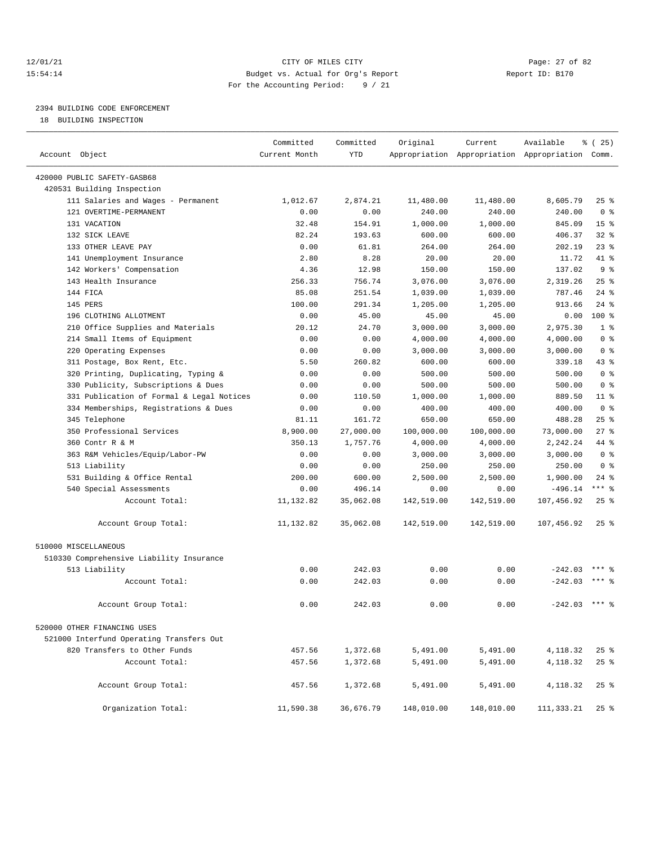#### 12/01/21 Page: 27 of 82<br>15:54:14 Page: 27 of 82<br>15:54:14 Budget vs. Actual for Org's Report Report Report ID: B170 15:54:14 Budget vs. Actual for Org's Report For the Accounting Period: 9 / 21

# 2394 BUILDING CODE ENFORCEMENT

18 BUILDING INSPECTION

| Account Object                            | Committed<br>Current Month | Committed<br>YTD | Original   | Current    | Available<br>Appropriation Appropriation Appropriation Comm. | <sub>है</sub> (25) |
|-------------------------------------------|----------------------------|------------------|------------|------------|--------------------------------------------------------------|--------------------|
| 420000 PUBLIC SAFETY-GASB68               |                            |                  |            |            |                                                              |                    |
| 420531 Building Inspection                |                            |                  |            |            |                                                              |                    |
| 111 Salaries and Wages - Permanent        | 1,012.67                   | 2,874.21         | 11,480.00  | 11,480.00  | 8,605.79                                                     | 25 %               |
| 121 OVERTIME-PERMANENT                    | 0.00                       | 0.00             | 240.00     | 240.00     | 240.00                                                       | 0 <sup>8</sup>     |
| 131 VACATION                              | 32.48                      | 154.91           | 1,000.00   | 1,000.00   | 845.09                                                       | 15 <sup>°</sup>    |
| 132 SICK LEAVE                            | 82.24                      | 193.63           | 600.00     | 600.00     | 406.37                                                       | $32$ $%$           |
| 133 OTHER LEAVE PAY                       | 0.00                       | 61.81            | 264.00     | 264.00     | 202.19                                                       | $23$ %             |
| 141 Unemployment Insurance                | 2.80                       | 8.28             | 20.00      | 20.00      | 11.72                                                        | $41*$              |
| 142 Workers' Compensation                 | 4.36                       | 12.98            | 150.00     | 150.00     | 137.02                                                       | 9 <sup>8</sup>     |
| 143 Health Insurance                      | 256.33                     | 756.74           | 3,076.00   | 3,076.00   | 2,319.26                                                     | 25%                |
| 144 FICA                                  | 85.08                      | 251.54           | 1,039.00   | 1,039.00   | 787.46                                                       | $24$ %             |
| 145 PERS                                  | 100.00                     | 291.34           | 1,205.00   | 1,205.00   | 913.66                                                       | $24$ %             |
| 196 CLOTHING ALLOTMENT                    | 0.00                       | 45.00            | 45.00      | 45.00      | 0.00                                                         | $100*$             |
| 210 Office Supplies and Materials         | 20.12                      | 24.70            | 3,000.00   | 3,000.00   | 2,975.30                                                     | 1 <sup>8</sup>     |
| 214 Small Items of Equipment              | 0.00                       | 0.00             | 4,000.00   | 4,000.00   | 4,000.00                                                     | 0 <sup>8</sup>     |
| 220 Operating Expenses                    | 0.00                       | 0.00             | 3,000.00   | 3,000.00   | 3,000.00                                                     | 0 <sup>8</sup>     |
| 311 Postage, Box Rent, Etc.               | 5.50                       | 260.82           | 600.00     | 600.00     | 339.18                                                       | $43$ %             |
| 320 Printing, Duplicating, Typing &       | 0.00                       | 0.00             | 500.00     | 500.00     | 500.00                                                       | 0 <sup>8</sup>     |
| 330 Publicity, Subscriptions & Dues       | 0.00                       | 0.00             | 500.00     | 500.00     | 500.00                                                       | 0 <sup>8</sup>     |
| 331 Publication of Formal & Legal Notices | 0.00                       | 110.50           | 1,000.00   | 1,000.00   | 889.50                                                       | $11$ %             |
| 334 Memberships, Registrations & Dues     | 0.00                       | 0.00             | 400.00     | 400.00     | 400.00                                                       | 0 <sup>8</sup>     |
| 345 Telephone                             | 81.11                      | 161.72           | 650.00     | 650.00     | 488.28                                                       | $25$ %             |
| 350 Professional Services                 | 8,900.00                   | 27,000.00        | 100,000.00 | 100,000.00 | 73,000.00                                                    | $27$ %             |
| 360 Contr R & M                           | 350.13                     | 1,757.76         | 4,000.00   | 4,000.00   | 2,242.24                                                     | 44 %               |
| 363 R&M Vehicles/Equip/Labor-PW           | 0.00                       | 0.00             | 3,000.00   | 3,000.00   | 3,000.00                                                     | 0 <sup>8</sup>     |
| 513 Liability                             | 0.00                       | 0.00             | 250.00     | 250.00     | 250.00                                                       | 0 <sup>8</sup>     |
| 531 Building & Office Rental              | 200.00                     | 600.00           | 2,500.00   | 2,500.00   | 1,900.00                                                     | $24$ %             |
| 540 Special Assessments                   | 0.00                       | 496.14           | 0.00       | 0.00       | $-496.14$                                                    | $***$ $%$          |
| Account Total:                            | 11, 132.82                 | 35,062.08        | 142,519.00 | 142,519.00 | 107,456.92                                                   | 25%                |
|                                           |                            |                  |            |            |                                                              |                    |
| Account Group Total:                      | 11,132.82                  | 35,062.08        | 142,519.00 | 142,519.00 | 107,456.92                                                   | 25%                |
| 510000 MISCELLANEOUS                      |                            |                  |            |            |                                                              |                    |
| 510330 Comprehensive Liability Insurance  |                            |                  |            |            |                                                              |                    |
| 513 Liability                             | 0.00                       | 242.03           | 0.00       | 0.00       | $-242.03$                                                    | $***$ 2            |
| Account Total:                            | 0.00                       | 242.03           | 0.00       | 0.00       | $-242.03$                                                    | $***$ %            |
| Account Group Total:                      | 0.00                       | 242.03           | 0.00       | 0.00       | $-242.03$                                                    | $***$ 2            |
| 520000 OTHER FINANCING USES               |                            |                  |            |            |                                                              |                    |
| 521000 Interfund Operating Transfers Out  |                            |                  |            |            |                                                              |                    |
| 820 Transfers to Other Funds              | 457.56                     | 1,372.68         | 5,491.00   | 5,491.00   | 4,118.32                                                     | 25%                |
| Account Total:                            | 457.56                     | 1,372.68         | 5,491.00   | 5,491.00   | 4,118.32                                                     | 25%                |
|                                           |                            |                  |            |            |                                                              |                    |
| Account Group Total:                      | 457.56                     | 1,372.68         | 5,491.00   | 5,491.00   | 4,118.32                                                     | 25%                |
| Organization Total:                       | 11,590.38                  | 36,676.79        | 148,010.00 | 148,010.00 | 111, 333.21                                                  | $25$ %             |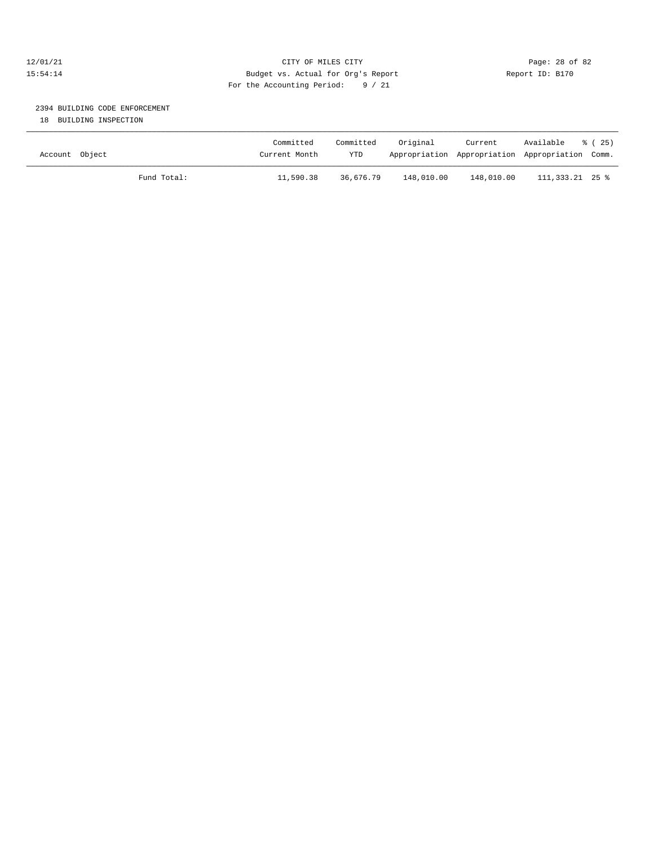#### 12/01/21 Page: 28 of 82 15:54:14 Budget vs. Actual for Org's Report Report ID: B170 For the Accounting Period: 9 / 21

## 2394 BUILDING CODE ENFORCEMENT

18 BUILDING INSPECTION

| Account Object |             | Committed<br>Current Month | Committed<br><b>YTD</b> | Original   | Current<br>Appropriation Appropriation Appropriation Comm. | Available       | 8 (25) |
|----------------|-------------|----------------------------|-------------------------|------------|------------------------------------------------------------|-----------------|--------|
|                | Fund Total: | 11,590.38                  | 36,676.79               | 148,010.00 | 148,010.00                                                 | 111,333.21 25 % |        |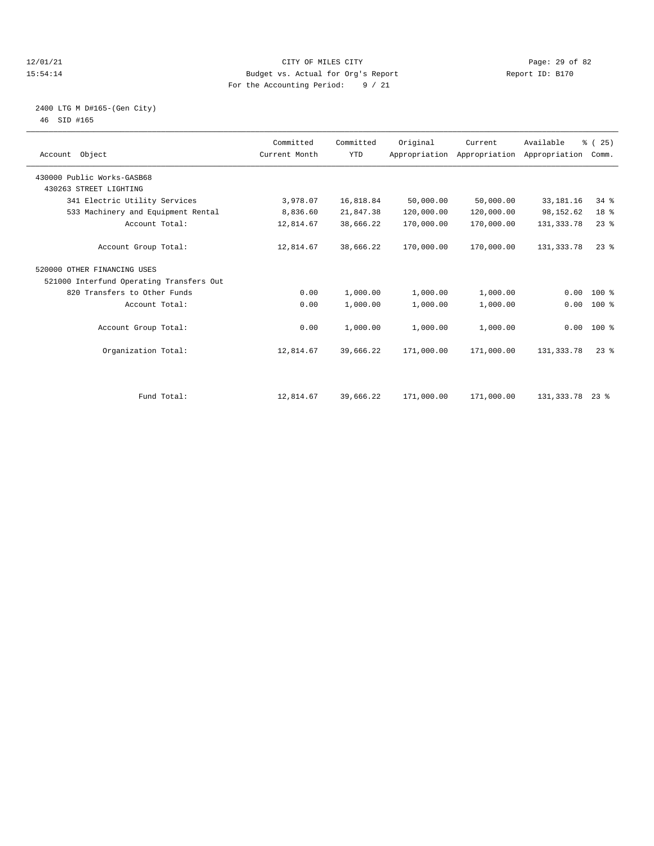#### 12/01/21 Page: 29 of 82<br>15:54:14 Pudget vs. Actual for Org's Report Report Report ID: B170 15:54:14 Budget vs. Actual for Org's Report For the Accounting Period: 9 / 21

### 2400 LTG M D#165-(Gen City) 46 SID #165

| Account Object                           | Committed<br>Current Month | Committed<br><b>YTD</b> | Original   | Current<br>Appropriation Appropriation Appropriation | Available    | % (25)<br>Comm. |  |
|------------------------------------------|----------------------------|-------------------------|------------|------------------------------------------------------|--------------|-----------------|--|
| 430000 Public Works-GASB68               |                            |                         |            |                                                      |              |                 |  |
| 430263 STREET LIGHTING                   |                            |                         |            |                                                      |              |                 |  |
| 341 Electric Utility Services            | 3,978.07                   | 16,818.84               | 50,000.00  | 50,000.00                                            | 33, 181. 16  | 34%             |  |
| 533 Machinery and Equipment Rental       | 8,836.60                   | 21,847.38               | 120,000.00 | 120,000.00                                           | 98, 152.62   | 18 %            |  |
| Account Total:                           | 12,814.67                  | 38,666.22               | 170,000.00 | 170,000.00                                           | 131, 333. 78 | 23%             |  |
| Account Group Total:                     | 12,814.67                  | 38,666.22               | 170,000.00 | 170,000.00                                           | 131, 333. 78 | $23$ $%$        |  |
| 520000 OTHER FINANCING USES              |                            |                         |            |                                                      |              |                 |  |
| 521000 Interfund Operating Transfers Out |                            |                         |            |                                                      |              |                 |  |
| 820 Transfers to Other Funds             | 0.00                       | 1,000.00                | 1,000.00   | 1,000.00                                             | 0.00         | $100*$          |  |
| Account Total:                           | 0.00                       | 1,000.00                | 1,000.00   | 1,000.00                                             | 0.00         | $100$ %         |  |
| Account Group Total:                     | 0.00                       | 1,000.00                | 1,000.00   | 1,000.00                                             |              | $0.00 100$ %    |  |
| Organization Total:                      | 12,814.67                  | 39,666.22               | 171,000.00 | 171,000.00                                           | 131, 333. 78 | $23$ $%$        |  |
| Fund Total:                              | 12,814.67                  | 39,666.22               | 171,000.00 | 171,000.00                                           | 131,333.78   | $23*$           |  |
|                                          |                            |                         |            |                                                      |              |                 |  |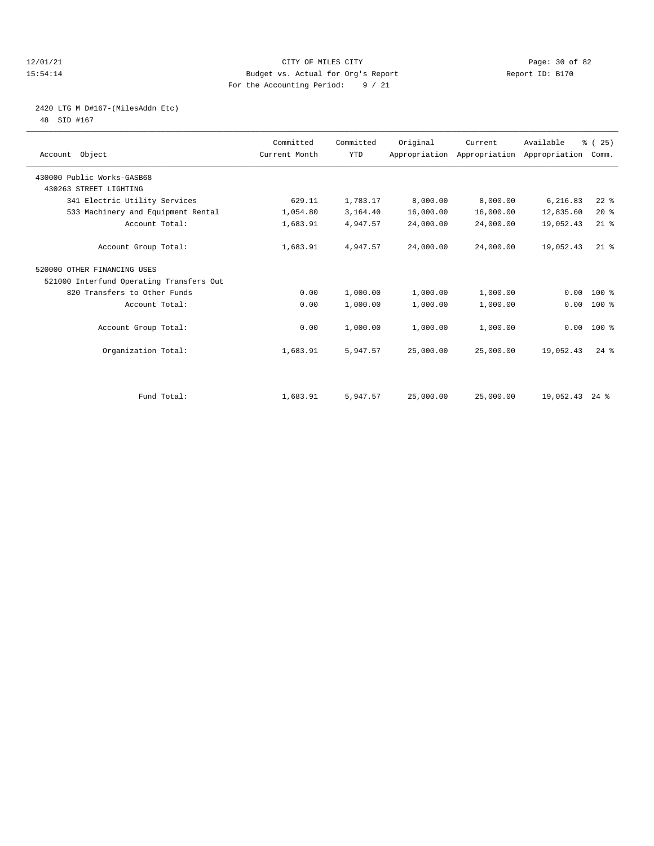#### 12/01/21 Page: 30 of 82<br>15:54:14 Pudget vs. Actual for Org's Report Report Report ID: B170 15:54:14 Budget vs. Actual for Org's Report For the Accounting Period: 9 / 21

# 2420 LTG M D#167-(MilesAddn Etc)

48 SID #167

| Account Object                           | Committed<br>Current Month | Committed<br><b>YTD</b> | Original  | Current<br>Appropriation Appropriation Appropriation | Available | % (25)<br>Comm.    |  |
|------------------------------------------|----------------------------|-------------------------|-----------|------------------------------------------------------|-----------|--------------------|--|
| 430000 Public Works-GASB68               |                            |                         |           |                                                      |           |                    |  |
| 430263 STREET LIGHTING                   |                            |                         |           |                                                      |           |                    |  |
| 341 Electric Utility Services            | 629.11                     | 1,783.17                | 8,000.00  | 8,000.00                                             | 6,216.83  | $22$ $%$           |  |
| 533 Machinery and Equipment Rental       | 1,054.80                   | 3,164.40                | 16,000.00 | 16,000.00                                            | 12,835.60 | 20%                |  |
| Account Total:                           | 1,683.91                   | 4,947.57                | 24,000.00 | 24,000.00                                            | 19,052.43 | $21$ %             |  |
| Account Group Total:                     | 1,683.91                   | 4,947.57                | 24,000.00 | 24,000.00                                            | 19,052.43 | $21$ %             |  |
| 520000 OTHER FINANCING USES              |                            |                         |           |                                                      |           |                    |  |
| 521000 Interfund Operating Transfers Out |                            |                         |           |                                                      |           |                    |  |
| 820 Transfers to Other Funds             | 0.00                       | 1,000.00                | 1,000.00  | 1,000.00                                             | 0.00      | $100*$             |  |
| Account Total:                           | 0.00                       | 1,000.00                | 1,000.00  | 1,000.00                                             | 0.00      | 100 %              |  |
| Account Group Total:                     | 0.00                       | 1,000.00                | 1,000.00  | 1,000.00                                             | 0.00      | $100*$             |  |
| Organization Total:                      | 1,683.91                   | 5,947.57                | 25,000.00 | 25,000.00                                            | 19,052.43 | $24$ $%$           |  |
|                                          |                            |                         |           |                                                      |           |                    |  |
| Fund Total:                              | 1,683.91                   | 5,947.57                | 25,000.00 | 25,000.00                                            | 19,052.43 | $24$ $\frac{6}{3}$ |  |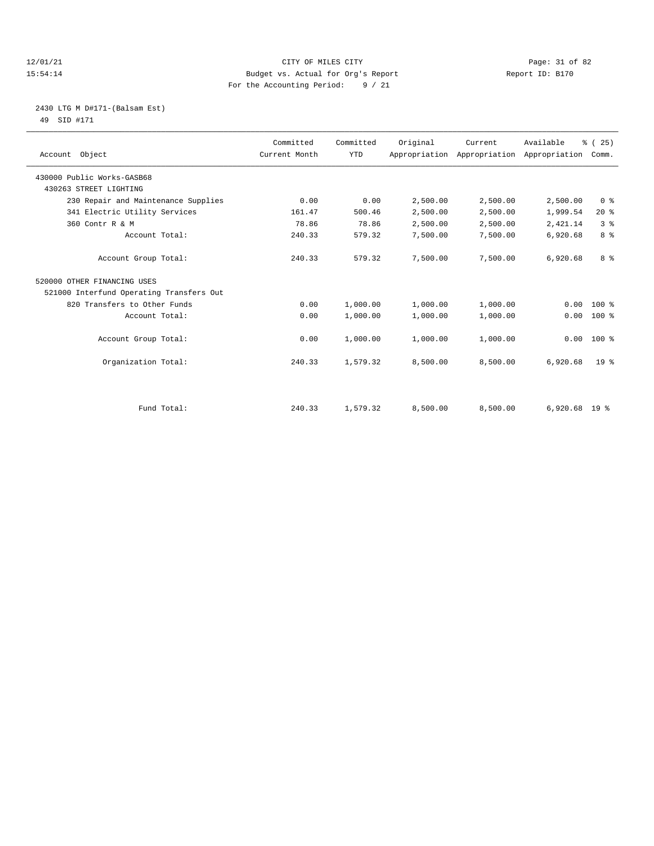#### 12/01/21 Page: 31 of 82<br>15:54:14 Pudget vs. Actual for Org's Report Report Report ID: B170 15:54:14 Budget vs. Actual for Org's Report For the Accounting Period: 9 / 21

#### 2430 LTG M D#171-(Balsam Est) 49 SID #171

| Account Object                           | Committed<br>Current Month | Committed<br><b>YTD</b> | Original | Current<br>Appropriation Appropriation Appropriation Comm. | Available       | % (25)          |  |
|------------------------------------------|----------------------------|-------------------------|----------|------------------------------------------------------------|-----------------|-----------------|--|
| 430000 Public Works-GASB68               |                            |                         |          |                                                            |                 |                 |  |
| 430263 STREET LIGHTING                   |                            |                         |          |                                                            |                 |                 |  |
| 230 Repair and Maintenance Supplies      | 0.00                       | 0.00                    | 2,500.00 | 2,500.00                                                   | 2,500.00        | 0 <sup>8</sup>  |  |
| 341 Electric Utility Services            | 161.47                     | 500.46                  | 2,500.00 | 2,500.00                                                   | 1,999.54        | $20*$           |  |
| 360 Contr R & M                          | 78.86                      | 78.86                   | 2,500.00 | 2,500.00                                                   | 2,421.14        | 3 <sup>8</sup>  |  |
| Account Total:                           | 240.33                     | 579.32                  | 7,500.00 | 7,500.00                                                   | 6,920.68        | 8 <sup>8</sup>  |  |
| Account Group Total:                     | 240.33                     | 579.32                  | 7,500.00 | 7,500.00                                                   | 6,920.68        | 8 %             |  |
| 520000 OTHER FINANCING USES              |                            |                         |          |                                                            |                 |                 |  |
| 521000 Interfund Operating Transfers Out |                            |                         |          |                                                            |                 |                 |  |
| 820 Transfers to Other Funds             | 0.00                       | 1,000.00                | 1,000.00 | 1,000.00                                                   | 0.00            | $100*$          |  |
| Account Total:                           | 0.00                       | 1,000.00                | 1,000.00 | 1,000.00                                                   | 0.00            | $100*$          |  |
| Account Group Total:                     | 0.00                       | 1,000.00                | 1,000.00 | 1,000.00                                                   | 0.00            | $100*$          |  |
| Organization Total:                      | 240.33                     | 1,579.32                | 8,500.00 | 8,500.00                                                   | 6,920.68        | 19 <sup>8</sup> |  |
|                                          |                            |                         |          |                                                            |                 |                 |  |
| Fund Total:                              | 240.33                     | 1,579.32                | 8,500.00 | 8,500.00                                                   | $6.920.68$ 19 % |                 |  |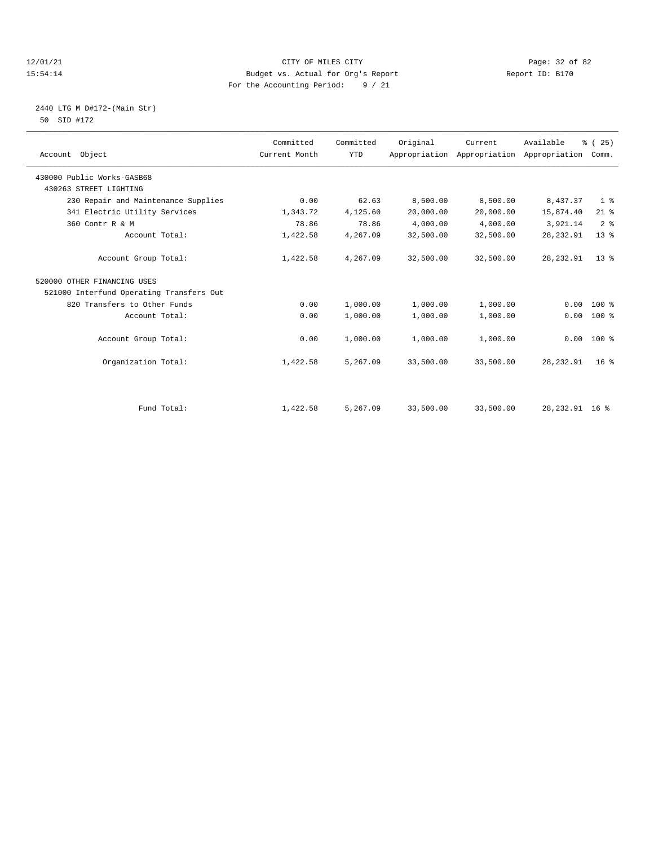#### 12/01/21 Page: 32 of 82<br>15:54:14 Pudget vs. Actual for Org's Report Report Report ID: B170 15:54:14 Budget vs. Actual for Org's Report For the Accounting Period: 9 / 21

#### 2440 LTG M D#172-(Main Str) 50 SID #172

| Account Object                           | Committed<br>Current Month | Committed<br><b>YTD</b> | Original  | Current<br>Appropriation Appropriation Appropriation Comm. | Available       | % (25)          |
|------------------------------------------|----------------------------|-------------------------|-----------|------------------------------------------------------------|-----------------|-----------------|
| 430000 Public Works-GASB68               |                            |                         |           |                                                            |                 |                 |
| 430263 STREET LIGHTING                   |                            |                         |           |                                                            |                 |                 |
| 230 Repair and Maintenance Supplies      | 0.00                       | 62.63                   | 8,500.00  | 8,500.00                                                   | 8,437.37        | 1 <sup>8</sup>  |
| 341 Electric Utility Services            | 1,343.72                   | 4,125.60                | 20,000.00 | 20,000.00                                                  | 15,874.40       | $21$ %          |
| 360 Contr R & M                          | 78.86                      | 78.86                   | 4,000.00  | 4,000.00                                                   | 3,921.14        | 2 <sup>8</sup>  |
| Account Total:                           | 1,422.58                   | 4,267.09                | 32,500.00 | 32,500.00                                                  | 28, 232.91      | $13*$           |
| Account Group Total:                     | 1,422.58                   | 4,267.09                | 32,500.00 | 32,500.00                                                  | 28, 232.91      | $13*$           |
| 520000 OTHER FINANCING USES              |                            |                         |           |                                                            |                 |                 |
| 521000 Interfund Operating Transfers Out |                            |                         |           |                                                            |                 |                 |
| 820 Transfers to Other Funds             | 0.00                       | 1,000.00                | 1,000.00  | 1,000.00                                                   | 0.00            | $100*$          |
| Account Total:                           | 0.00                       | 1,000.00                | 1,000.00  | 1,000.00                                                   | 0.00            | $100*$          |
| Account Group Total:                     | 0.00                       | 1,000.00                | 1,000.00  | 1,000.00                                                   |                 | $0.00 100$ %    |
| Organization Total:                      | 1,422.58                   | 5,267.09                | 33,500.00 | 33,500.00                                                  | 28, 232.91      | 16 <sup>8</sup> |
|                                          |                            |                         |           |                                                            |                 |                 |
| Fund Total:                              | 1,422.58                   | 5,267.09                | 33,500.00 | 33,500.00                                                  | 28, 232.91 16 % |                 |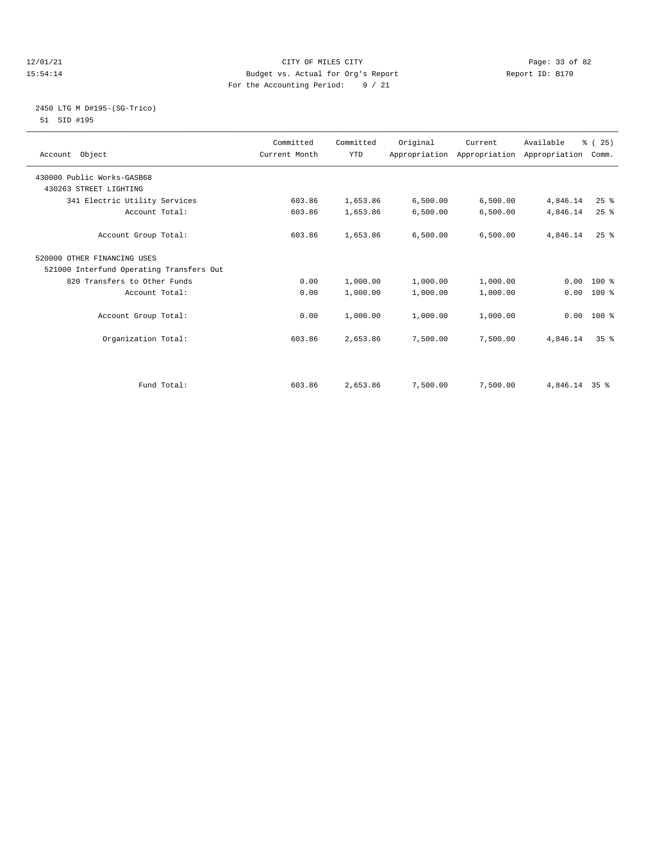#### 12/01/21 Page: 33 of 82<br>15:54:14 Pudget vs. Actual for Org's Report Report Report ID: B170 15:54:14 Budget vs. Actual for Org's Report For the Accounting Period: 9 / 21

### 2450 LTG M D#195-(SG-Trico) 51 SID #195

| Account Object                           | Committed<br>Current Month | Committed<br><b>YTD</b> | Original | Current<br>Appropriation Appropriation Appropriation Comm. | Available     | % (25)          |  |
|------------------------------------------|----------------------------|-------------------------|----------|------------------------------------------------------------|---------------|-----------------|--|
| 430000 Public Works-GASB68               |                            |                         |          |                                                            |               |                 |  |
| 430263 STREET LIGHTING                   |                            |                         |          |                                                            |               |                 |  |
| 341 Electric Utility Services            | 603.86                     | 1,653.86                | 6,500.00 | 6,500.00                                                   | 4,846.14      | $25$ %          |  |
| Account Total:                           | 603.86                     | 1,653.86                | 6,500.00 | 6,500.00                                                   | 4,846.14      | 25%             |  |
| Account Group Total:                     | 603.86                     | 1,653.86                | 6,500.00 | 6,500.00                                                   | 4,846.14      | $25$ $%$        |  |
| 520000 OTHER FINANCING USES              |                            |                         |          |                                                            |               |                 |  |
| 521000 Interfund Operating Transfers Out |                            |                         |          |                                                            |               |                 |  |
| 820 Transfers to Other Funds             | 0.00                       | 1,000.00                | 1,000.00 | 1,000.00                                                   | 0.00          | $100*$          |  |
| Account Total:                           | 0.00                       | 1,000.00                | 1,000.00 | 1,000.00                                                   | 0.00          | 100 %           |  |
|                                          |                            |                         |          |                                                            |               |                 |  |
| Account Group Total:                     | 0.00                       | 1,000.00                | 1,000.00 | 1,000.00                                                   |               | $0.00$ 100 %    |  |
|                                          |                            |                         |          |                                                            |               |                 |  |
| Organization Total:                      | 603.86                     | 2,653.86                | 7,500.00 | 7,500.00                                                   | 4,846.14      | 35 <sup>8</sup> |  |
|                                          |                            |                         |          |                                                            |               |                 |  |
| Fund Total:                              | 603.86                     | 2,653.86                | 7,500.00 | 7,500.00                                                   | 4,846.14 35 % |                 |  |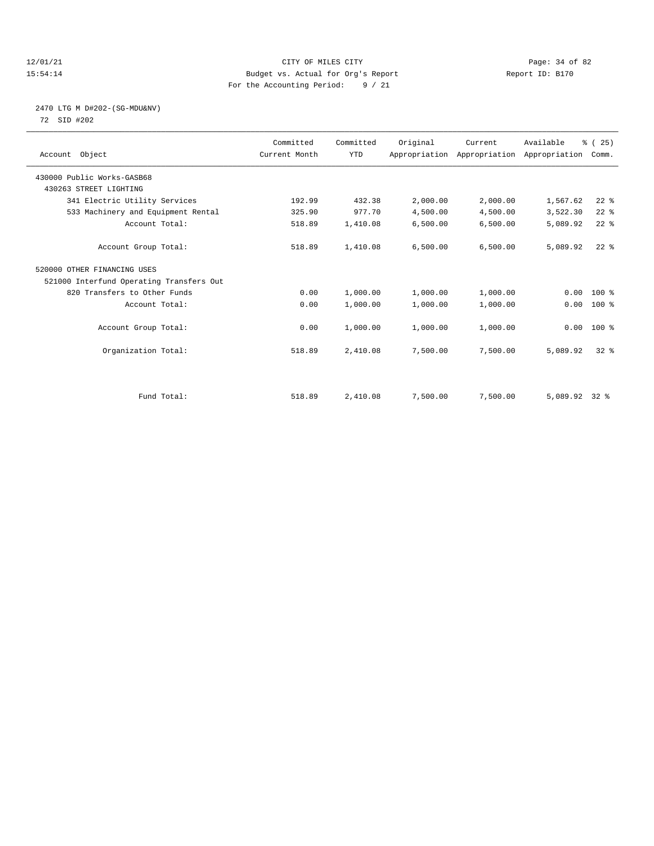#### 12/01/21 Page: 34 of 82<br>15:54:14 Pudget vs. Actual for Org's Report Report Report ID: B170 15:54:14 Budget vs. Actual for Org's Report For the Accounting Period: 9 / 21

#### 2470 LTG M D#202-(SG-MDU&NV) 72 SID #202

| Account Object                           | Committed<br>Current Month | Committed<br><b>YTD</b> | Original | Current<br>Appropriation Appropriation Appropriation | Available | % (25)<br>Comm. |  |
|------------------------------------------|----------------------------|-------------------------|----------|------------------------------------------------------|-----------|-----------------|--|
| 430000 Public Works-GASB68               |                            |                         |          |                                                      |           |                 |  |
| 430263 STREET LIGHTING                   |                            |                         |          |                                                      |           |                 |  |
| 341 Electric Utility Services            | 192.99                     | 432.38                  | 2,000.00 | 2,000.00                                             | 1,567.62  | $22$ $%$        |  |
| 533 Machinery and Equipment Rental       | 325.90                     | 977.70                  | 4,500.00 | 4,500.00                                             | 3,522.30  | $22$ %          |  |
| Account Total:                           | 518.89                     | 1,410.08                | 6,500.00 | 6,500.00                                             | 5,089.92  | $22$ %          |  |
| Account Group Total:                     | 518.89                     | 1,410.08                | 6,500.00 | 6,500.00                                             | 5,089.92  | $22$ $%$        |  |
| 520000 OTHER FINANCING USES              |                            |                         |          |                                                      |           |                 |  |
| 521000 Interfund Operating Transfers Out |                            |                         |          |                                                      |           |                 |  |
| 820 Transfers to Other Funds             | 0.00                       | 1,000.00                | 1,000.00 | 1,000.00                                             | 0.00      | 100 %           |  |
| Account Total:                           | 0.00                       | 1,000.00                | 1,000.00 | 1,000.00                                             | 0.00      | 100 %           |  |
| Account Group Total:                     | 0.00                       | 1,000.00                | 1,000.00 | 1,000.00                                             |           | $0.00 100$ %    |  |
| Organization Total:                      | 518.89                     | 2,410.08                | 7,500.00 | 7,500.00                                             | 5,089.92  | 328             |  |
|                                          |                            |                         |          |                                                      |           |                 |  |
| Fund Total:                              | 518.89                     | 2,410.08                | 7,500.00 | 7,500.00                                             | 5,089.92  | $32*$           |  |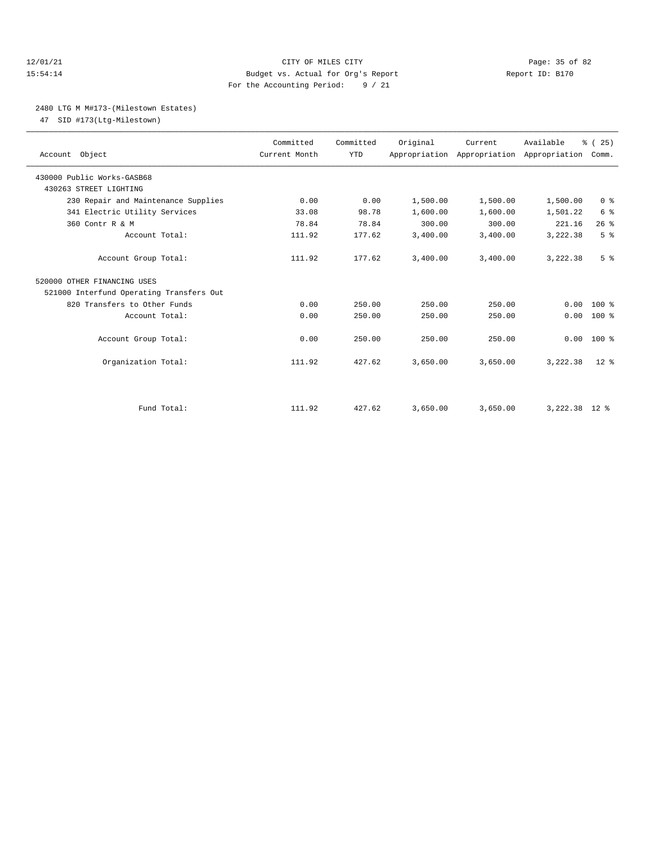#### 12/01/21 Page: 35 of 82 15:54:14 Budget vs. Actual for Org's Report Report ID: B170 For the Accounting Period: 9 / 21

### 2480 LTG M M#173-(Milestown Estates)

47 SID #173(Ltg-Milestown)

| Account Object                           | Committed<br>Current Month | Committed<br><b>YTD</b> | Original | Current<br>Appropriation Appropriation Appropriation Comm. | Available       | % (25)         |
|------------------------------------------|----------------------------|-------------------------|----------|------------------------------------------------------------|-----------------|----------------|
| 430000 Public Works-GASB68               |                            |                         |          |                                                            |                 |                |
| 430263 STREET LIGHTING                   |                            |                         |          |                                                            |                 |                |
| 230 Repair and Maintenance Supplies      | 0.00                       | 0.00                    | 1,500.00 | 1,500.00                                                   | 1,500.00        | 0 <sup>8</sup> |
| 341 Electric Utility Services            | 33.08                      | 98.78                   | 1,600.00 | 1,600.00                                                   | 1,501.22        | 6 <sup>8</sup> |
| 360 Contr R & M                          | 78.84                      | 78.84                   | 300.00   | 300.00                                                     | 221.16          | 26%            |
| Account Total:                           | 111.92                     | 177.62                  | 3,400.00 | 3,400.00                                                   | 3,222.38        | 5 <sup>8</sup> |
| Account Group Total:                     | 111.92                     | 177.62                  | 3.400.00 | 3,400.00                                                   | 3,222.38        | 5 <sup>8</sup> |
| 520000 OTHER FINANCING USES              |                            |                         |          |                                                            |                 |                |
| 521000 Interfund Operating Transfers Out |                            |                         |          |                                                            |                 |                |
| 820 Transfers to Other Funds             | 0.00                       | 250.00                  | 250.00   | 250.00                                                     | 0.00            | $100*$         |
| Account Total:                           | 0.00                       | 250.00                  | 250.00   | 250.00                                                     | 0.00            | $100*$         |
| Account Group Total:                     | 0.00                       | 250.00                  | 250.00   | 250.00                                                     |                 | $0.00 100$ %   |
| Organization Total:                      | 111.92                     | 427.62                  | 3,650.00 | 3,650.00                                                   | 3,222.38        | $12*$          |
|                                          |                            |                         |          |                                                            |                 |                |
| Fund Total:                              | 111.92                     | 427.62                  | 3,650.00 | 3,650.00                                                   | $3.222.38$ 12 % |                |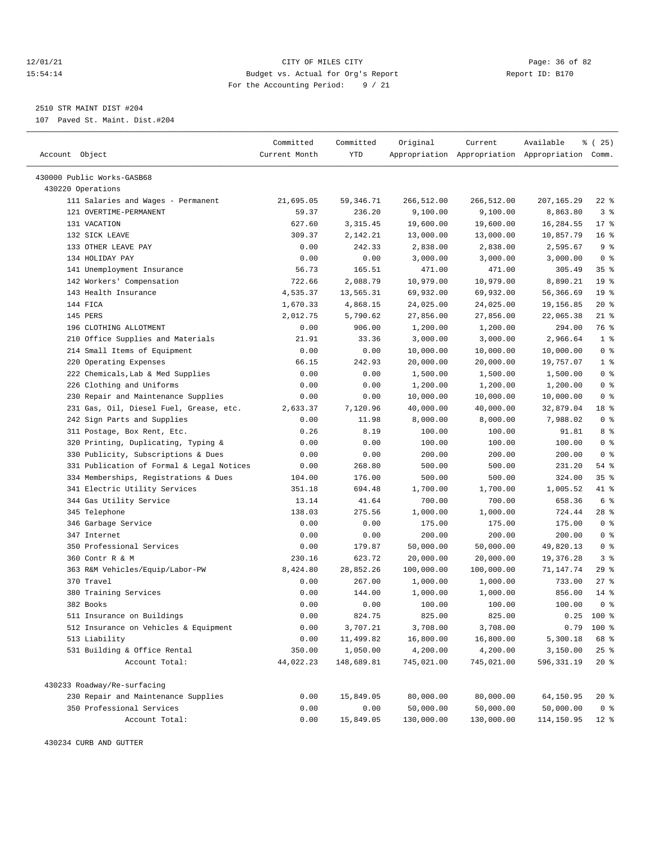#### 12/01/21 Page: 36 of 82<br>15:54:14 Pudget vs. Actual for Org's Report Report Report ID: B170 15:54:14 Budget vs. Actual for Org's Report For the Accounting Period: 9 / 21

————————————————————————————————————————————————————————————————————————————————————————————————————————————————————————————————————

2510 STR MAINT DIST #204

107 Paved St. Maint. Dist.#204

|                                           | Committed     | Committed   | Original   | Current    | Available                                       | 8 (25)          |
|-------------------------------------------|---------------|-------------|------------|------------|-------------------------------------------------|-----------------|
| Account Object                            | Current Month | <b>YTD</b>  |            |            | Appropriation Appropriation Appropriation Comm. |                 |
|                                           |               |             |            |            |                                                 |                 |
| 430000 Public Works-GASB68                |               |             |            |            |                                                 |                 |
| 430220 Operations                         |               |             |            |            |                                                 |                 |
| 111 Salaries and Wages - Permanent        | 21,695.05     | 59, 346. 71 | 266,512.00 | 266,512.00 | 207,165.29                                      | 22 %            |
| 121 OVERTIME-PERMANENT                    | 59.37         | 236.20      | 9,100.00   | 9,100.00   | 8,863.80                                        | 3%              |
| 131 VACATION                              | 627.60        | 3, 315.45   | 19,600.00  | 19,600.00  | 16,284.55                                       | 17.8            |
| 132 SICK LEAVE                            | 309.37        | 2,142.21    | 13,000.00  | 13,000.00  | 10,857.79                                       | 16 <sup>8</sup> |
| 133 OTHER LEAVE PAY                       | 0.00          | 242.33      | 2,838.00   | 2,838.00   | 2,595.67                                        | 9 <sup>8</sup>  |
| 134 HOLIDAY PAY                           | 0.00          | 0.00        | 3,000.00   | 3,000.00   | 3,000.00                                        | 0 <sup>8</sup>  |
| 141 Unemployment Insurance                | 56.73         | 165.51      | 471.00     | 471.00     | 305.49                                          | 35%             |
| 142 Workers' Compensation                 | 722.66        | 2,088.79    | 10,979.00  | 10,979.00  | 8,890.21                                        | 19 <sup>°</sup> |
| 143 Health Insurance                      | 4,535.37      | 13,565.31   | 69,932.00  | 69,932.00  | 56,366.69                                       | 19 <sup>°</sup> |
| 144 FICA                                  | 1,670.33      | 4,868.15    | 24,025.00  | 24,025.00  | 19,156.85                                       | $20*$           |
| 145 PERS                                  | 2,012.75      | 5,790.62    | 27,856.00  | 27,856.00  | 22,065.38                                       | $21$ %          |
| 196 CLOTHING ALLOTMENT                    | 0.00          | 906.00      | 1,200.00   | 1,200.00   | 294.00                                          | 76 %            |
| 210 Office Supplies and Materials         | 21.91         | 33.36       | 3,000.00   | 3,000.00   | 2,966.64                                        | 1 <sup>8</sup>  |
| 214 Small Items of Equipment              | 0.00          | 0.00        | 10,000.00  | 10,000.00  | 10,000.00                                       | 0 <sup>8</sup>  |
| 220 Operating Expenses                    | 66.15         | 242.93      | 20,000.00  | 20,000.00  | 19,757.07                                       | 1 <sup>8</sup>  |
| 222 Chemicals, Lab & Med Supplies         | 0.00          | 0.00        | 1,500.00   | 1,500.00   | 1,500.00                                        | 0 <sup>8</sup>  |
| 226 Clothing and Uniforms                 | 0.00          | 0.00        | 1,200.00   | 1,200.00   | 1,200.00                                        | 0 <sup>8</sup>  |
| 230 Repair and Maintenance Supplies       | 0.00          | 0.00        | 10,000.00  | 10,000.00  | 10,000.00                                       | 0 <sup>8</sup>  |
| 231 Gas, Oil, Diesel Fuel, Grease, etc.   | 2,633.37      | 7,120.96    | 40,000.00  | 40,000.00  | 32,879.04                                       | 18 %            |
| 242 Sign Parts and Supplies               | 0.00          | 11.98       | 8,000.00   | 8,000.00   | 7,988.02                                        | 0 <sup>8</sup>  |
| 311 Postage, Box Rent, Etc.               | 0.26          | 8.19        | 100.00     | 100.00     | 91.81                                           | 8 %             |
| 320 Printing, Duplicating, Typing &       | 0.00          | 0.00        | 100.00     | 100.00     | 100.00                                          | 0 <sup>8</sup>  |
| 330 Publicity, Subscriptions & Dues       | 0.00          | 0.00        | 200.00     | 200.00     | 200.00                                          | 0 <sup>8</sup>  |
| 331 Publication of Formal & Legal Notices | 0.00          | 268.80      | 500.00     | 500.00     | 231.20                                          | $54$ %          |
| 334 Memberships, Registrations & Dues     | 104.00        | 176.00      | 500.00     | 500.00     | 324.00                                          | 35%             |
| 341 Electric Utility Services             | 351.18        | 694.48      | 1,700.00   | 1,700.00   | 1,005.52                                        | 41 %            |
| 344 Gas Utility Service                   | 13.14         | 41.64       | 700.00     | 700.00     | 658.36                                          | 6 %             |
| 345 Telephone                             | 138.03        | 275.56      | 1,000.00   | 1,000.00   | 724.44                                          | $28$ %          |
| 346 Garbage Service                       | 0.00          | 0.00        | 175.00     | 175.00     | 175.00                                          | 0 <sup>8</sup>  |
| 347 Internet                              | 0.00          | 0.00        | 200.00     | 200.00     | 200.00                                          | 0 <sup>8</sup>  |
| 350 Professional Services                 | 0.00          | 179.87      | 50,000.00  | 50,000.00  | 49,820.13                                       | 0 <sup>8</sup>  |
| 360 Contr R & M                           | 230.16        | 623.72      | 20,000.00  | 20,000.00  | 19,376.28                                       | 3%              |
| 363 R&M Vehicles/Equip/Labor-PW           | 8,424.80      | 28,852.26   | 100,000.00 | 100,000.00 | 71,147.74                                       | 29%             |
| 370 Travel                                | 0.00          | 267.00      | 1,000.00   | 1,000.00   | 733.00                                          | $27$ %          |
| 380 Training Services                     | 0.00          | 144.00      | 1,000.00   | 1,000.00   | 856.00                                          | $14$ %          |
| 382 Books                                 | 0.00          | 0.00        | 100.00     | 100.00     | 100.00                                          | 0 <sup>8</sup>  |
| 511 Insurance on Buildings                | 0.00          | 824.75      | 825.00     | 825.00     | 0.25                                            | 100 %           |
| 512 Insurance on Vehicles & Equipment     | 0.00          | 3,707.21    | 3,708.00   | 3,708.00   | 0.79                                            | 100 %           |
| 513 Liability                             | 0.00          | 11,499.82   | 16,800.00  | 16,800.00  | 5,300.18                                        | 68 %            |
| 531 Building & Office Rental              | 350.00        | 1,050.00    | 4,200.00   | 4,200.00   | 3,150.00                                        | 25%             |
| Account Total:                            | 44,022.23     | 148,689.81  | 745,021.00 | 745,021.00 | 596,331.19                                      | 20%             |
|                                           |               |             |            |            |                                                 |                 |
| 430233 Roadway/Re-surfacing               |               |             |            |            |                                                 |                 |
| 230 Repair and Maintenance Supplies       | 0.00          | 15,849.05   | 80,000.00  | 80,000.00  | 64,150.95                                       | 20 %            |
| 350 Professional Services                 | 0.00          | 0.00        | 50,000.00  | 50,000.00  | 50,000.00                                       | 0 <sup>8</sup>  |
| Account Total:                            | 0.00          | 15,849.05   | 130,000.00 | 130,000.00 | 114,150.95                                      | 12 %            |

430234 CURB AND GUTTER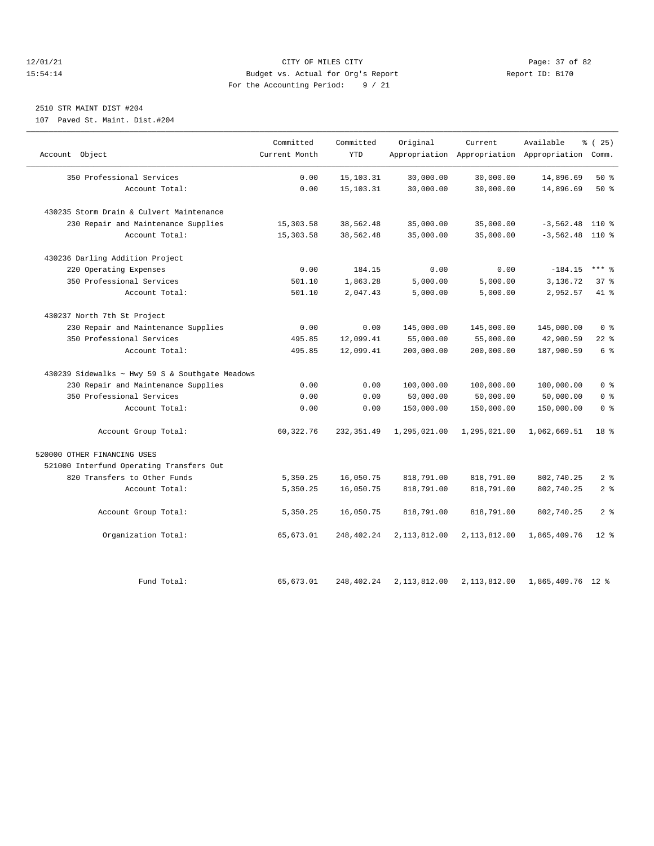#### 12/01/21 Page: 37 of 82<br>15:54:14 Pudget vs. Actual for Org's Report Report Report ID: B170 15:54:14 Budget vs. Actual for Org's Report For the Accounting Period: 9 / 21

## 2510 STR MAINT DIST #204

107 Paved St. Maint. Dist.#204

| Account Object                                  | Committed<br>Current Month | Committed<br><b>YTD</b> | Original     | Current      | Available<br>Appropriation Appropriation Appropriation Comm. | $*(25)$        |
|-------------------------------------------------|----------------------------|-------------------------|--------------|--------------|--------------------------------------------------------------|----------------|
|                                                 |                            |                         |              |              |                                                              |                |
| 350 Professional Services                       | 0.00                       | 15,103.31               | 30,000.00    | 30,000.00    | 14,896.69                                                    | $50*$          |
| Account Total:                                  | 0.00                       | 15, 103. 31             | 30,000.00    | 30,000.00    | 14,896.69                                                    | 50%            |
|                                                 |                            |                         |              |              |                                                              |                |
| 430235 Storm Drain & Culvert Maintenance        |                            |                         |              |              |                                                              |                |
| 230 Repair and Maintenance Supplies             | 15,303.58                  | 38,562.48               | 35,000.00    | 35,000.00    | $-3,562.48$                                                  | 110 %          |
| Account Total:                                  | 15, 303.58                 | 38,562.48               | 35,000.00    | 35,000.00    | $-3,562.48$ 110 %                                            |                |
| 430236 Darling Addition Project                 |                            |                         |              |              |                                                              |                |
| 220 Operating Expenses                          | 0.00                       | 184.15                  | 0.00         | 0.00         | $-184.15$                                                    | $***$ $%$      |
| 350 Professional Services                       | 501.10                     | 1,863.28                | 5,000.00     | 5,000.00     | 3,136.72                                                     | 37%            |
| Account Total:                                  | 501.10                     | 2,047.43                | 5,000.00     | 5,000.00     | 2,952.57                                                     | $41$ $%$       |
| 430237 North 7th St Project                     |                            |                         |              |              |                                                              |                |
| 230 Repair and Maintenance Supplies             | 0.00                       | 0.00                    | 145,000.00   | 145,000.00   | 145,000.00                                                   | 0 <sup>8</sup> |
| 350 Professional Services                       | 495.85                     | 12,099.41               | 55,000.00    | 55,000.00    | 42,900.59                                                    | $22$ %         |
| Account Total:                                  | 495.85                     | 12,099.41               | 200,000.00   | 200,000.00   | 187,900.59                                                   | 6 %            |
| 430239 Sidewalks ~ Hwy 59 S & Southgate Meadows |                            |                         |              |              |                                                              |                |
| 230 Repair and Maintenance Supplies             | 0.00                       | 0.00                    | 100,000.00   | 100,000.00   | 100,000.00                                                   | 0 <sup>8</sup> |
| 350 Professional Services                       | 0.00                       | 0.00                    | 50,000.00    | 50,000.00    | 50,000.00                                                    | 0 <sup>8</sup> |
| Account Total:                                  | 0.00                       | 0.00                    | 150,000.00   | 150,000.00   | 150,000.00                                                   | 0 <sup>8</sup> |
| Account Group Total:                            | 60, 322.76                 | 232, 351.49             | 1,295,021.00 | 1,295,021.00 | 1,062,669.51                                                 | 18 %           |
| 520000 OTHER FINANCING USES                     |                            |                         |              |              |                                                              |                |
| 521000 Interfund Operating Transfers Out        |                            |                         |              |              |                                                              |                |
| 820 Transfers to Other Funds                    | 5,350.25                   | 16,050.75               | 818,791.00   | 818,791.00   | 802,740.25                                                   | 2 <sup>8</sup> |
| Account Total:                                  | 5,350.25                   | 16,050.75               | 818,791.00   | 818,791.00   | 802,740.25                                                   | 2 <sup>°</sup> |
| Account Group Total:                            | 5,350.25                   | 16,050.75               | 818,791.00   | 818,791.00   | 802,740.25                                                   | 2 <sup>8</sup> |
| Organization Total:                             | 65,673.01                  | 248,402.24              | 2,113,812.00 | 2,113,812.00 | 1,865,409.76                                                 | $12*$          |
|                                                 |                            |                         |              |              |                                                              |                |
| Fund Total:                                     | 65,673.01                  | 248,402.24              | 2,113,812.00 | 2,113,812.00 | 1,865,409.76 12 %                                            |                |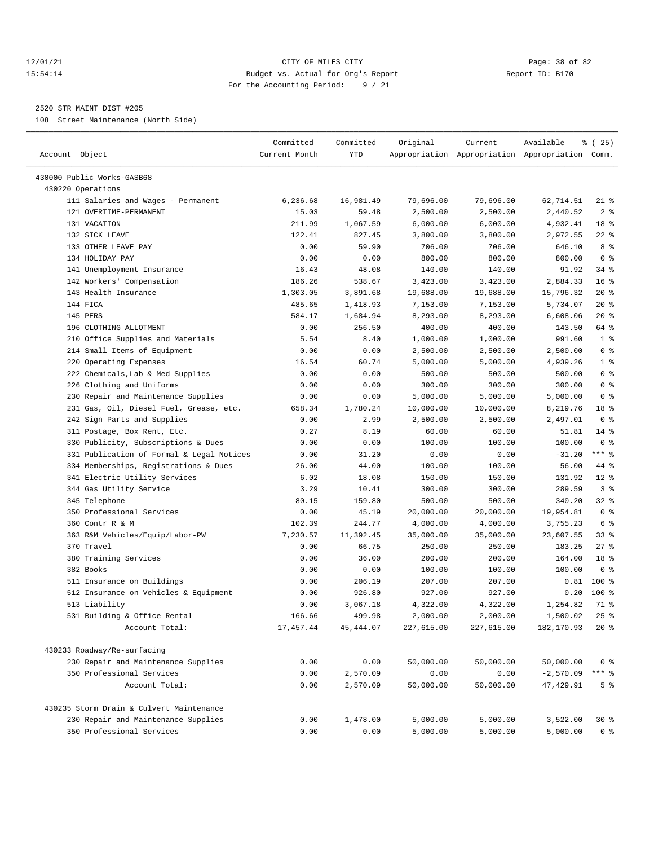#### 12/01/21 Page: 38 of 82 15:54:14 Budget vs. Actual for Org's Report Report ID: B170 For the Accounting Period: 9 / 21

————————————————————————————————————————————————————————————————————————————————————————————————————————————————————————————————————

#### 2520 STR MAINT DIST #205

108 Street Maintenance (North Side)

|                                           | Committed      | Committed  | Original              | Current    | Available                                       | % (25)          |
|-------------------------------------------|----------------|------------|-----------------------|------------|-------------------------------------------------|-----------------|
| Account Object                            | Current Month  | <b>YTD</b> |                       |            | Appropriation Appropriation Appropriation Comm. |                 |
| 430000 Public Works-GASB68                |                |            |                       |            |                                                 |                 |
| 430220 Operations                         |                |            |                       |            |                                                 |                 |
| 111 Salaries and Wages - Permanent        | 6,236.68       | 16,981.49  | 79,696.00             | 79,696.00  | 62,714.51                                       | $21$ %          |
| 121 OVERTIME-PERMANENT                    | 15.03          | 59.48      | 2,500.00              | 2,500.00   | 2,440.52                                        | 2 <sup>8</sup>  |
| 131 VACATION                              | 211.99         | 1,067.59   | 6,000.00              | 6,000.00   | 4,932.41                                        | 18 %            |
| 132 SICK LEAVE                            | 122.41         | 827.45     | 3,800.00              | 3,800.00   | 2,972.55                                        | $22$ %          |
| 133 OTHER LEAVE PAY                       | 0.00           | 59.90      | 706.00                | 706.00     | 646.10                                          | 8 %             |
| 134 HOLIDAY PAY                           | 0.00           | 0.00       | 800.00                | 800.00     | 800.00                                          | 0 <sup>8</sup>  |
| 141 Unemployment Insurance                | 16.43          | 48.08      | 140.00                | 140.00     | 91.92                                           | $34$ $%$        |
| 142 Workers' Compensation                 | 186.26         | 538.67     | 3,423.00              | 3,423.00   | 2,884.33                                        | 16%             |
| 143 Health Insurance                      | 1,303.05       | 3,891.68   | 19,688.00             | 19,688.00  | 15,796.32                                       | $20*$           |
| 144 FICA                                  | 485.65         | 1,418.93   | 7,153.00              | 7,153.00   | 5,734.07                                        | 20%             |
| 145 PERS                                  | 584.17         | 1,684.94   | 8,293.00              | 8,293.00   | 6,608.06                                        | $20*$           |
| 196 CLOTHING ALLOTMENT                    | 0.00           | 256.50     | 400.00                | 400.00     | 143.50                                          | 64 %            |
| 210 Office Supplies and Materials         | 5.54           | 8.40       | 1,000.00              | 1,000.00   | 991.60                                          | 1 <sup>8</sup>  |
| 214 Small Items of Equipment              | 0.00           | 0.00       | 2,500.00              | 2,500.00   | 2,500.00                                        | 0 <sup>8</sup>  |
| 220 Operating Expenses                    | 16.54          | 60.74      | 5,000.00              | 5,000.00   | 4,939.26                                        | 1 <sup>8</sup>  |
| 222 Chemicals, Lab & Med Supplies         | 0.00           | 0.00       | 500.00                | 500.00     | 500.00                                          | 0 <sup>8</sup>  |
| 226 Clothing and Uniforms                 | 0.00           | 0.00       | 300.00                | 300.00     | 300.00                                          | 0 <sup>8</sup>  |
| 230 Repair and Maintenance Supplies       | 0.00           | 0.00       | 5,000.00              | 5,000.00   | 5,000.00                                        | 0 <sup>8</sup>  |
| 231 Gas, Oil, Diesel Fuel, Grease, etc.   |                | 1,780.24   |                       | 10,000.00  | 8,219.76                                        | 18 %            |
| 242 Sign Parts and Supplies               | 658.34<br>0.00 | 2.99       | 10,000.00<br>2,500.00 | 2,500.00   | 2,497.01                                        | 0 <sup>8</sup>  |
|                                           |                |            |                       |            |                                                 | $14$ %          |
| 311 Postage, Box Rent, Etc.               | 0.27           | 8.19       | 60.00                 | 60.00      | 51.81                                           | 0 <sup>8</sup>  |
| 330 Publicity, Subscriptions & Dues       | 0.00           | 0.00       | 100.00                | 100.00     | 100.00                                          |                 |
| 331 Publication of Formal & Legal Notices | 0.00           | 31.20      | 0.00                  | 0.00       | $-31.20$                                        | $***$ $-$       |
| 334 Memberships, Registrations & Dues     | 26.00          | 44.00      | 100.00                | 100.00     | 56.00                                           | 44 %            |
| 341 Electric Utility Services             | 6.02           | 18.08      | 150.00                | 150.00     | 131.92                                          | $12*$           |
| 344 Gas Utility Service                   | 3.29           | 10.41      | 300.00                | 300.00     | 289.59                                          | 3%              |
| 345 Telephone                             | 80.15          | 159.80     | 500.00                | 500.00     | 340.20                                          | 32%             |
| 350 Professional Services                 | 0.00           | 45.19      | 20,000.00             | 20,000.00  | 19,954.81                                       | 0 <sup>8</sup>  |
| 360 Contr R & M                           | 102.39         | 244.77     | 4,000.00              | 4,000.00   | 3,755.23                                        | 6 %             |
| 363 R&M Vehicles/Equip/Labor-PW           | 7,230.57       | 11,392.45  | 35,000.00             | 35,000.00  | 23,607.55                                       | 33%             |
| 370 Travel                                | 0.00           | 66.75      | 250.00                | 250.00     | 183.25                                          | $27$ %          |
| 380 Training Services                     | 0.00           | 36.00      | 200.00                | 200.00     | 164.00                                          | 18 <sup>8</sup> |
| 382 Books                                 | 0.00           | 0.00       | 100.00                | 100.00     | 100.00                                          | 0 <sup>8</sup>  |
| 511 Insurance on Buildings                | 0.00           | 206.19     | 207.00                | 207.00     | 0.81                                            | 100 %           |
| 512 Insurance on Vehicles & Equipment     | 0.00           | 926.80     | 927.00                | 927.00     | 0.20                                            | 100 %           |
| 513 Liability                             | 0.00           | 3,067.18   | 4,322.00              | 4,322.00   | 1,254.82                                        | 71 %            |
| 531 Building & Office Rental              | 166.66         | 499.98     | 2,000.00              | 2,000.00   | 1,500.02                                        | 25%             |
| Account Total:                            | 17,457.44      | 45, 444.07 | 227,615.00            | 227,615.00 | 182,170.93                                      | $20*$           |
| 430233 Roadway/Re-surfacing               |                |            |                       |            |                                                 |                 |
| 230 Repair and Maintenance Supplies       | 0.00           | 0.00       | 50,000.00             | 50,000.00  | 50,000.00                                       | 0 <sup>8</sup>  |
| 350 Professional Services                 | 0.00           | 2,570.09   | 0.00                  | 0.00       | $-2,570.09$                                     | $***$ $_{8}$    |
| Account Total:                            | 0.00           | 2,570.09   | 50,000.00             | 50,000.00  | 47,429.91                                       | 5 <sup>8</sup>  |
|                                           |                |            |                       |            |                                                 |                 |
| 430235 Storm Drain & Culvert Maintenance  |                |            |                       |            |                                                 |                 |
| 230 Repair and Maintenance Supplies       | 0.00           | 1,478.00   | 5,000.00              | 5,000.00   | 3,522.00                                        | 30%             |
| 350 Professional Services                 | 0.00           | 0.00       | 5,000.00              | 5,000.00   | 5,000.00                                        | 0 <sup>8</sup>  |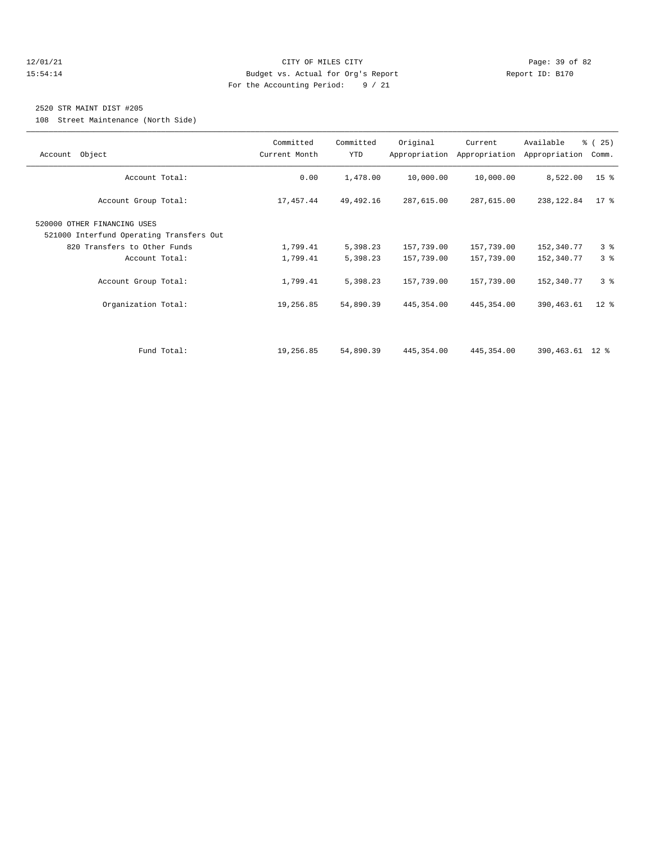#### 12/01/21 Page: 39 of 82 15:54:14 Budget vs. Actual for Org's Report Report ID: B170 For the Accounting Period: 9 / 21

#### 2520 STR MAINT DIST #205

108 Street Maintenance (North Side)

| Account Object                                                                                                            | Committed<br>Current Month | Committed<br><b>YTD</b> | Original                 | Current<br>Appropriation Appropriation | Available<br>Appropriation | % (25)<br>Comm. |
|---------------------------------------------------------------------------------------------------------------------------|----------------------------|-------------------------|--------------------------|----------------------------------------|----------------------------|-----------------|
| Account Total:                                                                                                            | 0.00                       | 1,478.00                | 10,000.00                | 10,000.00                              | 8,522.00                   | 15 <sup>8</sup> |
| Account Group Total:                                                                                                      | 17,457.44                  | 49, 492. 16             | 287,615.00               | 287,615.00                             | 238,122.84                 | $17*$           |
| 520000 OTHER FINANCING USES<br>521000 Interfund Operating Transfers Out<br>820 Transfers to Other Funds<br>Account Total: | 1,799.41<br>1,799.41       | 5,398.23<br>5,398.23    | 157,739.00<br>157,739.00 | 157,739.00<br>157,739.00               | 152,340.77<br>152,340.77   | 3%<br>3%        |
| Account Group Total:                                                                                                      | 1,799.41                   | 5,398.23                | 157,739.00               | 157,739.00                             | 152,340.77                 | 3%              |
| Organization Total:                                                                                                       | 19,256.85                  | 54,890.39               | 445,354.00               | 445, 354.00                            | 390,463.61                 | $12$ %          |
| Fund Total:                                                                                                               | 19,256.85                  | 54,890.39               | 445,354.00               | 445, 354.00                            | 390,463.61 12 %            |                 |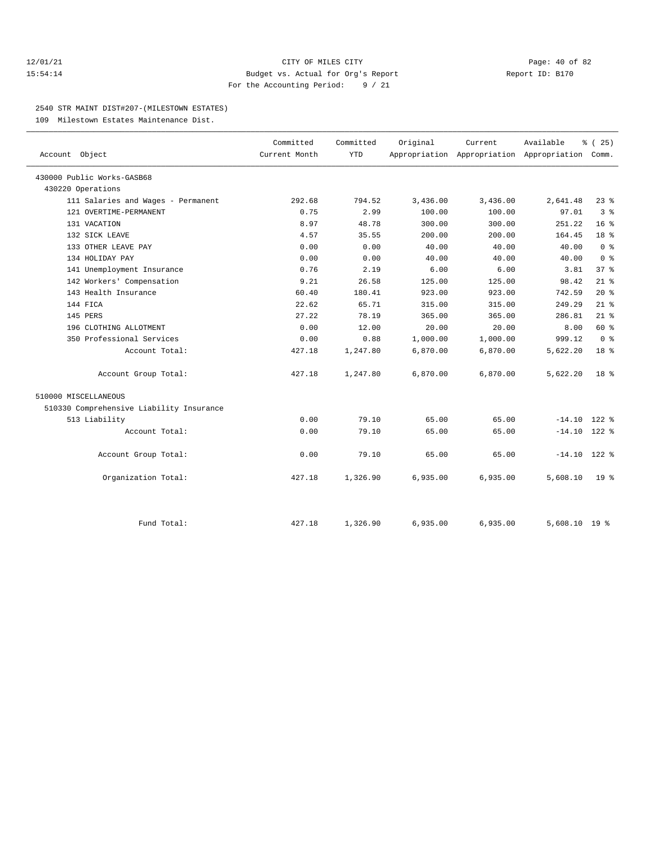#### 12/01/21 Page: 40 of 82 15:54:14 Budget vs. Actual for Org's Report Report ID: B170 For the Accounting Period: 9 / 21

#### 2540 STR MAINT DIST#207-(MILESTOWN ESTATES)

109 Milestown Estates Maintenance Dist.

| Account Object                           | Committed<br>Current Month | Committed<br><b>YTD</b> | Original | Current<br>Appropriation Appropriation Appropriation Comm. | Available      | 8 (25)                  |
|------------------------------------------|----------------------------|-------------------------|----------|------------------------------------------------------------|----------------|-------------------------|
|                                          |                            |                         |          |                                                            |                |                         |
| 430000 Public Works-GASB68               |                            |                         |          |                                                            |                |                         |
| 430220 Operations                        |                            |                         |          |                                                            |                |                         |
| 111 Salaries and Wages - Permanent       | 292.68                     | 794.52                  | 3,436.00 | 3,436.00                                                   | 2,641.48       | $23$ $%$                |
| 121 OVERTIME-PERMANENT                   | 0.75                       | 2.99                    | 100.00   | 100.00                                                     | 97.01          | 3 <sup>°</sup>          |
| 131 VACATION                             | 8.97                       | 48.78                   | 300.00   | 300.00                                                     | 251.22         | 16 <sup>8</sup>         |
| 132 SICK LEAVE                           | 4.57                       | 35.55                   | 200.00   | 200.00                                                     | 164.45         | 18 <sup>8</sup>         |
| 133 OTHER LEAVE PAY                      | 0.00                       | 0.00                    | 40.00    | 40.00                                                      | 40.00          | 0 <sup>8</sup>          |
| 134 HOLIDAY PAY                          | 0.00                       | 0.00                    | 40.00    | 40.00                                                      | 40.00          | $0 \text{ }$ $\text{ }$ |
| 141 Unemployment Insurance               | 0.76                       | 2.19                    | 6.00     | 6.00                                                       | 3.81           | 37%                     |
| 142 Workers' Compensation                | 9.21                       | 26.58                   | 125.00   | 125.00                                                     | 98.42          | $21$ %                  |
| 143 Health Insurance                     | 60.40                      | 180.41                  | 923.00   | 923.00                                                     | 742.59         | $20*$                   |
| 144 FICA                                 | 22.62                      | 65.71                   | 315.00   | 315.00                                                     | 249.29         | $21$ %                  |
| 145 PERS                                 | 27.22                      | 78.19                   | 365.00   | 365.00                                                     | 286.81         | $21$ %                  |
| 196 CLOTHING ALLOTMENT                   | 0.00                       | 12.00                   | 20.00    | 20.00                                                      | 8.00           | 60 %                    |
| 350 Professional Services                | 0.00                       | 0.88                    | 1,000.00 | 1,000.00                                                   | 999.12         | 0 <sup>8</sup>          |
| Account Total:                           | 427.18                     | 1,247.80                | 6,870.00 | 6,870.00                                                   | 5,622.20       | 18 <sup>8</sup>         |
| Account Group Total:                     | 427.18                     | 1,247.80                | 6,870.00 | 6,870.00                                                   | 5,622.20       | 18 <sup>8</sup>         |
| 510000 MISCELLANEOUS                     |                            |                         |          |                                                            |                |                         |
| 510330 Comprehensive Liability Insurance |                            |                         |          |                                                            |                |                         |
| 513 Liability                            | 0.00                       | 79.10                   | 65.00    | 65.00                                                      | $-14.10$       | $122$ %                 |
| Account Total:                           | 0.00                       | 79.10                   | 65.00    | 65.00                                                      | $-14.10$ 122 % |                         |
| Account Group Total:                     | 0.00                       | 79.10                   | 65.00    | 65.00                                                      | $-14.10$ 122 % |                         |
| Organization Total:                      | 427.18                     | 1,326.90                | 6,935.00 | 6,935.00                                                   | 5,608.10       | 19 <sup>8</sup>         |
|                                          |                            |                         |          |                                                            |                |                         |
| Fund Total:                              | 427.18                     | 1,326.90                | 6,935.00 | 6,935.00                                                   | 5,608.10 19 %  |                         |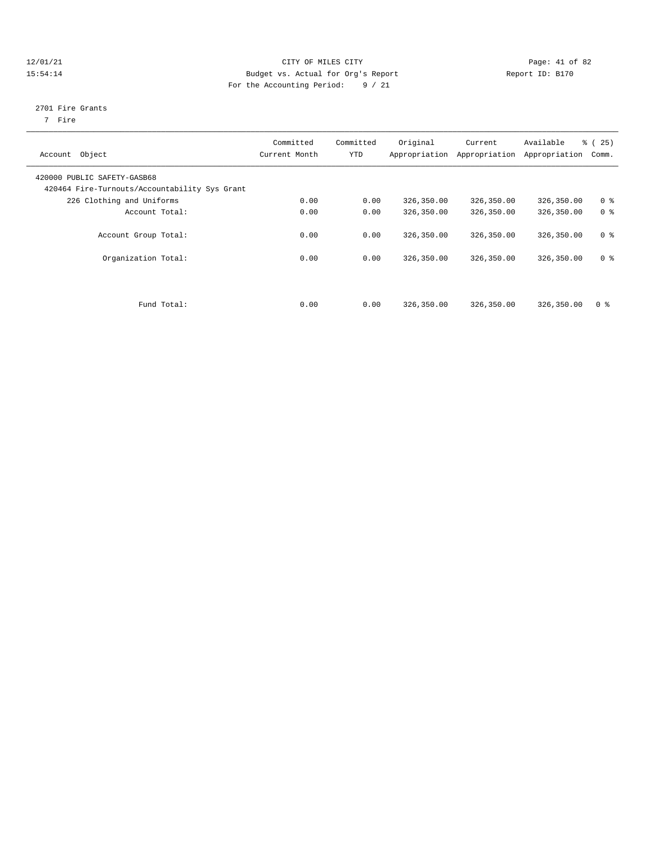#### 12/01/21 Page: 41 of 82 15:54:14 Budget vs. Actual for Org's Report Report ID: B170 For the Accounting Period: 9 / 21

#### 2701 Fire Grants

7 Fire

| Object<br>Account                                                            | Committed<br>Current Month | Committed<br>YTD | Original   | Current<br>Appropriation Appropriation | Available<br>Appropriation | 25)<br>ී (<br>Comm. |
|------------------------------------------------------------------------------|----------------------------|------------------|------------|----------------------------------------|----------------------------|---------------------|
| 420000 PUBLIC SAFETY-GASB68<br>420464 Fire-Turnouts/Accountability Sys Grant |                            |                  |            |                                        |                            |                     |
| 226 Clothing and Uniforms                                                    | 0.00                       | 0.00             | 326,350.00 | 326,350.00                             | 326,350.00                 | 0 <sup>8</sup>      |
| Account Total:                                                               | 0.00                       | 0.00             | 326,350.00 | 326,350.00                             | 326,350.00                 | 0 <sup>8</sup>      |
| Account Group Total:                                                         | 0.00                       | 0.00             | 326,350.00 | 326,350.00                             | 326,350.00                 | 0 <sup>8</sup>      |
| Organization Total:                                                          | 0.00                       | 0.00             | 326,350.00 | 326,350.00                             | 326,350.00                 | 0 <sup>8</sup>      |
| Fund Total:                                                                  | 0.00                       | 0.00             | 326,350.00 | 326,350.00                             | 326,350.00                 | 0 <sup>8</sup>      |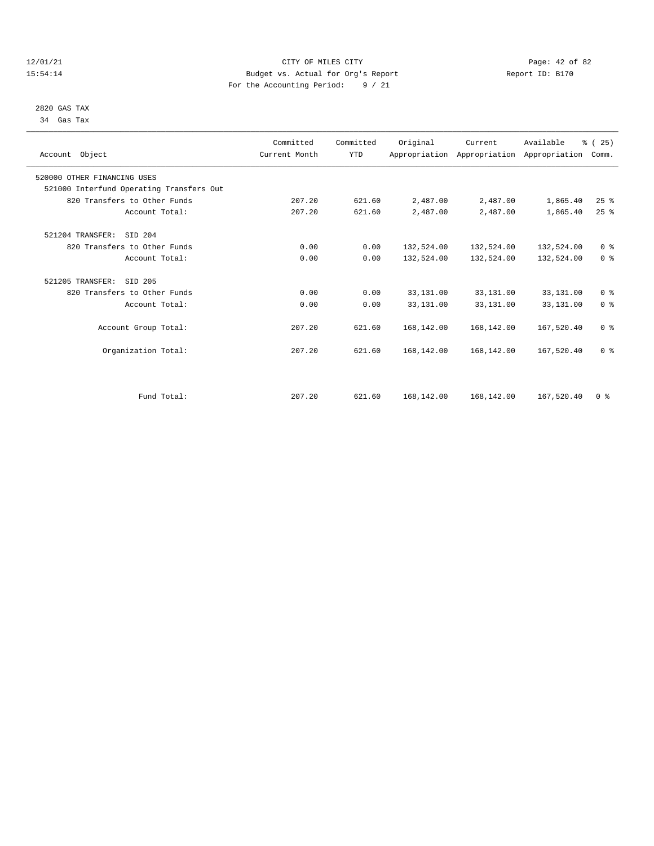#### 12/01/21 Page: 42 of 82<br>15:54:14 Page: 42 of 82<br>15:54:14 Budget vs. Actual for Org's Report Report Report ID: B170 15:54:14 Budget vs. Actual for Org's Report For the Accounting Period: 9 / 21

### 2820 GAS TAX 34 Gas Tax

| Account Object                           | Committed<br>Current Month | Committed<br><b>YTD</b> | Original   | Current    | Available<br>Appropriation Appropriation Appropriation | % (25)<br>Comm. |  |
|------------------------------------------|----------------------------|-------------------------|------------|------------|--------------------------------------------------------|-----------------|--|
| 520000 OTHER FINANCING USES              |                            |                         |            |            |                                                        |                 |  |
| 521000 Interfund Operating Transfers Out |                            |                         |            |            |                                                        |                 |  |
| 820 Transfers to Other Funds             | 207.20                     | 621.60                  | 2,487.00   | 2,487.00   | 1,865.40                                               | $25$ $%$        |  |
| Account Total:                           | 207.20                     | 621.60                  | 2,487.00   | 2,487.00   | 1,865.40                                               | 25%             |  |
| 521204 TRANSFER:<br>STD 204              |                            |                         |            |            |                                                        |                 |  |
| 820 Transfers to Other Funds             | 0.00                       | 0.00                    | 132,524.00 | 132,524.00 | 132,524.00                                             | 0 <sup>8</sup>  |  |
| Account Total:                           | 0.00                       | 0.00                    | 132,524.00 | 132,524.00 | 132,524.00                                             | 0 <sup>8</sup>  |  |
| 521205 TRANSFER:<br>SID 205              |                            |                         |            |            |                                                        |                 |  |
| 820 Transfers to Other Funds             | 0.00                       | 0.00                    | 33,131.00  | 33,131.00  | 33,131.00                                              | 0 <sup>8</sup>  |  |
| Account Total:                           | 0.00                       | 0.00                    | 33,131.00  | 33,131.00  | 33,131.00                                              | 0 <sup>8</sup>  |  |
| Account Group Total:                     | 207.20                     | 621.60                  | 168,142.00 | 168,142.00 | 167,520.40                                             | 0 <sup>8</sup>  |  |
| Organization Total:                      | 207.20                     | 621.60                  | 168,142.00 | 168,142.00 | 167,520.40                                             | 0 <sup>8</sup>  |  |
|                                          |                            |                         |            |            |                                                        |                 |  |
| Fund Total:                              | 207.20                     | 621.60                  | 168,142.00 | 168,142.00 | 167,520.40                                             | 0 <sup>8</sup>  |  |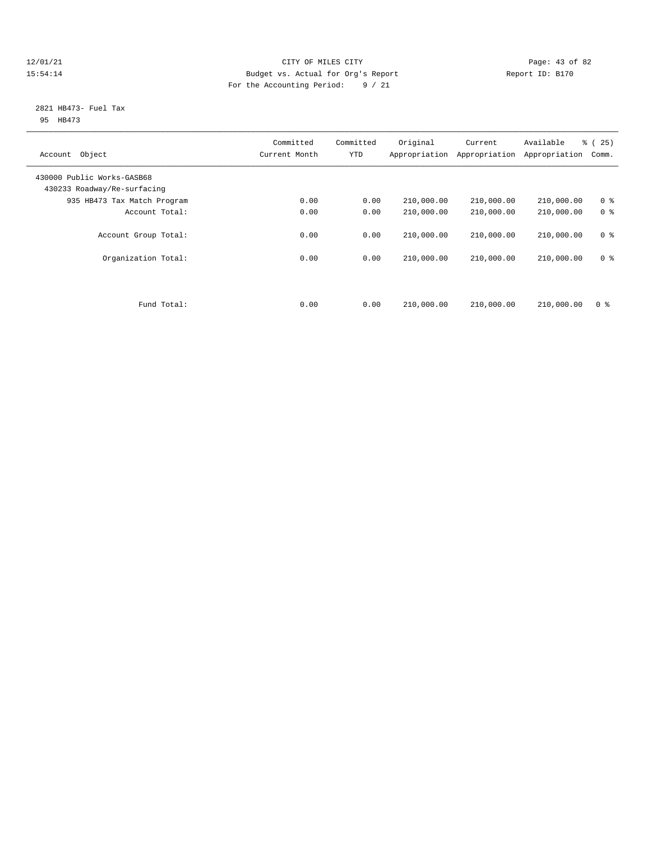#### 12/01/21 Page: 43 of 82<br>15:54:14 Pudget vs. Actual for Org's Report Report Report ID: B170 15:54:14 Budget vs. Actual for Org's Report For the Accounting Period: 9 / 21

#### 2821 HB473- Fuel Tax 95 HB473

| Object<br>Account                                         | Committed<br>Current Month | Committed<br><b>YTD</b> | Original<br>Appropriation | Current<br>Appropriation | Available<br>Appropriation | $\approx$ (<br>25)<br>Comm. |
|-----------------------------------------------------------|----------------------------|-------------------------|---------------------------|--------------------------|----------------------------|-----------------------------|
| 430000 Public Works-GASB68<br>430233 Roadway/Re-surfacing |                            |                         |                           |                          |                            |                             |
| 935 HB473 Tax Match Program                               | 0.00                       | 0.00                    | 210,000.00                | 210,000.00               | 210,000.00                 | 0 <sup>8</sup>              |
| Account Total:                                            | 0.00                       | 0.00                    | 210,000.00                | 210,000.00               | 210,000.00                 | 0 <sup>8</sup>              |
| Account Group Total:                                      | 0.00                       | 0.00                    | 210,000.00                | 210,000.00               | 210,000.00                 | 0 <sup>8</sup>              |
| Organization Total:                                       | 0.00                       | 0.00                    | 210,000.00                | 210,000.00               | 210,000.00                 | 0 <sup>8</sup>              |
| Fund Total:                                               | 0.00                       | 0.00                    | 210,000.00                | 210,000.00               | 210,000.00                 | 0 <sup>8</sup>              |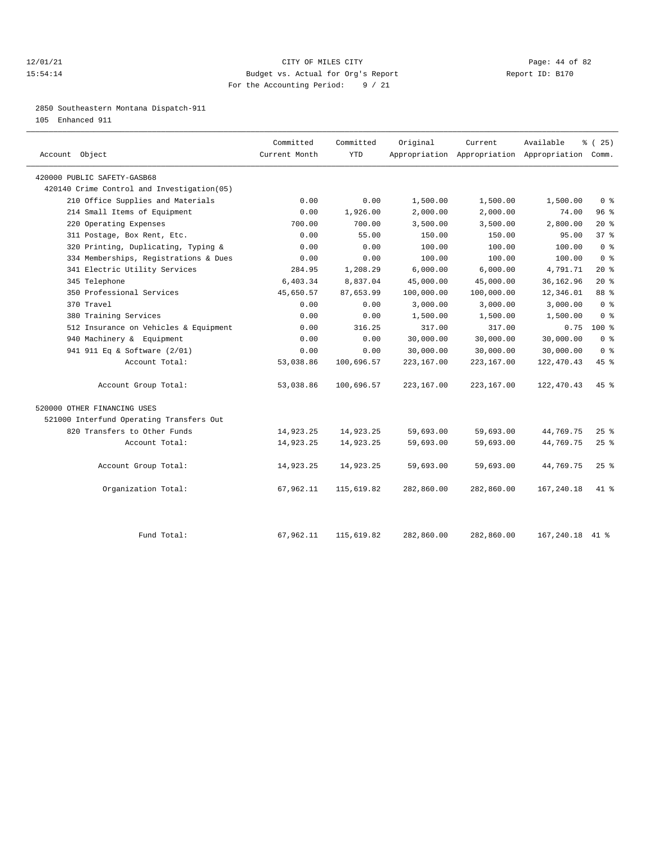#### 12/01/21 Page: 44 of 82 15:54:14 Budget vs. Actual for Org's Report Report ID: B170 For the Accounting Period: 9 / 21

2850 Southeastern Montana Dispatch-911

105 Enhanced 911

| Account Object                              | Committed<br>Current Month | Committed<br><b>YTD</b> | Original   | Current    | Available<br>Appropriation Appropriation Appropriation Comm. | $*(25)$         |
|---------------------------------------------|----------------------------|-------------------------|------------|------------|--------------------------------------------------------------|-----------------|
| 420000 PUBLIC SAFETY-GASB68                 |                            |                         |            |            |                                                              |                 |
| 420140 Crime Control and Investigation (05) |                            |                         |            |            |                                                              |                 |
| 210 Office Supplies and Materials           | 0.00                       | 0.00                    | 1,500.00   | 1,500.00   | 1,500.00                                                     | 0 <sup>8</sup>  |
| 214 Small Items of Equipment                | 0.00                       | 1,926.00                | 2,000.00   | 2,000.00   | 74.00                                                        | 96%             |
| 220 Operating Expenses                      | 700.00                     | 700.00                  | 3,500.00   | 3,500.00   | 2,800.00                                                     | $20*$           |
| 311 Postage, Box Rent, Etc.                 | 0.00                       | 55.00                   | 150.00     | 150.00     | 95.00                                                        | 37%             |
| 320 Printing, Duplicating, Typing &         | 0.00                       | 0.00                    | 100.00     | 100.00     | 100.00                                                       | 0 <sup>8</sup>  |
| 334 Memberships, Registrations & Dues       | 0.00                       | 0.00                    | 100.00     | 100.00     | 100.00                                                       | 0 <sup>8</sup>  |
| 341 Electric Utility Services               | 284.95                     | 1,208.29                | 6,000.00   | 6,000.00   | 4,791.71                                                     | $20*$           |
| 345 Telephone                               | 6,403.34                   | 8,837.04                | 45,000.00  | 45,000.00  | 36, 162.96                                                   | $20*$           |
| 350 Professional Services                   | 45,650.57                  | 87,653.99               | 100,000.00 | 100,000.00 | 12,346.01                                                    | 88 <sup>8</sup> |
| 370 Travel                                  | 0.00                       | 0.00                    | 3,000.00   | 3,000.00   | 3,000.00                                                     | 0 <sup>8</sup>  |
| 380 Training Services                       | 0.00                       | 0.00                    | 1,500.00   | 1,500.00   | 1,500.00                                                     | 0 <sup>8</sup>  |
| 512 Insurance on Vehicles & Equipment       | 0.00                       | 316.25                  | 317.00     | 317.00     | 0.75                                                         | 100 %           |
| 940 Machinery & Equipment                   | 0.00                       | 0.00                    | 30,000.00  | 30,000.00  | 30,000.00                                                    | 0 <sup>8</sup>  |
| 941 911 Eq & Software (2/01)                | 0.00                       | 0.00                    | 30,000.00  | 30,000.00  | 30,000.00                                                    | 0 <sup>8</sup>  |
| Account Total:                              | 53,038.86                  | 100,696.57              | 223,167.00 | 223,167.00 | 122, 470.43                                                  | 45 %            |
| Account Group Total:                        | 53,038.86                  | 100,696.57              | 223,167.00 | 223,167.00 | 122, 470.43                                                  | $45*$           |
| 520000 OTHER FINANCING USES                 |                            |                         |            |            |                                                              |                 |
| 521000 Interfund Operating Transfers Out    |                            |                         |            |            |                                                              |                 |
| 820 Transfers to Other Funds                | 14,923.25                  | 14,923.25               | 59,693.00  | 59,693.00  | 44,769.75                                                    | 25%             |
| Account Total:                              | 14,923.25                  | 14,923.25               | 59,693.00  | 59,693.00  | 44,769.75                                                    | 25%             |
| Account Group Total:                        | 14,923.25                  | 14,923.25               | 59,693.00  | 59,693.00  | 44,769.75                                                    | $25$ $%$        |
| Organization Total:                         | 67,962.11                  | 115,619.82              | 282,860.00 | 282,860.00 | 167,240.18                                                   | $41*$           |
|                                             |                            |                         |            |            |                                                              |                 |
| Fund Total:                                 | 67,962.11                  | 115,619.82              | 282,860.00 | 282,860.00 | 167,240.18                                                   | 41 %            |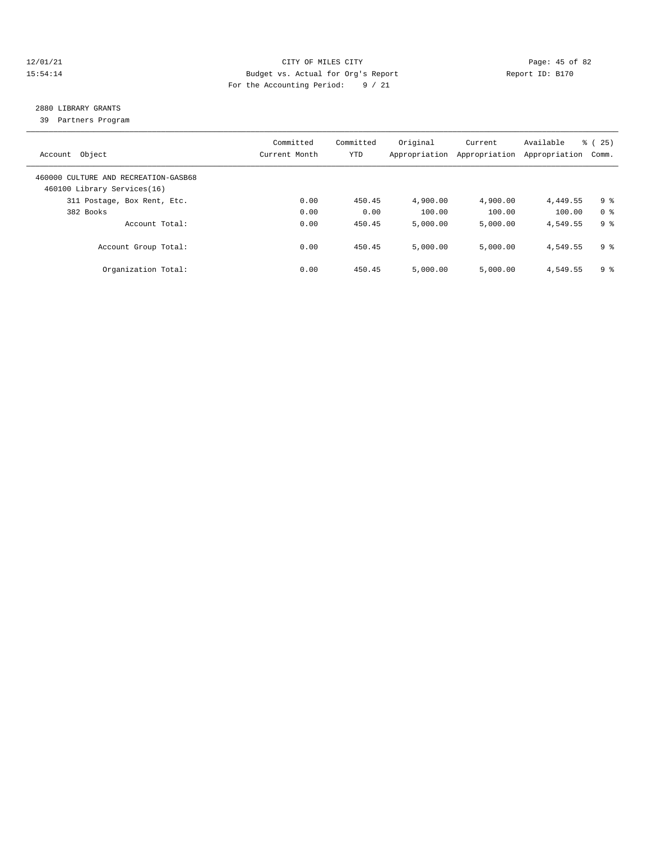#### 12/01/21 Page: 45 of 82 15:54:14 Budget vs. Actual for Org's Report Report ID: B170 For the Accounting Period: 9 / 21

## 2880 LIBRARY GRANTS

39 Partners Program

| Account Object                                                      | Committed<br>Current Month | Committed<br><b>YTD</b> | Original<br>Appropriation | Current<br>Appropriation | Available<br>Appropriation | % (25)<br>Comm. |
|---------------------------------------------------------------------|----------------------------|-------------------------|---------------------------|--------------------------|----------------------------|-----------------|
| 460000 CULTURE AND RECREATION-GASB68<br>460100 Library Services(16) |                            |                         |                           |                          |                            |                 |
| 311 Postage, Box Rent, Etc.                                         | 0.00                       | 450.45                  | 4,900.00                  | 4,900.00                 | 4,449.55                   | 9 %             |
| 382 Books                                                           | 0.00                       | 0.00                    | 100.00                    | 100.00                   | 100.00                     | 0 <sup>8</sup>  |
| Account Total:                                                      | 0.00                       | 450.45                  | 5.000.00                  | 5.000.00                 | 4,549.55                   | 9 <sup>8</sup>  |
| Account Group Total:                                                | 0.00                       | 450.45                  | 5.000.00                  | 5,000.00                 | 4,549.55                   | 9 %             |
| Organization Total:                                                 | 0.00                       | 450.45                  | 5,000.00                  | 5.000.00                 | 4,549.55                   | 9 %             |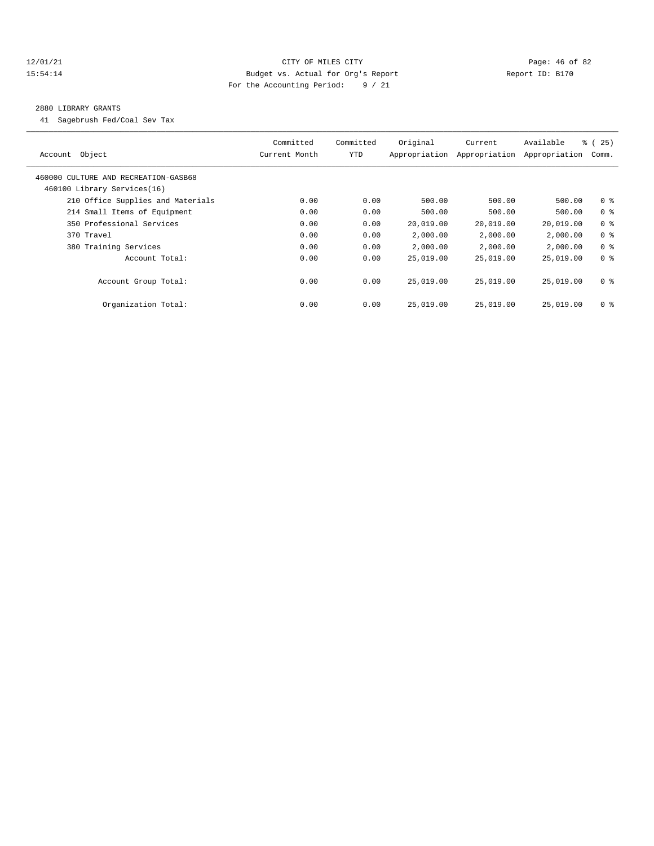#### 12/01/21 Page: 46 of 82 15:54:14 Budget vs. Actual for Org's Report Report ID: B170 For the Accounting Period: 9 / 21

#### 2880 LIBRARY GRANTS

41 Sagebrush Fed/Coal Sev Tax

| Object<br>Account                                                   | Committed<br>Current Month | Committed<br>YTD | Original<br>Appropriation | Current<br>Appropriation | Available<br>Appropriation | $\approx$ (<br>25)<br>Comm. |
|---------------------------------------------------------------------|----------------------------|------------------|---------------------------|--------------------------|----------------------------|-----------------------------|
| 460000 CULTURE AND RECREATION-GASB68<br>460100 Library Services(16) |                            |                  |                           |                          |                            |                             |
| 210 Office Supplies and Materials                                   | 0.00                       | 0.00             | 500.00                    | 500.00                   | 500.00                     | 0 <sup>8</sup>              |
| 214 Small Items of Equipment                                        | 0.00                       | 0.00             | 500.00                    | 500.00                   | 500.00                     | 0 <sup>8</sup>              |
| 350 Professional Services                                           | 0.00                       | 0.00             | 20,019.00                 | 20,019.00                | 20,019.00                  | 0 <sup>8</sup>              |
| 370 Travel                                                          | 0.00                       | 0.00             | 2,000.00                  | 2,000.00                 | 2,000.00                   | 0 <sup>8</sup>              |
| 380 Training Services                                               | 0.00                       | 0.00             | 2,000.00                  | 2,000.00                 | 2,000.00                   | 0 <sup>8</sup>              |
| Account Total:                                                      | 0.00                       | 0.00             | 25,019.00                 | 25,019.00                | 25,019.00                  | 0 <sup>8</sup>              |
| Account Group Total:                                                | 0.00                       | 0.00             | 25,019.00                 | 25,019.00                | 25,019.00                  | 0 <sup>8</sup>              |
| Organization Total:                                                 | 0.00                       | 0.00             | 25,019.00                 | 25,019.00                | 25,019.00                  | 0 <sup>8</sup>              |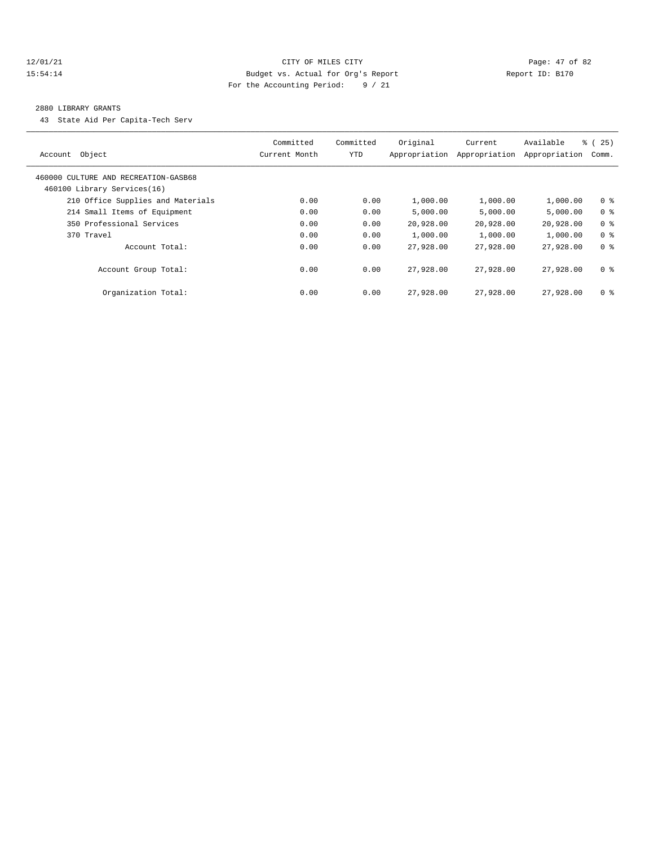#### 12/01/21 Page: 47 of 82 15:54:14 Budget vs. Actual for Org's Report Report ID: B170 For the Accounting Period: 9 / 21

#### 2880 LIBRARY GRANTS

43 State Aid Per Capita-Tech Serv

| Account Object                                                      | Committed<br>Current Month | Committed<br><b>YTD</b> | Original<br>Appropriation | Current<br>Appropriation | Available<br>Appropriation | ී (<br>25)<br>Comm. |
|---------------------------------------------------------------------|----------------------------|-------------------------|---------------------------|--------------------------|----------------------------|---------------------|
| 460000 CULTURE AND RECREATION-GASB68<br>460100 Library Services(16) |                            |                         |                           |                          |                            |                     |
| 210 Office Supplies and Materials                                   | 0.00                       | 0.00                    | 1,000.00                  | 1,000.00                 | 1,000.00                   | 0 <sup>8</sup>      |
| 214 Small Items of Equipment                                        | 0.00                       | 0.00                    | 5.000.00                  | 5,000.00                 | 5,000.00                   | 0 <sup>8</sup>      |
| 350 Professional Services                                           | 0.00                       | 0.00                    | 20,928.00                 | 20,928.00                | 20,928.00                  | 0 <sup>8</sup>      |
| 370 Travel                                                          | 0.00                       | 0.00                    | 1,000.00                  | 1,000.00                 | 1,000.00                   | 0 <sup>8</sup>      |
| Account Total:                                                      | 0.00                       | 0.00                    | 27,928.00                 | 27,928.00                | 27,928.00                  | 0 <sup>8</sup>      |
| Account Group Total:                                                | 0.00                       | 0.00                    | 27,928.00                 | 27,928.00                | 27,928,00                  | 0 <sup>8</sup>      |
| Organization Total:                                                 | 0.00                       | 0.00                    | 27,928.00                 | 27,928.00                | 27,928.00                  | 0 <sup>8</sup>      |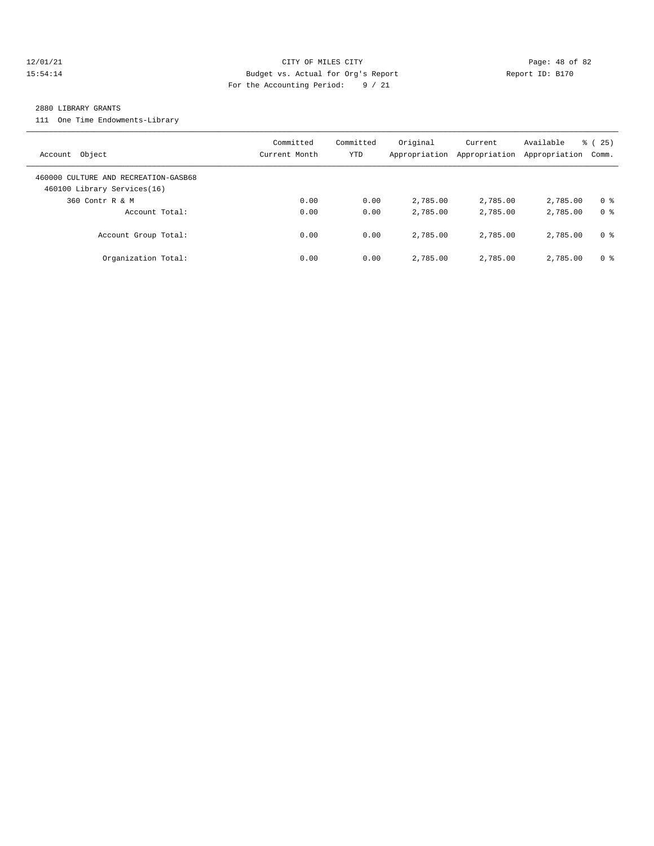#### 12/01/21 Page: 48 of 82 15:54:14 Budget vs. Actual for Org's Report Report ID: B170 For the Accounting Period: 9 / 21

#### 2880 LIBRARY GRANTS

111 One Time Endowments-Library

| Account Object                                                      | Committed<br>Current Month | Committed<br>YTD | Original<br>Appropriation | Current<br>Appropriation | Available<br>Appropriation | 25)<br>ී (<br>Comm. |
|---------------------------------------------------------------------|----------------------------|------------------|---------------------------|--------------------------|----------------------------|---------------------|
| 460000 CULTURE AND RECREATION-GASB68<br>460100 Library Services(16) |                            |                  |                           |                          |                            |                     |
| 360 Contr R & M                                                     | 0.00                       | 0.00             | 2,785.00                  | 2,785.00                 | 2,785.00                   | 0 <sup>8</sup>      |
| Account Total:                                                      | 0.00                       | 0.00             | 2,785.00                  | 2,785.00                 | 2,785.00                   | 0 <sup>8</sup>      |
| Account Group Total:                                                | 0.00                       | 0.00             | 2,785.00                  | 2,785.00                 | 2,785.00                   | 0 %                 |
| Organization Total:                                                 | 0.00                       | 0.00             | 2,785.00                  | 2,785.00                 | 2,785.00                   | 0 <sup>8</sup>      |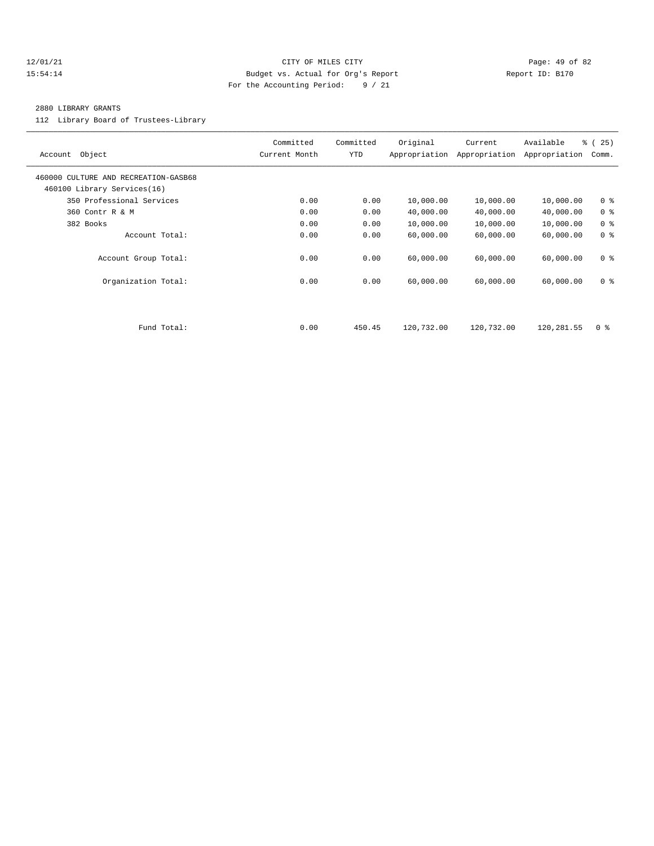#### 12/01/21 Page: 49 of 82 15:54:14 Budget vs. Actual for Org's Report Report ID: B170 For the Accounting Period: 9 / 21

#### 2880 LIBRARY GRANTS

112 Library Board of Trustees-Library

| Object<br>Account                                                   | Committed<br>Current Month | Committed<br>YTD | Original<br>Appropriation | Current<br>Appropriation | Available<br>Appropriation | % (25)<br>Comm. |
|---------------------------------------------------------------------|----------------------------|------------------|---------------------------|--------------------------|----------------------------|-----------------|
| 460000 CULTURE AND RECREATION-GASB68<br>460100 Library Services(16) |                            |                  |                           |                          |                            |                 |
| 350 Professional Services                                           | 0.00                       | 0.00             | 10,000.00                 | 10,000.00                | 10,000.00                  | 0 <sup>8</sup>  |
| 360 Contr R & M                                                     | 0.00                       | 0.00             | 40,000.00                 | 40,000.00                | 40,000.00                  | 0 <sup>8</sup>  |
| 382 Books                                                           | 0.00                       | 0.00             | 10,000.00                 | 10,000.00                | 10,000.00                  | 0 <sup>8</sup>  |
| Account Total:                                                      | 0.00                       | 0.00             | 60,000.00                 | 60,000.00                | 60,000.00                  | 0 <sup>8</sup>  |
| Account Group Total:                                                | 0.00                       | 0.00             | 60,000.00                 | 60,000.00                | 60,000.00                  | 0 <sup>8</sup>  |
| Organization Total:                                                 | 0.00                       | 0.00             | 60,000.00                 | 60,000.00                | 60,000.00                  | 0 <sup>8</sup>  |
|                                                                     |                            |                  |                           |                          |                            |                 |
| Fund Total:                                                         | 0.00                       | 450.45           | 120,732.00                | 120,732.00               | 120,281.55                 | 0 <sup>8</sup>  |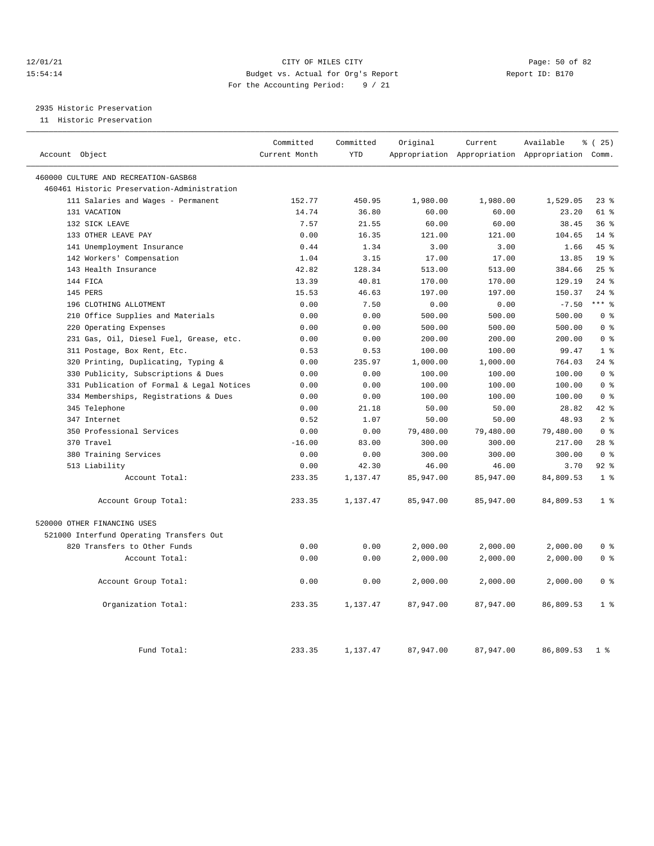#### 12/01/21 Page: 50 of 82 15:54:14 Budget vs. Actual for Org's Report Report ID: B170 For the Accounting Period: 9 / 21

## 2935 Historic Preservation

11 Historic Preservation

| Account Object                              | Committed<br>Current Month | Committed<br><b>YTD</b> | Original  | Current   | Available<br>Appropriation Appropriation Appropriation Comm. | % (25)          |
|---------------------------------------------|----------------------------|-------------------------|-----------|-----------|--------------------------------------------------------------|-----------------|
|                                             |                            |                         |           |           |                                                              |                 |
| 460000 CULTURE AND RECREATION-GASB68        |                            |                         |           |           |                                                              |                 |
| 460461 Historic Preservation-Administration |                            |                         |           |           |                                                              |                 |
| 111 Salaries and Wages - Permanent          | 152.77                     | 450.95                  | 1,980.00  | 1,980.00  | 1,529.05                                                     | $23$ %          |
| 131 VACATION                                | 14.74                      | 36.80                   | 60.00     | 60.00     | 23.20                                                        | 61 %            |
| 132 SICK LEAVE                              | 7.57                       | 21.55                   | 60.00     | 60.00     | 38.45                                                        | 36%             |
| 133 OTHER LEAVE PAY                         | 0.00                       | 16.35                   | 121.00    | 121.00    | 104.65                                                       | $14*$           |
| 141 Unemployment Insurance                  | 0.44                       | 1.34                    | 3.00      | 3.00      | 1.66                                                         | 45%             |
| 142 Workers' Compensation                   | 1.04                       | 3.15                    | 17.00     | 17.00     | 13.85                                                        | 19 <sup>°</sup> |
| 143 Health Insurance                        | 42.82                      | 128.34                  | 513.00    | 513.00    | 384.66                                                       | 25%             |
| 144 FICA                                    | 13.39                      | 40.81                   | 170.00    | 170.00    | 129.19                                                       | $24$ %          |
| 145 PERS                                    | 15.53                      | 46.63                   | 197.00    | 197.00    | 150.37                                                       | 24%             |
| 196 CLOTHING ALLOTMENT                      | 0.00                       | 7.50                    | 0.00      | 0.00      | $-7.50$                                                      | $***$ $%$       |
| 210 Office Supplies and Materials           | 0.00                       | 0.00                    | 500.00    | 500.00    | 500.00                                                       | 0 <sup>8</sup>  |
| 220 Operating Expenses                      | 0.00                       | 0.00                    | 500.00    | 500.00    | 500.00                                                       | 0 <sup>8</sup>  |
| 231 Gas, Oil, Diesel Fuel, Grease, etc.     | 0.00                       | 0.00                    | 200.00    | 200.00    | 200.00                                                       | 0 <sup>8</sup>  |
| 311 Postage, Box Rent, Etc.                 | 0.53                       | 0.53                    | 100.00    | 100.00    | 99.47                                                        | 1 <sup>8</sup>  |
| 320 Printing, Duplicating, Typing &         | 0.00                       | 235.97                  | 1,000.00  | 1,000.00  | 764.03                                                       | $24$ %          |
| 330 Publicity, Subscriptions & Dues         | 0.00                       | 0.00                    | 100.00    | 100.00    | 100.00                                                       | 0 <sup>8</sup>  |
| 331 Publication of Formal & Legal Notices   | 0.00                       | 0.00                    | 100.00    | 100.00    | 100.00                                                       | 0 <sup>8</sup>  |
| 334 Memberships, Registrations & Dues       | 0.00                       | 0.00                    | 100.00    | 100.00    | 100.00                                                       | 0 <sup>8</sup>  |
| 345 Telephone                               | 0.00                       | 21.18                   | 50.00     | 50.00     | 28.82                                                        | 42 %            |
| 347 Internet                                | 0.52                       | 1.07                    | 50.00     | 50.00     | 48.93                                                        | 2 <sup>8</sup>  |
| 350 Professional Services                   | 0.00                       | 0.00                    | 79,480.00 | 79,480.00 | 79,480.00                                                    | 0 <sup>8</sup>  |
| 370 Travel                                  | $-16.00$                   | 83.00                   | 300.00    | 300.00    | 217.00                                                       | $28$ %          |
| 380 Training Services                       | 0.00                       | 0.00                    | 300.00    | 300.00    | 300.00                                                       | 0 <sup>8</sup>  |
| 513 Liability                               | 0.00                       | 42.30                   | 46.00     | 46.00     | 3.70                                                         | $92$ $%$        |
| Account Total:                              | 233.35                     | 1,137.47                | 85,947.00 | 85,947.00 | 84,809.53                                                    | 1 <sup>8</sup>  |
| Account Group Total:                        | 233.35                     | 1,137.47                | 85,947.00 | 85,947.00 | 84,809.53                                                    | 1 <sup>8</sup>  |
| 520000 OTHER FINANCING USES                 |                            |                         |           |           |                                                              |                 |
| 521000 Interfund Operating Transfers Out    |                            |                         |           |           |                                                              |                 |
| 820 Transfers to Other Funds                | 0.00                       | 0.00                    | 2,000.00  | 2,000.00  | 2,000.00                                                     | 0 <sup>8</sup>  |
| Account Total:                              | 0.00                       | 0.00                    | 2,000.00  | 2,000.00  | 2,000.00                                                     | 0 <sup>8</sup>  |
| Account Group Total:                        | 0.00                       | 0.00                    | 2,000.00  | 2,000.00  | 2,000.00                                                     | 0 <sup>8</sup>  |
| Organization Total:                         | 233.35                     | 1,137.47                | 87,947.00 | 87,947.00 | 86,809.53                                                    | 1 <sup>8</sup>  |
| Fund Total:                                 | 233.35                     | 1,137.47                | 87,947.00 | 87,947.00 | 86,809.53                                                    | 1 <sup>°</sup>  |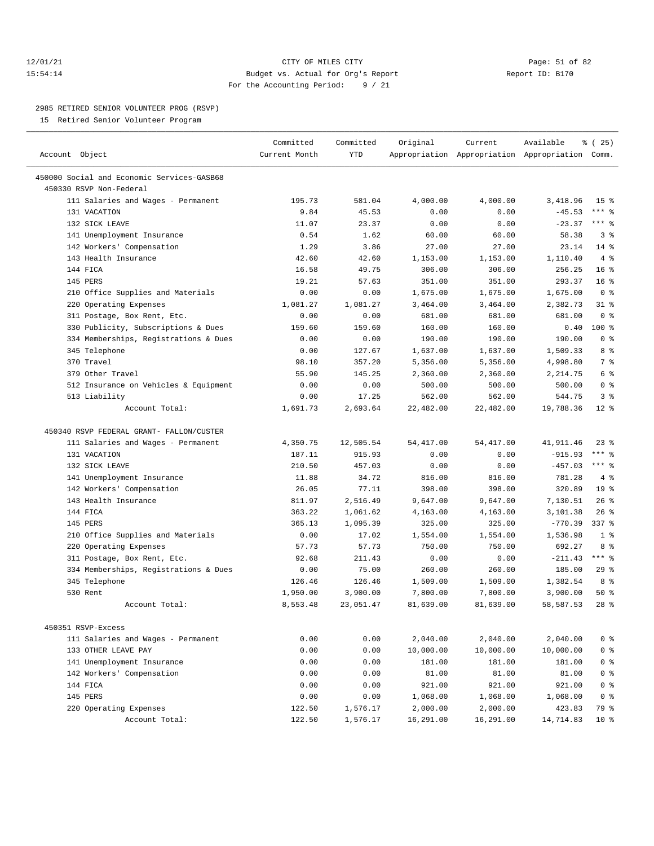#### 12/01/21 Page: 51 of 82 15:54:14 Budget vs. Actual for Org's Report Report ID: B170 For the Accounting Period: 9 / 21

————————————————————————————————————————————————————————————————————————————————————————————————————————————————————————————————————

#### 2985 RETIRED SENIOR VOLUNTEER PROG (RSVP)

15 Retired Senior Volunteer Program

|                                                             | Committed     | Committed        | Original   | Current    | Available                                       | % (25)          |
|-------------------------------------------------------------|---------------|------------------|------------|------------|-------------------------------------------------|-----------------|
| Account Object                                              | Current Month | YTD              |            |            | Appropriation Appropriation Appropriation Comm. |                 |
| 450000 Social and Economic Services-GASB68                  |               |                  |            |            |                                                 |                 |
| 450330 RSVP Non-Federal                                     |               |                  |            |            |                                                 |                 |
| 111 Salaries and Wages - Permanent                          | 195.73        | 581.04           | 4,000.00   | 4,000.00   | 3,418.96                                        | 15 <sup>8</sup> |
| 131 VACATION                                                | 9.84          | 45.53            | 0.00       | 0.00       | $-45.53$                                        | $***$ $_{8}$    |
| 132 SICK LEAVE                                              | 11.07         | 23.37            | 0.00       | 0.00       | $-23.37$                                        | $***$ $%$       |
| 141 Unemployment Insurance                                  | 0.54          | 1.62             | 60.00      | 60.00      | 58.38                                           | 3 <sup>8</sup>  |
| 142 Workers' Compensation                                   | 1.29          | 3.86             | 27.00      | 27.00      | 23.14                                           | $14$ %          |
| 143 Health Insurance                                        | 42.60         | 42.60            | 1,153.00   | 1,153.00   | 1,110.40                                        | 4%              |
| 144 FICA                                                    | 16.58         | 49.75            | 306.00     | 306.00     | 256.25                                          | 16 <sup>8</sup> |
| 145 PERS                                                    | 19.21         | 57.63            | 351.00     | 351.00     | 293.37                                          | 16 <sup>8</sup> |
|                                                             | 0.00          |                  | 1,675.00   | 1,675.00   | 1,675.00                                        | 0 <sup>8</sup>  |
| 210 Office Supplies and Materials<br>220 Operating Expenses | 1,081.27      | 0.00<br>1,081.27 | 3,464.00   |            | 2,382.73                                        | $31$ %          |
|                                                             |               |                  |            | 3,464.00   | 681.00                                          | 0 <sup>8</sup>  |
| 311 Postage, Box Rent, Etc.                                 | 0.00          | 0.00             | 681.00     | 681.00     |                                                 |                 |
| 330 Publicity, Subscriptions & Dues                         | 159.60        | 159.60           | 160.00     | 160.00     | 0.40                                            | 100 %           |
| 334 Memberships, Registrations & Dues                       | 0.00          | 0.00             | 190.00     | 190.00     | 190.00                                          | 0 <sup>8</sup>  |
| 345 Telephone                                               | 0.00          | 127.67           | 1,637.00   | 1,637.00   | 1,509.33                                        | 8 %             |
| 370 Travel                                                  | 98.10         | 357.20           | 5,356.00   | 5,356.00   | 4,998.80                                        | 7 %             |
| 379 Other Travel                                            | 55.90         | 145.25           | 2,360.00   | 2,360.00   | 2,214.75                                        | 6 %             |
| 512 Insurance on Vehicles & Equipment                       | 0.00          | 0.00             | 500.00     | 500.00     | 500.00                                          | 0 <sup>8</sup>  |
| 513 Liability                                               | 0.00          | 17.25            | 562.00     | 562.00     | 544.75                                          | 3%              |
| Account Total:                                              | 1,691.73      | 2,693.64         | 22,482.00  | 22,482.00  | 19,788.36                                       | $12*$           |
| 450340 RSVP FEDERAL GRANT- FALLON/CUSTER                    |               |                  |            |            |                                                 |                 |
| 111 Salaries and Wages - Permanent                          | 4,350.75      | 12,505.54        | 54, 417.00 | 54, 417.00 | 41,911.46                                       | $23$ $%$        |
| 131 VACATION                                                | 187.11        | 915.93           | 0.00       |            | $-915.93$                                       | $***$ $%$       |
|                                                             |               |                  |            | 0.00       |                                                 | $***$ $%$       |
| 132 SICK LEAVE                                              | 210.50        | 457.03           | 0.00       | 0.00       | $-457.03$                                       | 4%              |
| 141 Unemployment Insurance                                  | 11.88         | 34.72            | 816.00     | 816.00     | 781.28                                          |                 |
| 142 Workers' Compensation                                   | 26.05         | 77.11            | 398.00     | 398.00     | 320.89                                          | 19 <sup>°</sup> |
| 143 Health Insurance                                        | 811.97        | 2,516.49         | 9,647.00   | 9,647.00   | 7,130.51                                        | 26%             |
| 144 FICA                                                    | 363.22        | 1,061.62         | 4,163.00   | 4,163.00   | 3,101.38                                        | $26$ %          |
| 145 PERS                                                    | 365.13        | 1,095.39         | 325.00     | 325.00     | $-770.39$                                       | $337$ $%$       |
| 210 Office Supplies and Materials                           | 0.00          | 17.02            | 1,554.00   | 1,554.00   | 1,536.98                                        | 1 <sup>8</sup>  |
| 220 Operating Expenses                                      | 57.73         | 57.73            | 750.00     | 750.00     | 692.27                                          | 8 %             |
| 311 Postage, Box Rent, Etc.                                 | 92.68         | 211.43           | 0.00       | 0.00       | $-211.43$                                       | $***$ $8$       |
| 334 Memberships, Registrations & Dues                       | 0.00          | 75.00            | 260.00     | 260.00     | 185.00                                          | 29%             |
| 345 Telephone                                               | 126.46        | 126.46           | 1,509.00   | 1,509.00   | 1,382.54                                        | 8 %             |
| 530 Rent                                                    | 1,950.00      | 3,900.00         | 7,800.00   | 7,800.00   | 3,900.00                                        | 50%             |
| Account Total:                                              | 8,553.48      | 23,051.47        | 81,639.00  | 81,639.00  | 58,587.53                                       | $28$ %          |
| 450351 RSVP-Excess                                          |               |                  |            |            |                                                 |                 |
| 111 Salaries and Wages - Permanent                          | 0.00          | 0.00             | 2,040.00   | 2,040.00   | 2,040.00                                        | 0 <sup>8</sup>  |
| 133 OTHER LEAVE PAY                                         | 0.00          | 0.00             | 10,000.00  | 10,000.00  | 10,000.00                                       | 0 <sup>8</sup>  |
| 141 Unemployment Insurance                                  | 0.00          | 0.00             | 181.00     | 181.00     | 181.00                                          | 0 <sup>8</sup>  |
|                                                             |               |                  |            |            |                                                 |                 |
| 142 Workers' Compensation<br>144 FICA                       | 0.00          | 0.00             | 81.00      | 81.00      | 81.00                                           | 0 <sup>8</sup>  |
|                                                             | 0.00          | 0.00             | 921.00     | 921.00     | 921.00                                          | 0 <sup>8</sup>  |
| 145 PERS                                                    | 0.00          | 0.00<br>1,576.17 | 1,068.00   | 1,068.00   | 1,068.00                                        | 0 <sup>8</sup>  |
| 220 Operating Expenses                                      | 122.50        |                  | 2,000.00   | 2,000.00   | 423.83                                          | 79 %            |
| Account Total:                                              | 122.50        | 1,576.17         | 16,291.00  | 16,291.00  | 14,714.83                                       | $10*$           |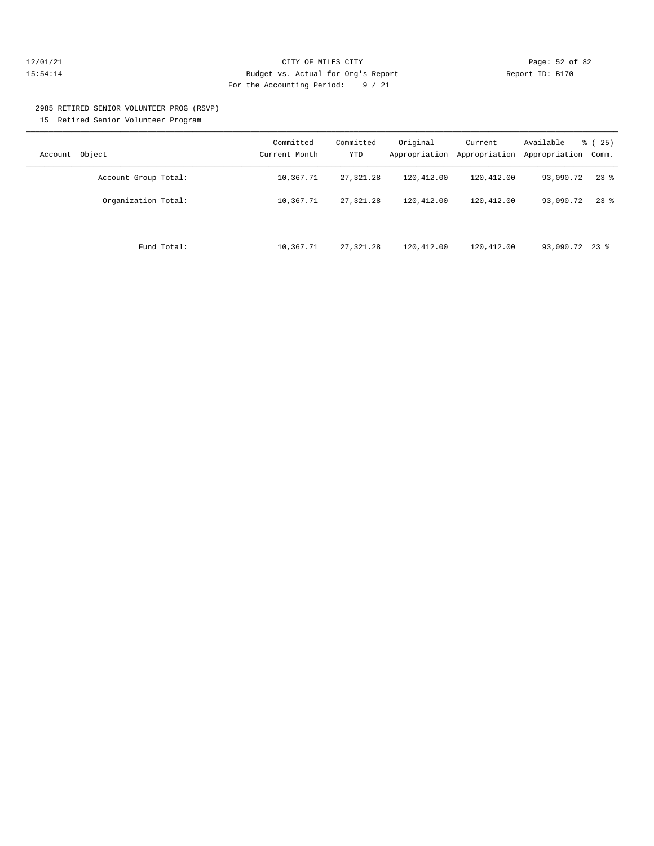#### 12/01/21 Page: 52 of 82 15:54:14 Budget vs. Actual for Org's Report Report ID: B170 For the Accounting Period: 9 / 21

# 2985 RETIRED SENIOR VOLUNTEER PROG (RSVP)

15 Retired Senior Volunteer Program

| Account Object       | Committed<br>Current Month | Committed<br>YTD | Original<br>Appropriation | Current<br>Appropriation | Available<br>Appropriation | $\frac{3}{6}$ ( 25)<br>Comm. |
|----------------------|----------------------------|------------------|---------------------------|--------------------------|----------------------------|------------------------------|
| Account Group Total: | 10,367.71                  | 27, 321.28       | 120,412.00                | 120,412.00               | 93,090.72                  | $23$ %                       |
| Organization Total:  | 10,367.71                  | 27, 321, 28      | 120,412.00                | 120,412.00               | 93,090.72                  | $23$ $%$                     |
| Fund Total:          | 10,367.71                  | 27, 321, 28      | 120,412.00                | 120,412.00               | 93,090.72 23 %             |                              |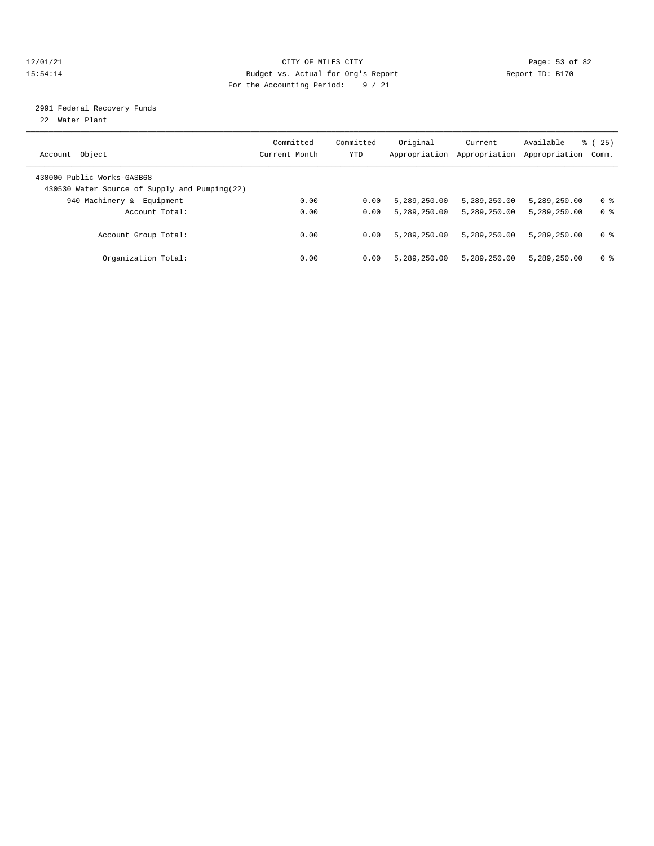#### 12/01/21 Page: 53 of 82 15:54:14 Budget vs. Actual for Org's Report Report ID: B170 For the Accounting Period: 9 / 21

## 2991 Federal Recovery Funds

22 Water Plant

| Account Object                                                              | Committed<br>Current Month | Committed<br>YTD | Original<br>Appropriation | Current<br>Appropriation | Available<br>Appropriation | 25)<br>ී (<br>Comm. |
|-----------------------------------------------------------------------------|----------------------------|------------------|---------------------------|--------------------------|----------------------------|---------------------|
| 430000 Public Works-GASB68<br>430530 Water Source of Supply and Pumping(22) |                            |                  |                           |                          |                            |                     |
| 940 Machinery &<br>Equipment                                                | 0.00                       | 0.00             | 5,289,250.00              | 5,289,250.00             | 5,289,250.00               | 0 %                 |
| Account Total:                                                              | 0.00                       | 0.00             | 5,289,250.00              | 5,289,250.00             | 5,289,250.00               | 0 <sup>8</sup>      |
| Account Group Total:                                                        | 0.00                       | 0.00             | 5,289,250.00              | 5,289,250.00             | 5,289,250.00               | 0 <sup>8</sup>      |
| Organization Total:                                                         | 0.00                       | 0.00             | 5,289,250.00              | 5,289,250.00             | 5,289,250.00               | 0 %                 |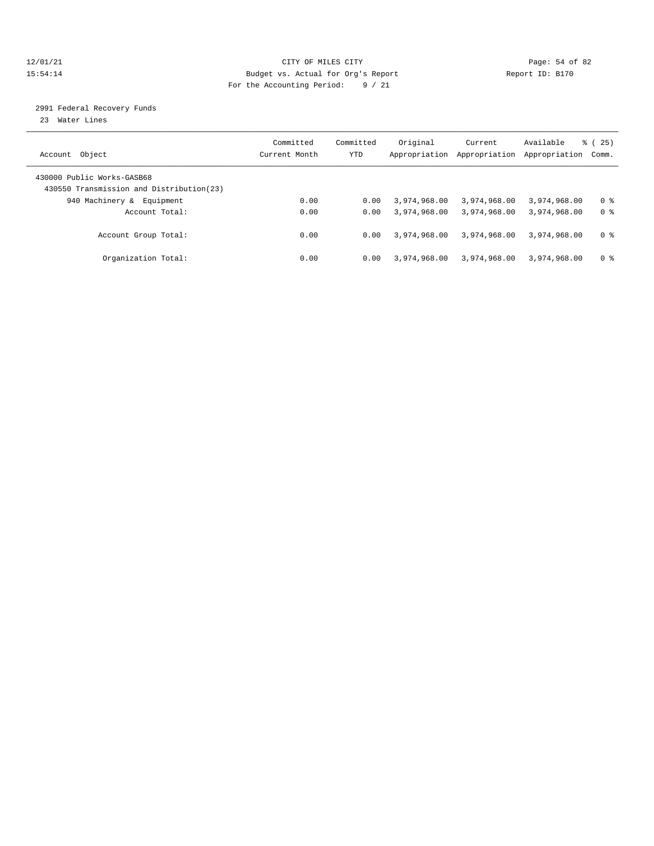#### 12/01/21 Page: 54 of 82 15:54:14 Budget vs. Actual for Org's Report Report ID: B170 For the Accounting Period: 9 / 21

### 2991 Federal Recovery Funds

23 Water Lines

| Account Object                                                          | Committed<br>Current Month | Committed<br>YTD | Original<br>Appropriation | Current<br>Appropriation | Available<br>Appropriation | 25)<br>ී (<br>Comm. |
|-------------------------------------------------------------------------|----------------------------|------------------|---------------------------|--------------------------|----------------------------|---------------------|
| 430000 Public Works-GASB68<br>430550 Transmission and Distribution (23) |                            |                  |                           |                          |                            |                     |
| 940 Machinery &<br>Equipment                                            | 0.00                       | 0.00             | 3,974,968.00              | 3,974,968.00             | 3,974,968,00               | 0 %                 |
| Account Total:                                                          | 0.00                       | 0.00             | 3,974,968.00              | 3,974,968.00             | 3,974,968.00               | 0 <sup>8</sup>      |
| Account Group Total:                                                    | 0.00                       | 0.00             | 3,974,968.00              | 3,974,968.00             | 3,974,968.00               | 0 <sup>8</sup>      |
| Organization Total:                                                     | 0.00                       | 0.00             | 3,974,968.00              | 3,974,968.00             | 3,974,968.00               | 0 %                 |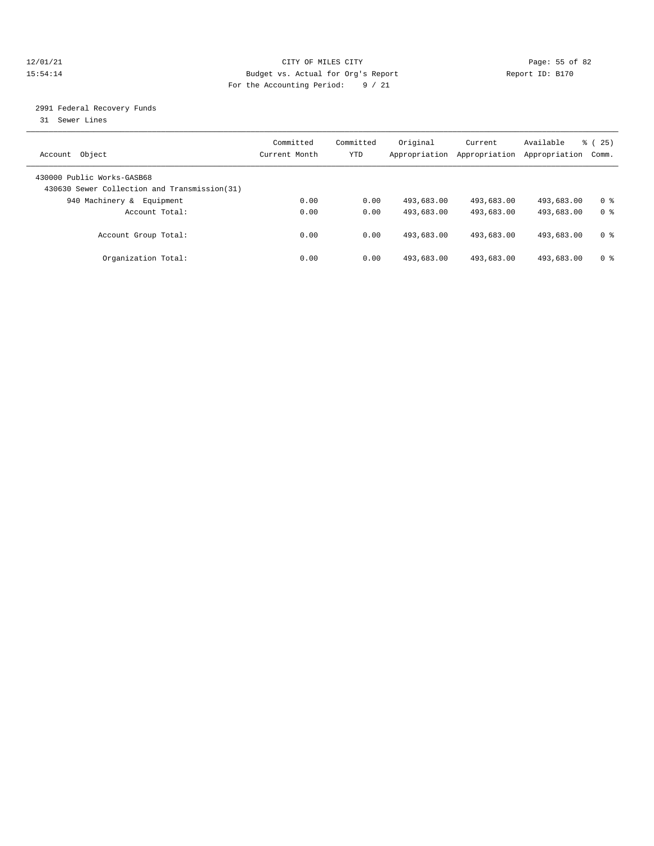#### 12/01/21 Page: 55 of 82 15:54:14 Budget vs. Actual for Org's Report Report ID: B170 For the Accounting Period: 9 / 21

### 2991 Federal Recovery Funds

31 Sewer Lines

| Account Object                                                              | Committed<br>Current Month | Committed<br>YTD | Original<br>Appropriation | Current<br>Appropriation | Available<br>Appropriation | 25)<br>ී (<br>Comm. |
|-----------------------------------------------------------------------------|----------------------------|------------------|---------------------------|--------------------------|----------------------------|---------------------|
| 430000 Public Works-GASB68<br>430630 Sewer Collection and Transmission (31) |                            |                  |                           |                          |                            |                     |
| 940 Machinery &<br>Equipment                                                | 0.00                       | 0.00             | 493,683.00                | 493,683.00               | 493,683.00                 | 0 %                 |
| Account Total:                                                              | 0.00                       | 0.00             | 493,683.00                | 493,683.00               | 493,683.00                 | 0 <sup>8</sup>      |
| Account Group Total:                                                        | 0.00                       | 0.00             | 493,683.00                | 493,683.00               | 493,683.00                 | 0 <sup>8</sup>      |
| Organization Total:                                                         | 0.00                       | 0.00             | 493,683.00                | 493,683.00               | 493,683.00                 | 0 %                 |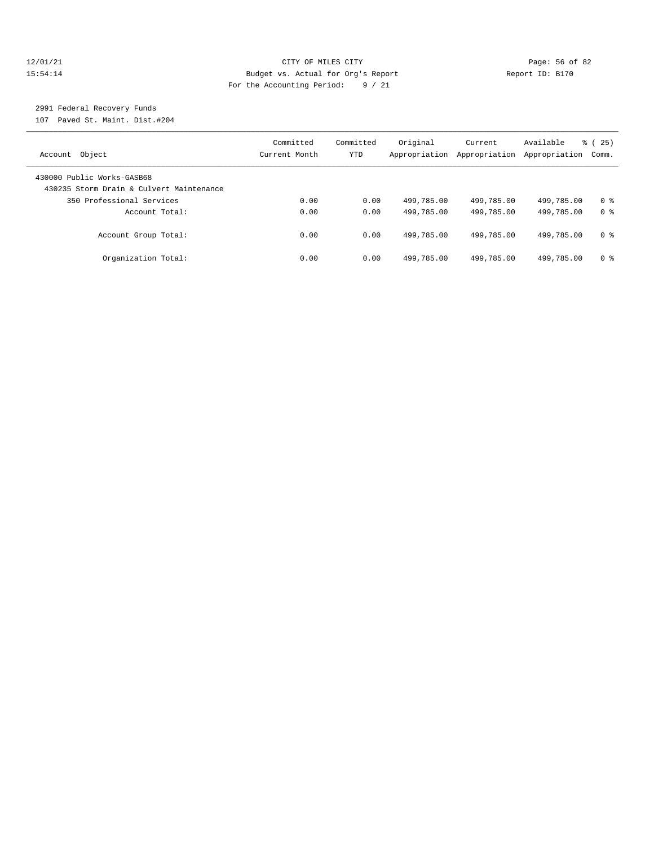#### $12/01/21$  Page: 56 of 82<br>
Budget vs. Actual for Org's Report Page: 56 of 82<br>
Budget vs. Actual for Org's Report Page: 15:54:14 15:54:14 Budget vs. Actual for Org's Report Report ID: B170 For the Accounting Period: 9 / 21

## 2991 Federal Recovery Funds

107 Paved St. Maint. Dist.#204

| Account Object                                                         | Committed<br>Current Month | Committed<br>YTD | Original<br>Appropriation | Current<br>Appropriation | Available<br>Appropriation | 25)<br>ී (<br>Comm. |
|------------------------------------------------------------------------|----------------------------|------------------|---------------------------|--------------------------|----------------------------|---------------------|
| 430000 Public Works-GASB68<br>430235 Storm Drain & Culvert Maintenance |                            |                  |                           |                          |                            |                     |
| 350 Professional Services                                              | 0.00                       | 0.00             | 499,785.00                | 499,785.00               | 499,785.00                 | 0 <sup>8</sup>      |
| Account Total:                                                         | 0.00                       | 0.00             | 499,785.00                | 499,785.00               | 499,785.00                 | 0 <sup>8</sup>      |
| Account Group Total:                                                   | 0.00                       | 0.00             | 499,785.00                | 499,785.00               | 499,785.00                 | 0 %                 |
| Organization Total:                                                    | 0.00                       | 0.00             | 499,785.00                | 499,785.00               | 499,785.00                 | 0 %                 |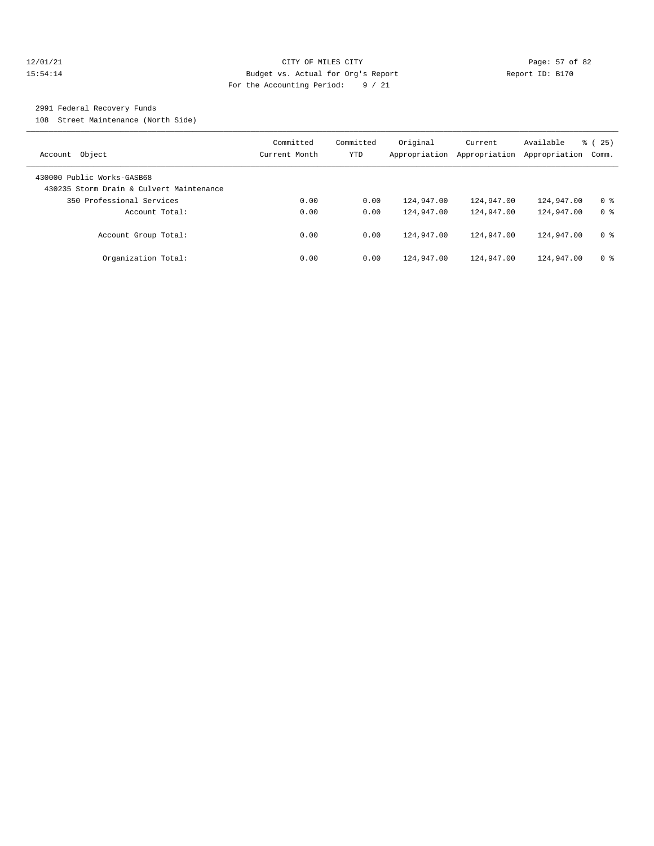#### 12/01/21 Page: 57 of 82 15:54:14 Budget vs. Actual for Org's Report Report ID: B170 For the Accounting Period: 9 / 21

### 2991 Federal Recovery Funds

108 Street Maintenance (North Side)

| Account Object                                                         | Committed<br>Current Month | Committed<br>YTD | Original<br>Appropriation | Current<br>Appropriation | Available<br>Appropriation | 25)<br>ී (<br>Comm. |
|------------------------------------------------------------------------|----------------------------|------------------|---------------------------|--------------------------|----------------------------|---------------------|
| 430000 Public Works-GASB68<br>430235 Storm Drain & Culvert Maintenance |                            |                  |                           |                          |                            |                     |
| 350 Professional Services                                              | 0.00                       | 0.00             | 124,947.00                | 124,947.00               | 124,947.00                 | 0 <sup>8</sup>      |
| Account Total:                                                         | 0.00                       | 0.00             | 124,947.00                | 124,947.00               | 124,947.00                 | 0 <sup>8</sup>      |
| Account Group Total:                                                   | 0.00                       | 0.00             | 124,947.00                | 124,947.00               | 124,947.00                 | 0 %                 |
| Organization Total:                                                    | 0.00                       | 0.00             | 124,947.00                | 124,947.00               | 124,947.00                 | 0 <sup>8</sup>      |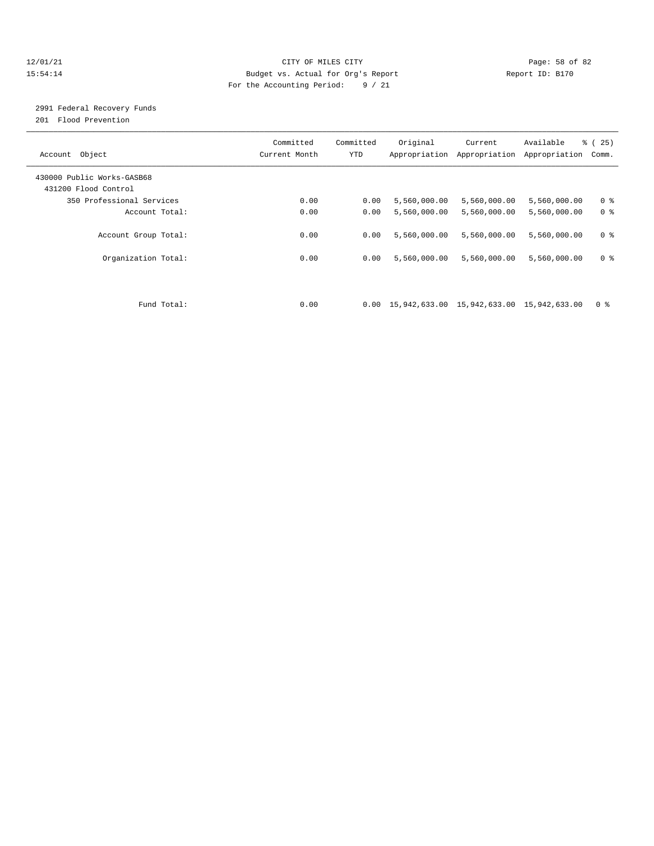#### 12/01/21 Page: 58 of 82 15:54:14 Budget vs. Actual for Org's Report Report ID: B170 For the Accounting Period: 9 / 21

## 2991 Federal Recovery Funds

201 Flood Prevention

| Account Object                                     | Committed<br>Current Month | Committed<br><b>YTD</b> | Original                                                           | Current<br>Appropriation Appropriation | Available<br>Appropriation | $\approx$ (<br>25)<br>Comm. |
|----------------------------------------------------|----------------------------|-------------------------|--------------------------------------------------------------------|----------------------------------------|----------------------------|-----------------------------|
| 430000 Public Works-GASB68<br>431200 Flood Control |                            |                         |                                                                    |                                        |                            |                             |
| 350 Professional Services                          | 0.00                       | 0.00                    | 5,560,000.00                                                       | 5,560,000.00                           | 5,560,000.00               | 0 <sup>8</sup>              |
| Account Total:                                     | 0.00                       | 0.00                    | 5,560,000.00                                                       | 5,560,000.00                           | 5,560,000.00               | 0 <sup>8</sup>              |
| Account Group Total:                               | 0.00                       | 0.00                    | 5,560,000.00                                                       | 5,560,000.00                           | 5,560,000.00               | 0 <sup>8</sup>              |
| Organization Total:                                | 0.00                       | 0.00                    | 5,560,000.00                                                       | 5,560,000.00                           | 5,560,000.00               | 0 <sup>8</sup>              |
|                                                    |                            |                         |                                                                    |                                        |                            |                             |
| Fund Total:                                        | 0.00                       |                         | $0.00 \quad 15,942,633.00 \quad 15,942,633.00 \quad 15,942,633.00$ |                                        |                            | 0 <sup>8</sup>              |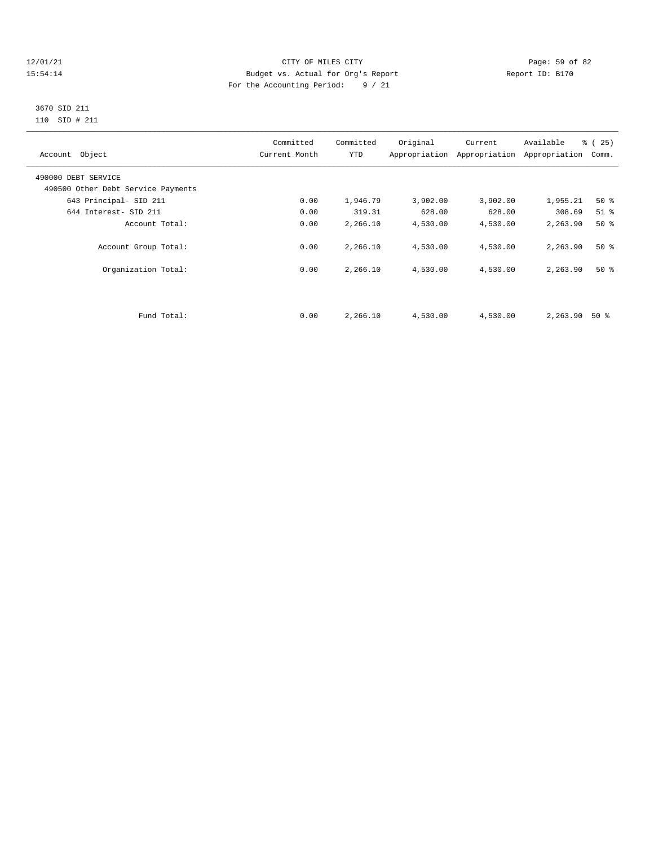#### 12/01/21 Page: 59 of 82<br>15:54:14 Pudget vs. Actual for Org's Report Report Report ID: B170 15:54:14 Budget vs. Actual for Org's Report For the Accounting Period: 9 / 21

#### 3670 SID 211 110 SID # 211

| Account Object                     | Committed<br>Current Month | Committed<br><b>YTD</b> | Original | Current<br>Appropriation Appropriation | Available<br>Appropriation | $\frac{6}{6}$ ( 25 )<br>Comm. |
|------------------------------------|----------------------------|-------------------------|----------|----------------------------------------|----------------------------|-------------------------------|
| 490000 DEBT SERVICE                |                            |                         |          |                                        |                            |                               |
| 490500 Other Debt Service Payments |                            |                         |          |                                        |                            |                               |
| 643 Principal- SID 211             | 0.00                       | 1,946.79                | 3,902.00 | 3,902.00                               | 1,955.21                   | 50%                           |
| 644 Interest- SID 211              | 0.00                       | 319.31                  | 628.00   | 628.00                                 | 308.69                     | $51$ $\approx$                |
| Account Total:                     | 0.00                       | 2,266.10                | 4,530.00 | 4,530.00                               | 2,263.90                   | 50%                           |
| Account Group Total:               | 0.00                       | 2,266.10                | 4,530.00 | 4,530.00                               | 2,263.90                   | $50*$                         |
| Organization Total:                | 0.00                       | 2,266.10                | 4,530.00 | 4,530.00                               | 2,263.90                   | $50*$                         |
|                                    |                            |                         |          |                                        |                            |                               |
| Fund Total:                        | 0.00                       | 2,266.10                | 4,530.00 | 4,530.00                               | 2,263.90                   | 50 %                          |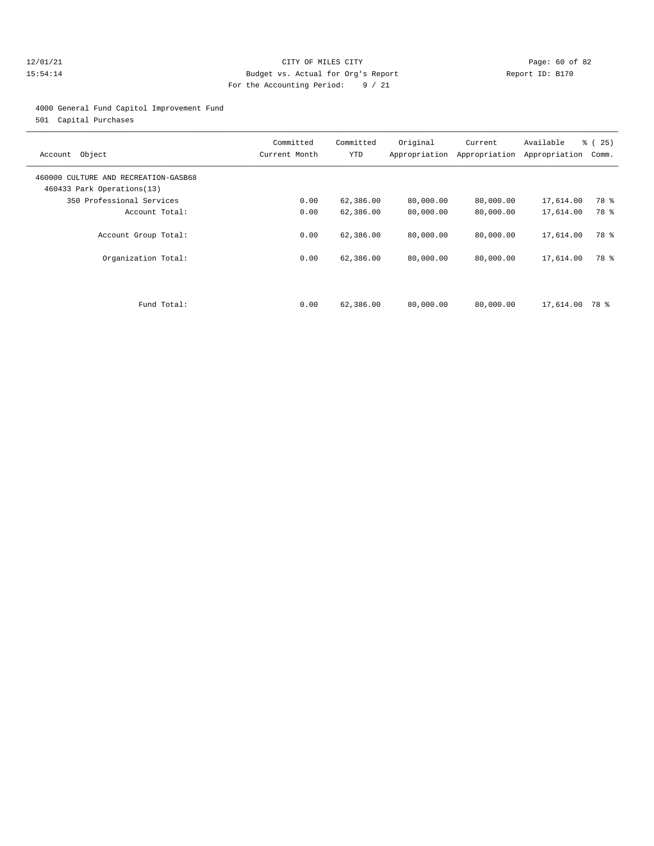#### 12/01/21 Page: 60 of 82 15:54:14 Budget vs. Actual for Org's Report Report ID: B170 For the Accounting Period: 9 / 21

4000 General Fund Capitol Improvement Fund

501 Capital Purchases

| Account Object                                                     | Committed<br>Current Month | Committed<br><b>YTD</b> | Original<br>Appropriation | Current<br>Appropriation | Available<br>Appropriation | $\approx$ (<br>25)<br>Comm. |
|--------------------------------------------------------------------|----------------------------|-------------------------|---------------------------|--------------------------|----------------------------|-----------------------------|
| 460000 CULTURE AND RECREATION-GASB68<br>460433 Park Operations(13) |                            |                         |                           |                          |                            |                             |
| 350 Professional Services                                          | 0.00                       | 62,386.00               | 80,000.00                 | 80,000.00                | 17,614.00                  | 78 %                        |
| Account Total:                                                     | 0.00                       | 62,386.00               | 80,000.00                 | 80,000.00                | 17,614.00                  | 78 %                        |
| Account Group Total:                                               | 0.00                       | 62,386.00               | 80,000.00                 | 80,000.00                | 17,614.00                  | 78 %                        |
| Organization Total:                                                | 0.00                       | 62,386.00               | 80,000.00                 | 80,000.00                | 17,614.00                  | 78 %                        |
|                                                                    |                            |                         |                           |                          |                            |                             |
| Fund Total:                                                        | 0.00                       | 62,386.00               | 80,000.00                 | 80,000.00                | 17,614.00                  | 78 %                        |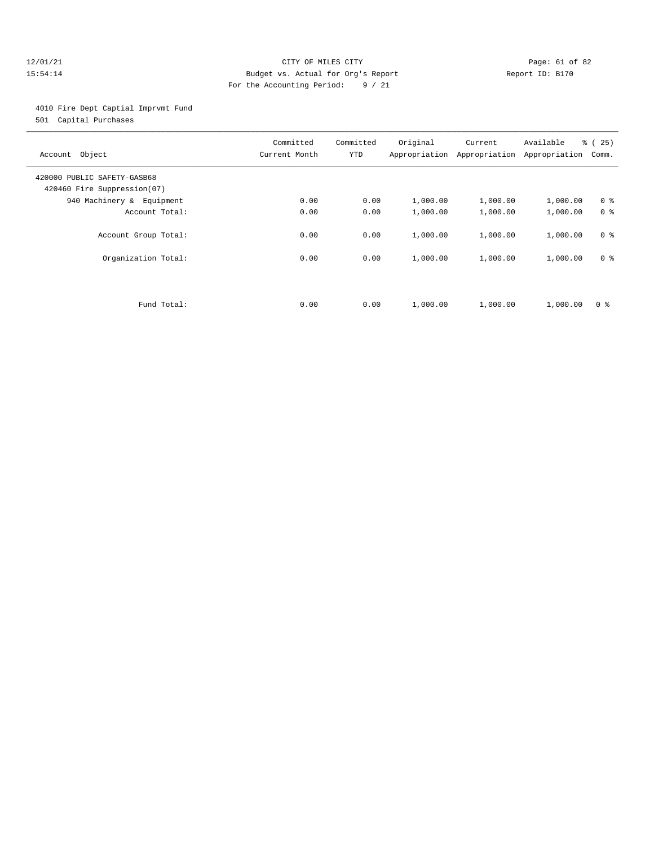#### 12/01/21 Page: 61 of 82 15:54:14 Budget vs. Actual for Org's Report Report ID: B170 For the Accounting Period: 9 / 21

4010 Fire Dept Captial Imprvmt Fund

501 Capital Purchases

| Account Object                                             | Committed<br>Current Month | Committed<br><b>YTD</b> | Original<br>Appropriation | Current<br>Appropriation | Available<br>Appropriation | $\approx$ (<br>25)<br>Comm. |
|------------------------------------------------------------|----------------------------|-------------------------|---------------------------|--------------------------|----------------------------|-----------------------------|
| 420000 PUBLIC SAFETY-GASB68<br>420460 Fire Suppression(07) |                            |                         |                           |                          |                            |                             |
| 940 Machinery & Equipment                                  | 0.00                       | 0.00                    | 1,000.00                  | 1,000.00                 | 1,000.00                   | 0 <sup>8</sup>              |
| Account Total:                                             | 0.00                       | 0.00                    | 1,000.00                  | 1,000.00                 | 1,000.00                   | 0 <sup>8</sup>              |
| Account Group Total:                                       | 0.00                       | 0.00                    | 1,000.00                  | 1,000.00                 | 1,000.00                   | 0 <sup>8</sup>              |
| Organization Total:                                        | 0.00                       | 0.00                    | 1,000.00                  | 1,000.00                 | 1,000.00                   | 0 <sup>8</sup>              |
|                                                            |                            |                         |                           |                          |                            |                             |
| Fund Total:                                                | 0.00                       | 0.00                    | 1,000.00                  | 1,000.00                 | 1,000.00                   | 0 <sup>8</sup>              |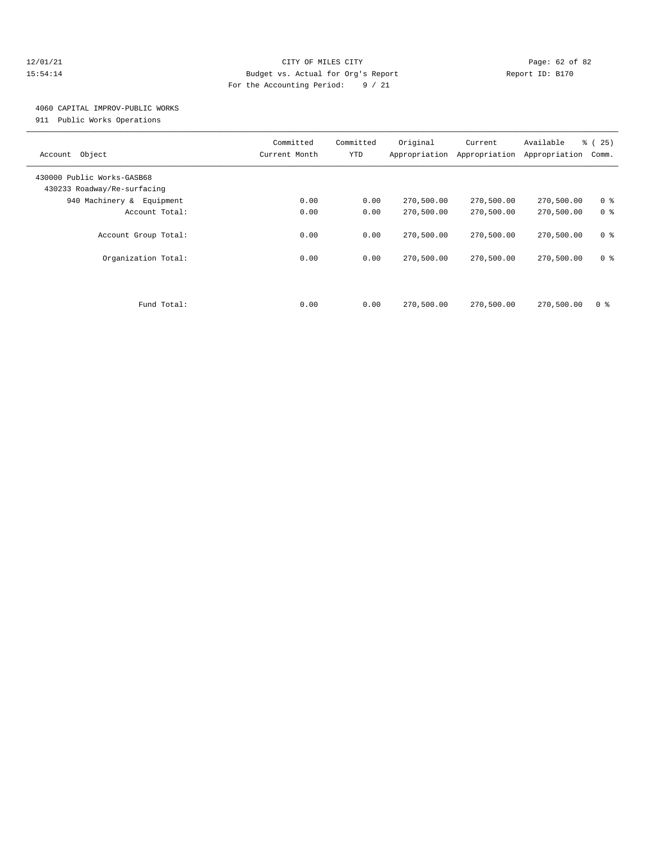#### 12/01/21 Page: 62 of 82 15:54:14 Budget vs. Actual for Org's Report Report ID: B170 For the Accounting Period: 9 / 21

## 4060 CAPITAL IMPROV-PUBLIC WORKS

911 Public Works Operations

| Account Object                                            | Committed<br>Current Month | Committed<br><b>YTD</b> | Original<br>Appropriation | Current<br>Appropriation | Available<br>Appropriation | $\approx$ (<br>25)<br>Comm. |
|-----------------------------------------------------------|----------------------------|-------------------------|---------------------------|--------------------------|----------------------------|-----------------------------|
| 430000 Public Works-GASB68<br>430233 Roadway/Re-surfacing |                            |                         |                           |                          |                            |                             |
| 940 Machinery & Equipment                                 | 0.00                       | 0.00                    | 270,500.00                | 270,500.00               | 270,500.00                 | 0 <sup>8</sup>              |
| Account Total:                                            | 0.00                       | 0.00                    | 270,500.00                | 270,500.00               | 270,500.00                 | 0 <sup>8</sup>              |
| Account Group Total:                                      | 0.00                       | 0.00                    | 270,500.00                | 270,500.00               | 270,500.00                 | 0 <sup>8</sup>              |
| Organization Total:                                       | 0.00                       | 0.00                    | 270,500.00                | 270,500.00               | 270,500.00                 | 0 <sup>8</sup>              |
|                                                           |                            |                         |                           |                          |                            |                             |
| Fund Total:                                               | 0.00                       | 0.00                    | 270,500.00                | 270,500.00               | 270,500.00                 | 0 ક                         |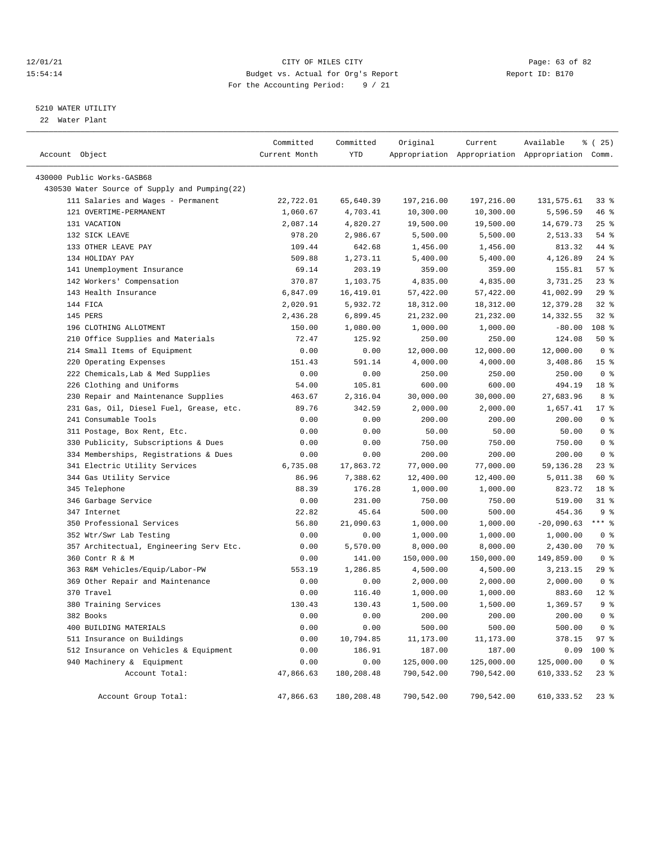#### 12/01/21 Page: 63 of 82<br>15:54:14 Pudget vs. Actual for Org's Report Report Report ID: B170 15:54:14 Budget vs. Actual for Org's Report For the Accounting Period: 9 / 21

## 5210 WATER UTILITY

22 Water Plant

| Account Object                                | Committed<br>Current Month | Committed<br>YTD | Original         | Current    | Available<br>Appropriation Appropriation Appropriation Comm. | <sub>है</sub> (25) |
|-----------------------------------------------|----------------------------|------------------|------------------|------------|--------------------------------------------------------------|--------------------|
| 430000 Public Works-GASB68                    |                            |                  |                  |            |                                                              |                    |
| 430530 Water Source of Supply and Pumping(22) |                            |                  |                  |            |                                                              |                    |
| 111 Salaries and Wages - Permanent            | 22,722.01                  | 65,640.39        | 197,216.00       | 197,216.00 | 131,575.61                                                   | $33*$              |
| 121 OVERTIME-PERMANENT                        | 1,060.67                   | 4,703.41         | 10,300.00        | 10,300.00  | 5,596.59                                                     | 46%                |
| 131 VACATION                                  | 2,087.14                   | 4,820.27         | 19,500.00        | 19,500.00  | 14,679.73                                                    | 25%                |
| 132 SICK LEAVE                                | 978.20                     | 2,986.67         | 5,500.00         | 5,500.00   | 2,513.33                                                     | 54 %               |
| 133 OTHER LEAVE PAY                           | 109.44                     | 642.68           | 1,456.00         | 1,456.00   | 813.32                                                       | 44 %               |
| 134 HOLIDAY PAY                               | 509.88                     | 1,273.11         | 5,400.00         | 5,400.00   | 4,126.89                                                     | $24$ %             |
| 141 Unemployment Insurance                    | 69.14                      | 203.19           | 359.00           | 359.00     | 155.81                                                       | 57%                |
| 142 Workers' Compensation                     | 370.87                     | 1,103.75         | 4,835.00         | 4,835.00   | 3,731.25                                                     | $23$ $%$           |
| 143 Health Insurance                          | 6,847.09                   | 16,419.01        | 57,422.00        | 57,422.00  | 41,002.99                                                    | 29%                |
| 144 FICA                                      | 2,020.91                   | 5,932.72         | 18,312.00        | 18,312.00  | 12,379.28                                                    | $32$ $%$           |
| 145 PERS                                      | 2,436.28                   | 6,899.45         | 21,232.00        | 21,232.00  | 14,332.55                                                    | $32$ $%$           |
| 196 CLOTHING ALLOTMENT                        | 150.00                     | 1,080.00         | 1,000.00         | 1,000.00   | $-80.00$                                                     | 108 %              |
| 210 Office Supplies and Materials             | 72.47                      | 125.92           | 250.00           | 250.00     | 124.08                                                       | 50%                |
| 214 Small Items of Equipment                  | 0.00                       | 0.00             | 12,000.00        | 12,000.00  | 12,000.00                                                    | 0 <sup>8</sup>     |
| 220 Operating Expenses                        | 151.43                     | 591.14           | 4,000.00         | 4,000.00   | 3,408.86                                                     | 15 <sup>°</sup>    |
| 222 Chemicals, Lab & Med Supplies             | 0.00                       | 0.00             |                  | 250.00     | 250.00                                                       | 0 <sup>8</sup>     |
| 226 Clothing and Uniforms                     | 54.00                      | 105.81           | 250.00<br>600.00 | 600.00     | 494.19                                                       | 18 %               |
|                                               |                            | 2,316.04         | 30,000.00        |            | 27,683.96                                                    | 8 %                |
| 230 Repair and Maintenance Supplies           | 463.67                     |                  |                  | 30,000.00  | 1,657.41                                                     |                    |
| 231 Gas, Oil, Diesel Fuel, Grease, etc.       | 89.76                      | 342.59           | 2,000.00         | 2,000.00   |                                                              | $17*$              |
| 241 Consumable Tools                          | 0.00                       | 0.00             | 200.00           | 200.00     | 200.00                                                       | 0 <sup>8</sup>     |
| 311 Postage, Box Rent, Etc.                   | 0.00                       | 0.00             | 50.00            | 50.00      | 50.00                                                        | 0 <sup>8</sup>     |
| 330 Publicity, Subscriptions & Dues           | 0.00                       | 0.00             | 750.00           | 750.00     | 750.00                                                       | 0 <sup>8</sup>     |
| 334 Memberships, Registrations & Dues         | 0.00                       | 0.00             | 200.00           | 200.00     | 200.00                                                       | 0 <sup>8</sup>     |
| 341 Electric Utility Services                 | 6,735.08                   | 17,863.72        | 77,000.00        | 77,000.00  | 59,136.28                                                    | $23$ %             |
| 344 Gas Utility Service                       | 86.96                      | 7,388.62         | 12,400.00        | 12,400.00  | 5,011.38                                                     | 60 %               |
| 345 Telephone                                 | 88.39                      | 176.28           | 1,000.00         | 1,000.00   | 823.72                                                       | 18 %               |
| 346 Garbage Service                           | 0.00                       | 231.00           | 750.00           | 750.00     | 519.00                                                       | $31$ %             |
| 347 Internet                                  | 22.82                      | 45.64            | 500.00           | 500.00     | 454.36                                                       | 9 <sup>8</sup>     |
| 350 Professional Services                     | 56.80                      | 21,090.63        | 1,000.00         | 1,000.00   | $-20,090.63$                                                 | $***$ $%$          |
| 352 Wtr/Swr Lab Testing                       | 0.00                       | 0.00             | 1,000.00         | 1,000.00   | 1,000.00                                                     | 0 <sup>8</sup>     |
| 357 Architectual, Engineering Serv Etc.       | 0.00                       | 5,570.00         | 8,000.00         | 8,000.00   | 2,430.00                                                     | 70 %               |
| 360 Contr R & M                               | 0.00                       | 141.00           | 150,000.00       | 150,000.00 | 149,859.00                                                   | 0 <sup>8</sup>     |
| 363 R&M Vehicles/Equip/Labor-PW               | 553.19                     | 1,286.85         | 4,500.00         | 4,500.00   | 3, 213. 15                                                   | 29%                |
| 369 Other Repair and Maintenance              | 0.00                       | 0.00             | 2,000.00         | 2,000.00   | 2,000.00                                                     | 0 <sup>8</sup>     |
| 370 Travel                                    | 0.00                       | 116.40           | 1,000.00         | 1,000.00   | 883.60                                                       | $12*$              |
| 380 Training Services                         | 130.43                     | 130.43           | 1,500.00         | 1,500.00   | 1,369.57                                                     | 9 <sup>8</sup>     |
| 382 Books                                     | 0.00                       | 0.00             | 200.00           | 200.00     | 200.00                                                       | 0 <sup>8</sup>     |
| 400 BUILDING MATERIALS                        | 0.00                       | 0.00             | 500.00           | 500.00     | 500.00                                                       | 0 <sup>8</sup>     |
| 511 Insurance on Buildings                    | 0.00                       | 10,794.85        | 11,173.00        | 11,173.00  | 378.15                                                       | 97%                |
| 512 Insurance on Vehicles & Equipment         | 0.00                       | 186.91           | 187.00           | 187.00     | 0.09                                                         | 100 %              |
| 940 Machinery & Equipment                     | 0.00                       | 0.00             | 125,000.00       | 125,000.00 | 125,000.00                                                   | 0 <sup>8</sup>     |
| Account Total:                                | 47,866.63                  | 180,208.48       | 790,542.00       | 790,542.00 | 610, 333.52                                                  | $23$ $%$           |
| Account Group Total:                          | 47,866.63                  | 180,208.48       | 790,542.00       | 790,542.00 | 610, 333.52                                                  | $23$ %             |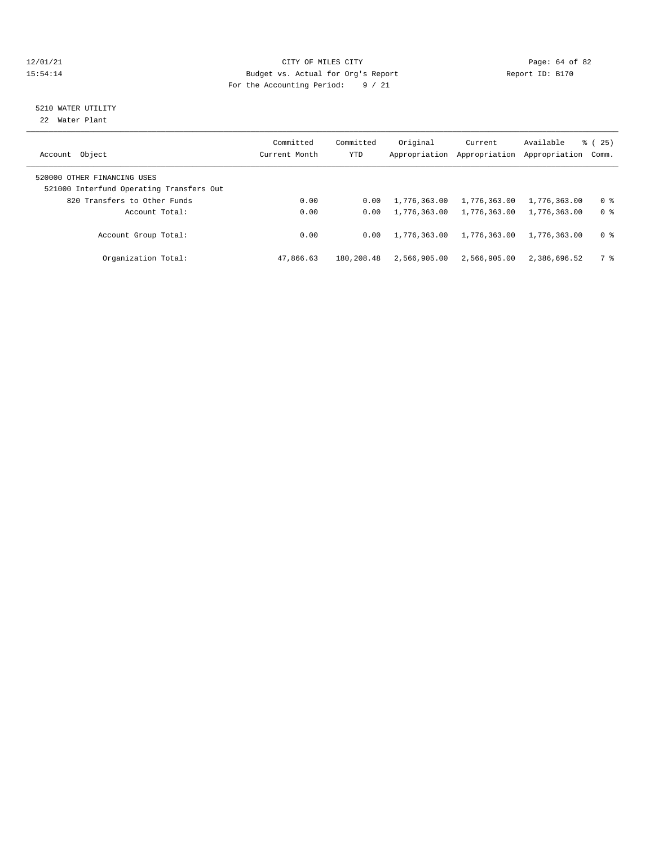#### $12/01/21$  Page: 64 of 82<br>15:54:14 Budget vs. Actual for Org's Report  $\frac{P}{Q}$  Report ID: B170 15:54:14 Budget vs. Actual for Org's Report For the Accounting Period: 9 / 21

## 5210 WATER UTILITY

22 Water Plant

| Account Object                                                          | Committed<br>Current Month | Committed<br>YTD | Original<br>Appropriation | Current<br>Appropriation | Available<br>Appropriation | 25)<br>ී (<br>Comm. |
|-------------------------------------------------------------------------|----------------------------|------------------|---------------------------|--------------------------|----------------------------|---------------------|
| 520000 OTHER FINANCING USES<br>521000 Interfund Operating Transfers Out |                            |                  |                           |                          |                            |                     |
| 820 Transfers to Other Funds                                            | 0.00                       | 0.00             | 1,776,363.00              | 1,776,363.00             | 1,776,363.00               | 0 %                 |
| Account Total:                                                          | 0.00                       | 0.00             | 1,776,363.00              | 1,776,363.00             | 1,776,363.00               | 0 <sup>8</sup>      |
| Account Group Total:                                                    | 0.00                       | 0.00             | 1,776,363.00              | 1,776,363.00             | 1,776,363.00               | 0 <sup>8</sup>      |
| Organization Total:                                                     | 47,866.63                  | 180,208.48       | 2,566,905.00              | 2,566,905.00             | 2,386,696.52               | 7 දි                |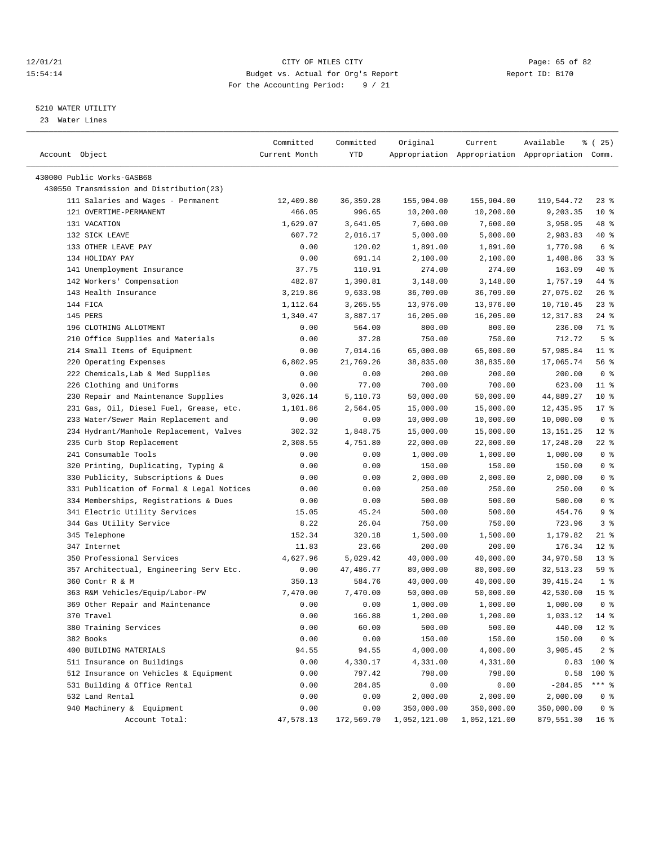#### 12/01/21 Page: 65 of 82<br>15:54:14 Pudget vs. Actual for Org's Report Report Report ID: B170 15:54:14 Budget vs. Actual for Org's Report For the Accounting Period: 9 / 21

————————————————————————————————————————————————————————————————————————————————————————————————————————————————————————————————————

## 5210 WATER UTILITY

23 Water Lines

|                                           | Committed     | Committed  | Original     | Current      | Available                                       | $*(25)$         |
|-------------------------------------------|---------------|------------|--------------|--------------|-------------------------------------------------|-----------------|
| Account Object                            | Current Month | YTD        |              |              | Appropriation Appropriation Appropriation Comm. |                 |
|                                           |               |            |              |              |                                                 |                 |
| 430000 Public Works-GASB68                |               |            |              |              |                                                 |                 |
| 430550 Transmission and Distribution(23)  |               |            |              |              |                                                 |                 |
| 111 Salaries and Wages - Permanent        | 12,409.80     | 36, 359.28 | 155,904.00   | 155,904.00   | 119,544.72                                      | $23$ $%$        |
| 121 OVERTIME-PERMANENT                    | 466.05        | 996.65     | 10,200.00    | 10,200.00    | 9,203.35                                        | $10*$           |
| 131 VACATION                              | 1,629.07      | 3,641.05   | 7,600.00     | 7,600.00     | 3,958.95                                        | 48 %            |
| 132 SICK LEAVE                            | 607.72        | 2,016.17   | 5,000.00     | 5,000.00     | 2,983.83                                        | 40 %            |
| 133 OTHER LEAVE PAY                       | 0.00          | 120.02     | 1,891.00     | 1,891.00     | 1,770.98                                        | 6 %             |
| 134 HOLIDAY PAY                           | 0.00          | 691.14     | 2,100.00     | 2,100.00     | 1,408.86                                        | 33%             |
| 141 Unemployment Insurance                | 37.75         | 110.91     | 274.00       | 274.00       | 163.09                                          | $40*$           |
| 142 Workers' Compensation                 | 482.87        | 1,390.81   | 3,148.00     | 3,148.00     | 1,757.19                                        | 44 %            |
| 143 Health Insurance                      | 3,219.86      | 9,633.98   | 36,709.00    | 36,709.00    | 27,075.02                                       | $26$ %          |
| 144 FICA                                  | 1,112.64      | 3,265.55   | 13,976.00    | 13,976.00    | 10,710.45                                       | $23$ $%$        |
| 145 PERS                                  | 1,340.47      | 3,887.17   | 16,205.00    | 16,205.00    | 12, 317.83                                      | $24$ %          |
| 196 CLOTHING ALLOTMENT                    | 0.00          | 564.00     | 800.00       | 800.00       | 236.00                                          | 71 %            |
| 210 Office Supplies and Materials         | 0.00          | 37.28      | 750.00       | 750.00       | 712.72                                          | 5 <sup>8</sup>  |
| 214 Small Items of Equipment              | 0.00          | 7,014.16   | 65,000.00    | 65,000.00    | 57,985.84                                       | $11$ %          |
| 220 Operating Expenses                    | 6,802.95      | 21,769.26  | 38,835.00    | 38,835.00    | 17,065.74                                       | 56 %            |
| 222 Chemicals, Lab & Med Supplies         | 0.00          | 0.00       | 200.00       | 200.00       | 200.00                                          | 0 <sup>8</sup>  |
| 226 Clothing and Uniforms                 | 0.00          | 77.00      | 700.00       | 700.00       | 623.00                                          | $11$ %          |
| 230 Repair and Maintenance Supplies       | 3,026.14      | 5,110.73   | 50,000.00    | 50,000.00    | 44,889.27                                       | $10*$           |
| 231 Gas, Oil, Diesel Fuel, Grease, etc.   | 1,101.86      | 2,564.05   | 15,000.00    | 15,000.00    | 12,435.95                                       | $17*$           |
| 233 Water/Sewer Main Replacement and      | 0.00          | 0.00       | 10,000.00    | 10,000.00    | 10,000.00                                       | 0 <sup>8</sup>  |
| 234 Hydrant/Manhole Replacement, Valves   | 302.32        | 1,848.75   | 15,000.00    | 15,000.00    | 13, 151. 25                                     | $12*$           |
| 235 Curb Stop Replacement                 | 2,308.55      | 4,751.80   | 22,000.00    | 22,000.00    | 17,248.20                                       | $22$ %          |
| 241 Consumable Tools                      | 0.00          | 0.00       | 1,000.00     | 1,000.00     | 1,000.00                                        | 0 <sup>8</sup>  |
| 320 Printing, Duplicating, Typing &       | 0.00          | 0.00       | 150.00       | 150.00       | 150.00                                          | 0 <sup>8</sup>  |
| 330 Publicity, Subscriptions & Dues       | 0.00          | 0.00       | 2,000.00     | 2,000.00     | 2,000.00                                        | 0 <sup>8</sup>  |
| 331 Publication of Formal & Legal Notices | 0.00          | 0.00       | 250.00       | 250.00       | 250.00                                          | 0 <sup>8</sup>  |
| 334 Memberships, Registrations & Dues     | 0.00          | 0.00       | 500.00       | 500.00       | 500.00                                          | 0 <sup>8</sup>  |
| 341 Electric Utility Services             | 15.05         | 45.24      | 500.00       | 500.00       | 454.76                                          | 9%              |
| 344 Gas Utility Service                   | 8.22          | 26.04      | 750.00       | 750.00       | 723.96                                          | 3%              |
| 345 Telephone                             | 152.34        | 320.18     | 1,500.00     | 1,500.00     | 1,179.82                                        | 21 %            |
| 347 Internet                              | 11.83         | 23.66      | 200.00       | 200.00       | 176.34                                          | $12*$           |
| 350 Professional Services                 | 4,627.96      | 5,029.42   | 40,000.00    | 40,000.00    | 34,970.58                                       | $13*$           |
| 357 Architectual, Engineering Serv Etc.   | 0.00          | 47,486.77  | 80,000.00    | 80,000.00    | 32, 513.23                                      | 59 %            |
| 360 Contr R & M                           | 350.13        | 584.76     | 40,000.00    | 40,000.00    | 39, 415.24                                      | $1$ %           |
| 363 R&M Vehicles/Equip/Labor-PW           | 7,470.00      | 7,470.00   | 50,000.00    | 50,000.00    | 42,530.00                                       | 15 <sup>8</sup> |
| 369 Other Repair and Maintenance          | 0.00          | 0.00       | 1,000.00     | 1,000.00     | 1,000.00                                        | 0 <sup>8</sup>  |
| 370 Travel                                | 0.00          | 166.88     | 1,200.00     | 1,200.00     | 1,033.12 14 %                                   |                 |
| 380 Training Services                     | 0.00          | 60.00      | 500.00       | 500.00       | 440.00                                          | $12*$           |
| 382 Books                                 | 0.00          | 0.00       | 150.00       | 150.00       | 150.00                                          | 0 <sup>8</sup>  |
| 400 BUILDING MATERIALS                    | 94.55         | 94.55      | 4,000.00     | 4,000.00     | 3,905.45                                        | 2 <sub>8</sub>  |
| 511 Insurance on Buildings                | 0.00          | 4,330.17   | 4,331.00     | 4,331.00     | 0.83                                            | 100 %           |
| 512 Insurance on Vehicles & Equipment     | 0.00          | 797.42     | 798.00       | 798.00       | 0.58                                            | $100$ %         |
| 531 Building & Office Rental              | 0.00          | 284.85     | 0.00         | 0.00         | $-284.85$                                       | $***$ $_{8}$    |
| 532 Land Rental                           | 0.00          | 0.00       | 2,000.00     | 2,000.00     | 2,000.00                                        | 0 <sup>8</sup>  |
| 940 Machinery & Equipment                 | 0.00          | 0.00       | 350,000.00   | 350,000.00   | 350,000.00                                      | 0 <sup>8</sup>  |
| Account Total:                            | 47,578.13     | 172,569.70 | 1,052,121.00 | 1,052,121.00 | 879,551.30                                      | 16 <sup>8</sup> |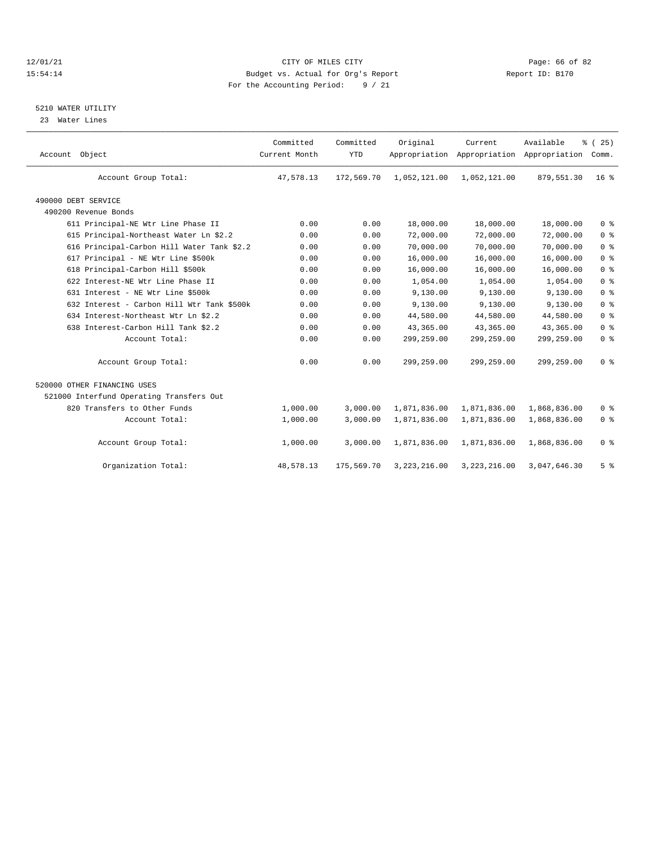#### 12/01/21 CITY OF MILES CITY CHES CITY CONTRIBUTE AND REPORT TO PAGE: 66 OF 82<br>15179 Budget vs. Actual for Org's Report (1999) Report ID: B170 15:54:14 Budget vs. Actual for Org's Report For the Accounting Period: 9 / 21

## 5210 WATER UTILITY

23 Water Lines

| Account Object                             | Committed<br>Current Month | Committed<br><b>YTD</b> | Original       | Current      | Available<br>Appropriation Appropriation Appropriation | % (25)<br>Comm. |  |
|--------------------------------------------|----------------------------|-------------------------|----------------|--------------|--------------------------------------------------------|-----------------|--|
| Account Group Total:                       | 47,578.13                  | 172,569.70              | 1,052,121.00   | 1,052,121.00 | 879,551.30                                             | 16 <sup>8</sup> |  |
| 490000 DEBT SERVICE                        |                            |                         |                |              |                                                        |                 |  |
| 490200 Revenue Bonds                       |                            |                         |                |              |                                                        |                 |  |
| 611 Principal-NE Wtr Line Phase II         | 0.00                       | 0.00                    | 18,000.00      | 18,000.00    | 18,000.00                                              | 0 <sup>8</sup>  |  |
| 615 Principal-Northeast Water Ln \$2.2     | 0.00                       | 0.00                    | 72,000.00      | 72,000.00    | 72,000.00                                              | 0 <sup>8</sup>  |  |
| 616 Principal-Carbon Hill Water Tank \$2.2 | 0.00                       | 0.00                    | 70,000.00      | 70,000.00    | 70,000.00                                              | 0 <sup>8</sup>  |  |
| 617 Principal - NE Wtr Line \$500k         | 0.00                       | 0.00                    | 16,000.00      | 16,000.00    | 16,000.00                                              | 0 <sup>8</sup>  |  |
| 618 Principal-Carbon Hill \$500k           | 0.00                       | 0.00                    | 16,000.00      | 16,000.00    | 16,000.00                                              | 0 <sup>8</sup>  |  |
| 622 Interest-NE Wtr Line Phase II          | 0.00                       | 0.00                    | 1,054.00       | 1,054.00     | 1,054.00                                               | 0 <sup>8</sup>  |  |
| 631 Interest - NE Wtr Line \$500k          | 0.00                       | 0.00                    | 9,130.00       | 9,130.00     | 9,130.00                                               | 0 <sup>8</sup>  |  |
| 632 Interest - Carbon Hill Wtr Tank \$500k | 0.00                       | 0.00                    | 9,130.00       | 9,130.00     | 9,130.00                                               | 0 <sup>8</sup>  |  |
| 634 Interest-Northeast Wtr Ln \$2.2        | 0.00                       | 0.00                    | 44,580.00      | 44,580.00    | 44,580.00                                              | 0 <sup>8</sup>  |  |
| 638 Interest-Carbon Hill Tank \$2.2        | 0.00                       | 0.00                    | 43,365.00      | 43,365.00    | 43,365.00                                              | 0 <sup>8</sup>  |  |
| Account Total:                             | 0.00                       | 0.00                    | 299,259.00     | 299,259.00   | 299,259.00                                             | 0 <sup>8</sup>  |  |
| Account Group Total:                       | 0.00                       | 0.00                    | 299,259.00     | 299,259.00   | 299,259.00                                             | 0 <sup>8</sup>  |  |
| 520000 OTHER FINANCING USES                |                            |                         |                |              |                                                        |                 |  |
| 521000 Interfund Operating Transfers Out   |                            |                         |                |              |                                                        |                 |  |
| 820 Transfers to Other Funds               | 1,000.00                   | 3.000.00                | 1,871,836.00   | 1,871,836.00 | 1,868,836.00                                           | 0 <sup>8</sup>  |  |
| Account Total:                             | 1,000.00                   | 3,000.00                | 1,871,836.00   | 1,871,836.00 | 1,868,836.00                                           | 0 <sup>8</sup>  |  |
| Account Group Total:                       | 1,000.00                   | 3,000.00                | 1,871,836.00   | 1,871,836.00 | 1,868,836.00                                           | 0 <sup>8</sup>  |  |
| Organization Total:                        | 48,578.13                  | 175,569.70              | 3, 223, 216.00 | 3,223,216.00 | 3,047,646.30                                           | 5 <sup>8</sup>  |  |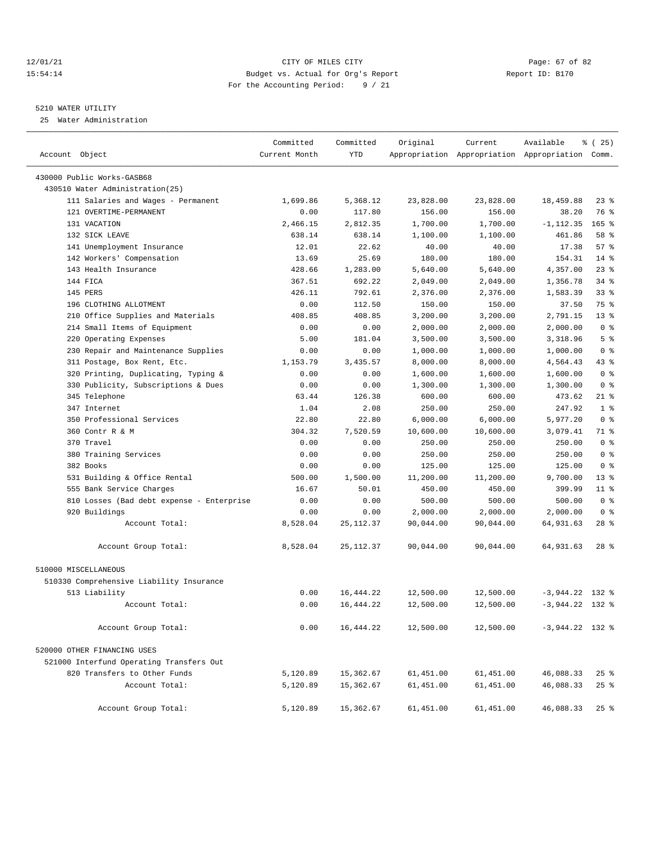#### 12/01/21 Page: 67 of 82<br>15:54:14 Pudget vs. Actual for Org's Report Report Report ID: B170 15:54:14 Budget vs. Actual for Org's Report For the Accounting Period: 9 / 21

#### 5210 WATER UTILITY

25 Water Administration

| Account Object                            | Committed<br>Current Month | Committed<br>YTD | Original  | Current   | Available<br>Appropriation Appropriation Appropriation Comm. | <sub>है</sub> (25) |
|-------------------------------------------|----------------------------|------------------|-----------|-----------|--------------------------------------------------------------|--------------------|
| 430000 Public Works-GASB68                |                            |                  |           |           |                                                              |                    |
| 430510 Water Administration (25)          |                            |                  |           |           |                                                              |                    |
| 111 Salaries and Wages - Permanent        | 1,699.86                   | 5,368.12         | 23,828.00 | 23,828.00 | 18,459.88                                                    | 23 %               |
| 121 OVERTIME-PERMANENT                    | 0.00                       | 117.80           | 156.00    | 156.00    | 38.20                                                        | 76 %               |
| 131 VACATION                              | 2,466.15                   | 2,812.35         | 1,700.00  | 1,700.00  | $-1, 112.35$                                                 | $165$ %            |
| 132 SICK LEAVE                            | 638.14                     | 638.14           | 1,100.00  | 1,100.00  | 461.86                                                       | 58 %               |
| 141 Unemployment Insurance                | 12.01                      | 22.62            | 40.00     | 40.00     | 17.38                                                        | 57%                |
| 142 Workers' Compensation                 | 13.69                      | 25.69            | 180.00    | 180.00    | 154.31                                                       | $14*$              |
| 143 Health Insurance                      | 428.66                     | 1,283.00         | 5,640.00  | 5,640.00  | 4,357.00                                                     | $23$ %             |
| 144 FICA                                  | 367.51                     | 692.22           | 2,049.00  | 2,049.00  | 1,356.78                                                     | $34$ $%$           |
| 145 PERS                                  | 426.11                     | 792.61           | 2,376.00  | 2,376.00  | 1,583.39                                                     | $33$ $%$           |
| 196 CLOTHING ALLOTMENT                    | 0.00                       | 112.50           | 150.00    | 150.00    | 37.50                                                        | 75 %               |
| 210 Office Supplies and Materials         | 408.85                     | 408.85           | 3,200.00  | 3,200.00  | 2,791.15                                                     | $13*$              |
| 214 Small Items of Equipment              | 0.00                       | 0.00             | 2,000.00  | 2,000.00  | 2,000.00                                                     | 0 <sup>8</sup>     |
| 220 Operating Expenses                    | 5.00                       | 181.04           | 3,500.00  | 3,500.00  | 3,318.96                                                     | 5 <sup>8</sup>     |
| 230 Repair and Maintenance Supplies       | 0.00                       | 0.00             | 1,000.00  | 1,000.00  | 1,000.00                                                     | 0 <sup>8</sup>     |
| 311 Postage, Box Rent, Etc.               | 1,153.79                   | 3,435.57         | 8,000.00  | 8,000.00  | 4,564.43                                                     | $43$ %             |
| 320 Printing, Duplicating, Typing &       | 0.00                       | 0.00             | 1,600.00  | 1,600.00  | 1,600.00                                                     | 0 <sup>8</sup>     |
| 330 Publicity, Subscriptions & Dues       | 0.00                       | 0.00             | 1,300.00  | 1,300.00  | 1,300.00                                                     | 0 <sup>8</sup>     |
| 345 Telephone                             | 63.44                      | 126.38           | 600.00    | 600.00    | 473.62                                                       | $21$ %             |
| 347 Internet                              | 1.04                       | 2.08             | 250.00    | 250.00    | 247.92                                                       | 1 <sup>8</sup>     |
| 350 Professional Services                 | 22.80                      | 22.80            | 6,000.00  | 6,000.00  | 5,977.20                                                     | 0 <sup>8</sup>     |
| 360 Contr R & M                           | 304.32                     | 7,520.59         | 10,600.00 | 10,600.00 | 3,079.41                                                     | 71 %               |
| 370 Travel                                | 0.00                       | 0.00             | 250.00    | 250.00    | 250.00                                                       | 0 <sup>8</sup>     |
| 380 Training Services                     | 0.00                       | 0.00             | 250.00    | 250.00    | 250.00                                                       | 0 <sup>8</sup>     |
| 382 Books                                 | 0.00                       | 0.00             | 125.00    | 125.00    | 125.00                                                       | 0 <sup>8</sup>     |
| 531 Building & Office Rental              | 500.00                     | 1,500.00         | 11,200.00 | 11,200.00 | 9,700.00                                                     | $13*$              |
| 555 Bank Service Charges                  | 16.67                      | 50.01            | 450.00    | 450.00    | 399.99                                                       | $11$ %             |
| 810 Losses (Bad debt expense - Enterprise | 0.00                       | 0.00             | 500.00    | 500.00    | 500.00                                                       | 0 <sup>8</sup>     |
| 920 Buildings                             | 0.00                       | 0.00             | 2,000.00  | 2,000.00  | 2,000.00                                                     | 0 <sup>8</sup>     |
| Account Total:                            | 8,528.04                   | 25, 112.37       | 90,044.00 | 90,044.00 | 64,931.63                                                    | $28$ %             |
| Account Group Total:                      | 8,528.04                   | 25, 112.37       | 90,044.00 | 90,044.00 | 64,931.63                                                    | $28$ %             |
| 510000 MISCELLANEOUS                      |                            |                  |           |           |                                                              |                    |
| 510330 Comprehensive Liability Insurance  |                            |                  |           |           |                                                              |                    |
| 513 Liability                             | 0.00                       | 16,444.22        | 12,500.00 | 12,500.00 | $-3,944.22$ 132 %                                            |                    |
| Account Total:                            | 0.00                       | 16, 444.22       | 12,500.00 | 12,500.00 | $-3,944.22$ 132 %                                            |                    |
| Account Group Total:                      | 0.00                       | 16, 444.22       | 12,500.00 | 12,500.00 | $-3,944.22$ 132 %                                            |                    |
| 520000 OTHER FINANCING USES               |                            |                  |           |           |                                                              |                    |
| 521000 Interfund Operating Transfers Out  |                            |                  |           |           |                                                              |                    |
| 820 Transfers to Other Funds              | 5,120.89                   | 15,362.67        | 61,451.00 | 61,451.00 | 46,088.33                                                    | $25$ %             |
| Account Total:                            | 5,120.89                   | 15,362.67        | 61,451.00 | 61,451.00 | 46,088.33                                                    | 25%                |
| Account Group Total:                      | 5,120.89                   | 15,362.67        | 61,451.00 | 61,451.00 | 46,088.33                                                    | 25%                |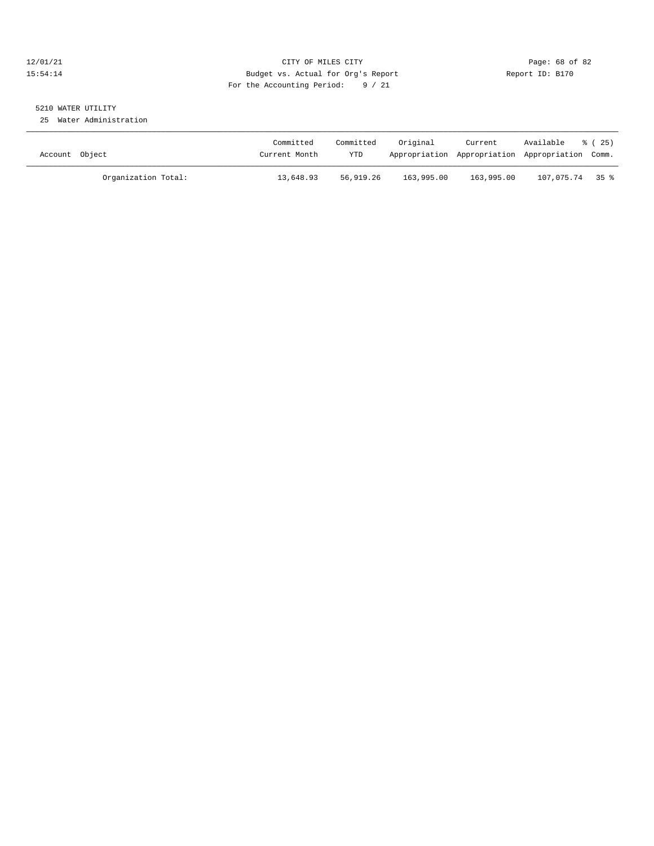#### 12/01/21 Page: 68 of 82<br>15:54:14 Pudget vs. Actual for Org's Report Report Report ID: B170 15:54:14 Budget vs. Actual for Org's Report For the Accounting Period: 9 / 21

## 5210 WATER UTILITY

25 Water Administration

| Account Object |                     | Committed<br>Current Month | Committed<br>YTD | Original   | Current    | Available<br>Appropriation Appropriation Appropriation Comm. | 8 (25) |
|----------------|---------------------|----------------------------|------------------|------------|------------|--------------------------------------------------------------|--------|
|                | Organization Total: | 13,648.93                  | 56,919.26        | 163,995.00 | 163,995.00 | 107,075.74 35%                                               |        |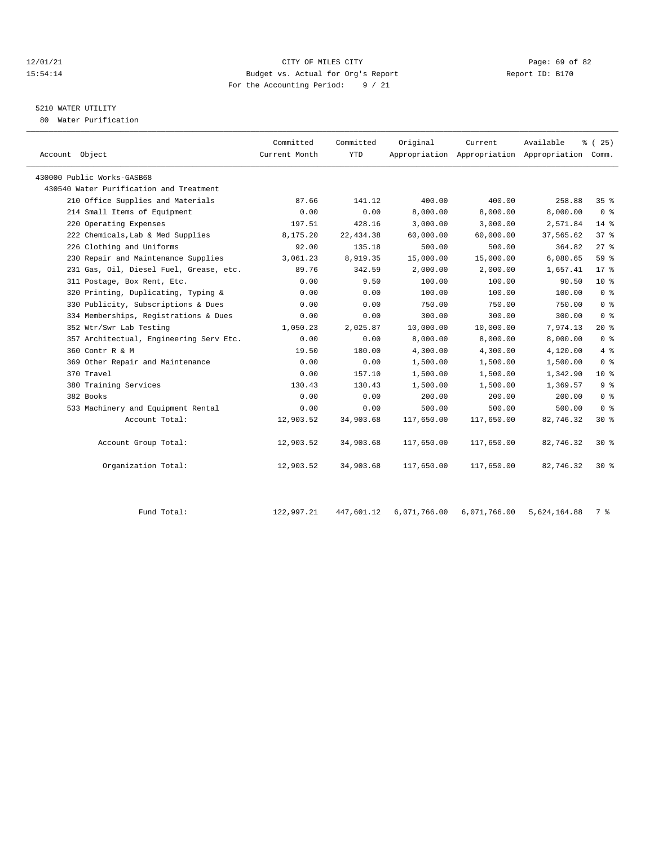#### $12/01/21$  Page: 69 of 82<br>15:54:14 Budget vs. Actual for Org's Report  $\frac{P}{Q}$  Report ID: B170 15:54:14 Budget vs. Actual for Org's Report For the Accounting Period: 9 / 21

## 5210 WATER UTILITY

80 Water Purification

| Account Object                          | Committed<br>Current Month | Committed<br><b>YTD</b> | Original   | Current    | Available<br>Appropriation Appropriation Appropriation Comm. | % (25)         |
|-----------------------------------------|----------------------------|-------------------------|------------|------------|--------------------------------------------------------------|----------------|
| 430000 Public Works-GASB68              |                            |                         |            |            |                                                              |                |
| 430540 Water Purification and Treatment |                            |                         |            |            |                                                              |                |
| 210 Office Supplies and Materials       | 87.66                      | 141.12                  | 400.00     | 400.00     | 258.88                                                       | 35%            |
| 214 Small Items of Equipment            | 0.00                       | 0.00                    | 8,000.00   | 8,000.00   | 8,000.00                                                     | 0 <sup>8</sup> |
| 220 Operating Expenses                  | 197.51                     | 428.16                  | 3,000.00   | 3,000.00   | 2,571.84                                                     | 14 %           |
| 222 Chemicals, Lab & Med Supplies       | 8,175.20                   | 22, 434.38              | 60,000.00  | 60,000.00  | 37,565.62                                                    | 378            |
| 226 Clothing and Uniforms               | 92.00                      | 135.18                  | 500.00     | 500.00     | 364.82                                                       | $27$ %         |
| 230 Repair and Maintenance Supplies     | 3,061.23                   | 8,919.35                | 15,000.00  | 15,000.00  | 6,080.65                                                     | 59 %           |
| 231 Gas, Oil, Diesel Fuel, Grease, etc. | 89.76                      | 342.59                  | 2,000.00   | 2,000.00   | 1,657.41                                                     | $17*$          |
| 311 Postage, Box Rent, Etc.             | 0.00                       | 9.50                    | 100.00     | 100.00     | 90.50                                                        | $10*$          |
| 320 Printing, Duplicating, Typing &     | 0.00                       | 0.00                    | 100.00     | 100.00     | 100.00                                                       | 0 <sup>8</sup> |
| 330 Publicity, Subscriptions & Dues     | 0.00                       | 0.00                    | 750.00     | 750.00     | 750.00                                                       | 0 <sup>8</sup> |
| 334 Memberships, Registrations & Dues   | 0.00                       | 0.00                    | 300.00     | 300.00     | 300.00                                                       | 0 <sup>8</sup> |
| 352 Wtr/Swr Lab Testing                 | 1,050.23                   | 2,025.87                | 10,000.00  | 10,000.00  | 7,974.13                                                     | $20*$          |
| 357 Architectual, Engineering Serv Etc. | 0.00                       | 0.00                    | 8,000.00   | 8,000.00   | 8,000.00                                                     | 0 <sup>8</sup> |
| 360 Contr R & M                         | 19.50                      | 180.00                  | 4,300.00   | 4,300.00   | 4,120.00                                                     | 4%             |
| 369 Other Repair and Maintenance        | 0.00                       | 0.00                    | 1,500.00   | 1,500.00   | 1,500.00                                                     | 0 <sup>8</sup> |
| 370 Travel                              | 0.00                       | 157.10                  | 1,500.00   | 1,500.00   | 1,342.90                                                     | $10*$          |
| 380 Training Services                   | 130.43                     | 130.43                  | 1,500.00   | 1,500.00   | 1,369.57                                                     | 9%             |
| 382 Books                               | 0.00                       | 0.00                    | 200.00     | 200.00     | 200.00                                                       | 0 <sup>8</sup> |
| 533 Machinery and Equipment Rental      | 0.00                       | 0.00                    | 500.00     | 500.00     | 500.00                                                       | 0 <sup>8</sup> |
| Account Total:                          | 12,903.52                  | 34,903.68               | 117,650.00 | 117,650.00 | 82,746.32                                                    | $30*$          |
| Account Group Total:                    | 12,903.52                  | 34,903.68               | 117,650.00 | 117,650.00 | 82,746.32                                                    | $30*$          |
| Organization Total:                     | 12,903.52                  | 34,903.68               | 117,650.00 | 117,650.00 | 82,746.32                                                    | $30*$          |
|                                         |                            |                         |            |            |                                                              |                |

Fund Total: 122,997.21 447,601.12 6,071,766.00 6,071,766.00 5,624,164.88 7 %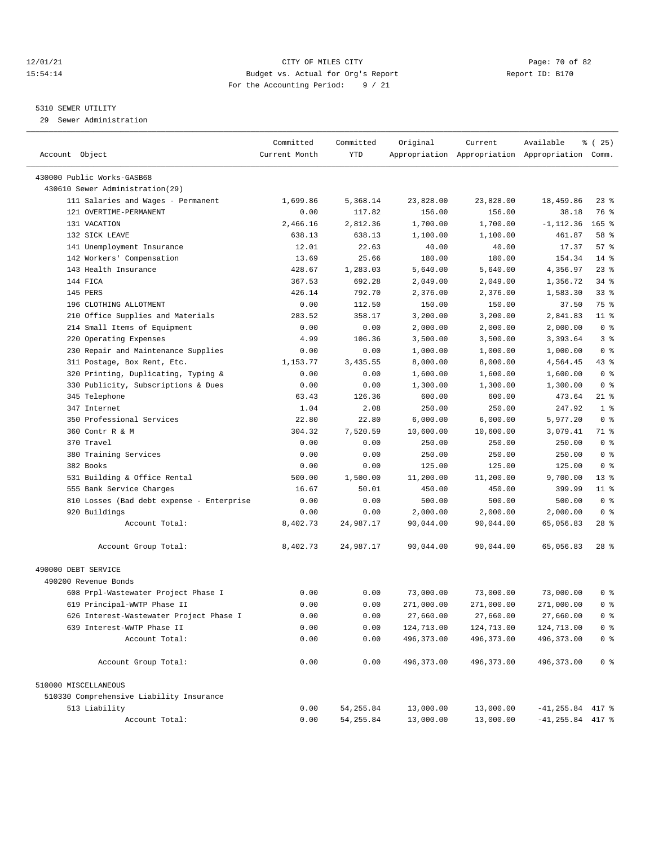#### 12/01/21 Page: 70 of 82 15:54:14 Budget vs. Actual for Org's Report Report ID: B170 For the Accounting Period: 9 / 21

#### 5310 SEWER UTILITY

29 Sewer Administration

|                                                                | Committed     | Committed  | Original          | Current            | Available                                       | <sub>है</sub> (25) |
|----------------------------------------------------------------|---------------|------------|-------------------|--------------------|-------------------------------------------------|--------------------|
| Account Object                                                 | Current Month | YTD        |                   |                    | Appropriation Appropriation Appropriation Comm. |                    |
|                                                                |               |            |                   |                    |                                                 |                    |
| 430000 Public Works-GASB68<br>430610 Sewer Administration (29) |               |            |                   |                    |                                                 |                    |
| 111 Salaries and Wages - Permanent                             | 1,699.86      | 5,368.14   | 23,828.00         | 23,828.00          | 18,459.86                                       | 23 %               |
| 121 OVERTIME-PERMANENT                                         | 0.00          | 117.82     | 156.00            | 156.00             | 38.18                                           | 76 %               |
| 131 VACATION                                                   | 2,466.16      | 2,812.36   | 1,700.00          | 1,700.00           | $-1, 112.36$                                    | $165$ %            |
| 132 SICK LEAVE                                                 | 638.13        | 638.13     |                   | 1,100.00           | 461.87                                          | 58 %               |
| 141 Unemployment Insurance                                     | 12.01         | 22.63      | 1,100.00<br>40.00 | 40.00              | 17.37                                           | 57%                |
|                                                                |               | 25.66      |                   | 180.00             | 154.34                                          | $14$ %             |
| 142 Workers' Compensation<br>143 Health Insurance              | 13.69         |            | 180.00            |                    |                                                 | $23$ %             |
|                                                                | 428.67        | 1,283.03   | 5,640.00          | 5,640.00           | 4,356.97<br>1,356.72                            |                    |
| 144 FICA                                                       | 367.53        | 692.28     | 2,049.00          | 2,049.00           |                                                 | $34$ $%$           |
| 145 PERS<br>196 CLOTHING ALLOTMENT                             | 426.14        | 792.70     | 2,376.00          | 2,376.00<br>150.00 | 1,583.30                                        | $33$ $%$<br>75 %   |
|                                                                | 0.00          | 112.50     | 150.00            |                    | 37.50                                           | $11$ %             |
| 210 Office Supplies and Materials                              | 283.52        | 358.17     | 3,200.00          | 3,200.00           | 2,841.83                                        |                    |
| 214 Small Items of Equipment                                   | 0.00          | 0.00       | 2,000.00          | 2,000.00           | 2,000.00                                        | 0 <sup>8</sup>     |
| 220 Operating Expenses                                         | 4.99          | 106.36     | 3,500.00          | 3,500.00           | 3,393.64                                        | 3%                 |
| 230 Repair and Maintenance Supplies                            | 0.00          | 0.00       | 1,000.00          | 1,000.00           | 1,000.00                                        | 0 <sup>8</sup>     |
| 311 Postage, Box Rent, Etc.                                    | 1,153.77      | 3,435.55   | 8,000.00          | 8,000.00           | 4,564.45                                        | $43$ %             |
| 320 Printing, Duplicating, Typing &                            | 0.00          | 0.00       | 1,600.00          | 1,600.00           | 1,600.00                                        | 0 <sup>8</sup>     |
| 330 Publicity, Subscriptions & Dues                            | 0.00          | 0.00       | 1,300.00          | 1,300.00           | 1,300.00                                        | 0 <sup>8</sup>     |
| 345 Telephone                                                  | 63.43         | 126.36     | 600.00            | 600.00             | 473.64                                          | $21$ %             |
| 347 Internet                                                   | 1.04          | 2.08       | 250.00            | 250.00             | 247.92                                          | 1 <sup>8</sup>     |
| 350 Professional Services                                      | 22.80         | 22.80      | 6,000.00          | 6,000.00           | 5,977.20                                        | 0 <sup>8</sup>     |
| 360 Contr R & M                                                | 304.32        | 7,520.59   | 10,600.00         | 10,600.00          | 3,079.41                                        | 71 %               |
| 370 Travel                                                     | 0.00          | 0.00       | 250.00            | 250.00             | 250.00                                          | 0 <sup>8</sup>     |
| 380 Training Services                                          | 0.00          | 0.00       | 250.00            | 250.00             | 250.00                                          | 0 <sup>8</sup>     |
| 382 Books                                                      | 0.00          | 0.00       | 125.00            | 125.00             | 125.00                                          | 0 <sup>8</sup>     |
| 531 Building & Office Rental                                   | 500.00        | 1,500.00   | 11,200.00         | 11,200.00          | 9,700.00                                        | $13*$              |
| 555 Bank Service Charges                                       | 16.67         | 50.01      | 450.00            | 450.00             | 399.99                                          | $11$ %             |
| 810 Losses (Bad debt expense - Enterprise                      | 0.00          | 0.00       | 500.00            | 500.00             | 500.00                                          | 0 <sup>8</sup>     |
| 920 Buildings                                                  | 0.00          | 0.00       | 2,000.00          | 2,000.00           | 2,000.00                                        | 0 <sup>8</sup>     |
| Account Total:                                                 | 8,402.73      | 24,987.17  | 90,044.00         | 90,044.00          | 65,056.83                                       | $28$ %             |
| Account Group Total:                                           | 8,402.73      | 24,987.17  | 90,044.00         | 90,044.00          | 65,056.83                                       | $28$ %             |
| 490000 DEBT SERVICE                                            |               |            |                   |                    |                                                 |                    |
| 490200 Revenue Bonds                                           |               |            |                   |                    |                                                 |                    |
| 608 Prpl-Wastewater Project Phase I                            | 0.00          | 0.00       | 73,000.00         | 73,000.00          | 73,000.00                                       | 0 <sup>8</sup>     |
| 619 Principal-WWTP Phase II                                    | 0.00          | 0.00       | 271,000.00        | 271,000.00         | 271,000.00                                      | 0 <sup>8</sup>     |
| 626 Interest-Wastewater Project Phase I                        | 0.00          | 0.00       | 27,660.00         | 27,660.00          | 27,660.00                                       | 0 <sup>8</sup>     |
| 639 Interest-WWTP Phase II                                     | 0.00          | 0.00       | 124,713.00        | 124,713.00         | 124,713.00                                      | $0$ %              |
| Account Total:                                                 | 0.00          | 0.00       | 496,373.00        | 496, 373.00        | 496, 373.00                                     | 0 <sup>8</sup>     |
|                                                                |               |            |                   |                    |                                                 |                    |
| Account Group Total:                                           | 0.00          | 0.00       | 496, 373.00       | 496,373.00         | 496, 373.00                                     | 0 <sup>8</sup>     |
| 510000 MISCELLANEOUS                                           |               |            |                   |                    |                                                 |                    |
| 510330 Comprehensive Liability Insurance                       |               |            |                   |                    |                                                 |                    |
| 513 Liability                                                  | 0.00          | 54, 255.84 | 13,000.00         | 13,000.00          | $-41, 255.84$ 417 %                             |                    |
| Account Total:                                                 | 0.00          | 54, 255.84 | 13,000.00         | 13,000.00          | $-41, 255.84$ 417 %                             |                    |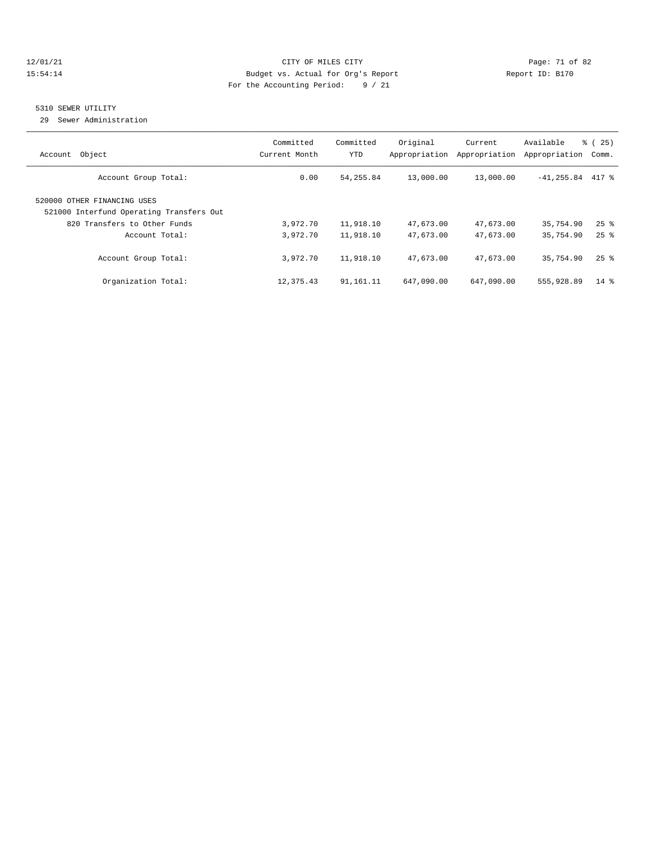#### 12/01/21 Page: 71 of 82 15:54:14 Budget vs. Actual for Org's Report Report ID: B170 For the Accounting Period: 9 / 21

#### 5310 SEWER UTILITY

29 Sewer Administration

| Object<br>Account                                                       | Committed<br>Current Month | Committed<br>YTD | Original<br>Appropriation | Current<br>Appropriation | Available<br>Appropriation | $\approx$ (<br>25)<br>Comm. |
|-------------------------------------------------------------------------|----------------------------|------------------|---------------------------|--------------------------|----------------------------|-----------------------------|
| Account Group Total:                                                    | 0.00                       | 54, 255.84       | 13,000.00                 | 13,000.00                | $-41, 255.84$ 417 %        |                             |
| 520000 OTHER FINANCING USES<br>521000 Interfund Operating Transfers Out |                            |                  |                           |                          |                            |                             |
| 820 Transfers to Other Funds                                            | 3,972.70                   | 11,918.10        | 47,673.00                 | 47,673.00                | 35,754.90                  | $25$ $%$                    |
| Account Total:                                                          | 3,972.70                   | 11,918.10        | 47,673.00                 | 47,673.00                | 35,754.90                  | $25$ $\frac{6}{5}$          |
| Account Group Total:                                                    | 3,972.70                   | 11,918.10        | 47,673.00                 | 47,673.00                | 35,754.90                  | $25$ $\frac{6}{5}$          |
| Organization Total:                                                     | 12,375.43                  | 91, 161, 11      | 647,090.00                | 647,090.00               | 555,928.89                 | $14*$                       |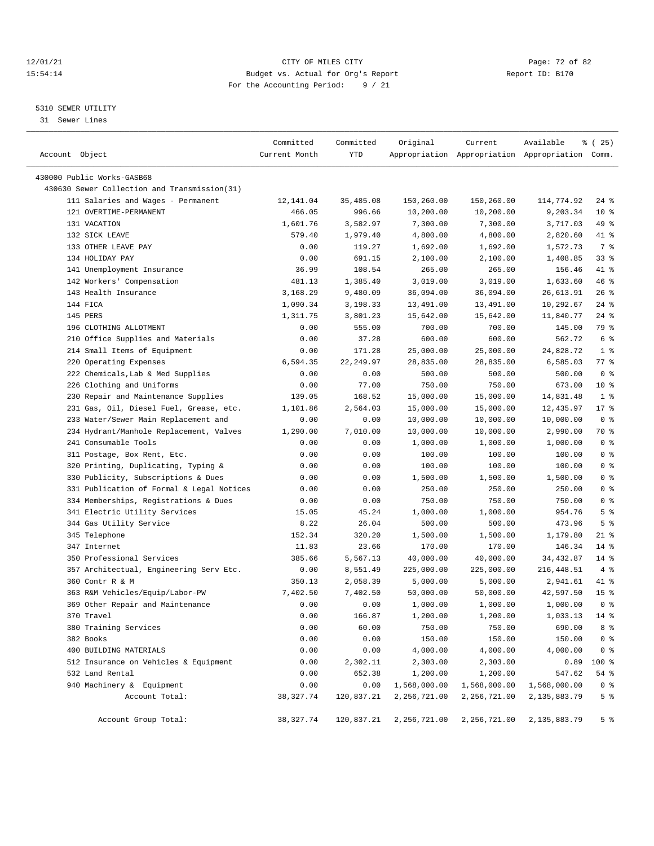#### 12/01/21 Page: 72 of 82<br>15:54:14 Page: 72 of 82<br>15:54:14 Budget vs. Actual for Org's Report Page: 72 of 82 15:54:14 Budget vs. Actual for Org's Report For the Accounting Period: 9 / 21

————————————————————————————————————————————————————————————————————————————————————————————————————————————————————————————————————

### 5310 SEWER UTILITY

31 Sewer Lines

|                                              | Committed     | Committed  | Original     | Current      | Available                                       | ៖ (25)          |
|----------------------------------------------|---------------|------------|--------------|--------------|-------------------------------------------------|-----------------|
| Account Object                               | Current Month | YTD        |              |              | Appropriation Appropriation Appropriation Comm. |                 |
|                                              |               |            |              |              |                                                 |                 |
| 430000 Public Works-GASB68                   |               |            |              |              |                                                 |                 |
| 430630 Sewer Collection and Transmission(31) |               |            |              |              |                                                 |                 |
| 111 Salaries and Wages - Permanent           | 12,141.04     | 35,485.08  | 150,260.00   | 150,260.00   | 114,774.92                                      | $24$ %          |
| 121 OVERTIME-PERMANENT                       | 466.05        | 996.66     | 10,200.00    | 10,200.00    | 9,203.34                                        | 10 <sup>°</sup> |
| 131 VACATION                                 | 1,601.76      | 3,582.97   | 7,300.00     | 7,300.00     | 3,717.03                                        | 49 %            |
| 132 SICK LEAVE                               | 579.40        | 1,979.40   | 4,800.00     | 4,800.00     | 2,820.60                                        | 41 %            |
| 133 OTHER LEAVE PAY                          | 0.00          | 119.27     | 1,692.00     | 1,692.00     | 1,572.73                                        | 7 %             |
| 134 HOLIDAY PAY                              | 0.00          | 691.15     | 2,100.00     | 2,100.00     | 1,408.85                                        | 33%             |
| 141 Unemployment Insurance                   | 36.99         | 108.54     | 265.00       | 265.00       | 156.46                                          | 41 %            |
| 142 Workers' Compensation                    | 481.13        | 1,385.40   | 3,019.00     | 3,019.00     | 1,633.60                                        | 46 %            |
| 143 Health Insurance                         | 3,168.29      | 9,480.09   | 36,094.00    | 36,094.00    | 26,613.91                                       | $26$ %          |
| 144 FICA                                     | 1,090.34      | 3,198.33   | 13,491.00    | 13,491.00    | 10,292.67                                       | $24$ %          |
| 145 PERS                                     | 1,311.75      | 3,801.23   | 15,642.00    | 15,642.00    | 11,840.77                                       | $24$ %          |
| 196 CLOTHING ALLOTMENT                       | 0.00          | 555.00     | 700.00       | 700.00       | 145.00                                          | 79 %            |
| 210 Office Supplies and Materials            | 0.00          | 37.28      | 600.00       | 600.00       | 562.72                                          | 6 %             |
| 214 Small Items of Equipment                 | 0.00          | 171.28     | 25,000.00    | 25,000.00    | 24,828.72                                       | 1 <sup>8</sup>  |
| 220 Operating Expenses                       | 6,594.35      | 22, 249.97 | 28,835.00    | 28,835.00    | 6,585.03                                        | $77$ $%$        |
| 222 Chemicals, Lab & Med Supplies            | 0.00          | 0.00       | 500.00       | 500.00       | 500.00                                          | 0 <sup>8</sup>  |
| 226 Clothing and Uniforms                    | 0.00          | 77.00      | 750.00       | 750.00       | 673.00                                          | $10*$           |
| 230 Repair and Maintenance Supplies          | 139.05        | 168.52     | 15,000.00    | 15,000.00    | 14,831.48                                       | 1 <sup>8</sup>  |
| 231 Gas, Oil, Diesel Fuel, Grease, etc.      | 1,101.86      | 2,564.03   | 15,000.00    | 15,000.00    | 12,435.97                                       | $17*$           |
| 233 Water/Sewer Main Replacement and         | 0.00          | 0.00       | 10,000.00    | 10,000.00    | 10,000.00                                       | 0 <sup>8</sup>  |
| 234 Hydrant/Manhole Replacement, Valves      | 1,290.00      | 7,010.00   | 10,000.00    | 10,000.00    | 2,990.00                                        | 70 %            |
| 241 Consumable Tools                         | 0.00          | 0.00       | 1,000.00     | 1,000.00     | 1,000.00                                        | 0 <sup>8</sup>  |
| 311 Postage, Box Rent, Etc.                  | 0.00          | 0.00       | 100.00       | 100.00       | 100.00                                          | 0 <sup>8</sup>  |
| 320 Printing, Duplicating, Typing &          | 0.00          | 0.00       | 100.00       | 100.00       | 100.00                                          | 0 <sup>8</sup>  |
| 330 Publicity, Subscriptions & Dues          | 0.00          | 0.00       | 1,500.00     | 1,500.00     | 1,500.00                                        | 0 <sup>8</sup>  |
| 331 Publication of Formal & Legal Notices    | 0.00          | 0.00       | 250.00       | 250.00       | 250.00                                          | 0 <sup>8</sup>  |
| 334 Memberships, Registrations & Dues        | 0.00          | 0.00       | 750.00       | 750.00       | 750.00                                          | 0 <sup>8</sup>  |
| 341 Electric Utility Services                | 15.05         | 45.24      | 1,000.00     | 1,000.00     | 954.76                                          | 5 <sup>°</sup>  |
| 344 Gas Utility Service                      | 8.22          | 26.04      | 500.00       | 500.00       | 473.96                                          | 5 <sup>8</sup>  |
| 345 Telephone                                | 152.34        | 320.20     | 1,500.00     | 1,500.00     | 1,179.80                                        | $21$ %          |
| 347 Internet                                 | 11.83         | 23.66      | 170.00       | 170.00       | 146.34                                          | $14$ %          |
| 350 Professional Services                    | 385.66        | 5,567.13   | 40,000.00    | 40,000.00    | 34, 432.87                                      | $14$ %          |
| 357 Architectual, Engineering Serv Etc.      | 0.00          | 8,551.49   | 225,000.00   | 225,000.00   | 216, 448.51                                     | 4%              |
| 360 Contr R & M                              | 350.13        | 2,058.39   | 5,000.00     | 5,000.00     | 2,941.61                                        | 41 %            |
| 363 R&M Vehicles/Equip/Labor-PW              | 7,402.50      | 7,402.50   | 50,000.00    | 50,000.00    | 42,597.50                                       | 15 <sup>°</sup> |
| 369 Other Repair and Maintenance             | 0.00          | 0.00       | 1,000.00     | 1,000.00     | 1,000.00                                        | 0 <sup>8</sup>  |
| 370 Travel                                   | 0.00          | 166.87     | 1,200.00     | 1,200.00     | 1,033.13                                        | $14*$           |
| 380 Training Services                        | 0.00          | 60.00      | 750.00       | 750.00       | 690.00                                          | 8 %             |
| 382 Books                                    | 0.00          | 0.00       | 150.00       | 150.00       | 150.00                                          | 0 <sup>8</sup>  |
| 400 BUILDING MATERIALS                       | 0.00          | 0.00       | 4,000.00     | 4,000.00     | 4,000.00                                        | 0 <sup>8</sup>  |
| 512 Insurance on Vehicles & Equipment        | 0.00          | 2,302.11   | 2,303.00     | 2,303.00     | 0.89                                            | 100 %           |
| 532 Land Rental                              | 0.00          | 652.38     | 1,200.00     | 1,200.00     | 547.62                                          | 54 %            |
| 940 Machinery & Equipment                    | 0.00          | 0.00       | 1,568,000.00 | 1,568,000.00 | 1,568,000.00                                    | 0 <sup>8</sup>  |
| Account Total:                               | 38, 327. 74   | 120,837.21 | 2,256,721.00 | 2,256,721.00 | 2,135,883.79                                    | 5 <sup>8</sup>  |
| Account Group Total:                         | 38, 327.74    | 120,837.21 | 2,256,721.00 | 2,256,721.00 | 2,135,883.79                                    | 5 %             |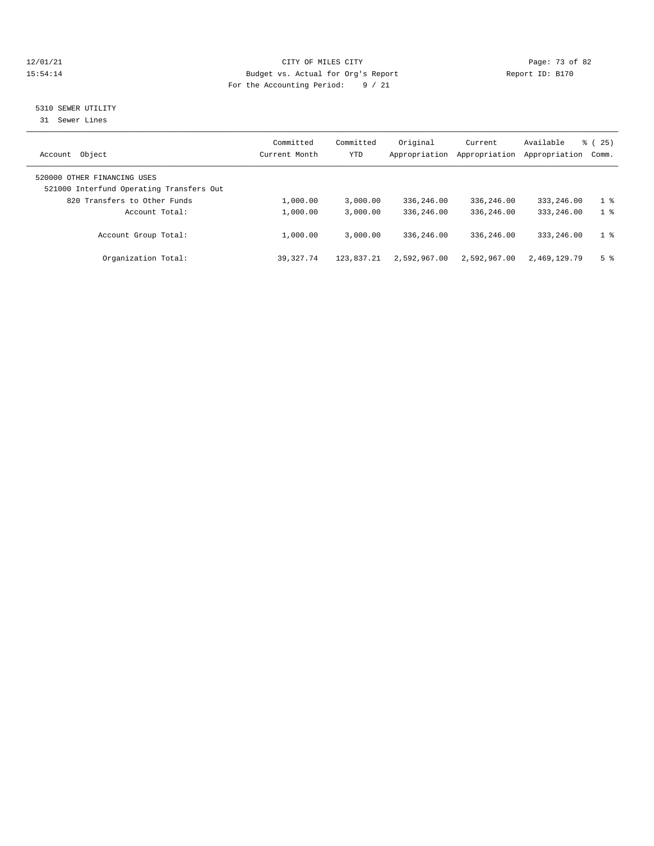# 12/01/21 CITY OF MILES CITY COMPUTER CITY CONSUMING THE PAGE: 73 of 82<br>15:54:14 Budget vs. Actual for Org's Report (1999) Report ID: B170 15:54:14 Budget vs. Actual for Org's Report For the Accounting Period: 9 / 21

# 5310 SEWER UTILITY

31 Sewer Lines

| Object<br>Account                                                       | Committed<br>Current Month | Committed<br>YTD | Original<br>Appropriation | Current<br>Appropriation | Available<br>Appropriation | 25)<br>ී (<br>Comm. |
|-------------------------------------------------------------------------|----------------------------|------------------|---------------------------|--------------------------|----------------------------|---------------------|
| 520000 OTHER FINANCING USES<br>521000 Interfund Operating Transfers Out |                            |                  |                           |                          |                            |                     |
| 820 Transfers to Other Funds                                            | 1,000.00                   | 3,000.00         | 336,246.00                | 336,246.00               | 333,246.00                 | $1 \text{ }$        |
| Account Total:                                                          | 1,000.00                   | 3.000.00         | 336,246.00                | 336,246.00               | 333, 246, 00               | 1 <sup>8</sup>      |
| Account Group Total:                                                    | 1,000.00                   | 3.000.00         | 336,246.00                | 336,246.00               | 333, 246, 00               | $1 \circ$           |
| Organization Total:                                                     | 39, 327, 74                | 123,837.21       | 2,592,967.00              | 2,592,967.00             | 2,469,129.79               | 5 <sup>8</sup>      |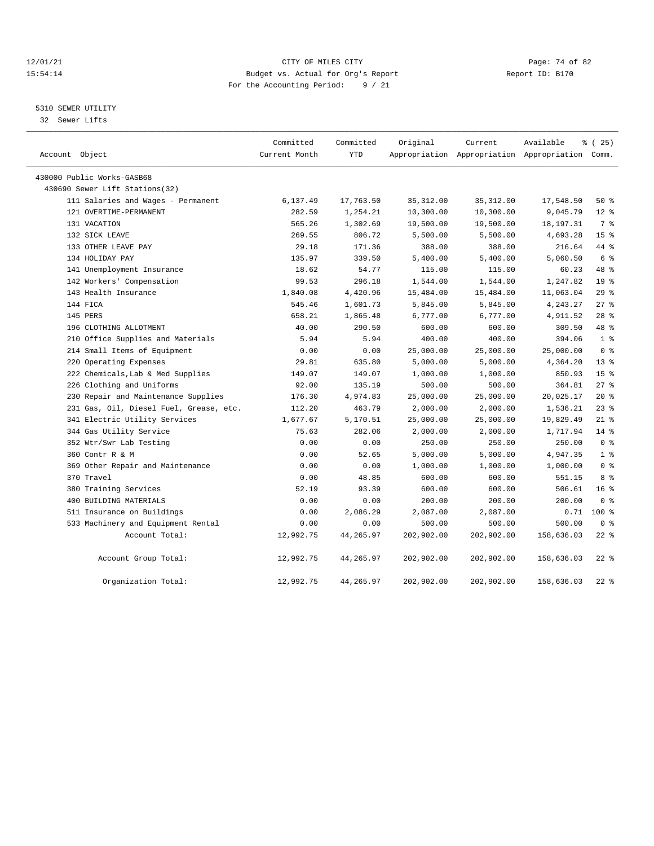# 12/01/21 Page: 74 of 82<br>15:54:14 Pudget vs. Actual for Org's Report Report Report ID: B170 15:54:14 Budget vs. Actual for Org's Report For the Accounting Period: 9 / 21

# 5310 SEWER UTILITY

32 Sewer Lifts

| Account Object                          | Committed<br>Current Month | Committed<br><b>YTD</b> | Original   | Current    | Available<br>Appropriation Appropriation Appropriation Comm. | $*(25)$         |
|-----------------------------------------|----------------------------|-------------------------|------------|------------|--------------------------------------------------------------|-----------------|
| 430000 Public Works-GASB68              |                            |                         |            |            |                                                              |                 |
| 430690 Sewer Lift Stations(32)          |                            |                         |            |            |                                                              |                 |
| 111 Salaries and Wages - Permanent      | 6,137.49                   | 17,763.50               | 35, 312.00 | 35, 312.00 | 17,548.50                                                    | 50%             |
| 121 OVERTIME-PERMANENT                  | 282.59                     | 1,254.21                | 10,300.00  | 10,300.00  | 9,045.79                                                     | $12*$           |
| 131 VACATION                            | 565.26                     | 1,302.69                | 19,500.00  | 19,500.00  | 18, 197. 31                                                  | 7 %             |
| 132 SICK LEAVE                          | 269.55                     | 806.72                  | 5,500.00   | 5,500.00   | 4,693.28                                                     | 15 <sup>°</sup> |
| 133 OTHER LEAVE PAY                     | 29.18                      | 171.36                  | 388.00     | 388.00     | 216.64                                                       | 44 %            |
| 134 HOLIDAY PAY                         | 135.97                     | 339.50                  | 5,400.00   | 5,400.00   | 5,060.50                                                     | 6 %             |
| 141 Unemployment Insurance              | 18.62                      | 54.77                   | 115.00     | 115.00     | 60.23                                                        | 48 %            |
| 142 Workers' Compensation               | 99.53                      | 296.18                  | 1,544.00   | 1,544.00   | 1,247.82                                                     | 19 <sup>°</sup> |
| 143 Health Insurance                    | 1,840.08                   | 4,420.96                | 15,484.00  | 15,484.00  | 11,063.04                                                    | 29%             |
| 144 FICA                                | 545.46                     | 1,601.73                | 5,845.00   | 5,845.00   | 4,243.27                                                     | 27%             |
| 145 PERS                                | 658.21                     | 1,865.48                | 6,777.00   | 6,777.00   | 4,911.52                                                     | $28$ $%$        |
| 196 CLOTHING ALLOTMENT                  | 40.00                      | 290.50                  | 600.00     | 600.00     | 309.50                                                       | 48 %            |
| 210 Office Supplies and Materials       | 5.94                       | 5.94                    | 400.00     | 400.00     | 394.06                                                       | 1 <sup>8</sup>  |
| 214 Small Items of Equipment            | 0.00                       | 0.00                    | 25,000.00  | 25,000.00  | 25,000.00                                                    | 0 <sup>8</sup>  |
| 220 Operating Expenses                  | 29.81                      | 635.80                  | 5,000.00   | 5,000.00   | 4,364.20                                                     | $13*$           |
| 222 Chemicals, Lab & Med Supplies       | 149.07                     | 149.07                  | 1,000.00   | 1,000.00   | 850.93                                                       | 15 <sup>°</sup> |
| 226 Clothing and Uniforms               | 92.00                      | 135.19                  | 500.00     | 500.00     | 364.81                                                       | $27$ %          |
| 230 Repair and Maintenance Supplies     | 176.30                     | 4,974.83                | 25,000.00  | 25,000.00  | 20,025.17                                                    | 20%             |
| 231 Gas, Oil, Diesel Fuel, Grease, etc. | 112.20                     | 463.79                  | 2,000.00   | 2,000.00   | 1,536.21                                                     | $23$ $%$        |
| 341 Electric Utility Services           | 1,677.67                   | 5,170.51                | 25,000.00  | 25,000.00  | 19,829.49                                                    | $21$ %          |
| 344 Gas Utility Service                 | 75.63                      | 282.06                  | 2,000.00   | 2,000.00   | 1,717.94                                                     | $14*$           |
| 352 Wtr/Swr Lab Testing                 | 0.00                       | 0.00                    | 250.00     | 250.00     | 250.00                                                       | 0 <sup>8</sup>  |
| 360 Contr R & M                         | 0.00                       | 52.65                   | 5,000.00   | 5,000.00   | 4,947.35                                                     | 1 <sup>8</sup>  |
| 369 Other Repair and Maintenance        | 0.00                       | 0.00                    | 1,000.00   | 1,000.00   | 1,000.00                                                     | 0 <sup>8</sup>  |
| 370 Travel                              | 0.00                       | 48.85                   | 600.00     | 600.00     | 551.15                                                       | 8 %             |
| 380 Training Services                   | 52.19                      | 93.39                   | 600.00     | 600.00     | 506.61                                                       | 16 <sup>°</sup> |
| 400 BUILDING MATERIALS                  | 0.00                       | 0.00                    | 200.00     | 200.00     | 200.00                                                       | 0 <sup>8</sup>  |
| 511 Insurance on Buildings              | 0.00                       | 2,086.29                | 2,087.00   | 2,087.00   | 0.71                                                         | $100*$          |
| 533 Machinery and Equipment Rental      | 0.00                       | 0.00                    | 500.00     | 500.00     | 500.00                                                       | 0 <sup>8</sup>  |
| Account Total:                          | 12,992.75                  | 44,265.97               | 202,902.00 | 202,902.00 | 158,636.03                                                   | $22$ %          |
| Account Group Total:                    | 12,992.75                  | 44,265.97               | 202,902.00 | 202,902.00 | 158,636.03                                                   | $22$ %          |
| Organization Total:                     | 12,992.75                  | 44,265.97               | 202,902.00 | 202,902.00 | 158,636.03                                                   | $22$ %          |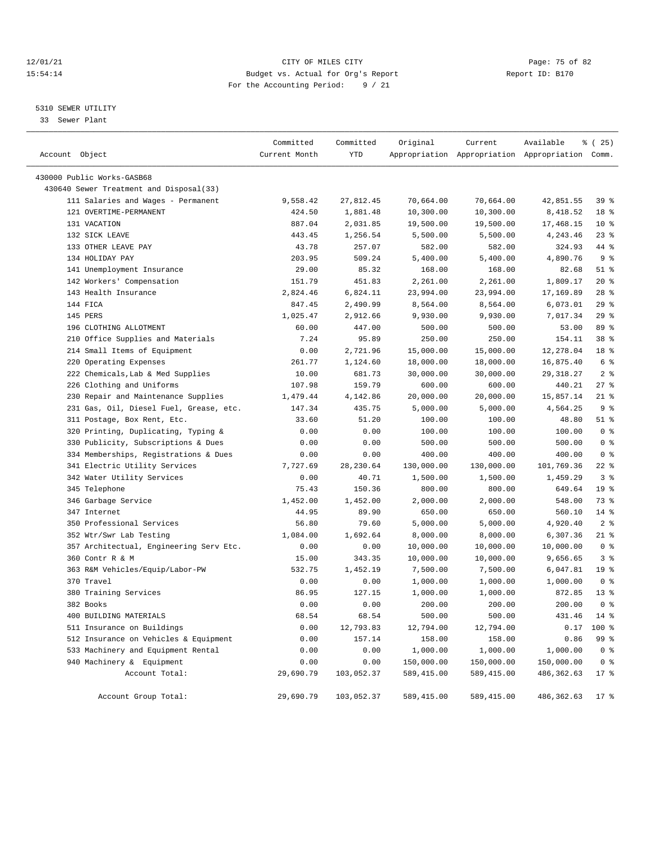# 12/01/21 Page: 75 of 82<br>15:54:14 Pudget vs. Actual for Org's Report Page: 75 of 82<br>15:54:14 Pudget vs. Actual for Org's Report Page: 75 of 82 15:54:14 Budget vs. Actual for Org's Report For the Accounting Period: 9 / 21

# 5310 SEWER UTILITY

33 Sewer Plant

| Account Object                          | Committed<br>Current Month | Committed<br>YTD | Original   | Current     | Available<br>Appropriation Appropriation Appropriation Comm. | <sub>है</sub> (25) |
|-----------------------------------------|----------------------------|------------------|------------|-------------|--------------------------------------------------------------|--------------------|
| 430000 Public Works-GASB68              |                            |                  |            |             |                                                              |                    |
| 430640 Sewer Treatment and Disposal(33) |                            |                  |            |             |                                                              |                    |
| 111 Salaries and Wages - Permanent      | 9,558.42                   | 27,812.45        | 70,664.00  | 70,664.00   | 42,851.55                                                    | 39 <sub>8</sub>    |
| 121 OVERTIME-PERMANENT                  |                            |                  |            |             |                                                              | 18 %               |
|                                         | 424.50                     | 1,881.48         | 10,300.00  | 10,300.00   | 8,418.52                                                     |                    |
| 131 VACATION                            | 887.04                     | 2,031.85         | 19,500.00  | 19,500.00   | 17,468.15                                                    | $10*$              |
| 132 SICK LEAVE<br>133 OTHER LEAVE PAY   | 443.45                     | 1,256.54         | 5,500.00   | 5,500.00    | 4,243.46                                                     | $23$ %             |
|                                         | 43.78                      | 257.07           | 582.00     | 582.00      | 324.93                                                       | 44 %               |
| 134 HOLIDAY PAY                         | 203.95                     | 509.24           | 5,400.00   | 5,400.00    | 4,890.76                                                     | 9 <sub>8</sub>     |
| 141 Unemployment Insurance              | 29.00                      | 85.32            | 168.00     | 168.00      | 82.68                                                        | $51$ %             |
| 142 Workers' Compensation               | 151.79                     | 451.83           | 2,261.00   | 2,261.00    | 1,809.17                                                     | 20%                |
| 143 Health Insurance                    | 2,824.46                   | 6,824.11         | 23,994.00  | 23,994.00   | 17,169.89                                                    | $28$ %             |
| 144 FICA                                | 847.45                     | 2,490.99         | 8,564.00   | 8,564.00    | 6,073.01                                                     | 29%                |
| 145 PERS                                | 1,025.47                   | 2,912.66         | 9,930.00   | 9,930.00    | 7,017.34                                                     | 29%                |
| 196 CLOTHING ALLOTMENT                  | 60.00                      | 447.00           | 500.00     | 500.00      | 53.00                                                        | 89 %               |
| 210 Office Supplies and Materials       | 7.24                       | 95.89            | 250.00     | 250.00      | 154.11                                                       | 38 %               |
| 214 Small Items of Equipment            | 0.00                       | 2,721.96         | 15,000.00  | 15,000.00   | 12,278.04                                                    | 18 %               |
| 220 Operating Expenses                  | 261.77                     | 1,124.60         | 18,000.00  | 18,000.00   | 16,875.40                                                    | 6 <sup>8</sup>     |
| 222 Chemicals, Lab & Med Supplies       | 10.00                      | 681.73           | 30,000.00  | 30,000.00   | 29, 318.27                                                   | 2 <sub>8</sub>     |
| 226 Clothing and Uniforms               | 107.98                     | 159.79           | 600.00     | 600.00      | 440.21                                                       | $27$ %             |
| 230 Repair and Maintenance Supplies     | 1,479.44                   | 4,142.86         | 20,000.00  | 20,000.00   | 15,857.14                                                    | $21$ %             |
| 231 Gas, Oil, Diesel Fuel, Grease, etc. | 147.34                     | 435.75           | 5,000.00   | 5,000.00    | 4,564.25                                                     | 9 <sup>8</sup>     |
| 311 Postage, Box Rent, Etc.             | 33.60                      | 51.20            | 100.00     | 100.00      | 48.80                                                        | $51$ %             |
| 320 Printing, Duplicating, Typing &     | 0.00                       | 0.00             | 100.00     | 100.00      | 100.00                                                       | 0 <sup>8</sup>     |
| 330 Publicity, Subscriptions & Dues     | 0.00                       | 0.00             | 500.00     | 500.00      | 500.00                                                       | 0 <sup>8</sup>     |
| 334 Memberships, Registrations & Dues   | 0.00                       | 0.00             | 400.00     | 400.00      | 400.00                                                       | 0 <sup>8</sup>     |
| 341 Electric Utility Services           | 7,727.69                   | 28, 230.64       | 130,000.00 | 130,000.00  | 101,769.36                                                   | $22$ %             |
| 342 Water Utility Services              | 0.00                       | 40.71            | 1,500.00   | 1,500.00    | 1,459.29                                                     | 3%                 |
| 345 Telephone                           | 75.43                      | 150.36           | 800.00     | 800.00      | 649.64                                                       | 19 <sup>°</sup>    |
| 346 Garbage Service                     | 1,452.00                   | 1,452.00         | 2,000.00   | 2,000.00    | 548.00                                                       | 73 %               |
| 347 Internet                            | 44.95                      | 89.90            | 650.00     | 650.00      | 560.10                                                       | $14$ %             |
| 350 Professional Services               | 56.80                      | 79.60            | 5,000.00   | 5,000.00    | 4,920.40                                                     | 2 <sup>8</sup>     |
| 352 Wtr/Swr Lab Testing                 | 1,084.00                   | 1,692.64         | 8,000.00   | 8,000.00    | 6,307.36                                                     | $21$ %             |
| 357 Architectual, Engineering Serv Etc. | 0.00                       | 0.00             | 10,000.00  | 10,000.00   | 10,000.00                                                    | 0 <sup>8</sup>     |
| 360 Contr R & M                         | 15.00                      | 343.35           | 10,000.00  | 10,000.00   | 9,656.65                                                     | 3%                 |
| 363 R&M Vehicles/Equip/Labor-PW         | 532.75                     | 1,452.19         | 7,500.00   | 7,500.00    | 6,047.81                                                     | 19 <sup>°</sup>    |
| 370 Travel                              | 0.00                       | 0.00             | 1,000.00   | 1,000.00    | 1,000.00                                                     | 0 <sup>8</sup>     |
| 380 Training Services                   | 86.95                      | 127.15           | 1,000.00   | 1,000.00    | 872.85                                                       | $13*$              |
| 382 Books                               | 0.00                       | 0.00             | 200.00     | 200.00      | 200.00                                                       | 0 <sup>8</sup>     |
| 400 BUILDING MATERIALS                  | 68.54                      | 68.54            | 500.00     | 500.00      | 431.46                                                       | $14*$              |
| 511 Insurance on Buildings              | 0.00                       | 12,793.83        | 12,794.00  | 12,794.00   | 0.17                                                         | 100 %              |
| 512 Insurance on Vehicles & Equipment   | 0.00                       | 157.14           | 158.00     | 158.00      | 0.86                                                         | 99 %               |
| 533 Machinery and Equipment Rental      | 0.00                       | 0.00             | 1,000.00   | 1,000.00    | 1,000.00                                                     | 0 <sup>8</sup>     |
| 940 Machinery & Equipment               | 0.00                       | 0.00             | 150,000.00 | 150,000.00  | 150,000.00                                                   | 0 <sup>8</sup>     |
| Account Total:                          | 29,690.79                  | 103,052.37       | 589,415.00 | 589, 415.00 | 486, 362.63                                                  | $17*$              |
| Account Group Total:                    | 29,690.79                  | 103,052.37       | 589,415.00 | 589,415.00  | 486,362.63                                                   | $17$ %             |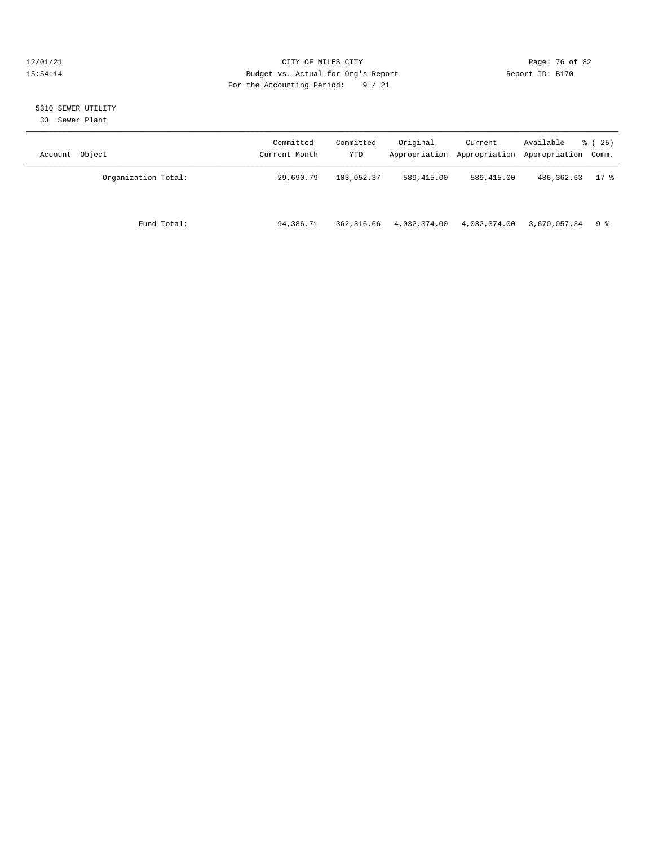# 12/01/21 Page: 76 of 82<br>15:54:14 Pudget vs. Actual for Org's Report Report Report ID: B170 15:54:14 Budget vs. Actual for Org's Report For the Accounting Period: 9 / 21

# 5310 SEWER UTILITY

33 Sewer Plant

| Account Object      | Committed<br>Current Month | Committed<br>YTD | Original     | Current      | Available<br>Appropriation Appropriation Appropriation Comm. | 8 (25) |
|---------------------|----------------------------|------------------|--------------|--------------|--------------------------------------------------------------|--------|
| Organization Total: | 29,690.79                  | 103,052.37       | 589,415.00   | 589,415.00   | 486,362.63                                                   | $17$ % |
| Fund Total:         | 94,386.71                  | 362,316.66       | 4,032,374.00 | 4,032,374.00 | $3,670,057.34$ 9 %                                           |        |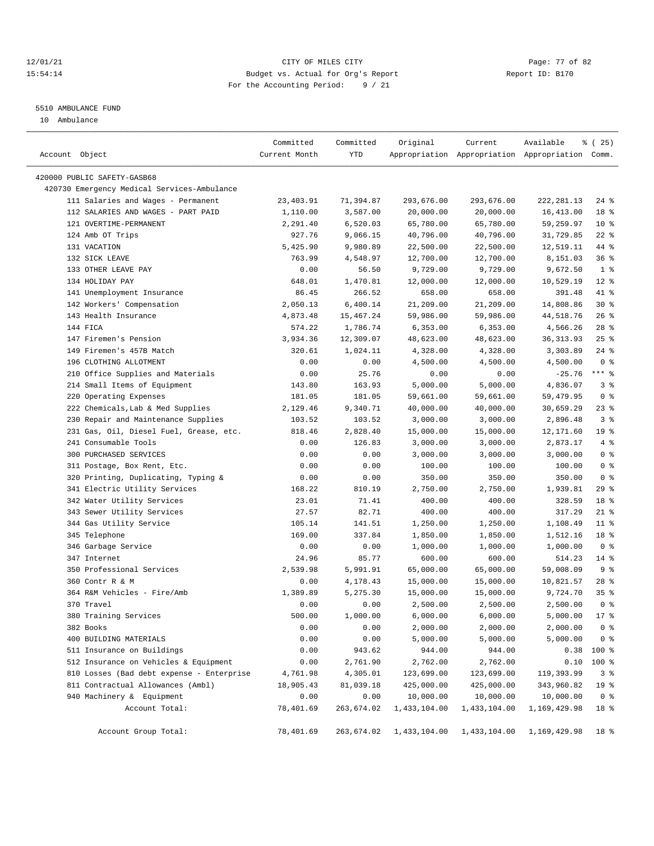# 12/01/21 Page: 77 of 82 15:54:14 Budget vs. Actual for Org's Report Report ID: B170 For the Accounting Period: 9 / 21

————————————————————————————————————————————————————————————————————————————————————————————————————————————————————————————————————

#### 5510 AMBULANCE FUND

10 Ambulance

|                                             | Committed     | Committed  | Original     | Current      | Available                                       | $*(25)$         |
|---------------------------------------------|---------------|------------|--------------|--------------|-------------------------------------------------|-----------------|
| Account Object                              | Current Month | YTD        |              |              | Appropriation Appropriation Appropriation Comm. |                 |
| 420000 PUBLIC SAFETY-GASB68                 |               |            |              |              |                                                 |                 |
| 420730 Emergency Medical Services-Ambulance |               |            |              |              |                                                 |                 |
| 111 Salaries and Wages - Permanent          | 23,403.91     | 71,394.87  | 293,676.00   | 293,676.00   | 222, 281.13                                     | $24$ %          |
| 112 SALARIES AND WAGES - PART PAID          | 1,110.00      | 3,587.00   | 20,000.00    | 20,000.00    | 16,413.00                                       | 18 %            |
| 121 OVERTIME-PERMANENT                      | 2,291.40      | 6,520.03   | 65,780.00    | 65,780.00    | 59,259.97                                       | $10*$           |
| 124 Amb OT Trips                            | 927.76        | 9,066.15   | 40,796.00    | 40,796.00    | 31,729.85                                       | $22$ %          |
| 131 VACATION                                | 5,425.90      | 9,980.89   | 22,500.00    | 22,500.00    | 12,519.11                                       | 44 %            |
| 132 SICK LEAVE                              | 763.99        | 4,548.97   | 12,700.00    | 12,700.00    | 8,151.03                                        | 36%             |
| 133 OTHER LEAVE PAY                         | 0.00          | 56.50      | 9,729.00     | 9,729.00     | 9,672.50                                        | 1 <sup>8</sup>  |
| 134 HOLIDAY PAY                             | 648.01        | 1,470.81   | 12,000.00    | 12,000.00    | 10,529.19                                       | $12*$           |
| 141 Unemployment Insurance                  | 86.45         | 266.52     | 658.00       | 658.00       | 391.48                                          | 41 %            |
| 142 Workers' Compensation                   | 2,050.13      | 6,400.14   | 21,209.00    | 21,209.00    | 14,808.86                                       | $30*$           |
| 143 Health Insurance                        | 4,873.48      | 15,467.24  | 59,986.00    | 59,986.00    | 44,518.76                                       | $26$ %          |
| 144 FICA                                    | 574.22        | 1,786.74   | 6,353.00     | 6,353.00     | 4,566.26                                        | $28$ %          |
| 147 Firemen's Pension                       | 3,934.36      | 12,309.07  | 48,623.00    | 48,623.00    | 36, 313.93                                      | $25$ %          |
| 149 Firemen's 457B Match                    | 320.61        | 1,024.11   | 4,328.00     | 4,328.00     | 3,303.89                                        | $24$ %          |
| 196 CLOTHING ALLOTMENT                      | 0.00          | 0.00       | 4,500.00     | 4,500.00     | 4,500.00                                        | 0 <sup>8</sup>  |
| 210 Office Supplies and Materials           | 0.00          | 25.76      | 0.00         | 0.00         | $-25.76$                                        | $***$ $%$       |
| 214 Small Items of Equipment                | 143.80        | 163.93     | 5,000.00     | 5,000.00     | 4,836.07                                        | 3%              |
| 220 Operating Expenses                      | 181.05        | 181.05     | 59,661.00    | 59,661.00    | 59,479.95                                       | 0 <sup>8</sup>  |
| 222 Chemicals, Lab & Med Supplies           | 2,129.46      | 9,340.71   | 40,000.00    | 40,000.00    | 30,659.29                                       | $23$ %          |
| 230 Repair and Maintenance Supplies         | 103.52        | 103.52     | 3,000.00     | 3,000.00     | 2,896.48                                        | 3%              |
| 231 Gas, Oil, Diesel Fuel, Grease, etc.     | 818.46        | 2,828.40   | 15,000.00    | 15,000.00    | 12,171.60                                       | 19 <sup>°</sup> |
| 241 Consumable Tools                        | 0.00          | 126.83     | 3,000.00     | 3,000.00     | 2,873.17                                        | 4%              |
| 300 PURCHASED SERVICES                      | 0.00          | 0.00       | 3,000.00     | 3,000.00     | 3,000.00                                        | 0 <sup>8</sup>  |
| 311 Postage, Box Rent, Etc.                 | 0.00          | 0.00       | 100.00       | 100.00       | 100.00                                          | 0 <sup>8</sup>  |
| 320 Printing, Duplicating, Typing &         | 0.00          | 0.00       | 350.00       | 350.00       | 350.00                                          | 0 <sup>8</sup>  |
| 341 Electric Utility Services               | 168.22        | 810.19     | 2,750.00     | 2,750.00     | 1,939.81                                        | 29%             |
| 342 Water Utility Services                  | 23.01         | 71.41      | 400.00       | 400.00       | 328.59                                          | 18 %            |
| 343 Sewer Utility Services                  | 27.57         | 82.71      | 400.00       | 400.00       | 317.29                                          | $21$ %          |
| 344 Gas Utility Service                     | 105.14        | 141.51     | 1,250.00     | 1,250.00     | 1,108.49                                        | $11$ %          |
| 345 Telephone                               | 169.00        | 337.84     | 1,850.00     | 1,850.00     | 1,512.16                                        | 18 %            |
| 346 Garbage Service                         | 0.00          | 0.00       | 1,000.00     | 1,000.00     | 1,000.00                                        | 0 <sup>8</sup>  |
| 347 Internet                                | 24.96         | 85.77      | 600.00       | 600.00       | 514.23                                          | $14*$           |
| 350 Professional Services                   | 2,539.98      | 5,991.91   | 65,000.00    | 65,000.00    | 59,008.09                                       | 9%              |
| 360 Contr R & M                             | 0.00          | 4,178.43   | 15,000.00    | 15,000.00    | 10,821.57                                       | $28$ %          |
| 364 R&M Vehicles - Fire/Amb                 | 1,389.89      | 5,275.30   | 15,000.00    | 15,000.00    | 9,724.70                                        | 35%             |
| 370 Travel                                  | 0.00          | 0.00       | 2,500.00     | 2,500.00     | 2,500.00                                        | 0 <sup>8</sup>  |
| 380 Training Services                       | 500.00        | 1,000.00   | 6,000.00     | 6,000.00     | 5,000.00                                        | 17 <sub>8</sub> |
| 382 Books                                   | 0.00          | 0.00       | 2,000.00     | 2,000.00     | 2,000.00                                        | 0 <sup>8</sup>  |
| 400 BUILDING MATERIALS                      | 0.00          | 0.00       | 5,000.00     | 5,000.00     | 5,000.00                                        | 0 <sup>8</sup>  |
| 511 Insurance on Buildings                  | 0.00          | 943.62     | 944.00       | 944.00       | 0.38                                            | 100 %           |
| 512 Insurance on Vehicles & Equipment       | 0.00          | 2,761.90   | 2,762.00     | 2,762.00     | 0.10                                            | 100 %           |
| 810 Losses (Bad debt expense - Enterprise   | 4,761.98      | 4,305.01   | 123,699.00   | 123,699.00   | 119,393.99                                      | 3%              |
| 811 Contractual Allowances (Ambl)           | 18,905.43     | 81,039.18  | 425,000.00   | 425,000.00   | 343,960.82                                      | 19 <sup>°</sup> |
| 940 Machinery & Equipment                   | 0.00          | 0.00       | 10,000.00    | 10,000.00    | 10,000.00                                       | 0 <sup>8</sup>  |
| Account Total:                              | 78,401.69     | 263,674.02 | 1,433,104.00 | 1,433,104.00 | 1,169,429.98                                    | 18 %            |
|                                             |               |            |              |              |                                                 |                 |
| Account Group Total:                        | 78,401.69     | 263,674.02 | 1,433,104.00 | 1,433,104.00 | 1,169,429.98                                    | 18 %            |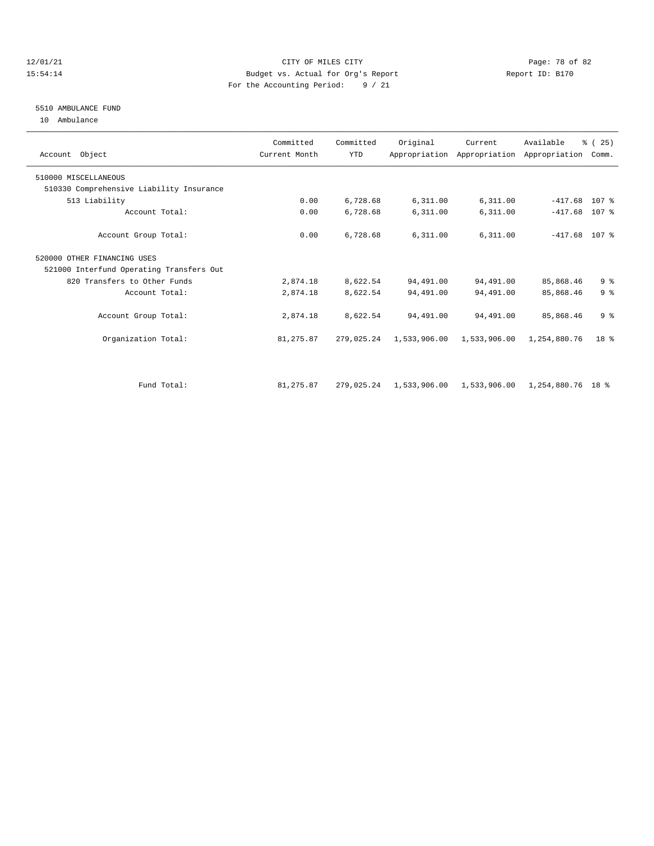# 12/01/21 Page: 78 of 82 15:54:14 Budget vs. Actual for Org's Report Report ID: B170 For the Accounting Period: 9 / 21

#### 5510 AMBULANCE FUND

10 Ambulance

| Account Object                           | Committed<br>Current Month | Committed<br><b>YTD</b> | Original     | Current      | Available<br>Appropriation Appropriation Appropriation Comm. | % (25)         |  |
|------------------------------------------|----------------------------|-------------------------|--------------|--------------|--------------------------------------------------------------|----------------|--|
| 510000 MISCELLANEOUS                     |                            |                         |              |              |                                                              |                |  |
| 510330 Comprehensive Liability Insurance |                            |                         |              |              |                                                              |                |  |
| 513 Liability                            | 0.00                       | 6,728.68                | 6,311.00     | 6,311.00     | $-417.68$ 107 %                                              |                |  |
| Account Total:                           | 0.00                       | 6,728.68                | 6,311.00     | 6,311.00     | $-417.68$                                                    | 107 %          |  |
| Account Group Total:                     | 0.00                       | 6,728.68                | 6,311.00     | 6,311.00     | $-417.68$ 107 %                                              |                |  |
| 520000 OTHER FINANCING USES              |                            |                         |              |              |                                                              |                |  |
| 521000 Interfund Operating Transfers Out |                            |                         |              |              |                                                              |                |  |
| 820 Transfers to Other Funds             | 2,874.18                   | 8,622.54                | 94,491.00    | 94,491.00    | 85,868.46                                                    | 9 <sup>8</sup> |  |
| Account Total:                           | 2,874.18                   | 8,622.54                | 94,491.00    | 94,491.00    | 85,868.46                                                    | 9 <sup>8</sup> |  |
| Account Group Total:                     | 2,874.18                   | 8,622.54                | 94,491.00    | 94,491.00    | 85,868.46                                                    | 9 <sup>8</sup> |  |
| Organization Total:                      | 81,275.87                  | 279,025.24              | 1,533,906.00 | 1,533,906.00 | 1,254,880.76                                                 | $18*$          |  |
|                                          |                            |                         |              |              |                                                              |                |  |
| Fund Total:                              | 81,275.87                  | 279,025.24              | 1,533,906.00 | 1,533,906.00 | 1,254,880.76 18 %                                            |                |  |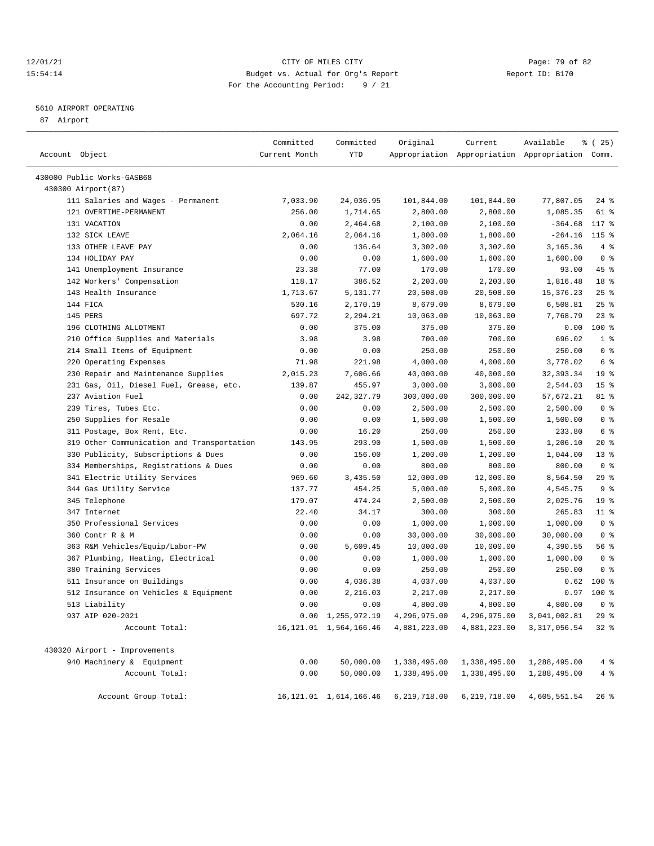# 12/01/21 Page: 79 of 82<br>15:54:14 Pudget vs. Actual for Org's Report Report Report ID: B170 15:54:14 Budget vs. Actual for Org's Report For the Accounting Period: 9 / 21

————————————————————————————————————————————————————————————————————————————————————————————————————————————————————————————————————

# 5610 AIRPORT OPERATING

87 Airport

|                                            | Committed     | Committed                 | Original     | Current      | Available                                       | <sub>है</sub> (25) |
|--------------------------------------------|---------------|---------------------------|--------------|--------------|-------------------------------------------------|--------------------|
| Account Object                             | Current Month | YTD                       |              |              | Appropriation Appropriation Appropriation Comm. |                    |
| 430000 Public Works-GASB68                 |               |                           |              |              |                                                 |                    |
| 430300 Airport (87)                        |               |                           |              |              |                                                 |                    |
| 111 Salaries and Wages - Permanent         | 7,033.90      | 24,036.95                 | 101,844.00   | 101,844.00   | 77,807.05                                       | $24$ %             |
| 121 OVERTIME-PERMANENT                     | 256.00        | 1,714.65                  | 2,800.00     | 2,800.00     | 1,085.35                                        | 61 %               |
| 131 VACATION                               | 0.00          | 2,464.68                  | 2,100.00     | 2,100.00     | $-364.68$                                       | 117 %              |
| 132 SICK LEAVE                             | 2,064.16      | 2,064.16                  | 1,800.00     | 1,800.00     | $-264.16$                                       | $115$ %            |
| 133 OTHER LEAVE PAY                        | 0.00          | 136.64                    | 3,302.00     | 3,302.00     | 3,165.36                                        | 4%                 |
| 134 HOLIDAY PAY                            | 0.00          | 0.00                      | 1,600.00     | 1,600.00     | 1,600.00                                        | 0 <sup>8</sup>     |
| 141 Unemployment Insurance                 | 23.38         | 77.00                     | 170.00       | 170.00       | 93.00                                           | 45 %               |
| 142 Workers' Compensation                  | 118.17        | 386.52                    | 2,203.00     | 2,203.00     | 1,816.48                                        | 18 <sup>8</sup>    |
| 143 Health Insurance                       | 1,713.67      | 5,131.77                  | 20,508.00    | 20,508.00    | 15, 376. 23                                     | 25%                |
| 144 FICA                                   | 530.16        | 2,170.19                  | 8,679.00     | 8,679.00     | 6,508.81                                        | $25$ %             |
| 145 PERS                                   | 697.72        | 2,294.21                  | 10,063.00    | 10,063.00    | 7,768.79                                        | $23$ $%$           |
| 196 CLOTHING ALLOTMENT                     | 0.00          | 375.00                    | 375.00       | 375.00       | 0.00                                            | $100$ %            |
| 210 Office Supplies and Materials          | 3.98          | 3.98                      | 700.00       | 700.00       | 696.02                                          | 1 <sup>8</sup>     |
| 214 Small Items of Equipment               | 0.00          | 0.00                      | 250.00       | 250.00       | 250.00                                          | 0 <sup>8</sup>     |
| 220 Operating Expenses                     | 71.98         | 221.98                    | 4,000.00     | 4,000.00     | 3,778.02                                        | 6 %                |
| 230 Repair and Maintenance Supplies        | 2,015.23      | 7,606.66                  | 40,000.00    | 40,000.00    | 32, 393.34                                      | 19 <sup>°</sup>    |
| 231 Gas, Oil, Diesel Fuel, Grease, etc.    | 139.87        | 455.97                    | 3,000.00     | 3,000.00     | 2,544.03                                        | 15 <sup>°</sup>    |
| 237 Aviation Fuel                          | 0.00          | 242,327.79                | 300,000.00   | 300,000.00   | 57,672.21                                       | 81 %               |
| 239 Tires, Tubes Etc.                      | 0.00          | 0.00                      | 2,500.00     | 2,500.00     | 2,500.00                                        | 0 <sup>8</sup>     |
| 250 Supplies for Resale                    | 0.00          | 0.00                      | 1,500.00     | 1,500.00     | 1,500.00                                        | 0 <sup>8</sup>     |
| 311 Postage, Box Rent, Etc.                | 0.00          | 16.20                     | 250.00       | 250.00       | 233.80                                          | 6 %                |
| 319 Other Communication and Transportation | 143.95        | 293.90                    | 1,500.00     | 1,500.00     | 1,206.10                                        | $20*$              |
| 330 Publicity, Subscriptions & Dues        | 0.00          | 156.00                    | 1,200.00     | 1,200.00     | 1,044.00                                        | $13*$              |
| 334 Memberships, Registrations & Dues      | 0.00          | 0.00                      | 800.00       | 800.00       | 800.00                                          | 0 <sup>8</sup>     |
| 341 Electric Utility Services              | 969.60        | 3,435.50                  | 12,000.00    | 12,000.00    | 8,564.50                                        | 29 %               |
| 344 Gas Utility Service                    | 137.77        | 454.25                    | 5,000.00     | 5,000.00     | 4,545.75                                        | 9 <sup>8</sup>     |
| 345 Telephone                              | 179.07        | 474.24                    | 2,500.00     | 2,500.00     | 2,025.76                                        | 19 <sup>°</sup>    |
| 347 Internet                               | 22.40         | 34.17                     | 300.00       | 300.00       | 265.83                                          | $11$ %             |
| 350 Professional Services                  | 0.00          | 0.00                      | 1,000.00     | 1,000.00     | 1,000.00                                        | 0 <sup>8</sup>     |
| 360 Contr R & M                            | 0.00          | 0.00                      | 30,000.00    | 30,000.00    | 30,000.00                                       | 0 <sup>8</sup>     |
| 363 R&M Vehicles/Equip/Labor-PW            | 0.00          | 5,609.45                  | 10,000.00    | 10,000.00    | 4,390.55                                        | 56%                |
| 367 Plumbing, Heating, Electrical          | 0.00          | 0.00                      | 1,000.00     | 1,000.00     | 1,000.00                                        | 0 <sup>8</sup>     |
| 380 Training Services                      | 0.00          | 0.00                      | 250.00       | 250.00       | 250.00                                          | 0 <sup>8</sup>     |
| 511 Insurance on Buildings                 | 0.00          | 4,036.38                  | 4,037.00     | 4,037.00     | 0.62                                            | $100*$             |
| 512 Insurance on Vehicles & Equipment      | 0.00          | 2,216.03                  | 2,217.00     | 2,217.00     | 0.97                                            | $100*$             |
| 513 Liability                              | 0.00          | 0.00                      | 4,800.00     | 4,800.00     | 4,800.00                                        | 0 <sup>8</sup>     |
| 937 AIP 020-2021                           |               | $0.00 \quad 1,255,972.19$ | 4,296,975.00 |              | 4, 296, 975.00 3, 041, 002.81                   | 29%                |
| Account Total:                             |               | 16, 121.01 1, 564, 166.46 | 4,881,223.00 | 4,881,223.00 | 3, 317, 056.54                                  | $32*$              |
| 430320 Airport - Improvements              |               |                           |              |              |                                                 |                    |
| 940 Machinery & Equipment                  | 0.00          | 50,000.00                 | 1,338,495.00 | 1,338,495.00 | 1,288,495.00                                    | $4\degree$         |
| Account Total:                             | 0.00          | 50,000.00                 | 1,338,495.00 | 1,338,495.00 | 1,288,495.00                                    | 4%                 |
| Account Group Total:                       |               | 16, 121.01 1, 614, 166.46 | 6,219,718.00 | 6,219,718.00 | 4,605,551.54                                    | $26$ %             |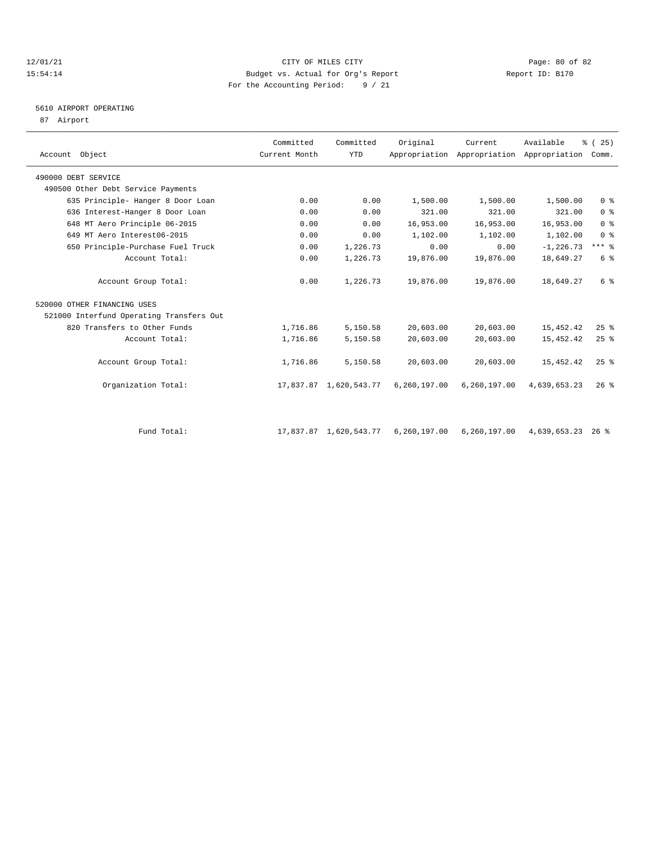# $12/01/21$  Page: 80 of 82<br>15:54:14 Budget vs. Actual for Org's Report Physics (Page: 80 of 82<br>15:54:14 Page: Montevel Budget vs. Actual for Org's Report Physics (Page: 80 of 82 15:54:14 Budget vs. Actual for Org's Report For the Accounting Period: 9 / 21

# 5610 AIRPORT OPERATING

87 Airport

| Account Object                           | Committed<br>Current Month | Committed<br>YTD       | Original       | Current      | Available<br>Appropriation Appropriation Appropriation Comm. | % (25)         |
|------------------------------------------|----------------------------|------------------------|----------------|--------------|--------------------------------------------------------------|----------------|
| 490000 DEBT SERVICE                      |                            |                        |                |              |                                                              |                |
| 490500 Other Debt Service Payments       |                            |                        |                |              |                                                              |                |
| 635 Principle- Hanger 8 Door Loan        | 0.00                       | 0.00                   | 1,500.00       | 1,500.00     | 1,500.00                                                     | 0 <sup>8</sup> |
| 636 Interest-Hanger 8 Door Loan          | 0.00                       | 0.00                   | 321.00         | 321.00       | 321.00                                                       | 0 <sup>8</sup> |
| 648 MT Aero Principle 06-2015            | 0.00                       | 0.00                   | 16,953.00      | 16,953.00    | 16,953.00                                                    | 0 <sup>8</sup> |
| 649 MT Aero Interest06-2015              | 0.00                       | 0.00                   | 1,102.00       | 1,102.00     | 1,102.00                                                     | 0 <sup>8</sup> |
| 650 Principle-Purchase Fuel Truck        | 0.00                       | 1,226.73               | 0.00           | 0.00         | $-1, 226.73$                                                 | $***$ $%$      |
| Account Total:                           | 0.00                       | 1,226.73               | 19,876.00      | 19,876.00    | 18,649.27                                                    | 6 %            |
| Account Group Total:                     | 0.00                       | 1,226.73               | 19,876.00      | 19,876.00    | 18,649.27                                                    | 6 %            |
| 520000 OTHER FINANCING USES              |                            |                        |                |              |                                                              |                |
| 521000 Interfund Operating Transfers Out |                            |                        |                |              |                                                              |                |
| 820 Transfers to Other Funds             | 1,716.86                   | 5,150.58               | 20,603.00      | 20,603.00    | 15, 452.42                                                   | 25%            |
| Account Total:                           | 1,716.86                   | 5,150.58               | 20,603.00      | 20,603.00    | 15, 452.42                                                   | 25%            |
| Account Group Total:                     | 1,716.86                   | 5,150.58               | 20,603.00      | 20,603.00    | 15, 452.42                                                   | 25%            |
| Organization Total:                      |                            | 17,837.87 1,620,543.77 | 6, 260, 197.00 | 6,260,197.00 | 4,639,653.23                                                 | $26$ %         |
|                                          |                            |                        |                |              |                                                              |                |

Fund Total: 17,837.87 1,620,543.77 6,260,197.00 6,260,197.00 4,639,653.23 26 %